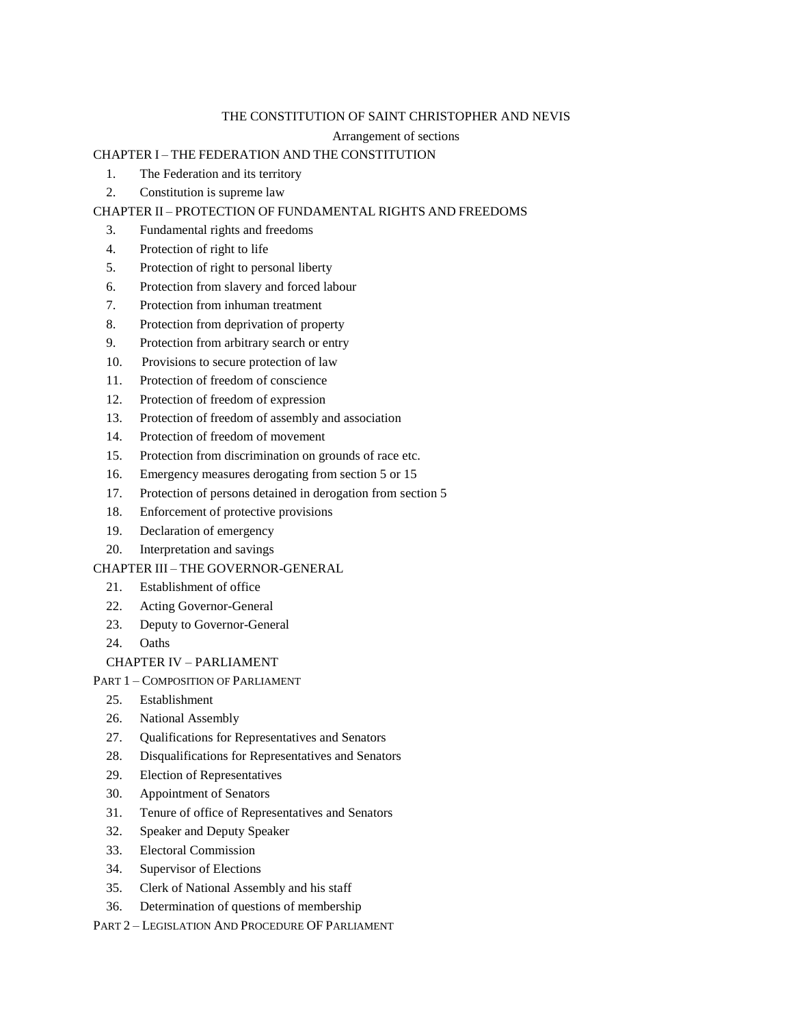# THE CONSTITUTION OF SAINT CHRISTOPHER AND NEVIS

# Arrangement of sections

# CHAPTER I – THE FEDERATION AND THE CONSTITUTION

- 1. The Federation and its territory
- 2. Constitution is supreme law

# CHAPTER II – PROTECTION OF FUNDAMENTAL RIGHTS AND FREEDOMS

- 3. Fundamental rights and freedoms
- 4. Protection of right to life
- 5. Protection of right to personal liberty
- 6. Protection from slavery and forced labour
- 7. Protection from inhuman treatment
- 8. Protection from deprivation of property
- 9. Protection from arbitrary search or entry
- 10. Provisions to secure protection of law
- 11. Protection of freedom of conscience
- 12. Protection of freedom of expression
- 13. Protection of freedom of assembly and association
- 14. Protection of freedom of movement
- 15. Protection from discrimination on grounds of race etc.
- 16. Emergency measures derogating from section 5 or 15
- 17. Protection of persons detained in derogation from section 5
- 18. Enforcement of protective provisions
- 19. Declaration of emergency
- 20. Interpretation and savings

# CHAPTER III – THE GOVERNOR-GENERAL

- 21. Establishment of office
- 22. Acting Governor-General
- 23. Deputy to Governor-General
- 24. Oaths

# CHAPTER IV – PARLIAMENT

# PART 1 – COMPOSITION OF PARLIAMENT

- 25. Establishment
- 26. National Assembly
- 27. Qualifications for Representatives and Senators
- 28. Disqualifications for Representatives and Senators
- 29. Election of Representatives
- 30. Appointment of Senators
- 31. Tenure of office of Representatives and Senators
- 32. Speaker and Deputy Speaker
- 33. Electoral Commission
- 34. Supervisor of Elections
- 35. Clerk of National Assembly and his staff
- 36. Determination of questions of membership
- PART 2 LEGISLATION AND PROCEDURE OF PARLIAMENT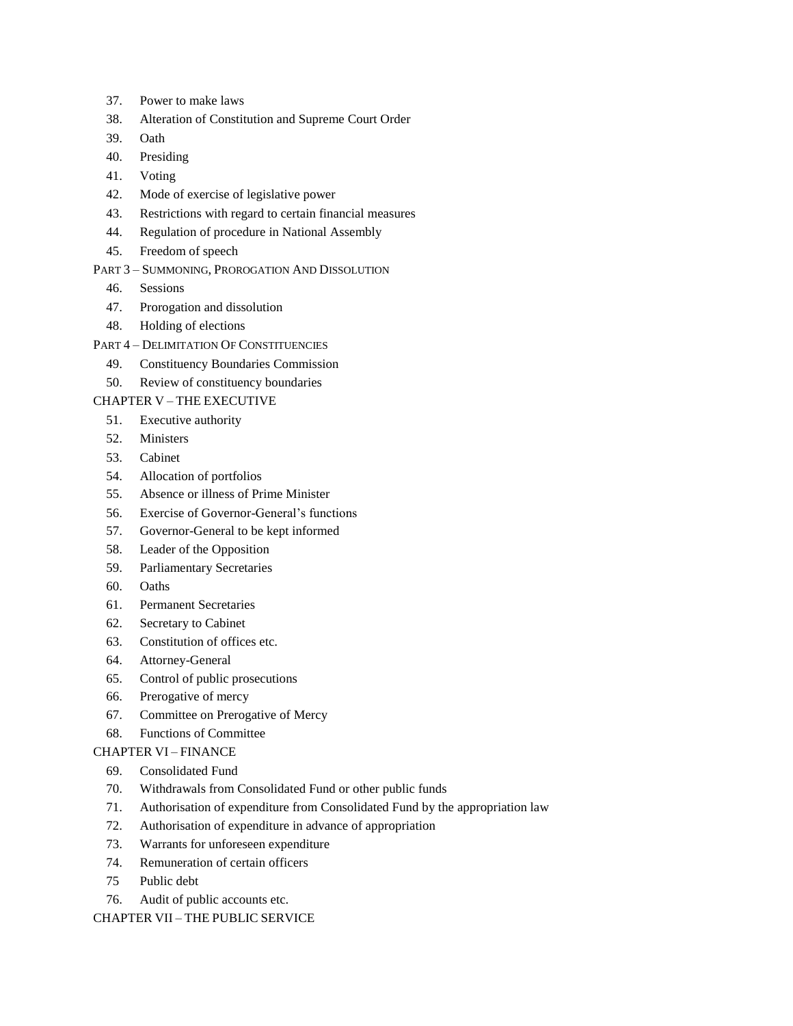- 37. Power to make laws
- 38. Alteration of Constitution and Supreme Court Order
- 39. Oath
- 40. Presiding
- 41. Voting
- 42. Mode of exercise of legislative power
- 43. Restrictions with regard to certain financial measures
- 44. Regulation of procedure in National Assembly
- 45. Freedom of speech
- PART 3 SUMMONING, PROROGATION AND DISSOLUTION
	- 46. Sessions
	- 47. Prorogation and dissolution
	- 48. Holding of elections
- PART 4 DELIMITATION OF CONSTITUENCIES
	- 49. Constituency Boundaries Commission
	- 50. Review of constituency boundaries
- CHAPTER V THE EXECUTIVE
	- 51. Executive authority
	- 52. Ministers
	- 53. Cabinet
	- 54. Allocation of portfolios
	- 55. Absence or illness of Prime Minister
	- 56. Exercise of Governor-General's functions
	- 57. Governor-General to be kept informed
	- 58. Leader of the Opposition
	- 59. Parliamentary Secretaries
	- 60. Oaths
	- 61. Permanent Secretaries
	- 62. Secretary to Cabinet
	- 63. Constitution of offices etc.
	- 64. Attorney-General
	- 65. Control of public prosecutions
	- 66. Prerogative of mercy
	- 67. Committee on Prerogative of Mercy
	- 68. Functions of Committee

# CHAPTER VI – FINANCE

- 69. Consolidated Fund
- 70. Withdrawals from Consolidated Fund or other public funds
- 71. Authorisation of expenditure from Consolidated Fund by the appropriation law
- 72. Authorisation of expenditure in advance of appropriation
- 73. Warrants for unforeseen expenditure
- 74. Remuneration of certain officers
- 75 Public debt
- 76. Audit of public accounts etc.

CHAPTER VII – THE PUBLIC SERVICE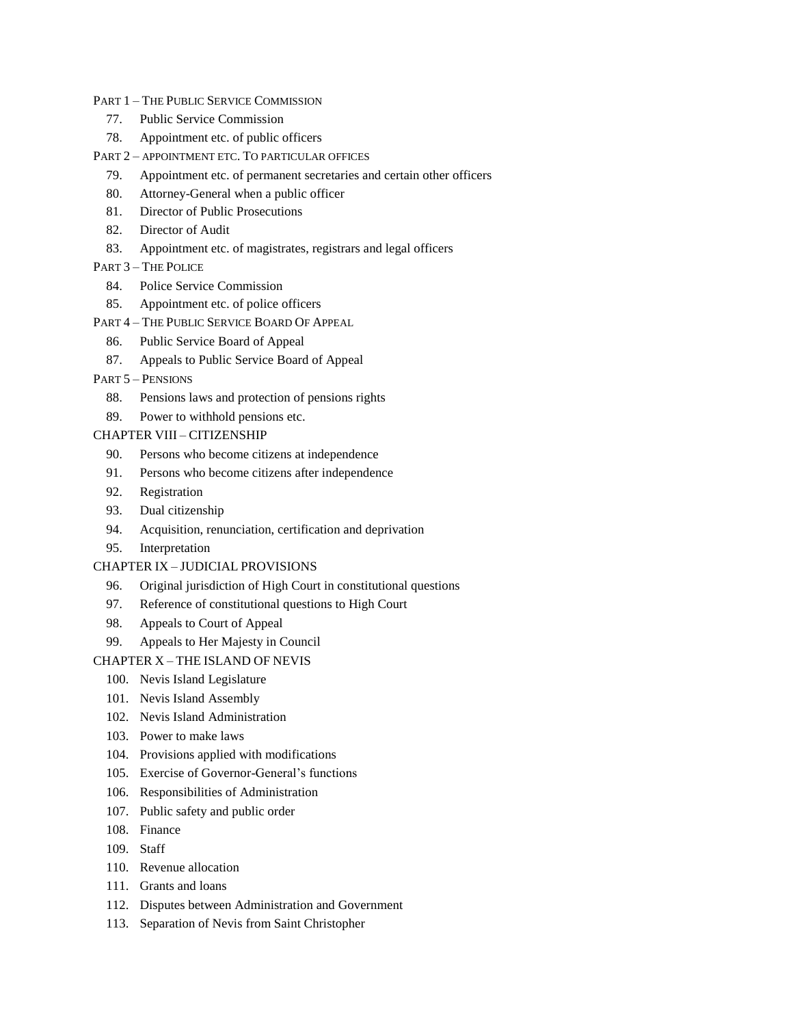# PART 1 – THE PUBLIC SERVICE COMMISSION

- 77. Public Service Commission
- 78. Appointment etc. of public officers
- PART 2 APPOINTMENT ETC. TO PARTICULAR OFFICES
	- 79. Appointment etc. of permanent secretaries and certain other officers
	- 80. Attorney-General when a public officer
	- 81. Director of Public Prosecutions
	- 82. Director of Audit
	- 83. Appointment etc. of magistrates, registrars and legal officers

# PART 3 – THE POLICE

- 84. Police Service Commission
- 85. Appointment etc. of police officers
- PART 4 THE PUBLIC SERVICE BOARD OF APPEAL
	- 86. Public Service Board of Appeal
	- 87. Appeals to Public Service Board of Appeal
- PART 5 PENSIONS
	- 88. Pensions laws and protection of pensions rights
	- 89. Power to withhold pensions etc.

# CHAPTER VIII – CITIZENSHIP

- 90. Persons who become citizens at independence
- 91. Persons who become citizens after independence
- 92. Registration
- 93. Dual citizenship
- 94. Acquisition, renunciation, certification and deprivation
- 95. Interpretation

# CHAPTER IX – JUDICIAL PROVISIONS

- 96. Original jurisdiction of High Court in constitutional questions
- 97. Reference of constitutional questions to High Court
- 98. Appeals to Court of Appeal
- 99. Appeals to Her Majesty in Council
- CHAPTER X THE ISLAND OF NEVIS
	- 100. Nevis Island Legislature
	- 101. Nevis Island Assembly
	- 102. Nevis Island Administration
	- 103. Power to make laws
	- 104. Provisions applied with modifications
	- 105. Exercise of Governor-General's functions
	- 106. Responsibilities of Administration
	- 107. Public safety and public order
	- 108. Finance
	- 109. Staff
	- 110. Revenue allocation
	- 111. Grants and loans
	- 112. Disputes between Administration and Government
	- 113. Separation of Nevis from Saint Christopher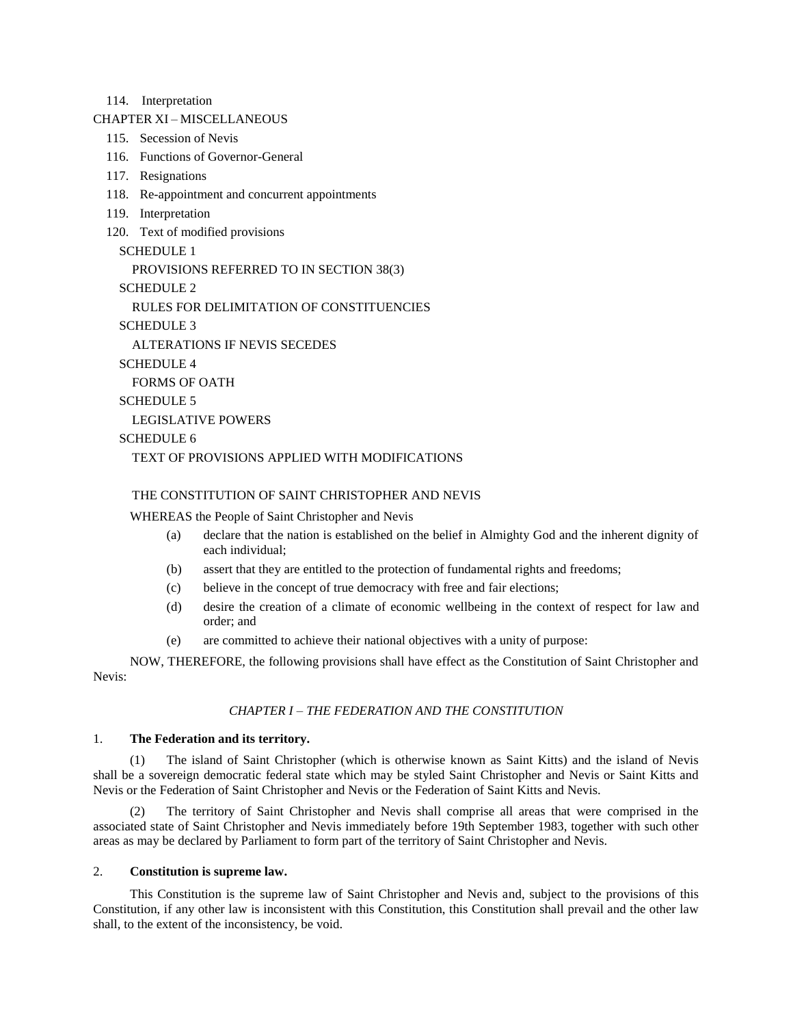# 114. Interpretation

### CHAPTER XI – MISCELLANEOUS

- 115. Secession of Nevis
- 116. Functions of Governor-General
- 117. Resignations
- 118. Re-appointment and concurrent appointments
- 119. Interpretation
- 120. Text of modified provisions

SCHEDULE 1

PROVISIONS REFERRED TO IN SECTION 38(3)

SCHEDULE 2

RULES FOR DELIMITATION OF CONSTITUENCIES

SCHEDULE 3

ALTERATIONS IF NEVIS SECEDES

SCHEDULE 4

FORMS OF OATH

SCHEDULE 5

LEGISLATIVE POWERS

#### SCHEDULE 6

# TEXT OF PROVISIONS APPLIED WITH MODIFICATIONS

# THE CONSTITUTION OF SAINT CHRISTOPHER AND NEVIS

WHEREAS the People of Saint Christopher and Nevis

- (a) declare that the nation is established on the belief in Almighty God and the inherent dignity of each individual;
- (b) assert that they are entitled to the protection of fundamental rights and freedoms;
- (c) believe in the concept of true democracy with free and fair elections;
- (d) desire the creation of a climate of economic wellbeing in the context of respect for law and order; and
- (e) are committed to achieve their national objectives with a unity of purpose:

NOW, THEREFORE, the following provisions shall have effect as the Constitution of Saint Christopher and Nevis:

### *CHAPTER I – THE FEDERATION AND THE CONSTITUTION*

#### 1. **The Federation and its territory.**

(1) The island of Saint Christopher (which is otherwise known as Saint Kitts) and the island of Nevis shall be a sovereign democratic federal state which may be styled Saint Christopher and Nevis or Saint Kitts and Nevis or the Federation of Saint Christopher and Nevis or the Federation of Saint Kitts and Nevis.

The territory of Saint Christopher and Nevis shall comprise all areas that were comprised in the associated state of Saint Christopher and Nevis immediately before 19th September 1983, together with such other areas as may be declared by Parliament to form part of the territory of Saint Christopher and Nevis.

#### 2. **Constitution is supreme law.**

This Constitution is the supreme law of Saint Christopher and Nevis and, subject to the provisions of this Constitution, if any other law is inconsistent with this Constitution, this Constitution shall prevail and the other law shall, to the extent of the inconsistency, be void.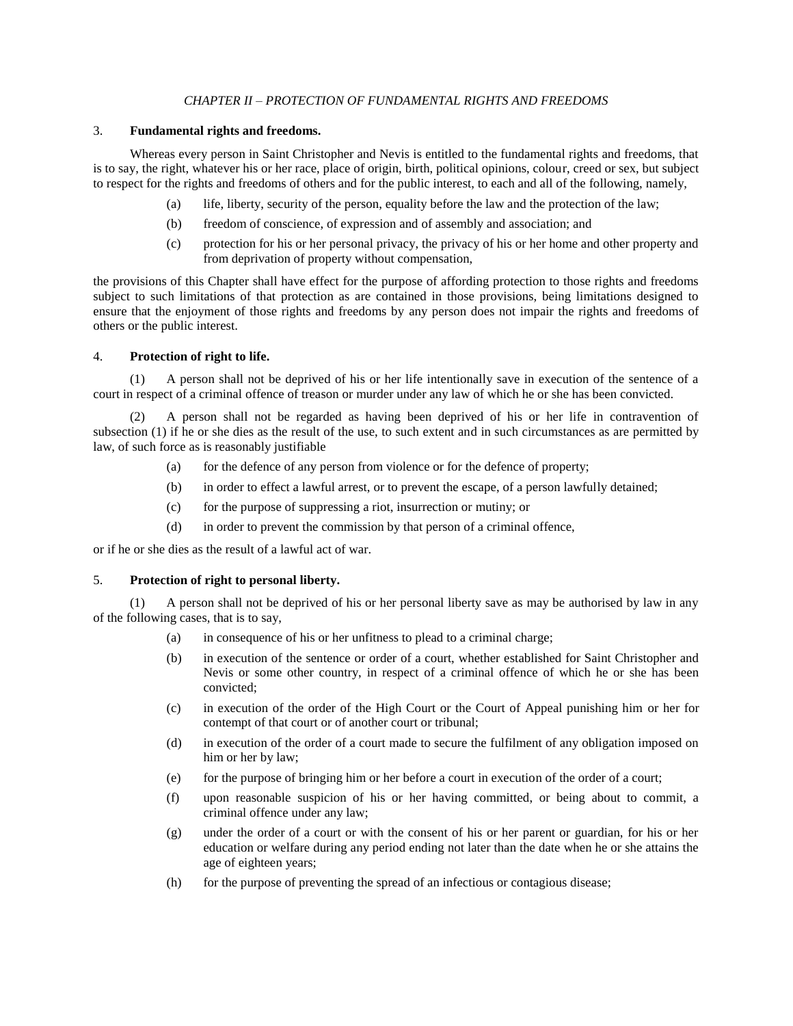# *CHAPTER II – PROTECTION OF FUNDAMENTAL RIGHTS AND FREEDOMS*

### 3. **Fundamental rights and freedoms.**

Whereas every person in Saint Christopher and Nevis is entitled to the fundamental rights and freedoms, that is to say, the right, whatever his or her race, place of origin, birth, political opinions, colour, creed or sex, but subject to respect for the rights and freedoms of others and for the public interest, to each and all of the following, namely,

- (a) life, liberty, security of the person, equality before the law and the protection of the law;
- (b) freedom of conscience, of expression and of assembly and association; and
- (c) protection for his or her personal privacy, the privacy of his or her home and other property and from deprivation of property without compensation,

the provisions of this Chapter shall have effect for the purpose of affording protection to those rights and freedoms subject to such limitations of that protection as are contained in those provisions, being limitations designed to ensure that the enjoyment of those rights and freedoms by any person does not impair the rights and freedoms of others or the public interest.

# 4. **Protection of right to life.**

(1) A person shall not be deprived of his or her life intentionally save in execution of the sentence of a court in respect of a criminal offence of treason or murder under any law of which he or she has been convicted.

(2) A person shall not be regarded as having been deprived of his or her life in contravention of subsection (1) if he or she dies as the result of the use, to such extent and in such circumstances as are permitted by law, of such force as is reasonably justifiable

- (a) for the defence of any person from violence or for the defence of property;
- (b) in order to effect a lawful arrest, or to prevent the escape, of a person lawfully detained;
- (c) for the purpose of suppressing a riot, insurrection or mutiny; or
- (d) in order to prevent the commission by that person of a criminal offence,

or if he or she dies as the result of a lawful act of war.

# 5. **Protection of right to personal liberty.**

(1) A person shall not be deprived of his or her personal liberty save as may be authorised by law in any of the following cases, that is to say,

- (a) in consequence of his or her unfitness to plead to a criminal charge;
- (b) in execution of the sentence or order of a court, whether established for Saint Christopher and Nevis or some other country, in respect of a criminal offence of which he or she has been convicted;
- (c) in execution of the order of the High Court or the Court of Appeal punishing him or her for contempt of that court or of another court or tribunal;
- (d) in execution of the order of a court made to secure the fulfilment of any obligation imposed on him or her by law;
- (e) for the purpose of bringing him or her before a court in execution of the order of a court;
- (f) upon reasonable suspicion of his or her having committed, or being about to commit, a criminal offence under any law;
- (g) under the order of a court or with the consent of his or her parent or guardian, for his or her education or welfare during any period ending not later than the date when he or she attains the age of eighteen years;
- (h) for the purpose of preventing the spread of an infectious or contagious disease;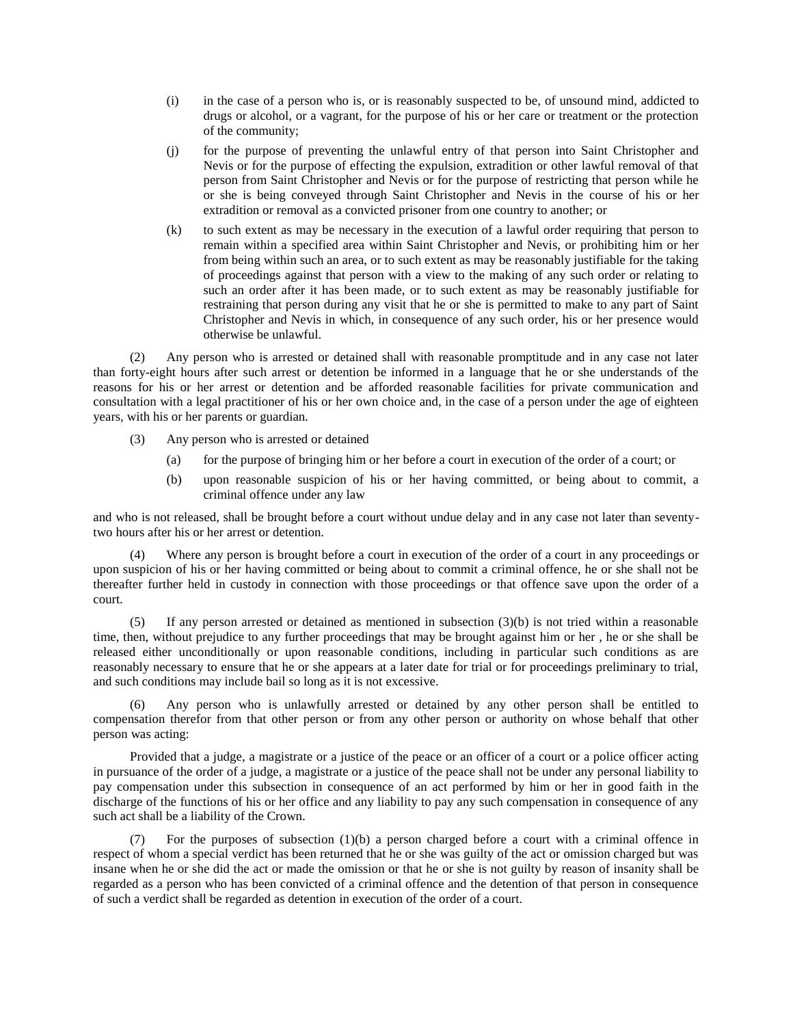- (i) in the case of a person who is, or is reasonably suspected to be, of unsound mind, addicted to drugs or alcohol, or a vagrant, for the purpose of his or her care or treatment or the protection of the community;
- (j) for the purpose of preventing the unlawful entry of that person into Saint Christopher and Nevis or for the purpose of effecting the expulsion, extradition or other lawful removal of that person from Saint Christopher and Nevis or for the purpose of restricting that person while he or she is being conveyed through Saint Christopher and Nevis in the course of his or her extradition or removal as a convicted prisoner from one country to another; or
- (k) to such extent as may be necessary in the execution of a lawful order requiring that person to remain within a specified area within Saint Christopher and Nevis, or prohibiting him or her from being within such an area, or to such extent as may be reasonably justifiable for the taking of proceedings against that person with a view to the making of any such order or relating to such an order after it has been made, or to such extent as may be reasonably justifiable for restraining that person during any visit that he or she is permitted to make to any part of Saint Christopher and Nevis in which, in consequence of any such order, his or her presence would otherwise be unlawful.

(2) Any person who is arrested or detained shall with reasonable promptitude and in any case not later than forty-eight hours after such arrest or detention be informed in a language that he or she understands of the reasons for his or her arrest or detention and be afforded reasonable facilities for private communication and consultation with a legal practitioner of his or her own choice and, in the case of a person under the age of eighteen years, with his or her parents or guardian.

- (3) Any person who is arrested or detained
	- (a) for the purpose of bringing him or her before a court in execution of the order of a court; or
	- (b) upon reasonable suspicion of his or her having committed, or being about to commit, a criminal offence under any law

and who is not released, shall be brought before a court without undue delay and in any case not later than seventytwo hours after his or her arrest or detention.

(4) Where any person is brought before a court in execution of the order of a court in any proceedings or upon suspicion of his or her having committed or being about to commit a criminal offence, he or she shall not be thereafter further held in custody in connection with those proceedings or that offence save upon the order of a court.

(5) If any person arrested or detained as mentioned in subsection (3)(b) is not tried within a reasonable time, then, without prejudice to any further proceedings that may be brought against him or her , he or she shall be released either unconditionally or upon reasonable conditions, including in particular such conditions as are reasonably necessary to ensure that he or she appears at a later date for trial or for proceedings preliminary to trial, and such conditions may include bail so long as it is not excessive.

(6) Any person who is unlawfully arrested or detained by any other person shall be entitled to compensation therefor from that other person or from any other person or authority on whose behalf that other person was acting:

Provided that a judge, a magistrate or a justice of the peace or an officer of a court or a police officer acting in pursuance of the order of a judge, a magistrate or a justice of the peace shall not be under any personal liability to pay compensation under this subsection in consequence of an act performed by him or her in good faith in the discharge of the functions of his or her office and any liability to pay any such compensation in consequence of any such act shall be a liability of the Crown.

For the purposes of subsection  $(1)(b)$  a person charged before a court with a criminal offence in respect of whom a special verdict has been returned that he or she was guilty of the act or omission charged but was insane when he or she did the act or made the omission or that he or she is not guilty by reason of insanity shall be regarded as a person who has been convicted of a criminal offence and the detention of that person in consequence of such a verdict shall be regarded as detention in execution of the order of a court.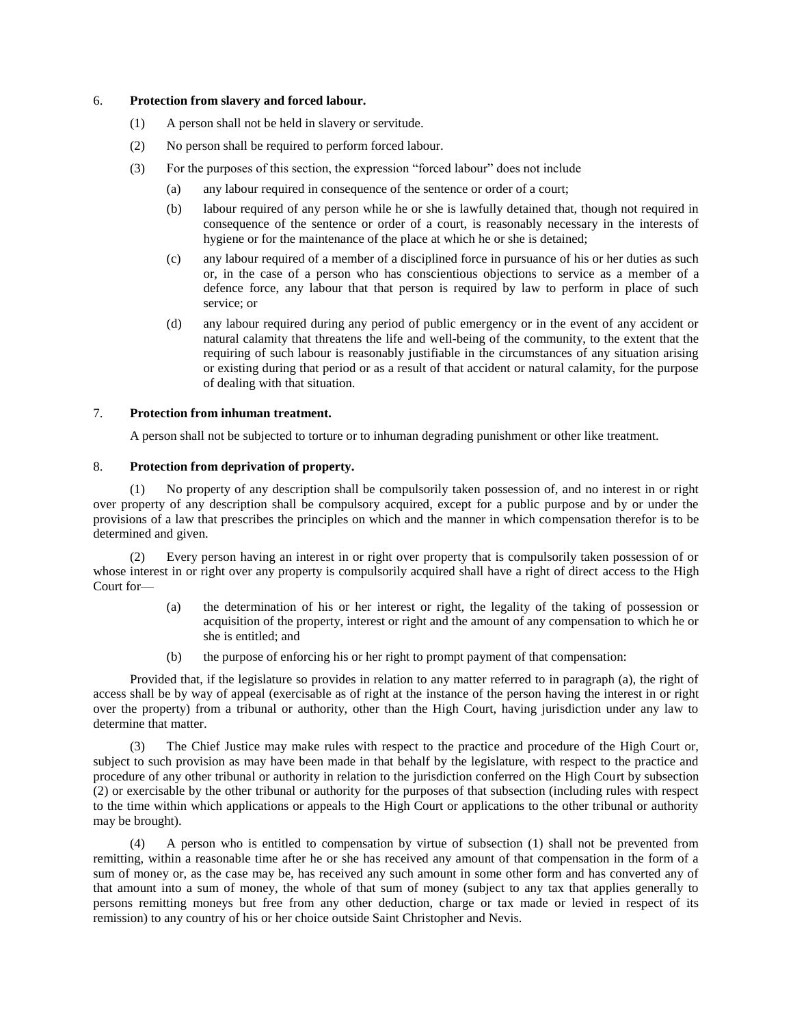# 6. **Protection from slavery and forced labour.**

- (1) A person shall not be held in slavery or servitude.
- (2) No person shall be required to perform forced labour.
- (3) For the purposes of this section, the expression "forced labour" does not include
	- (a) any labour required in consequence of the sentence or order of a court;
	- (b) labour required of any person while he or she is lawfully detained that, though not required in consequence of the sentence or order of a court, is reasonably necessary in the interests of hygiene or for the maintenance of the place at which he or she is detained;
	- (c) any labour required of a member of a disciplined force in pursuance of his or her duties as such or, in the case of a person who has conscientious objections to service as a member of a defence force, any labour that that person is required by law to perform in place of such service; or
	- (d) any labour required during any period of public emergency or in the event of any accident or natural calamity that threatens the life and well-being of the community, to the extent that the requiring of such labour is reasonably justifiable in the circumstances of any situation arising or existing during that period or as a result of that accident or natural calamity, for the purpose of dealing with that situation.

# 7. **Protection from inhuman treatment.**

A person shall not be subjected to torture or to inhuman degrading punishment or other like treatment.

# 8. **Protection from deprivation of property.**

(1) No property of any description shall be compulsorily taken possession of, and no interest in or right over property of any description shall be compulsory acquired, except for a public purpose and by or under the provisions of a law that prescribes the principles on which and the manner in which compensation therefor is to be determined and given.

(2) Every person having an interest in or right over property that is compulsorily taken possession of or whose interest in or right over any property is compulsorily acquired shall have a right of direct access to the High Court for—

- (a) the determination of his or her interest or right, the legality of the taking of possession or acquisition of the property, interest or right and the amount of any compensation to which he or she is entitled; and
- (b) the purpose of enforcing his or her right to prompt payment of that compensation:

Provided that, if the legislature so provides in relation to any matter referred to in paragraph (a), the right of access shall be by way of appeal (exercisable as of right at the instance of the person having the interest in or right over the property) from a tribunal or authority, other than the High Court, having jurisdiction under any law to determine that matter.

(3) The Chief Justice may make rules with respect to the practice and procedure of the High Court or, subject to such provision as may have been made in that behalf by the legislature, with respect to the practice and procedure of any other tribunal or authority in relation to the jurisdiction conferred on the High Court by subsection (2) or exercisable by the other tribunal or authority for the purposes of that subsection (including rules with respect to the time within which applications or appeals to the High Court or applications to the other tribunal or authority may be brought).

(4) A person who is entitled to compensation by virtue of subsection (1) shall not be prevented from remitting, within a reasonable time after he or she has received any amount of that compensation in the form of a sum of money or, as the case may be, has received any such amount in some other form and has converted any of that amount into a sum of money, the whole of that sum of money (subject to any tax that applies generally to persons remitting moneys but free from any other deduction, charge or tax made or levied in respect of its remission) to any country of his or her choice outside Saint Christopher and Nevis.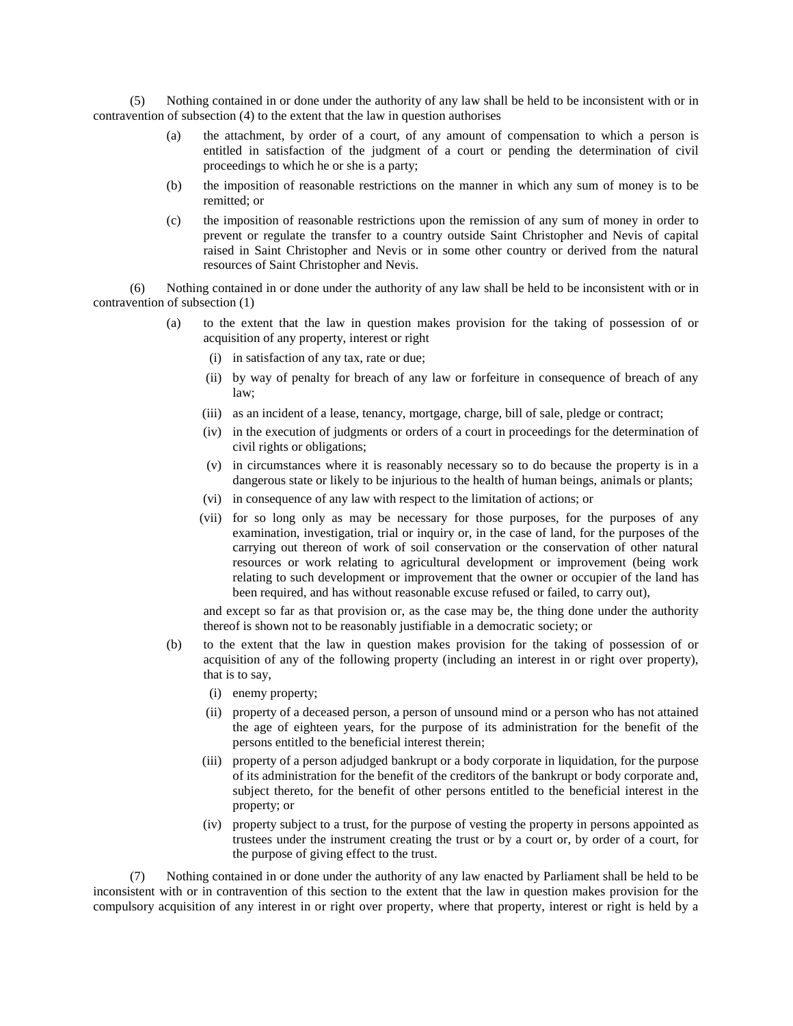(5) Nothing contained in or done under the authority of any law shall be held to be inconsistent with or in contravention of subsection (4) to the extent that the law in question authorises

- (a) the attachment, by order of a court, of any amount of compensation to which a person is entitled in satisfaction of the judgment of a court or pending the determination of civil proceedings to which he or she is a party;
- (b) the imposition of reasonable restrictions on the manner in which any sum of money is to be remitted; or
- (c) the imposition of reasonable restrictions upon the remission of any sum of money in order to prevent or regulate the transfer to a country outside Saint Christopher and Nevis of capital raised in Saint Christopher and Nevis or in some other country or derived from the natural resources of Saint Christopher and Nevis.

(6) Nothing contained in or done under the authority of any law shall be held to be inconsistent with or in contravention of subsection (1)

- (a) to the extent that the law in question makes provision for the taking of possession of or acquisition of any property, interest or right
	- (i) in satisfaction of any tax, rate or due;
	- (ii) by way of penalty for breach of any law or forfeiture in consequence of breach of any law;
	- (iii) as an incident of a lease, tenancy, mortgage, charge, bill of sale, pledge or contract;
	- (iv) in the execution of judgments or orders of a court in proceedings for the determination of civil rights or obligations;
	- (v) in circumstances where it is reasonably necessary so to do because the property is in a dangerous state or likely to be injurious to the health of human beings, animals or plants;
	- (vi) in consequence of any law with respect to the limitation of actions; or
	- (vii) for so long only as may be necessary for those purposes, for the purposes of any examination, investigation, trial or inquiry or, in the case of land, for the purposes of the carrying out thereon of work of soil conservation or the conservation of other natural resources or work relating to agricultural development or improvement (being work relating to such development or improvement that the owner or occupier of the land has been required, and has without reasonable excuse refused or failed, to carry out),

and except so far as that provision or, as the case may be, the thing done under the authority thereof is shown not to be reasonably justifiable in a democratic society; or

- (b) to the extent that the law in question makes provision for the taking of possession of or acquisition of any of the following property (including an interest in or right over property), that is to say,
	- (i) enemy property;
	- (ii) property of a deceased person, a person of unsound mind or a person who has not attained the age of eighteen years, for the purpose of its administration for the benefit of the persons entitled to the beneficial interest therein;
	- (iii) property of a person adjudged bankrupt or a body corporate in liquidation, for the purpose of its administration for the benefit of the creditors of the bankrupt or body corporate and, subject thereto, for the benefit of other persons entitled to the beneficial interest in the property; or
	- (iv) property subject to a trust, for the purpose of vesting the property in persons appointed as trustees under the instrument creating the trust or by a court or, by order of a court, for the purpose of giving effect to the trust.

(7) Nothing contained in or done under the authority of any law enacted by Parliament shall be held to be inconsistent with or in contravention of this section to the extent that the law in question makes provision for the compulsory acquisition of any interest in or right over property, where that property, interest or right is held by a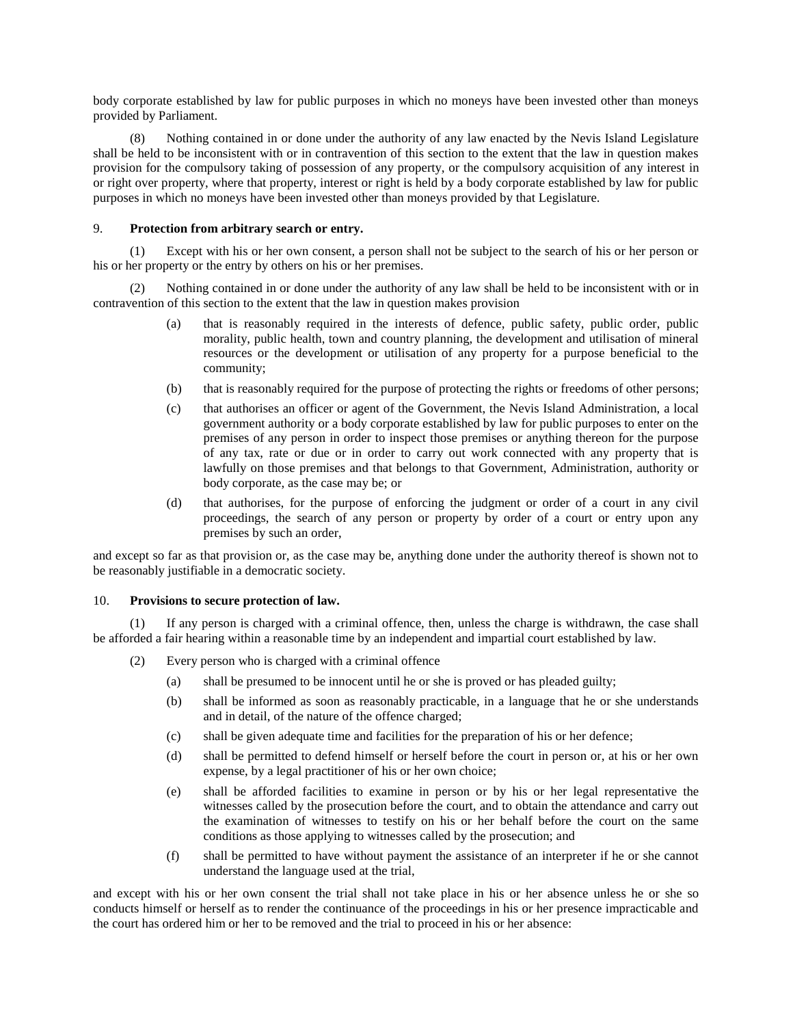body corporate established by law for public purposes in which no moneys have been invested other than moneys provided by Parliament.

(8) Nothing contained in or done under the authority of any law enacted by the Nevis Island Legislature shall be held to be inconsistent with or in contravention of this section to the extent that the law in question makes provision for the compulsory taking of possession of any property, or the compulsory acquisition of any interest in or right over property, where that property, interest or right is held by a body corporate established by law for public purposes in which no moneys have been invested other than moneys provided by that Legislature.

# 9. **Protection from arbitrary search or entry.**

(1) Except with his or her own consent, a person shall not be subject to the search of his or her person or his or her property or the entry by others on his or her premises.

(2) Nothing contained in or done under the authority of any law shall be held to be inconsistent with or in contravention of this section to the extent that the law in question makes provision

- (a) that is reasonably required in the interests of defence, public safety, public order, public morality, public health, town and country planning, the development and utilisation of mineral resources or the development or utilisation of any property for a purpose beneficial to the community;
- (b) that is reasonably required for the purpose of protecting the rights or freedoms of other persons;
- (c) that authorises an officer or agent of the Government, the Nevis Island Administration, a local government authority or a body corporate established by law for public purposes to enter on the premises of any person in order to inspect those premises or anything thereon for the purpose of any tax, rate or due or in order to carry out work connected with any property that is lawfully on those premises and that belongs to that Government, Administration, authority or body corporate, as the case may be; or
- (d) that authorises, for the purpose of enforcing the judgment or order of a court in any civil proceedings, the search of any person or property by order of a court or entry upon any premises by such an order,

and except so far as that provision or, as the case may be, anything done under the authority thereof is shown not to be reasonably justifiable in a democratic society.

# 10. **Provisions to secure protection of law.**

(1) If any person is charged with a criminal offence, then, unless the charge is withdrawn, the case shall be afforded a fair hearing within a reasonable time by an independent and impartial court established by law.

- (2) Every person who is charged with a criminal offence
	- (a) shall be presumed to be innocent until he or she is proved or has pleaded guilty;
	- (b) shall be informed as soon as reasonably practicable, in a language that he or she understands and in detail, of the nature of the offence charged;
	- (c) shall be given adequate time and facilities for the preparation of his or her defence;
	- (d) shall be permitted to defend himself or herself before the court in person or, at his or her own expense, by a legal practitioner of his or her own choice;
	- (e) shall be afforded facilities to examine in person or by his or her legal representative the witnesses called by the prosecution before the court, and to obtain the attendance and carry out the examination of witnesses to testify on his or her behalf before the court on the same conditions as those applying to witnesses called by the prosecution; and
	- (f) shall be permitted to have without payment the assistance of an interpreter if he or she cannot understand the language used at the trial,

and except with his or her own consent the trial shall not take place in his or her absence unless he or she so conducts himself or herself as to render the continuance of the proceedings in his or her presence impracticable and the court has ordered him or her to be removed and the trial to proceed in his or her absence: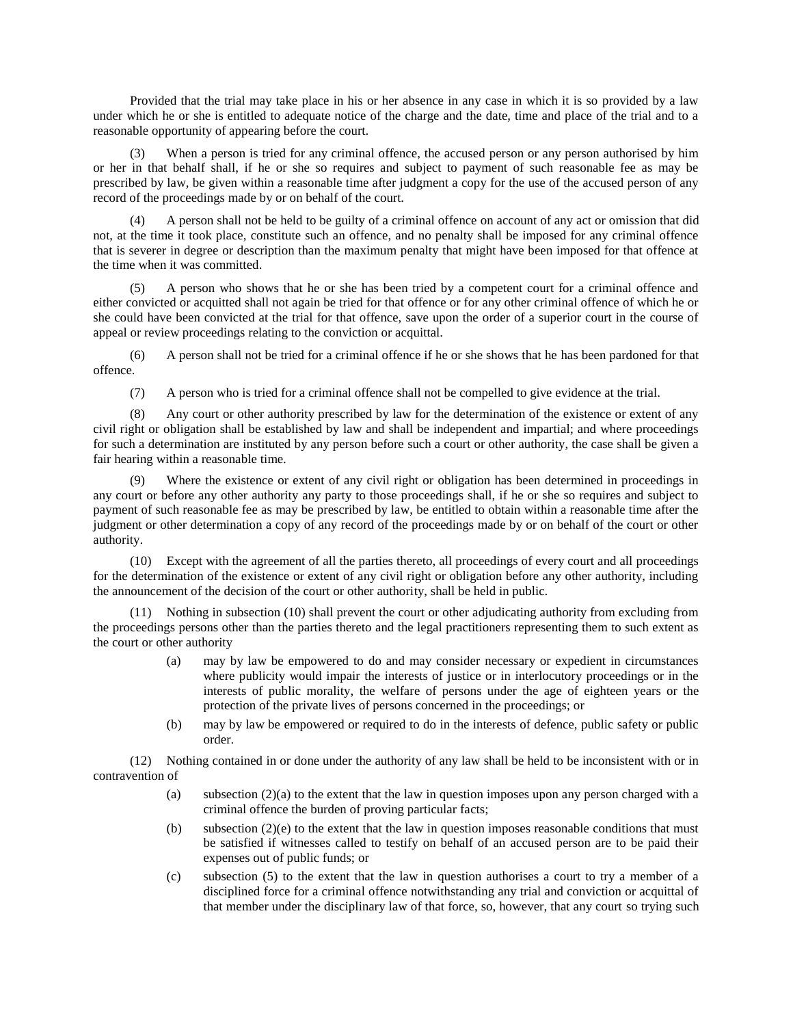Provided that the trial may take place in his or her absence in any case in which it is so provided by a law under which he or she is entitled to adequate notice of the charge and the date, time and place of the trial and to a reasonable opportunity of appearing before the court.

When a person is tried for any criminal offence, the accused person or any person authorised by him or her in that behalf shall, if he or she so requires and subject to payment of such reasonable fee as may be prescribed by law, be given within a reasonable time after judgment a copy for the use of the accused person of any record of the proceedings made by or on behalf of the court.

(4) A person shall not be held to be guilty of a criminal offence on account of any act or omission that did not, at the time it took place, constitute such an offence, and no penalty shall be imposed for any criminal offence that is severer in degree or description than the maximum penalty that might have been imposed for that offence at the time when it was committed.

(5) A person who shows that he or she has been tried by a competent court for a criminal offence and either convicted or acquitted shall not again be tried for that offence or for any other criminal offence of which he or she could have been convicted at the trial for that offence, save upon the order of a superior court in the course of appeal or review proceedings relating to the conviction or acquittal.

(6) A person shall not be tried for a criminal offence if he or she shows that he has been pardoned for that offence.

(7) A person who is tried for a criminal offence shall not be compelled to give evidence at the trial.

(8) Any court or other authority prescribed by law for the determination of the existence or extent of any civil right or obligation shall be established by law and shall be independent and impartial; and where proceedings for such a determination are instituted by any person before such a court or other authority, the case shall be given a fair hearing within a reasonable time.

(9) Where the existence or extent of any civil right or obligation has been determined in proceedings in any court or before any other authority any party to those proceedings shall, if he or she so requires and subject to payment of such reasonable fee as may be prescribed by law, be entitled to obtain within a reasonable time after the judgment or other determination a copy of any record of the proceedings made by or on behalf of the court or other authority.

(10) Except with the agreement of all the parties thereto, all proceedings of every court and all proceedings for the determination of the existence or extent of any civil right or obligation before any other authority, including the announcement of the decision of the court or other authority, shall be held in public.

(11) Nothing in subsection (10) shall prevent the court or other adjudicating authority from excluding from the proceedings persons other than the parties thereto and the legal practitioners representing them to such extent as the court or other authority

- (a) may by law be empowered to do and may consider necessary or expedient in circumstances where publicity would impair the interests of justice or in interlocutory proceedings or in the interests of public morality, the welfare of persons under the age of eighteen years or the protection of the private lives of persons concerned in the proceedings; or
- (b) may by law be empowered or required to do in the interests of defence, public safety or public order.

(12) Nothing contained in or done under the authority of any law shall be held to be inconsistent with or in contravention of

- (a) subsection (2)(a) to the extent that the law in question imposes upon any person charged with a criminal offence the burden of proving particular facts;
- (b) subsection  $(2)(e)$  to the extent that the law in question imposes reasonable conditions that must be satisfied if witnesses called to testify on behalf of an accused person are to be paid their expenses out of public funds; or
- (c) subsection (5) to the extent that the law in question authorises a court to try a member of a disciplined force for a criminal offence notwithstanding any trial and conviction or acquittal of that member under the disciplinary law of that force, so, however, that any court so trying such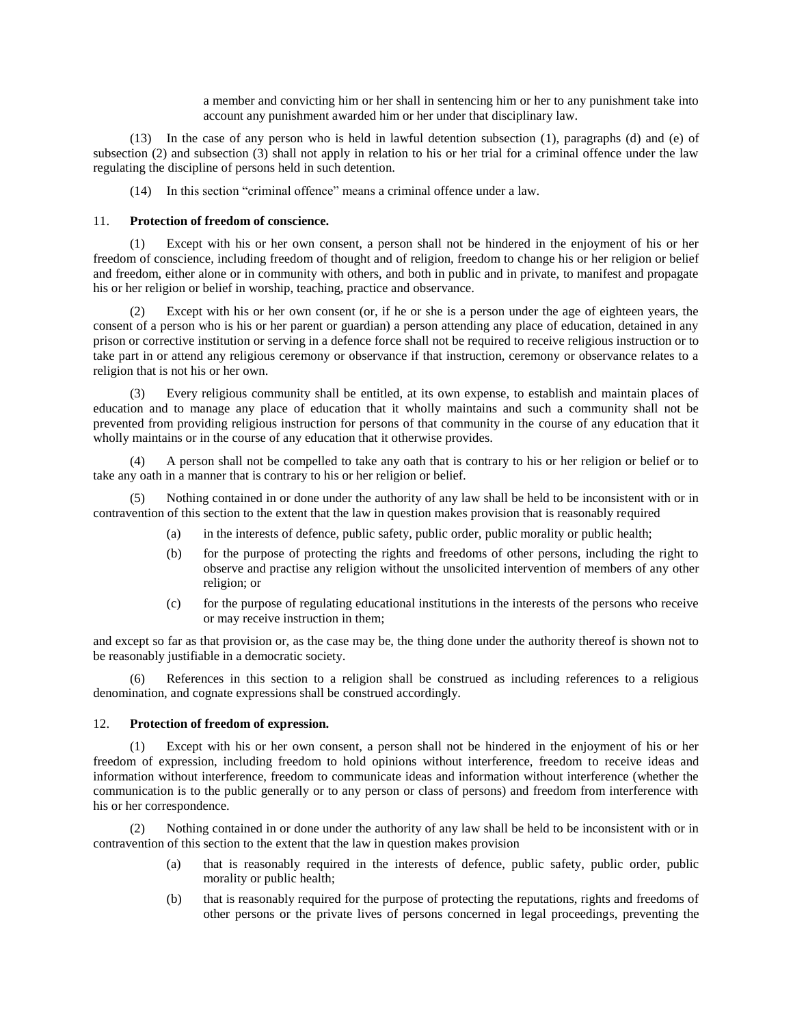a member and convicting him or her shall in sentencing him or her to any punishment take into account any punishment awarded him or her under that disciplinary law.

(13) In the case of any person who is held in lawful detention subsection (1), paragraphs (d) and (e) of subsection (2) and subsection (3) shall not apply in relation to his or her trial for a criminal offence under the law regulating the discipline of persons held in such detention.

(14) In this section "criminal offence" means a criminal offence under a law.

### 11. **Protection of freedom of conscience.**

(1) Except with his or her own consent, a person shall not be hindered in the enjoyment of his or her freedom of conscience, including freedom of thought and of religion, freedom to change his or her religion or belief and freedom, either alone or in community with others, and both in public and in private, to manifest and propagate his or her religion or belief in worship, teaching, practice and observance.

(2) Except with his or her own consent (or, if he or she is a person under the age of eighteen years, the consent of a person who is his or her parent or guardian) a person attending any place of education, detained in any prison or corrective institution or serving in a defence force shall not be required to receive religious instruction or to take part in or attend any religious ceremony or observance if that instruction, ceremony or observance relates to a religion that is not his or her own.

(3) Every religious community shall be entitled, at its own expense, to establish and maintain places of education and to manage any place of education that it wholly maintains and such a community shall not be prevented from providing religious instruction for persons of that community in the course of any education that it wholly maintains or in the course of any education that it otherwise provides.

(4) A person shall not be compelled to take any oath that is contrary to his or her religion or belief or to take any oath in a manner that is contrary to his or her religion or belief.

Nothing contained in or done under the authority of any law shall be held to be inconsistent with or in contravention of this section to the extent that the law in question makes provision that is reasonably required

- (a) in the interests of defence, public safety, public order, public morality or public health;
- (b) for the purpose of protecting the rights and freedoms of other persons, including the right to observe and practise any religion without the unsolicited intervention of members of any other religion; or
- (c) for the purpose of regulating educational institutions in the interests of the persons who receive or may receive instruction in them;

and except so far as that provision or, as the case may be, the thing done under the authority thereof is shown not to be reasonably justifiable in a democratic society.

References in this section to a religion shall be construed as including references to a religious denomination, and cognate expressions shall be construed accordingly.

# 12. **Protection of freedom of expression.**

(1) Except with his or her own consent, a person shall not be hindered in the enjoyment of his or her freedom of expression, including freedom to hold opinions without interference, freedom to receive ideas and information without interference, freedom to communicate ideas and information without interference (whether the communication is to the public generally or to any person or class of persons) and freedom from interference with his or her correspondence.

Nothing contained in or done under the authority of any law shall be held to be inconsistent with or in contravention of this section to the extent that the law in question makes provision

- (a) that is reasonably required in the interests of defence, public safety, public order, public morality or public health;
- (b) that is reasonably required for the purpose of protecting the reputations, rights and freedoms of other persons or the private lives of persons concerned in legal proceedings, preventing the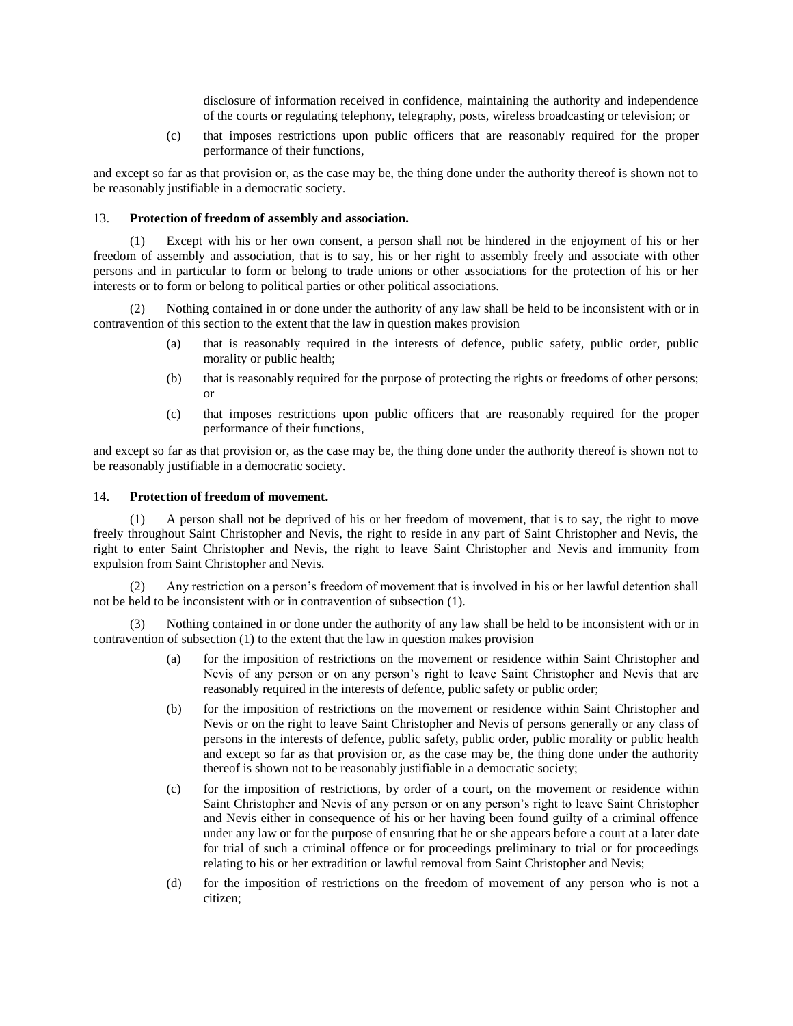disclosure of information received in confidence, maintaining the authority and independence of the courts or regulating telephony, telegraphy, posts, wireless broadcasting or television; or

(c) that imposes restrictions upon public officers that are reasonably required for the proper performance of their functions,

and except so far as that provision or, as the case may be, the thing done under the authority thereof is shown not to be reasonably justifiable in a democratic society.

### 13. **Protection of freedom of assembly and association.**

(1) Except with his or her own consent, a person shall not be hindered in the enjoyment of his or her freedom of assembly and association, that is to say, his or her right to assembly freely and associate with other persons and in particular to form or belong to trade unions or other associations for the protection of his or her interests or to form or belong to political parties or other political associations.

(2) Nothing contained in or done under the authority of any law shall be held to be inconsistent with or in contravention of this section to the extent that the law in question makes provision

- (a) that is reasonably required in the interests of defence, public safety, public order, public morality or public health;
- (b) that is reasonably required for the purpose of protecting the rights or freedoms of other persons; or
- (c) that imposes restrictions upon public officers that are reasonably required for the proper performance of their functions,

and except so far as that provision or, as the case may be, the thing done under the authority thereof is shown not to be reasonably justifiable in a democratic society.

#### 14. **Protection of freedom of movement.**

A person shall not be deprived of his or her freedom of movement, that is to say, the right to move freely throughout Saint Christopher and Nevis, the right to reside in any part of Saint Christopher and Nevis, the right to enter Saint Christopher and Nevis, the right to leave Saint Christopher and Nevis and immunity from expulsion from Saint Christopher and Nevis.

(2) Any restriction on a person's freedom of movement that is involved in his or her lawful detention shall not be held to be inconsistent with or in contravention of subsection (1).

(3) Nothing contained in or done under the authority of any law shall be held to be inconsistent with or in contravention of subsection (1) to the extent that the law in question makes provision

- (a) for the imposition of restrictions on the movement or residence within Saint Christopher and Nevis of any person or on any person's right to leave Saint Christopher and Nevis that are reasonably required in the interests of defence, public safety or public order;
- (b) for the imposition of restrictions on the movement or residence within Saint Christopher and Nevis or on the right to leave Saint Christopher and Nevis of persons generally or any class of persons in the interests of defence, public safety, public order, public morality or public health and except so far as that provision or, as the case may be, the thing done under the authority thereof is shown not to be reasonably justifiable in a democratic society;
- (c) for the imposition of restrictions, by order of a court, on the movement or residence within Saint Christopher and Nevis of any person or on any person's right to leave Saint Christopher and Nevis either in consequence of his or her having been found guilty of a criminal offence under any law or for the purpose of ensuring that he or she appears before a court at a later date for trial of such a criminal offence or for proceedings preliminary to trial or for proceedings relating to his or her extradition or lawful removal from Saint Christopher and Nevis;
- (d) for the imposition of restrictions on the freedom of movement of any person who is not a citizen;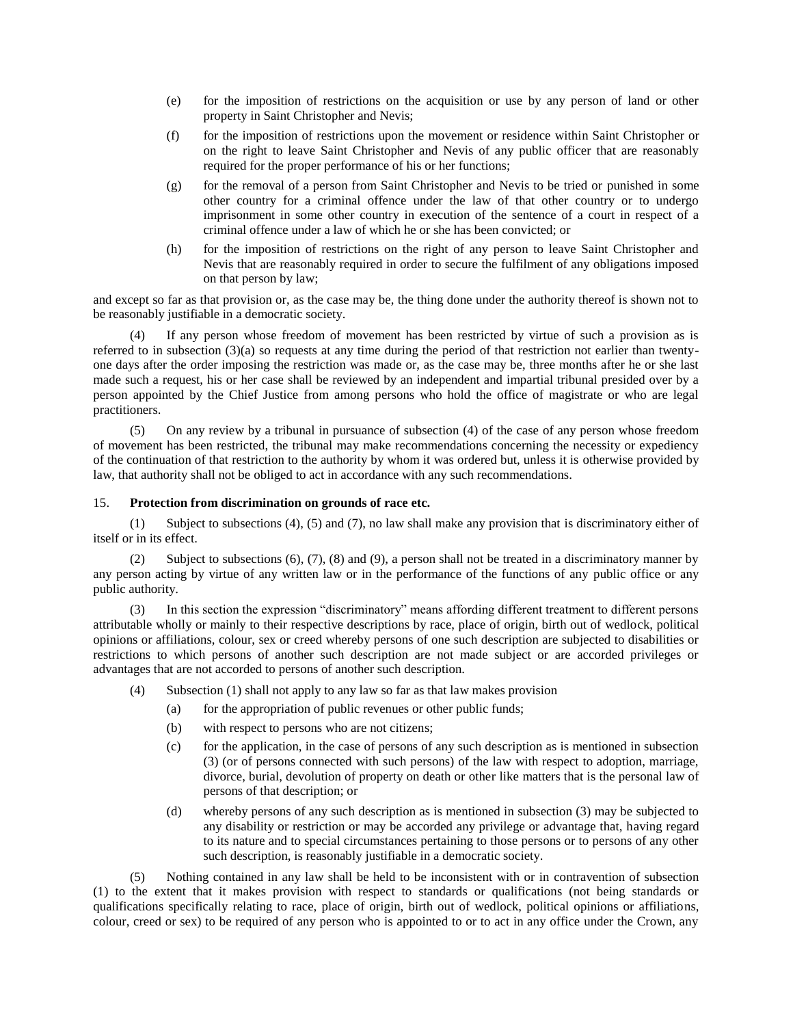- (e) for the imposition of restrictions on the acquisition or use by any person of land or other property in Saint Christopher and Nevis;
- (f) for the imposition of restrictions upon the movement or residence within Saint Christopher or on the right to leave Saint Christopher and Nevis of any public officer that are reasonably required for the proper performance of his or her functions;
- (g) for the removal of a person from Saint Christopher and Nevis to be tried or punished in some other country for a criminal offence under the law of that other country or to undergo imprisonment in some other country in execution of the sentence of a court in respect of a criminal offence under a law of which he or she has been convicted; or
- (h) for the imposition of restrictions on the right of any person to leave Saint Christopher and Nevis that are reasonably required in order to secure the fulfilment of any obligations imposed on that person by law;

and except so far as that provision or, as the case may be, the thing done under the authority thereof is shown not to be reasonably justifiable in a democratic society.

(4) If any person whose freedom of movement has been restricted by virtue of such a provision as is referred to in subsection (3)(a) so requests at any time during the period of that restriction not earlier than twentyone days after the order imposing the restriction was made or, as the case may be, three months after he or she last made such a request, his or her case shall be reviewed by an independent and impartial tribunal presided over by a person appointed by the Chief Justice from among persons who hold the office of magistrate or who are legal practitioners.

(5) On any review by a tribunal in pursuance of subsection (4) of the case of any person whose freedom of movement has been restricted, the tribunal may make recommendations concerning the necessity or expediency of the continuation of that restriction to the authority by whom it was ordered but, unless it is otherwise provided by law, that authority shall not be obliged to act in accordance with any such recommendations.

# 15. **Protection from discrimination on grounds of race etc.**

(1) Subject to subsections (4), (5) and (7), no law shall make any provision that is discriminatory either of itself or in its effect.

(2) Subject to subsections (6), (7), (8) and (9), a person shall not be treated in a discriminatory manner by any person acting by virtue of any written law or in the performance of the functions of any public office or any public authority.

(3) In this section the expression "discriminatory" means affording different treatment to different persons attributable wholly or mainly to their respective descriptions by race, place of origin, birth out of wedlock, political opinions or affiliations, colour, sex or creed whereby persons of one such description are subjected to disabilities or restrictions to which persons of another such description are not made subject or are accorded privileges or advantages that are not accorded to persons of another such description.

- (4) Subsection (1) shall not apply to any law so far as that law makes provision
	- (a) for the appropriation of public revenues or other public funds;
	- (b) with respect to persons who are not citizens;
	- (c) for the application, in the case of persons of any such description as is mentioned in subsection (3) (or of persons connected with such persons) of the law with respect to adoption, marriage, divorce, burial, devolution of property on death or other like matters that is the personal law of persons of that description; or
	- (d) whereby persons of any such description as is mentioned in subsection (3) may be subjected to any disability or restriction or may be accorded any privilege or advantage that, having regard to its nature and to special circumstances pertaining to those persons or to persons of any other such description, is reasonably justifiable in a democratic society.

(5) Nothing contained in any law shall be held to be inconsistent with or in contravention of subsection (1) to the extent that it makes provision with respect to standards or qualifications (not being standards or qualifications specifically relating to race, place of origin, birth out of wedlock, political opinions or affiliations, colour, creed or sex) to be required of any person who is appointed to or to act in any office under the Crown, any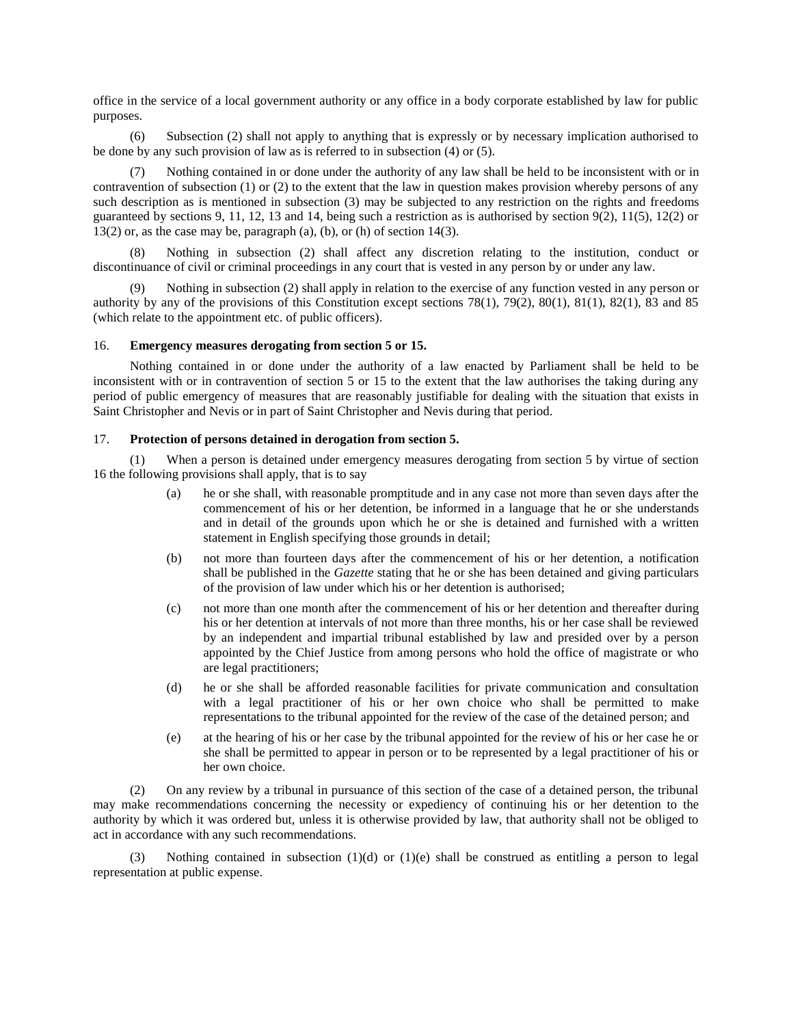office in the service of a local government authority or any office in a body corporate established by law for public purposes.

(6) Subsection (2) shall not apply to anything that is expressly or by necessary implication authorised to be done by any such provision of law as is referred to in subsection (4) or (5).

(7) Nothing contained in or done under the authority of any law shall be held to be inconsistent with or in contravention of subsection  $(1)$  or  $(2)$  to the extent that the law in question makes provision whereby persons of any such description as is mentioned in subsection (3) may be subjected to any restriction on the rights and freedoms guaranteed by sections 9, 11, 12, 13 and 14, being such a restriction as is authorised by section  $9(2)$ ,  $11(5)$ ,  $12(2)$  or  $13(2)$  or, as the case may be, paragraph (a), (b), or (h) of section 14(3).

Nothing in subsection (2) shall affect any discretion relating to the institution, conduct or discontinuance of civil or criminal proceedings in any court that is vested in any person by or under any law.

(9) Nothing in subsection (2) shall apply in relation to the exercise of any function vested in any person or authority by any of the provisions of this Constitution except sections 78(1), 79(2), 80(1), 81(1), 82(1), 83 and 85 (which relate to the appointment etc. of public officers).

#### 16. **Emergency measures derogating from section 5 or 15.**

Nothing contained in or done under the authority of a law enacted by Parliament shall be held to be inconsistent with or in contravention of section 5 or 15 to the extent that the law authorises the taking during any period of public emergency of measures that are reasonably justifiable for dealing with the situation that exists in Saint Christopher and Nevis or in part of Saint Christopher and Nevis during that period.

# 17. **Protection of persons detained in derogation from section 5.**

(1) When a person is detained under emergency measures derogating from section 5 by virtue of section 16 the following provisions shall apply, that is to say

- (a) he or she shall, with reasonable promptitude and in any case not more than seven days after the commencement of his or her detention, be informed in a language that he or she understands and in detail of the grounds upon which he or she is detained and furnished with a written statement in English specifying those grounds in detail;
- (b) not more than fourteen days after the commencement of his or her detention, a notification shall be published in the *Gazette* stating that he or she has been detained and giving particulars of the provision of law under which his or her detention is authorised;
- (c) not more than one month after the commencement of his or her detention and thereafter during his or her detention at intervals of not more than three months, his or her case shall be reviewed by an independent and impartial tribunal established by law and presided over by a person appointed by the Chief Justice from among persons who hold the office of magistrate or who are legal practitioners;
- (d) he or she shall be afforded reasonable facilities for private communication and consultation with a legal practitioner of his or her own choice who shall be permitted to make representations to the tribunal appointed for the review of the case of the detained person; and
- (e) at the hearing of his or her case by the tribunal appointed for the review of his or her case he or she shall be permitted to appear in person or to be represented by a legal practitioner of his or her own choice.

(2) On any review by a tribunal in pursuance of this section of the case of a detained person, the tribunal may make recommendations concerning the necessity or expediency of continuing his or her detention to the authority by which it was ordered but, unless it is otherwise provided by law, that authority shall not be obliged to act in accordance with any such recommendations.

(3) Nothing contained in subsection (1)(d) or (1)(e) shall be construed as entitling a person to legal representation at public expense.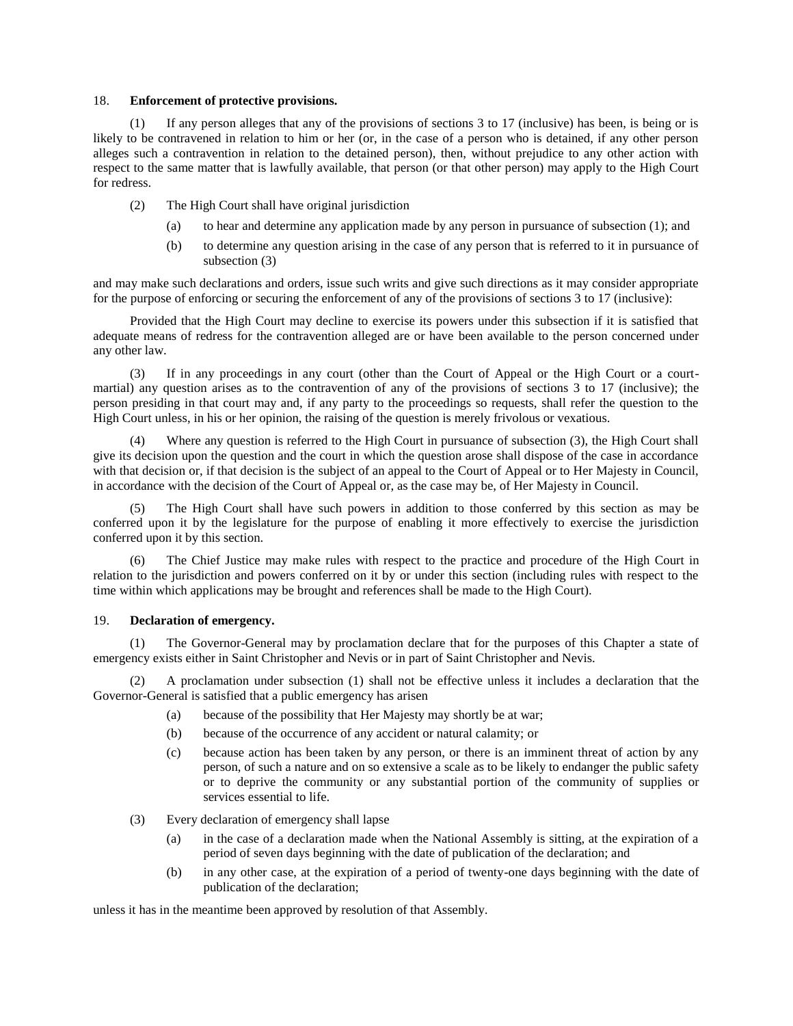#### 18. **Enforcement of protective provisions.**

(1) If any person alleges that any of the provisions of sections 3 to 17 (inclusive) has been, is being or is likely to be contravened in relation to him or her (or, in the case of a person who is detained, if any other person alleges such a contravention in relation to the detained person), then, without prejudice to any other action with respect to the same matter that is lawfully available, that person (or that other person) may apply to the High Court for redress.

- (2) The High Court shall have original jurisdiction
	- (a) to hear and determine any application made by any person in pursuance of subsection (1); and
	- (b) to determine any question arising in the case of any person that is referred to it in pursuance of subsection (3)

and may make such declarations and orders, issue such writs and give such directions as it may consider appropriate for the purpose of enforcing or securing the enforcement of any of the provisions of sections 3 to 17 (inclusive):

Provided that the High Court may decline to exercise its powers under this subsection if it is satisfied that adequate means of redress for the contravention alleged are or have been available to the person concerned under any other law.

(3) If in any proceedings in any court (other than the Court of Appeal or the High Court or a courtmartial) any question arises as to the contravention of any of the provisions of sections 3 to 17 (inclusive); the person presiding in that court may and, if any party to the proceedings so requests, shall refer the question to the High Court unless, in his or her opinion, the raising of the question is merely frivolous or vexatious.

Where any question is referred to the High Court in pursuance of subsection (3), the High Court shall give its decision upon the question and the court in which the question arose shall dispose of the case in accordance with that decision or, if that decision is the subject of an appeal to the Court of Appeal or to Her Majesty in Council, in accordance with the decision of the Court of Appeal or, as the case may be, of Her Majesty in Council.

(5) The High Court shall have such powers in addition to those conferred by this section as may be conferred upon it by the legislature for the purpose of enabling it more effectively to exercise the jurisdiction conferred upon it by this section.

The Chief Justice may make rules with respect to the practice and procedure of the High Court in relation to the jurisdiction and powers conferred on it by or under this section (including rules with respect to the time within which applications may be brought and references shall be made to the High Court).

# 19. **Declaration of emergency.**

(1) The Governor-General may by proclamation declare that for the purposes of this Chapter a state of emergency exists either in Saint Christopher and Nevis or in part of Saint Christopher and Nevis.

(2) A proclamation under subsection (1) shall not be effective unless it includes a declaration that the Governor-General is satisfied that a public emergency has arisen

- (a) because of the possibility that Her Majesty may shortly be at war;
- (b) because of the occurrence of any accident or natural calamity; or
- (c) because action has been taken by any person, or there is an imminent threat of action by any person, of such a nature and on so extensive a scale as to be likely to endanger the public safety or to deprive the community or any substantial portion of the community of supplies or services essential to life.
- (3) Every declaration of emergency shall lapse
	- (a) in the case of a declaration made when the National Assembly is sitting, at the expiration of a period of seven days beginning with the date of publication of the declaration; and
	- (b) in any other case, at the expiration of a period of twenty-one days beginning with the date of publication of the declaration;

unless it has in the meantime been approved by resolution of that Assembly.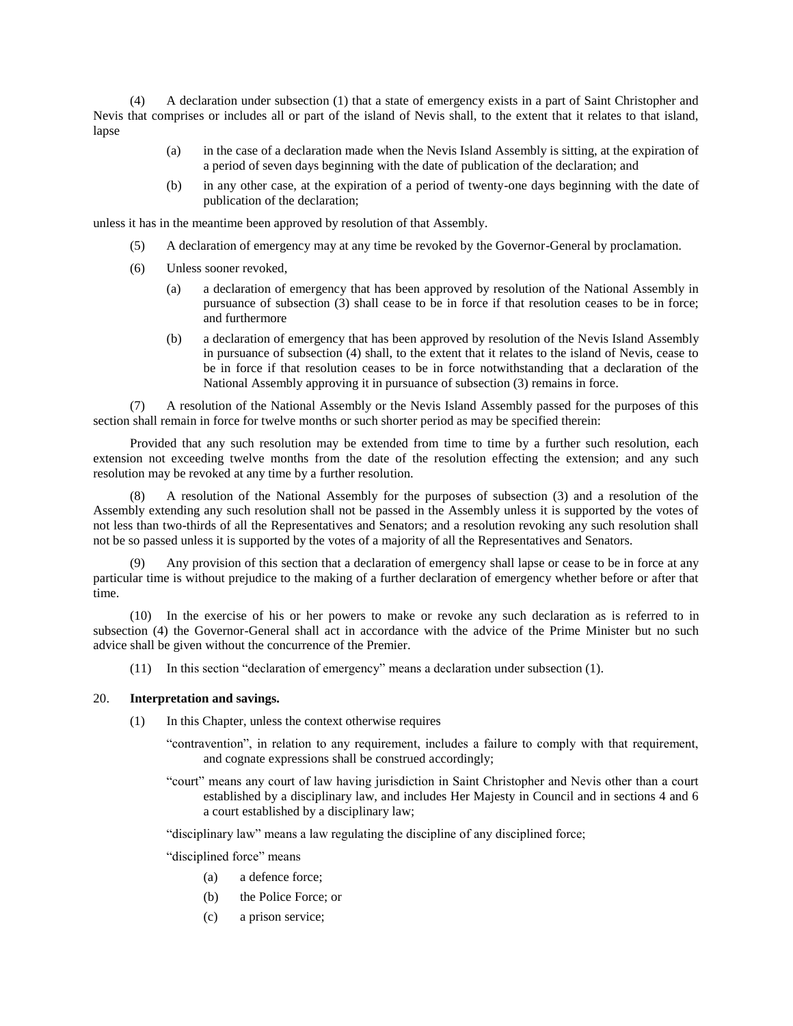(4) A declaration under subsection (1) that a state of emergency exists in a part of Saint Christopher and Nevis that comprises or includes all or part of the island of Nevis shall, to the extent that it relates to that island, lapse

- (a) in the case of a declaration made when the Nevis Island Assembly is sitting, at the expiration of a period of seven days beginning with the date of publication of the declaration; and
- (b) in any other case, at the expiration of a period of twenty-one days beginning with the date of publication of the declaration;

unless it has in the meantime been approved by resolution of that Assembly.

- (5) A declaration of emergency may at any time be revoked by the Governor-General by proclamation.
- (6) Unless sooner revoked,
	- (a) a declaration of emergency that has been approved by resolution of the National Assembly in pursuance of subsection (3) shall cease to be in force if that resolution ceases to be in force; and furthermore
	- (b) a declaration of emergency that has been approved by resolution of the Nevis Island Assembly in pursuance of subsection (4) shall, to the extent that it relates to the island of Nevis, cease to be in force if that resolution ceases to be in force notwithstanding that a declaration of the National Assembly approving it in pursuance of subsection (3) remains in force.

(7) A resolution of the National Assembly or the Nevis Island Assembly passed for the purposes of this section shall remain in force for twelve months or such shorter period as may be specified therein:

Provided that any such resolution may be extended from time to time by a further such resolution, each extension not exceeding twelve months from the date of the resolution effecting the extension; and any such resolution may be revoked at any time by a further resolution.

(8) A resolution of the National Assembly for the purposes of subsection (3) and a resolution of the Assembly extending any such resolution shall not be passed in the Assembly unless it is supported by the votes of not less than two-thirds of all the Representatives and Senators; and a resolution revoking any such resolution shall not be so passed unless it is supported by the votes of a majority of all the Representatives and Senators.

Any provision of this section that a declaration of emergency shall lapse or cease to be in force at any particular time is without prejudice to the making of a further declaration of emergency whether before or after that time.

(10) In the exercise of his or her powers to make or revoke any such declaration as is referred to in subsection (4) the Governor-General shall act in accordance with the advice of the Prime Minister but no such advice shall be given without the concurrence of the Premier.

(11) In this section "declaration of emergency" means a declaration under subsection (1).

# 20. **Interpretation and savings.**

- (1) In this Chapter, unless the context otherwise requires
	- "contravention", in relation to any requirement, includes a failure to comply with that requirement, and cognate expressions shall be construed accordingly;
	- "court" means any court of law having jurisdiction in Saint Christopher and Nevis other than a court established by a disciplinary law, and includes Her Majesty in Council and in sections 4 and 6 a court established by a disciplinary law;

"disciplinary law" means a law regulating the discipline of any disciplined force;

"disciplined force" means

- (a) a defence force;
- (b) the Police Force; or
- (c) a prison service;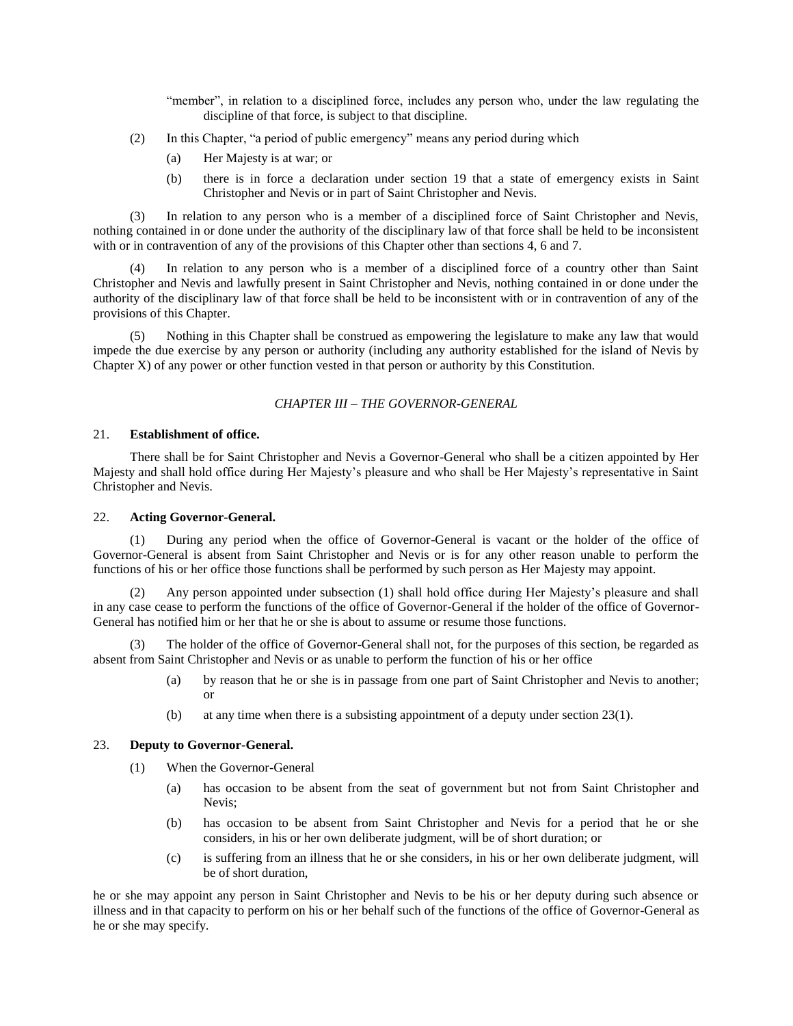"member", in relation to a disciplined force, includes any person who, under the law regulating the discipline of that force, is subject to that discipline.

- (2) In this Chapter, "a period of public emergency" means any period during which
	- (a) Her Majesty is at war; or
	- (b) there is in force a declaration under section 19 that a state of emergency exists in Saint Christopher and Nevis or in part of Saint Christopher and Nevis.

(3) In relation to any person who is a member of a disciplined force of Saint Christopher and Nevis, nothing contained in or done under the authority of the disciplinary law of that force shall be held to be inconsistent with or in contravention of any of the provisions of this Chapter other than sections 4, 6 and 7.

In relation to any person who is a member of a disciplined force of a country other than Saint Christopher and Nevis and lawfully present in Saint Christopher and Nevis, nothing contained in or done under the authority of the disciplinary law of that force shall be held to be inconsistent with or in contravention of any of the provisions of this Chapter.

Nothing in this Chapter shall be construed as empowering the legislature to make any law that would impede the due exercise by any person or authority (including any authority established for the island of Nevis by Chapter X) of any power or other function vested in that person or authority by this Constitution.

# *CHAPTER III – THE GOVERNOR-GENERAL*

### 21. **Establishment of office.**

There shall be for Saint Christopher and Nevis a Governor-General who shall be a citizen appointed by Her Majesty and shall hold office during Her Majesty's pleasure and who shall be Her Majesty's representative in Saint Christopher and Nevis.

### 22. **Acting Governor-General.**

(1) During any period when the office of Governor-General is vacant or the holder of the office of Governor-General is absent from Saint Christopher and Nevis or is for any other reason unable to perform the functions of his or her office those functions shall be performed by such person as Her Majesty may appoint.

Any person appointed under subsection (1) shall hold office during Her Majesty's pleasure and shall in any case cease to perform the functions of the office of Governor-General if the holder of the office of Governor-General has notified him or her that he or she is about to assume or resume those functions.

(3) The holder of the office of Governor-General shall not, for the purposes of this section, be regarded as absent from Saint Christopher and Nevis or as unable to perform the function of his or her office

- (a) by reason that he or she is in passage from one part of Saint Christopher and Nevis to another; or
- (b) at any time when there is a subsisting appointment of a deputy under section 23(1).

# 23. **Deputy to Governor-General.**

- (1) When the Governor-General
	- (a) has occasion to be absent from the seat of government but not from Saint Christopher and Nevis;
	- (b) has occasion to be absent from Saint Christopher and Nevis for a period that he or she considers, in his or her own deliberate judgment, will be of short duration; or
	- (c) is suffering from an illness that he or she considers, in his or her own deliberate judgment, will be of short duration,

he or she may appoint any person in Saint Christopher and Nevis to be his or her deputy during such absence or illness and in that capacity to perform on his or her behalf such of the functions of the office of Governor-General as he or she may specify.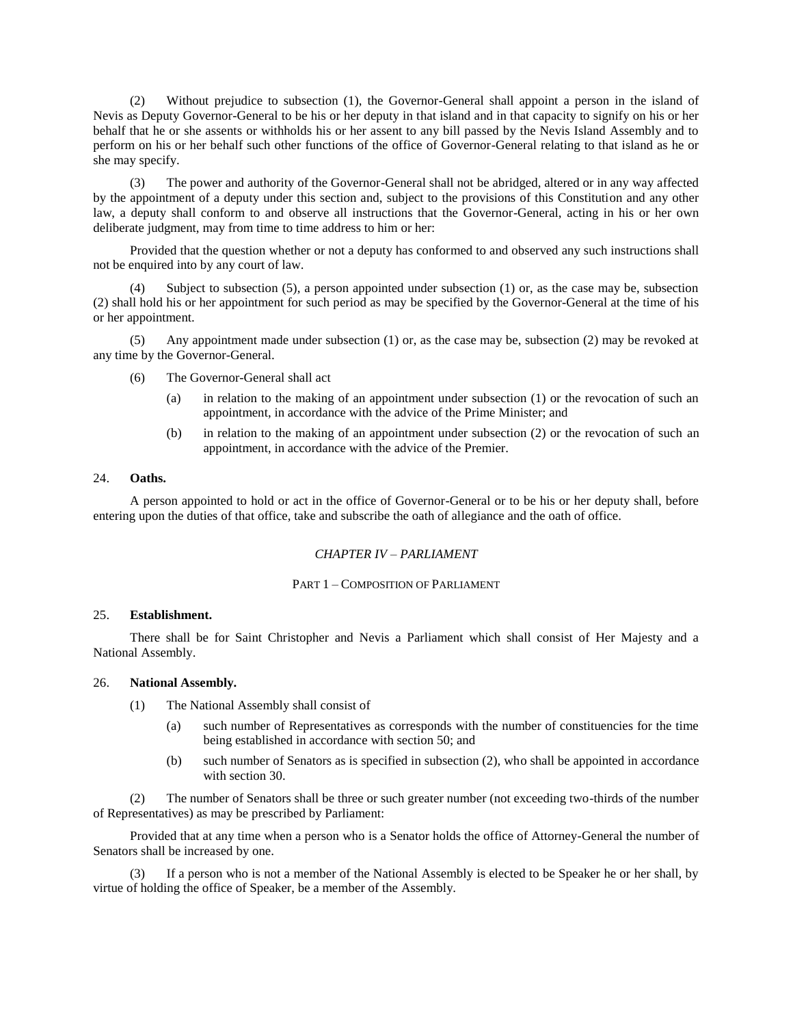(2) Without prejudice to subsection (1), the Governor-General shall appoint a person in the island of Nevis as Deputy Governor-General to be his or her deputy in that island and in that capacity to signify on his or her behalf that he or she assents or withholds his or her assent to any bill passed by the Nevis Island Assembly and to perform on his or her behalf such other functions of the office of Governor-General relating to that island as he or she may specify.

(3) The power and authority of the Governor-General shall not be abridged, altered or in any way affected by the appointment of a deputy under this section and, subject to the provisions of this Constitution and any other law, a deputy shall conform to and observe all instructions that the Governor-General, acting in his or her own deliberate judgment, may from time to time address to him or her:

Provided that the question whether or not a deputy has conformed to and observed any such instructions shall not be enquired into by any court of law.

(4) Subject to subsection (5), a person appointed under subsection (1) or, as the case may be, subsection (2) shall hold his or her appointment for such period as may be specified by the Governor-General at the time of his or her appointment.

(5) Any appointment made under subsection (1) or, as the case may be, subsection (2) may be revoked at any time by the Governor-General.

- (6) The Governor-General shall act
	- (a) in relation to the making of an appointment under subsection (1) or the revocation of such an appointment, in accordance with the advice of the Prime Minister; and
	- (b) in relation to the making of an appointment under subsection (2) or the revocation of such an appointment, in accordance with the advice of the Premier.

### 24. **Oaths.**

A person appointed to hold or act in the office of Governor-General or to be his or her deputy shall, before entering upon the duties of that office, take and subscribe the oath of allegiance and the oath of office.

### *CHAPTER IV – PARLIAMENT*

#### PART 1 – COMPOSITION OF PARLIAMENT

# 25. **Establishment.**

There shall be for Saint Christopher and Nevis a Parliament which shall consist of Her Majesty and a National Assembly.

### 26. **National Assembly.**

- (1) The National Assembly shall consist of
	- (a) such number of Representatives as corresponds with the number of constituencies for the time being established in accordance with section 50; and
	- (b) such number of Senators as is specified in subsection (2), who shall be appointed in accordance with section 30.

(2) The number of Senators shall be three or such greater number (not exceeding two-thirds of the number of Representatives) as may be prescribed by Parliament:

Provided that at any time when a person who is a Senator holds the office of Attorney-General the number of Senators shall be increased by one.

If a person who is not a member of the National Assembly is elected to be Speaker he or her shall, by virtue of holding the office of Speaker, be a member of the Assembly.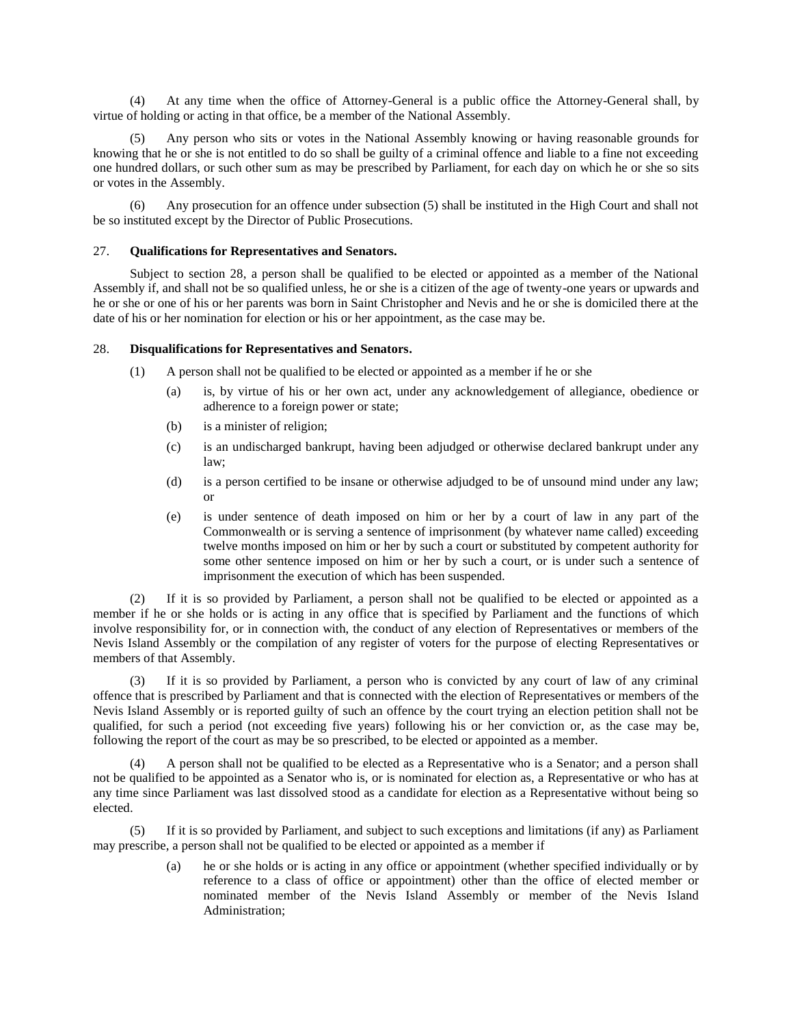(4) At any time when the office of Attorney-General is a public office the Attorney-General shall, by virtue of holding or acting in that office, be a member of the National Assembly.

(5) Any person who sits or votes in the National Assembly knowing or having reasonable grounds for knowing that he or she is not entitled to do so shall be guilty of a criminal offence and liable to a fine not exceeding one hundred dollars, or such other sum as may be prescribed by Parliament, for each day on which he or she so sits or votes in the Assembly.

(6) Any prosecution for an offence under subsection (5) shall be instituted in the High Court and shall not be so instituted except by the Director of Public Prosecutions.

# 27. **Qualifications for Representatives and Senators.**

Subject to section 28, a person shall be qualified to be elected or appointed as a member of the National Assembly if, and shall not be so qualified unless, he or she is a citizen of the age of twenty-one years or upwards and he or she or one of his or her parents was born in Saint Christopher and Nevis and he or she is domiciled there at the date of his or her nomination for election or his or her appointment, as the case may be.

# 28. **Disqualifications for Representatives and Senators.**

- (1) A person shall not be qualified to be elected or appointed as a member if he or she
	- (a) is, by virtue of his or her own act, under any acknowledgement of allegiance, obedience or adherence to a foreign power or state;
	- (b) is a minister of religion;
	- (c) is an undischarged bankrupt, having been adjudged or otherwise declared bankrupt under any law;
	- (d) is a person certified to be insane or otherwise adjudged to be of unsound mind under any law; or
	- (e) is under sentence of death imposed on him or her by a court of law in any part of the Commonwealth or is serving a sentence of imprisonment (by whatever name called) exceeding twelve months imposed on him or her by such a court or substituted by competent authority for some other sentence imposed on him or her by such a court, or is under such a sentence of imprisonment the execution of which has been suspended.

(2) If it is so provided by Parliament, a person shall not be qualified to be elected or appointed as a member if he or she holds or is acting in any office that is specified by Parliament and the functions of which involve responsibility for, or in connection with, the conduct of any election of Representatives or members of the Nevis Island Assembly or the compilation of any register of voters for the purpose of electing Representatives or members of that Assembly.

If it is so provided by Parliament, a person who is convicted by any court of law of any criminal offence that is prescribed by Parliament and that is connected with the election of Representatives or members of the Nevis Island Assembly or is reported guilty of such an offence by the court trying an election petition shall not be qualified, for such a period (not exceeding five years) following his or her conviction or, as the case may be, following the report of the court as may be so prescribed, to be elected or appointed as a member.

(4) A person shall not be qualified to be elected as a Representative who is a Senator; and a person shall not be qualified to be appointed as a Senator who is, or is nominated for election as, a Representative or who has at any time since Parliament was last dissolved stood as a candidate for election as a Representative without being so elected.

(5) If it is so provided by Parliament, and subject to such exceptions and limitations (if any) as Parliament may prescribe, a person shall not be qualified to be elected or appointed as a member if

> (a) he or she holds or is acting in any office or appointment (whether specified individually or by reference to a class of office or appointment) other than the office of elected member or nominated member of the Nevis Island Assembly or member of the Nevis Island Administration;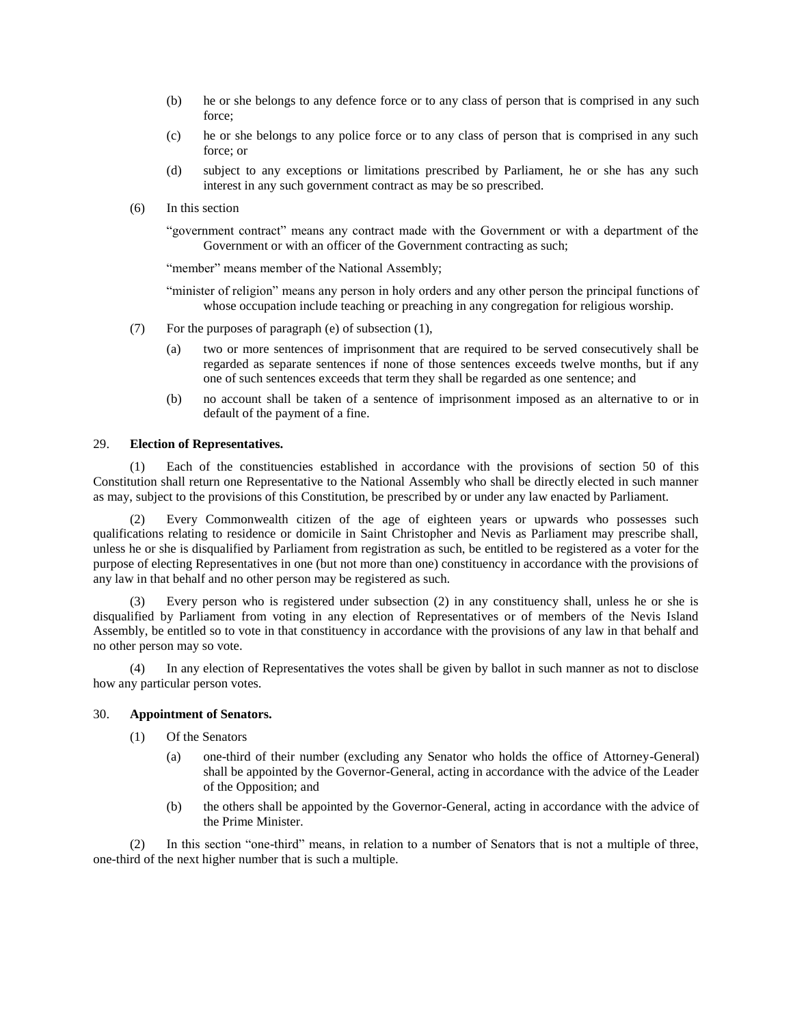- (b) he or she belongs to any defence force or to any class of person that is comprised in any such force;
- (c) he or she belongs to any police force or to any class of person that is comprised in any such force; or
- (d) subject to any exceptions or limitations prescribed by Parliament, he or she has any such interest in any such government contract as may be so prescribed.
- (6) In this section

"government contract" means any contract made with the Government or with a department of the Government or with an officer of the Government contracting as such;

"member" means member of the National Assembly;

"minister of religion" means any person in holy orders and any other person the principal functions of whose occupation include teaching or preaching in any congregation for religious worship.

- (7) For the purposes of paragraph (e) of subsection (1),
	- (a) two or more sentences of imprisonment that are required to be served consecutively shall be regarded as separate sentences if none of those sentences exceeds twelve months, but if any one of such sentences exceeds that term they shall be regarded as one sentence; and
	- (b) no account shall be taken of a sentence of imprisonment imposed as an alternative to or in default of the payment of a fine.

# 29. **Election of Representatives.**

(1) Each of the constituencies established in accordance with the provisions of section 50 of this Constitution shall return one Representative to the National Assembly who shall be directly elected in such manner as may, subject to the provisions of this Constitution, be prescribed by or under any law enacted by Parliament.

Every Commonwealth citizen of the age of eighteen years or upwards who possesses such qualifications relating to residence or domicile in Saint Christopher and Nevis as Parliament may prescribe shall, unless he or she is disqualified by Parliament from registration as such, be entitled to be registered as a voter for the purpose of electing Representatives in one (but not more than one) constituency in accordance with the provisions of any law in that behalf and no other person may be registered as such.

Every person who is registered under subsection  $(2)$  in any constituency shall, unless he or she is disqualified by Parliament from voting in any election of Representatives or of members of the Nevis Island Assembly, be entitled so to vote in that constituency in accordance with the provisions of any law in that behalf and no other person may so vote.

(4) In any election of Representatives the votes shall be given by ballot in such manner as not to disclose how any particular person votes.

# 30. **Appointment of Senators.**

- (1) Of the Senators
	- (a) one-third of their number (excluding any Senator who holds the office of Attorney-General) shall be appointed by the Governor-General, acting in accordance with the advice of the Leader of the Opposition; and
	- (b) the others shall be appointed by the Governor-General, acting in accordance with the advice of the Prime Minister.

(2) In this section "one-third" means, in relation to a number of Senators that is not a multiple of three, one-third of the next higher number that is such a multiple.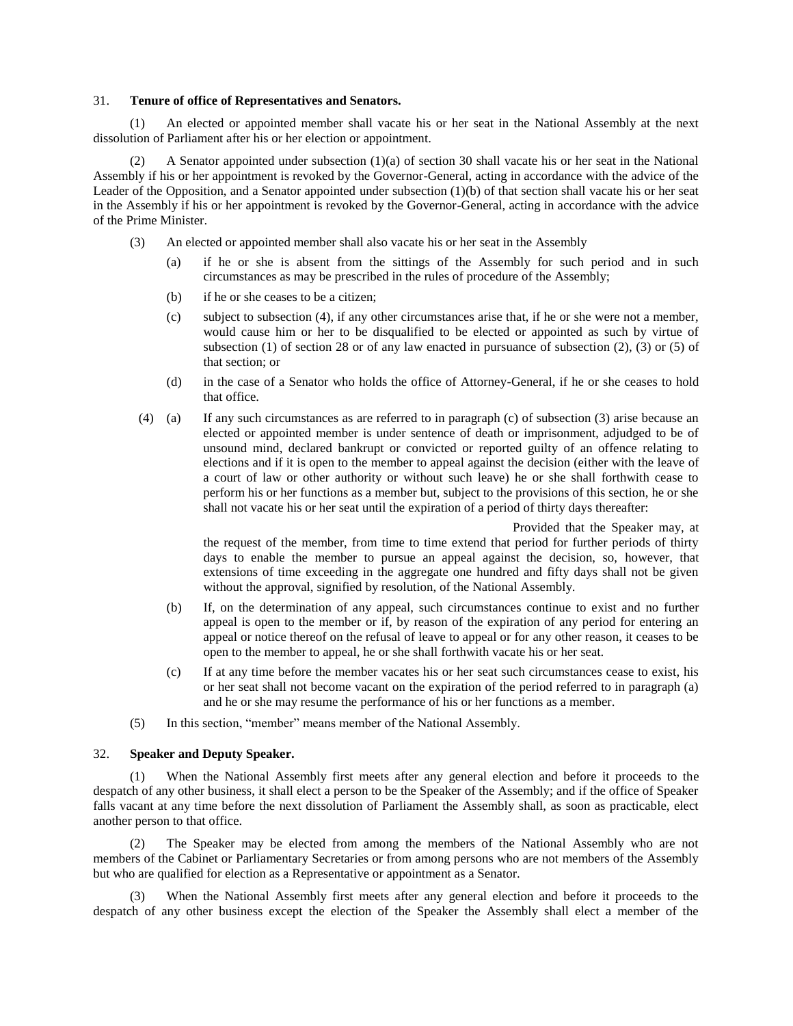# 31. **Tenure of office of Representatives and Senators.**

(1) An elected or appointed member shall vacate his or her seat in the National Assembly at the next dissolution of Parliament after his or her election or appointment.

A Senator appointed under subsection  $(1)(a)$  of section 30 shall vacate his or her seat in the National Assembly if his or her appointment is revoked by the Governor-General, acting in accordance with the advice of the Leader of the Opposition, and a Senator appointed under subsection  $(1)(b)$  of that section shall vacate his or her seat in the Assembly if his or her appointment is revoked by the Governor-General, acting in accordance with the advice of the Prime Minister.

- (3) An elected or appointed member shall also vacate his or her seat in the Assembly
	- (a) if he or she is absent from the sittings of the Assembly for such period and in such circumstances as may be prescribed in the rules of procedure of the Assembly;
	- (b) if he or she ceases to be a citizen;
	- (c) subject to subsection (4), if any other circumstances arise that, if he or she were not a member, would cause him or her to be disqualified to be elected or appointed as such by virtue of subsection (1) of section 28 or of any law enacted in pursuance of subsection (2), (3) or (5) of that section; or
	- (d) in the case of a Senator who holds the office of Attorney-General, if he or she ceases to hold that office.
- (4) (a) If any such circumstances as are referred to in paragraph (c) of subsection (3) arise because an elected or appointed member is under sentence of death or imprisonment, adjudged to be of unsound mind, declared bankrupt or convicted or reported guilty of an offence relating to elections and if it is open to the member to appeal against the decision (either with the leave of a court of law or other authority or without such leave) he or she shall forthwith cease to perform his or her functions as a member but, subject to the provisions of this section, he or she shall not vacate his or her seat until the expiration of a period of thirty days thereafter:

Provided that the Speaker may, at the request of the member, from time to time extend that period for further periods of thirty days to enable the member to pursue an appeal against the decision, so, however, that extensions of time exceeding in the aggregate one hundred and fifty days shall not be given without the approval, signified by resolution, of the National Assembly.

- (b) If, on the determination of any appeal, such circumstances continue to exist and no further appeal is open to the member or if, by reason of the expiration of any period for entering an appeal or notice thereof on the refusal of leave to appeal or for any other reason, it ceases to be open to the member to appeal, he or she shall forthwith vacate his or her seat.
- (c) If at any time before the member vacates his or her seat such circumstances cease to exist, his or her seat shall not become vacant on the expiration of the period referred to in paragraph (a) and he or she may resume the performance of his or her functions as a member.
- (5) In this section, "member" means member of the National Assembly.

# 32. **Speaker and Deputy Speaker.**

When the National Assembly first meets after any general election and before it proceeds to the despatch of any other business, it shall elect a person to be the Speaker of the Assembly; and if the office of Speaker falls vacant at any time before the next dissolution of Parliament the Assembly shall, as soon as practicable, elect another person to that office.

The Speaker may be elected from among the members of the National Assembly who are not members of the Cabinet or Parliamentary Secretaries or from among persons who are not members of the Assembly but who are qualified for election as a Representative or appointment as a Senator.

When the National Assembly first meets after any general election and before it proceeds to the despatch of any other business except the election of the Speaker the Assembly shall elect a member of the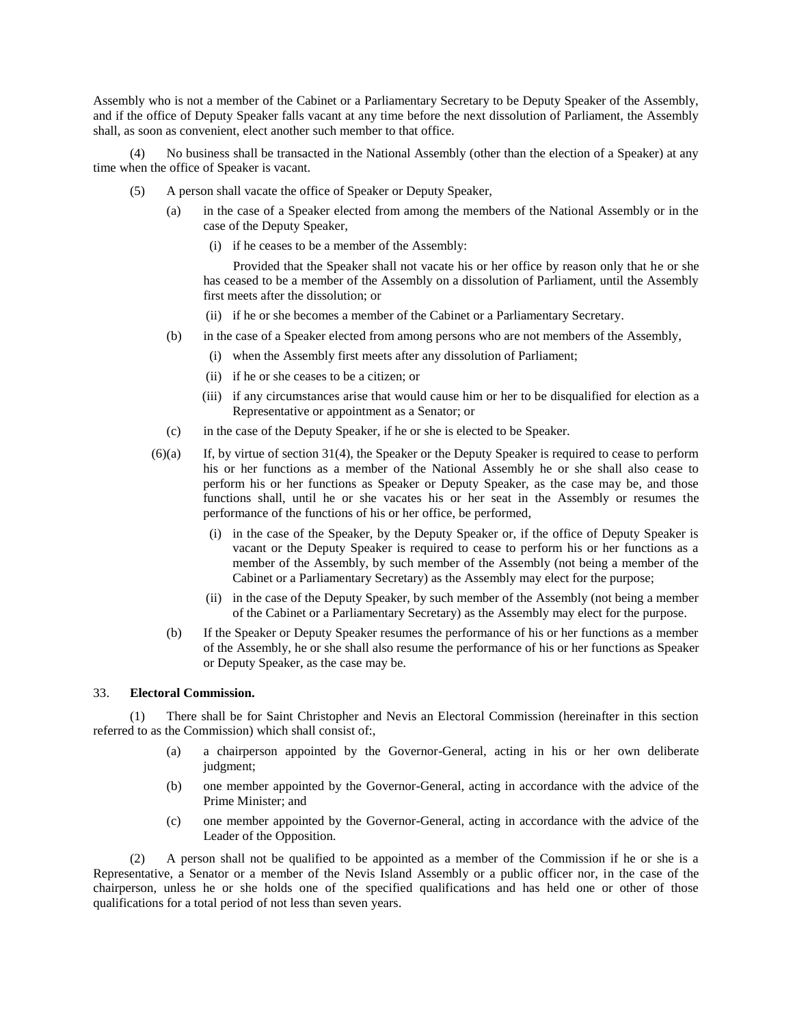Assembly who is not a member of the Cabinet or a Parliamentary Secretary to be Deputy Speaker of the Assembly, and if the office of Deputy Speaker falls vacant at any time before the next dissolution of Parliament, the Assembly shall, as soon as convenient, elect another such member to that office.

(4) No business shall be transacted in the National Assembly (other than the election of a Speaker) at any time when the office of Speaker is vacant.

- (5) A person shall vacate the office of Speaker or Deputy Speaker,
	- (a) in the case of a Speaker elected from among the members of the National Assembly or in the case of the Deputy Speaker,
		- (i) if he ceases to be a member of the Assembly:

Provided that the Speaker shall not vacate his or her office by reason only that he or she has ceased to be a member of the Assembly on a dissolution of Parliament, until the Assembly first meets after the dissolution; or

- (ii) if he or she becomes a member of the Cabinet or a Parliamentary Secretary.
- (b) in the case of a Speaker elected from among persons who are not members of the Assembly,
	- (i) when the Assembly first meets after any dissolution of Parliament;
	- (ii) if he or she ceases to be a citizen; or
	- (iii) if any circumstances arise that would cause him or her to be disqualified for election as a Representative or appointment as a Senator; or
- (c) in the case of the Deputy Speaker, if he or she is elected to be Speaker.
- (6)(a) If, by virtue of section 31(4), the Speaker or the Deputy Speaker is required to cease to perform his or her functions as a member of the National Assembly he or she shall also cease to perform his or her functions as Speaker or Deputy Speaker, as the case may be, and those functions shall, until he or she vacates his or her seat in the Assembly or resumes the performance of the functions of his or her office, be performed,
	- (i) in the case of the Speaker, by the Deputy Speaker or, if the office of Deputy Speaker is vacant or the Deputy Speaker is required to cease to perform his or her functions as a member of the Assembly, by such member of the Assembly (not being a member of the Cabinet or a Parliamentary Secretary) as the Assembly may elect for the purpose;
	- (ii) in the case of the Deputy Speaker, by such member of the Assembly (not being a member of the Cabinet or a Parliamentary Secretary) as the Assembly may elect for the purpose.
	- (b) If the Speaker or Deputy Speaker resumes the performance of his or her functions as a member of the Assembly, he or she shall also resume the performance of his or her functions as Speaker or Deputy Speaker, as the case may be.

# 33. **Electoral Commission.**

(1) There shall be for Saint Christopher and Nevis an Electoral Commission (hereinafter in this section referred to as the Commission) which shall consist of:,

- (a) a chairperson appointed by the Governor-General, acting in his or her own deliberate judgment;
- (b) one member appointed by the Governor-General, acting in accordance with the advice of the Prime Minister; and
- (c) one member appointed by the Governor-General, acting in accordance with the advice of the Leader of the Opposition.

(2) A person shall not be qualified to be appointed as a member of the Commission if he or she is a Representative, a Senator or a member of the Nevis Island Assembly or a public officer nor, in the case of the chairperson, unless he or she holds one of the specified qualifications and has held one or other of those qualifications for a total period of not less than seven years.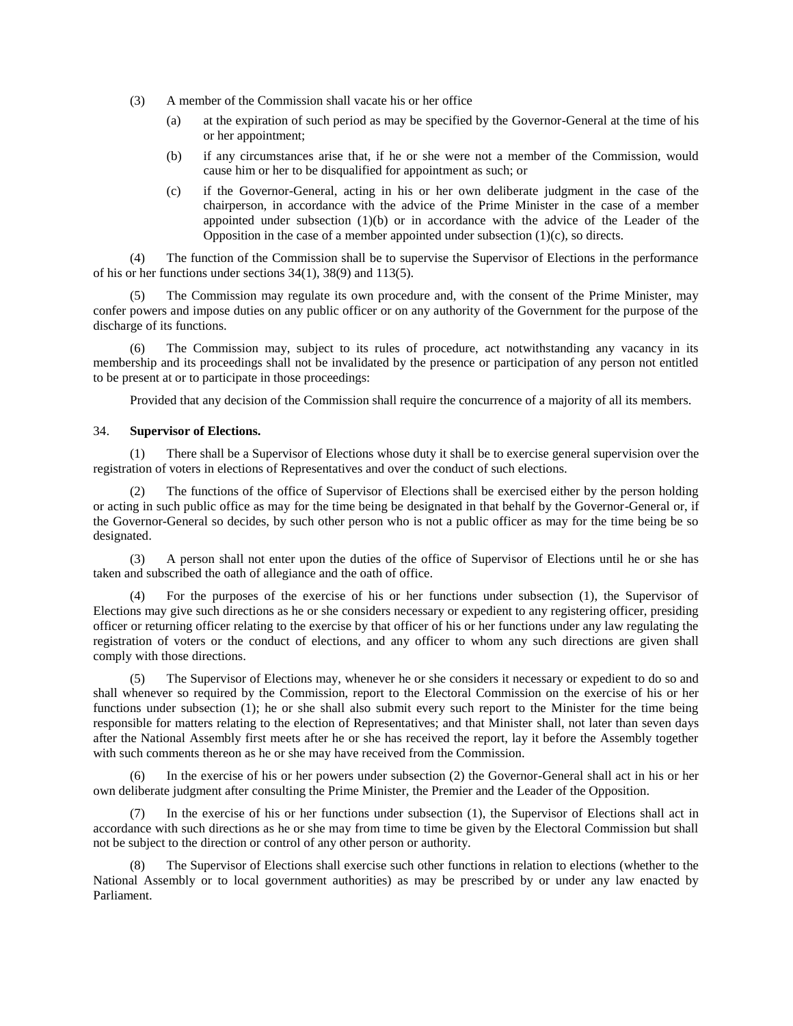- (3) A member of the Commission shall vacate his or her office
	- (a) at the expiration of such period as may be specified by the Governor-General at the time of his or her appointment;
	- (b) if any circumstances arise that, if he or she were not a member of the Commission, would cause him or her to be disqualified for appointment as such; or
	- (c) if the Governor-General, acting in his or her own deliberate judgment in the case of the chairperson, in accordance with the advice of the Prime Minister in the case of a member appointed under subsection  $(1)(b)$  or in accordance with the advice of the Leader of the Opposition in the case of a member appointed under subsection  $(1)(c)$ , so directs.

(4) The function of the Commission shall be to supervise the Supervisor of Elections in the performance of his or her functions under sections 34(1), 38(9) and 113(5).

The Commission may regulate its own procedure and, with the consent of the Prime Minister, may confer powers and impose duties on any public officer or on any authority of the Government for the purpose of the discharge of its functions.

The Commission may, subject to its rules of procedure, act notwithstanding any vacancy in its membership and its proceedings shall not be invalidated by the presence or participation of any person not entitled to be present at or to participate in those proceedings:

Provided that any decision of the Commission shall require the concurrence of a majority of all its members.

### 34. **Supervisor of Elections.**

(1) There shall be a Supervisor of Elections whose duty it shall be to exercise general supervision over the registration of voters in elections of Representatives and over the conduct of such elections.

The functions of the office of Supervisor of Elections shall be exercised either by the person holding or acting in such public office as may for the time being be designated in that behalf by the Governor-General or, if the Governor-General so decides, by such other person who is not a public officer as may for the time being be so designated.

(3) A person shall not enter upon the duties of the office of Supervisor of Elections until he or she has taken and subscribed the oath of allegiance and the oath of office.

For the purposes of the exercise of his or her functions under subsection (1), the Supervisor of Elections may give such directions as he or she considers necessary or expedient to any registering officer, presiding officer or returning officer relating to the exercise by that officer of his or her functions under any law regulating the registration of voters or the conduct of elections, and any officer to whom any such directions are given shall comply with those directions.

(5) The Supervisor of Elections may, whenever he or she considers it necessary or expedient to do so and shall whenever so required by the Commission, report to the Electoral Commission on the exercise of his or her functions under subsection (1); he or she shall also submit every such report to the Minister for the time being responsible for matters relating to the election of Representatives; and that Minister shall, not later than seven days after the National Assembly first meets after he or she has received the report, lay it before the Assembly together with such comments thereon as he or she may have received from the Commission.

In the exercise of his or her powers under subsection (2) the Governor-General shall act in his or her own deliberate judgment after consulting the Prime Minister, the Premier and the Leader of the Opposition.

In the exercise of his or her functions under subsection (1), the Supervisor of Elections shall act in accordance with such directions as he or she may from time to time be given by the Electoral Commission but shall not be subject to the direction or control of any other person or authority.

The Supervisor of Elections shall exercise such other functions in relation to elections (whether to the National Assembly or to local government authorities) as may be prescribed by or under any law enacted by Parliament.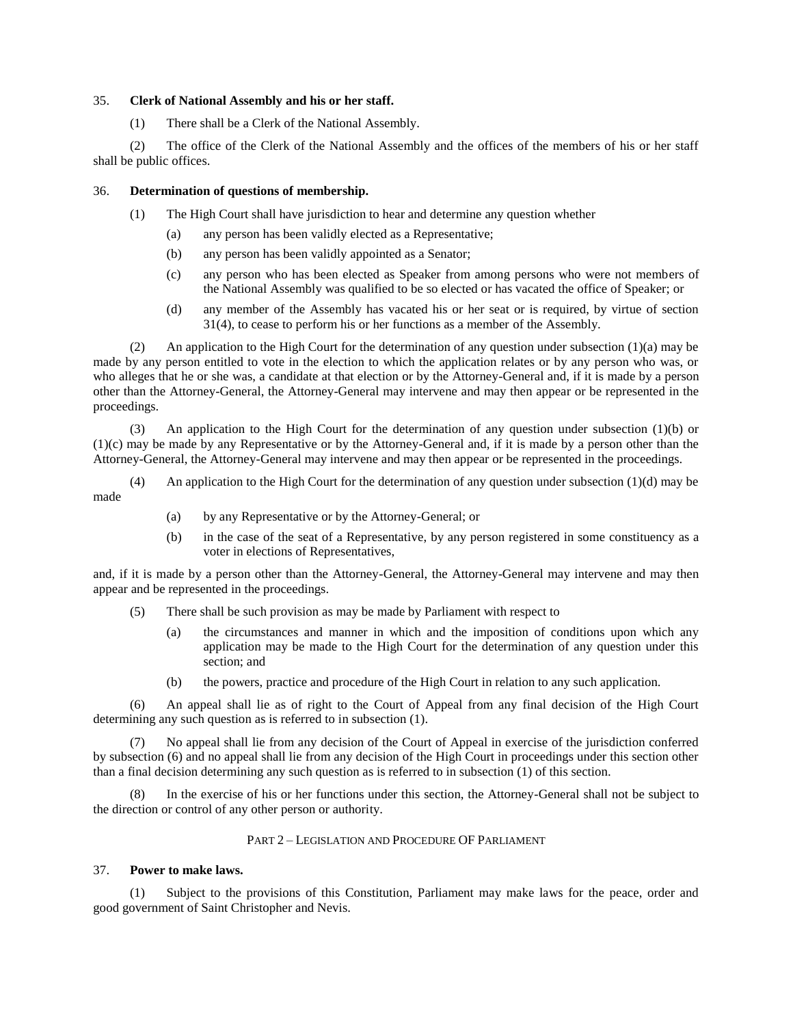# 35. **Clerk of National Assembly and his or her staff.**

(1) There shall be a Clerk of the National Assembly.

(2) The office of the Clerk of the National Assembly and the offices of the members of his or her staff shall be public offices.

# 36. **Determination of questions of membership.**

- (1) The High Court shall have jurisdiction to hear and determine any question whether
	- (a) any person has been validly elected as a Representative;
	- (b) any person has been validly appointed as a Senator;
	- (c) any person who has been elected as Speaker from among persons who were not members of the National Assembly was qualified to be so elected or has vacated the office of Speaker; or
	- (d) any member of the Assembly has vacated his or her seat or is required, by virtue of section 31(4), to cease to perform his or her functions as a member of the Assembly.

(2) An application to the High Court for the determination of any question under subsection  $(1)(a)$  may be made by any person entitled to vote in the election to which the application relates or by any person who was, or who alleges that he or she was, a candidate at that election or by the Attorney-General and, if it is made by a person other than the Attorney-General, the Attorney-General may intervene and may then appear or be represented in the proceedings.

(3) An application to the High Court for the determination of any question under subsection (1)(b) or (1)(c) may be made by any Representative or by the Attorney-General and, if it is made by a person other than the Attorney-General, the Attorney-General may intervene and may then appear or be represented in the proceedings.

(4) An application to the High Court for the determination of any question under subsection  $(1)(d)$  may be made

- (a) by any Representative or by the Attorney-General; or
- (b) in the case of the seat of a Representative, by any person registered in some constituency as a voter in elections of Representatives,

and, if it is made by a person other than the Attorney-General, the Attorney-General may intervene and may then appear and be represented in the proceedings.

- (5) There shall be such provision as may be made by Parliament with respect to
	- (a) the circumstances and manner in which and the imposition of conditions upon which any application may be made to the High Court for the determination of any question under this section; and
	- (b) the powers, practice and procedure of the High Court in relation to any such application.

(6) An appeal shall lie as of right to the Court of Appeal from any final decision of the High Court determining any such question as is referred to in subsection (1).

(7) No appeal shall lie from any decision of the Court of Appeal in exercise of the jurisdiction conferred by subsection (6) and no appeal shall lie from any decision of the High Court in proceedings under this section other than a final decision determining any such question as is referred to in subsection (1) of this section.

(8) In the exercise of his or her functions under this section, the Attorney-General shall not be subject to the direction or control of any other person or authority.

# PART 2 – LEGISLATION AND PROCEDURE OF PARLIAMENT

# 37. **Power to make laws.**

(1) Subject to the provisions of this Constitution, Parliament may make laws for the peace, order and good government of Saint Christopher and Nevis.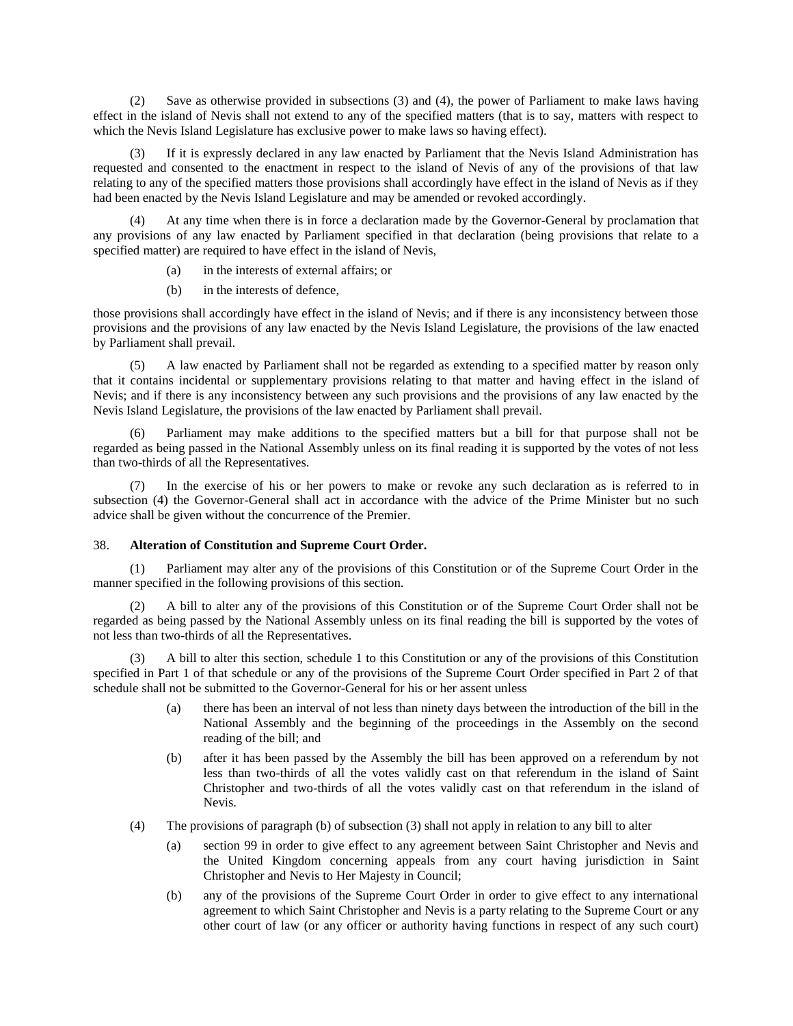(2) Save as otherwise provided in subsections (3) and (4), the power of Parliament to make laws having effect in the island of Nevis shall not extend to any of the specified matters (that is to say, matters with respect to which the Nevis Island Legislature has exclusive power to make laws so having effect).

If it is expressly declared in any law enacted by Parliament that the Nevis Island Administration has requested and consented to the enactment in respect to the island of Nevis of any of the provisions of that law relating to any of the specified matters those provisions shall accordingly have effect in the island of Nevis as if they had been enacted by the Nevis Island Legislature and may be amended or revoked accordingly.

(4) At any time when there is in force a declaration made by the Governor-General by proclamation that any provisions of any law enacted by Parliament specified in that declaration (being provisions that relate to a specified matter) are required to have effect in the island of Nevis,

- (a) in the interests of external affairs; or
- (b) in the interests of defence,

those provisions shall accordingly have effect in the island of Nevis; and if there is any inconsistency between those provisions and the provisions of any law enacted by the Nevis Island Legislature, the provisions of the law enacted by Parliament shall prevail.

(5) A law enacted by Parliament shall not be regarded as extending to a specified matter by reason only that it contains incidental or supplementary provisions relating to that matter and having effect in the island of Nevis; and if there is any inconsistency between any such provisions and the provisions of any law enacted by the Nevis Island Legislature, the provisions of the law enacted by Parliament shall prevail.

Parliament may make additions to the specified matters but a bill for that purpose shall not be regarded as being passed in the National Assembly unless on its final reading it is supported by the votes of not less than two-thirds of all the Representatives.

In the exercise of his or her powers to make or revoke any such declaration as is referred to in subsection (4) the Governor-General shall act in accordance with the advice of the Prime Minister but no such advice shall be given without the concurrence of the Premier.

# 38. **Alteration of Constitution and Supreme Court Order.**

(1) Parliament may alter any of the provisions of this Constitution or of the Supreme Court Order in the manner specified in the following provisions of this section.

(2) A bill to alter any of the provisions of this Constitution or of the Supreme Court Order shall not be regarded as being passed by the National Assembly unless on its final reading the bill is supported by the votes of not less than two-thirds of all the Representatives.

(3) A bill to alter this section, schedule 1 to this Constitution or any of the provisions of this Constitution specified in Part 1 of that schedule or any of the provisions of the Supreme Court Order specified in Part 2 of that schedule shall not be submitted to the Governor-General for his or her assent unless

- (a) there has been an interval of not less than ninety days between the introduction of the bill in the National Assembly and the beginning of the proceedings in the Assembly on the second reading of the bill; and
- (b) after it has been passed by the Assembly the bill has been approved on a referendum by not less than two-thirds of all the votes validly cast on that referendum in the island of Saint Christopher and two-thirds of all the votes validly cast on that referendum in the island of Nevis.
- (4) The provisions of paragraph (b) of subsection (3) shall not apply in relation to any bill to alter
	- (a) section 99 in order to give effect to any agreement between Saint Christopher and Nevis and the United Kingdom concerning appeals from any court having jurisdiction in Saint Christopher and Nevis to Her Majesty in Council;
	- (b) any of the provisions of the Supreme Court Order in order to give effect to any international agreement to which Saint Christopher and Nevis is a party relating to the Supreme Court or any other court of law (or any officer or authority having functions in respect of any such court)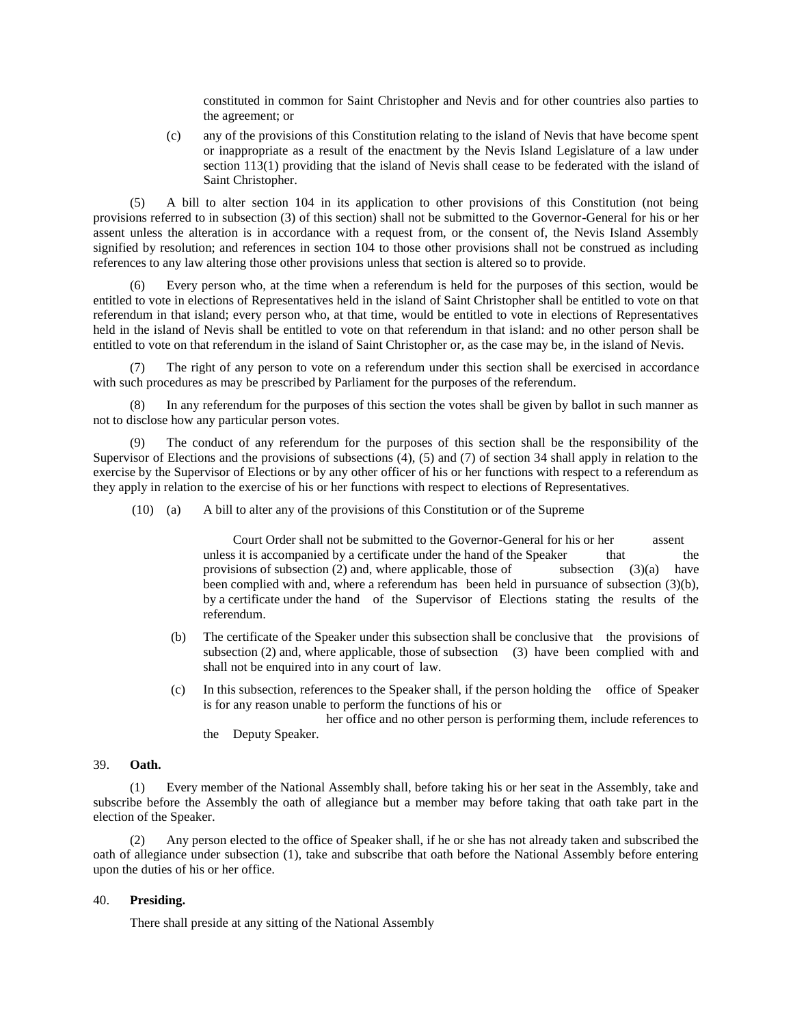constituted in common for Saint Christopher and Nevis and for other countries also parties to the agreement; or

(c) any of the provisions of this Constitution relating to the island of Nevis that have become spent or inappropriate as a result of the enactment by the Nevis Island Legislature of a law under section 113(1) providing that the island of Nevis shall cease to be federated with the island of Saint Christopher.

(5) A bill to alter section 104 in its application to other provisions of this Constitution (not being provisions referred to in subsection (3) of this section) shall not be submitted to the Governor-General for his or her assent unless the alteration is in accordance with a request from, or the consent of, the Nevis Island Assembly signified by resolution; and references in section 104 to those other provisions shall not be construed as including references to any law altering those other provisions unless that section is altered so to provide.

(6) Every person who, at the time when a referendum is held for the purposes of this section, would be entitled to vote in elections of Representatives held in the island of Saint Christopher shall be entitled to vote on that referendum in that island; every person who, at that time, would be entitled to vote in elections of Representatives held in the island of Nevis shall be entitled to vote on that referendum in that island: and no other person shall be entitled to vote on that referendum in the island of Saint Christopher or, as the case may be, in the island of Nevis.

(7) The right of any person to vote on a referendum under this section shall be exercised in accordance with such procedures as may be prescribed by Parliament for the purposes of the referendum.

In any referendum for the purposes of this section the votes shall be given by ballot in such manner as not to disclose how any particular person votes.

(9) The conduct of any referendum for the purposes of this section shall be the responsibility of the Supervisor of Elections and the provisions of subsections  $(4)$ ,  $(5)$  and  $(7)$  of section 34 shall apply in relation to the exercise by the Supervisor of Elections or by any other officer of his or her functions with respect to a referendum as they apply in relation to the exercise of his or her functions with respect to elections of Representatives.

(10) (a) A bill to alter any of the provisions of this Constitution or of the Supreme

Court Order shall not be submitted to the Governor-General for his or her assent unless it is accompanied by a certificate under the hand of the Speaker that the provisions of subsection  $(2)$  and, where applicable, those of subsection  $(3)(a)$  have been complied with and, where a referendum has been held in pursuance of subsection (3)(b), by a certificate under the hand of the Supervisor of Elections stating the results of the referendum.

- (b) The certificate of the Speaker under this subsection shall be conclusive that the provisions of subsection (2) and, where applicable, those of subsection (3) have been complied with and shall not be enquired into in any court of law.
- (c) In this subsection, references to the Speaker shall, if the person holding the office of Speaker is for any reason unable to perform the functions of his or
	- her office and no other person is performing them, include references to the Deputy Speaker.

# 39. **Oath.**

(1) Every member of the National Assembly shall, before taking his or her seat in the Assembly, take and subscribe before the Assembly the oath of allegiance but a member may before taking that oath take part in the election of the Speaker.

Any person elected to the office of Speaker shall, if he or she has not already taken and subscribed the oath of allegiance under subsection (1), take and subscribe that oath before the National Assembly before entering upon the duties of his or her office.

#### 40. **Presiding.**

There shall preside at any sitting of the National Assembly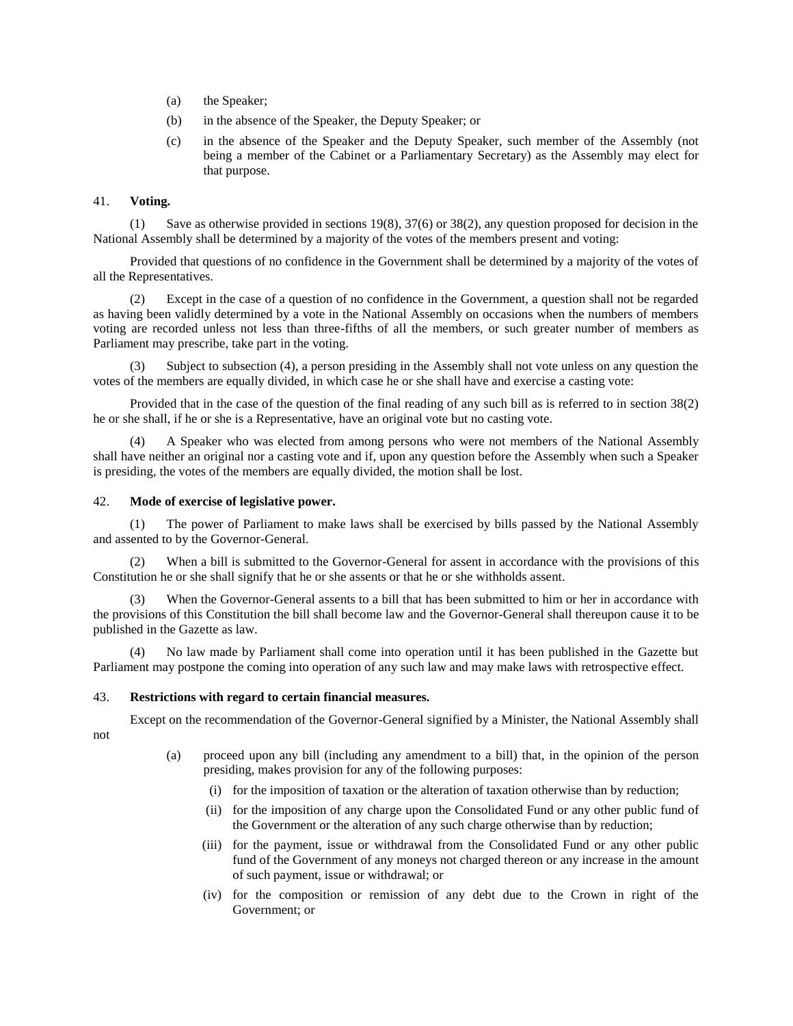- (a) the Speaker;
- (b) in the absence of the Speaker, the Deputy Speaker; or
- (c) in the absence of the Speaker and the Deputy Speaker, such member of the Assembly (not being a member of the Cabinet or a Parliamentary Secretary) as the Assembly may elect for that purpose.

# 41. **Voting.**

not

(1) Save as otherwise provided in sections 19(8), 37(6) or 38(2), any question proposed for decision in the National Assembly shall be determined by a majority of the votes of the members present and voting:

Provided that questions of no confidence in the Government shall be determined by a majority of the votes of all the Representatives.

(2) Except in the case of a question of no confidence in the Government, a question shall not be regarded as having been validly determined by a vote in the National Assembly on occasions when the numbers of members voting are recorded unless not less than three-fifths of all the members, or such greater number of members as Parliament may prescribe, take part in the voting.

(3) Subject to subsection (4), a person presiding in the Assembly shall not vote unless on any question the votes of the members are equally divided, in which case he or she shall have and exercise a casting vote:

Provided that in the case of the question of the final reading of any such bill as is referred to in section 38(2) he or she shall, if he or she is a Representative, have an original vote but no casting vote.

(4) A Speaker who was elected from among persons who were not members of the National Assembly shall have neither an original nor a casting vote and if, upon any question before the Assembly when such a Speaker is presiding, the votes of the members are equally divided, the motion shall be lost.

### 42. **Mode of exercise of legislative power.**

(1) The power of Parliament to make laws shall be exercised by bills passed by the National Assembly and assented to by the Governor-General.

(2) When a bill is submitted to the Governor-General for assent in accordance with the provisions of this Constitution he or she shall signify that he or she assents or that he or she withholds assent.

When the Governor-General assents to a bill that has been submitted to him or her in accordance with the provisions of this Constitution the bill shall become law and the Governor-General shall thereupon cause it to be published in the Gazette as law.

(4) No law made by Parliament shall come into operation until it has been published in the Gazette but Parliament may postpone the coming into operation of any such law and may make laws with retrospective effect.

### 43. **Restrictions with regard to certain financial measures.**

Except on the recommendation of the Governor-General signified by a Minister, the National Assembly shall

- (a) proceed upon any bill (including any amendment to a bill) that, in the opinion of the person presiding, makes provision for any of the following purposes:
	- (i) for the imposition of taxation or the alteration of taxation otherwise than by reduction;
	- (ii) for the imposition of any charge upon the Consolidated Fund or any other public fund of the Government or the alteration of any such charge otherwise than by reduction;
	- (iii) for the payment, issue or withdrawal from the Consolidated Fund or any other public fund of the Government of any moneys not charged thereon or any increase in the amount of such payment, issue or withdrawal; or
	- (iv) for the composition or remission of any debt due to the Crown in right of the Government; or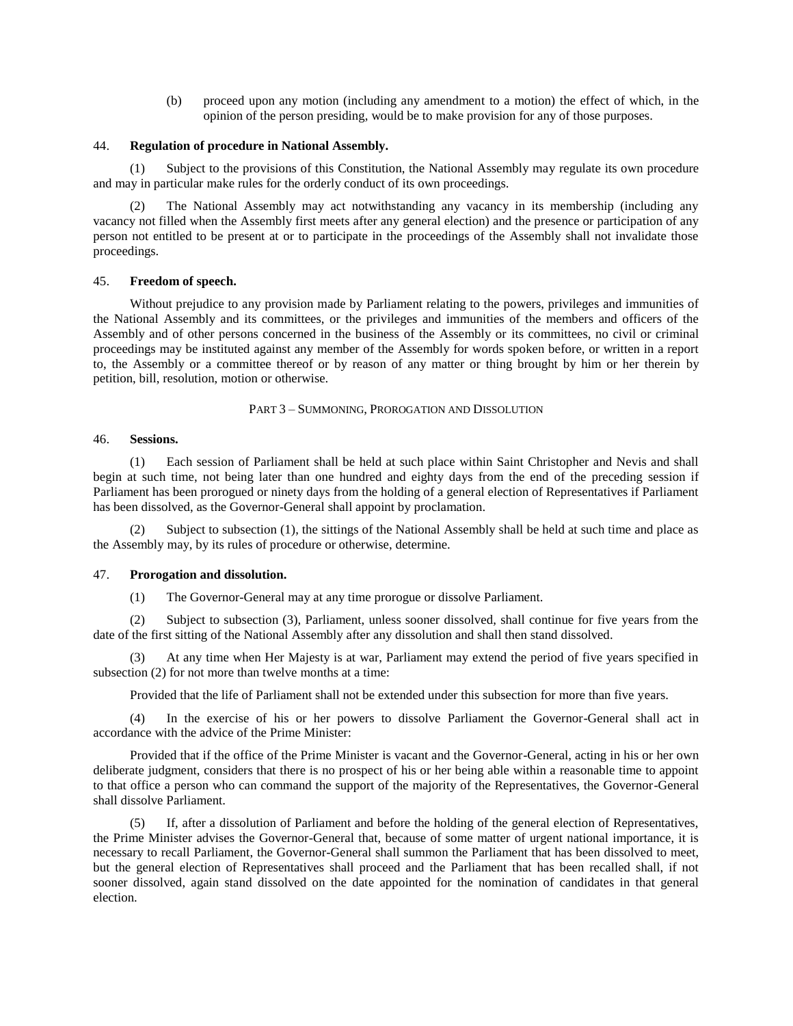(b) proceed upon any motion (including any amendment to a motion) the effect of which, in the opinion of the person presiding, would be to make provision for any of those purposes.

### 44. **Regulation of procedure in National Assembly.**

(1) Subject to the provisions of this Constitution, the National Assembly may regulate its own procedure and may in particular make rules for the orderly conduct of its own proceedings.

(2) The National Assembly may act notwithstanding any vacancy in its membership (including any vacancy not filled when the Assembly first meets after any general election) and the presence or participation of any person not entitled to be present at or to participate in the proceedings of the Assembly shall not invalidate those proceedings.

### 45. **Freedom of speech.**

Without prejudice to any provision made by Parliament relating to the powers, privileges and immunities of the National Assembly and its committees, or the privileges and immunities of the members and officers of the Assembly and of other persons concerned in the business of the Assembly or its committees, no civil or criminal proceedings may be instituted against any member of the Assembly for words spoken before, or written in a report to, the Assembly or a committee thereof or by reason of any matter or thing brought by him or her therein by petition, bill, resolution, motion or otherwise.

# PART 3 – SUMMONING, PROROGATION AND DISSOLUTION

#### 46. **Sessions.**

(1) Each session of Parliament shall be held at such place within Saint Christopher and Nevis and shall begin at such time, not being later than one hundred and eighty days from the end of the preceding session if Parliament has been prorogued or ninety days from the holding of a general election of Representatives if Parliament has been dissolved, as the Governor-General shall appoint by proclamation.

(2) Subject to subsection (1), the sittings of the National Assembly shall be held at such time and place as the Assembly may, by its rules of procedure or otherwise, determine.

#### 47. **Prorogation and dissolution.**

(1) The Governor-General may at any time prorogue or dissolve Parliament.

(2) Subject to subsection (3), Parliament, unless sooner dissolved, shall continue for five years from the date of the first sitting of the National Assembly after any dissolution and shall then stand dissolved.

(3) At any time when Her Majesty is at war, Parliament may extend the period of five years specified in subsection (2) for not more than twelve months at a time:

Provided that the life of Parliament shall not be extended under this subsection for more than five years.

(4) In the exercise of his or her powers to dissolve Parliament the Governor-General shall act in accordance with the advice of the Prime Minister:

Provided that if the office of the Prime Minister is vacant and the Governor-General, acting in his or her own deliberate judgment, considers that there is no prospect of his or her being able within a reasonable time to appoint to that office a person who can command the support of the majority of the Representatives, the Governor-General shall dissolve Parliament.

(5) If, after a dissolution of Parliament and before the holding of the general election of Representatives, the Prime Minister advises the Governor-General that, because of some matter of urgent national importance, it is necessary to recall Parliament, the Governor-General shall summon the Parliament that has been dissolved to meet, but the general election of Representatives shall proceed and the Parliament that has been recalled shall, if not sooner dissolved, again stand dissolved on the date appointed for the nomination of candidates in that general election.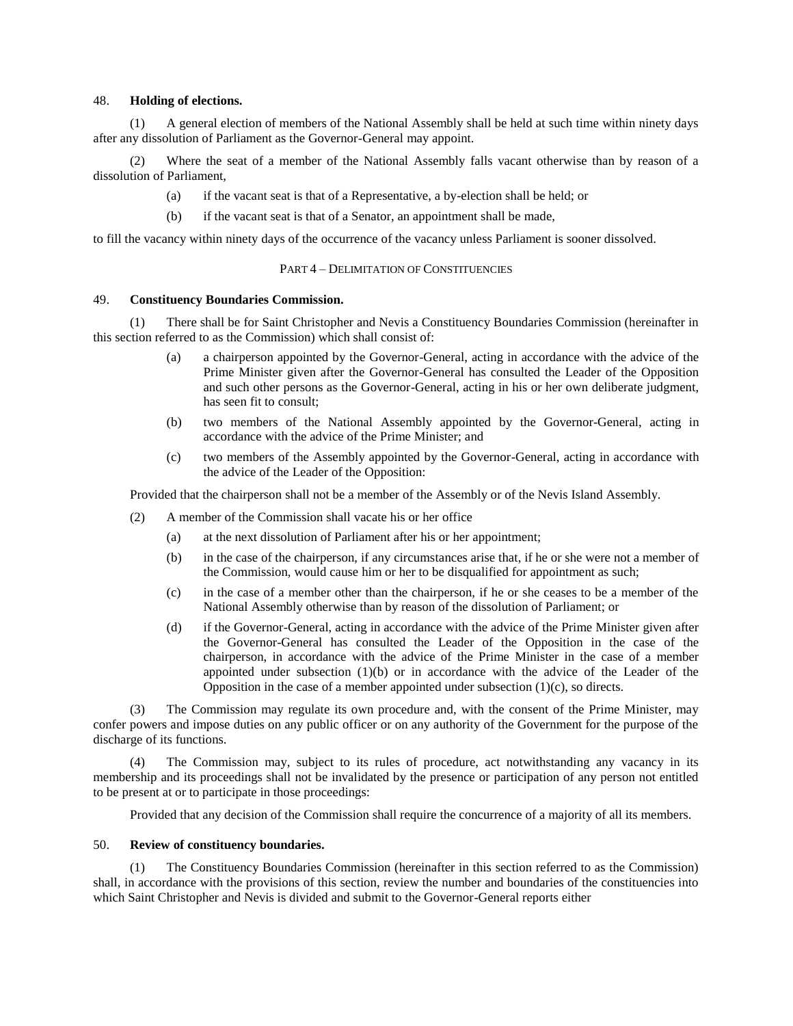# 48. **Holding of elections.**

(1) A general election of members of the National Assembly shall be held at such time within ninety days after any dissolution of Parliament as the Governor-General may appoint.

Where the seat of a member of the National Assembly falls vacant otherwise than by reason of a dissolution of Parliament,

- (a) if the vacant seat is that of a Representative, a by-election shall be held; or
- (b) if the vacant seat is that of a Senator, an appointment shall be made,

to fill the vacancy within ninety days of the occurrence of the vacancy unless Parliament is sooner dissolved.

# PART 4 – DELIMITATION OF CONSTITUENCIES

# 49. **Constituency Boundaries Commission.**

(1) There shall be for Saint Christopher and Nevis a Constituency Boundaries Commission (hereinafter in this section referred to as the Commission) which shall consist of:

- (a) a chairperson appointed by the Governor-General, acting in accordance with the advice of the Prime Minister given after the Governor-General has consulted the Leader of the Opposition and such other persons as the Governor-General, acting in his or her own deliberate judgment, has seen fit to consult;
- (b) two members of the National Assembly appointed by the Governor-General, acting in accordance with the advice of the Prime Minister; and
- (c) two members of the Assembly appointed by the Governor-General, acting in accordance with the advice of the Leader of the Opposition:

Provided that the chairperson shall not be a member of the Assembly or of the Nevis Island Assembly.

- (2) A member of the Commission shall vacate his or her office
	- (a) at the next dissolution of Parliament after his or her appointment;
	- (b) in the case of the chairperson, if any circumstances arise that, if he or she were not a member of the Commission, would cause him or her to be disqualified for appointment as such;
	- (c) in the case of a member other than the chairperson, if he or she ceases to be a member of the National Assembly otherwise than by reason of the dissolution of Parliament; or
	- (d) if the Governor-General, acting in accordance with the advice of the Prime Minister given after the Governor-General has consulted the Leader of the Opposition in the case of the chairperson, in accordance with the advice of the Prime Minister in the case of a member appointed under subsection  $(1)(b)$  or in accordance with the advice of the Leader of the Opposition in the case of a member appointed under subsection  $(1)(c)$ , so directs.

(3) The Commission may regulate its own procedure and, with the consent of the Prime Minister, may confer powers and impose duties on any public officer or on any authority of the Government for the purpose of the discharge of its functions.

The Commission may, subject to its rules of procedure, act notwithstanding any vacancy in its membership and its proceedings shall not be invalidated by the presence or participation of any person not entitled to be present at or to participate in those proceedings:

Provided that any decision of the Commission shall require the concurrence of a majority of all its members.

# 50. **Review of constituency boundaries.**

(1) The Constituency Boundaries Commission (hereinafter in this section referred to as the Commission) shall, in accordance with the provisions of this section, review the number and boundaries of the constituencies into which Saint Christopher and Nevis is divided and submit to the Governor-General reports either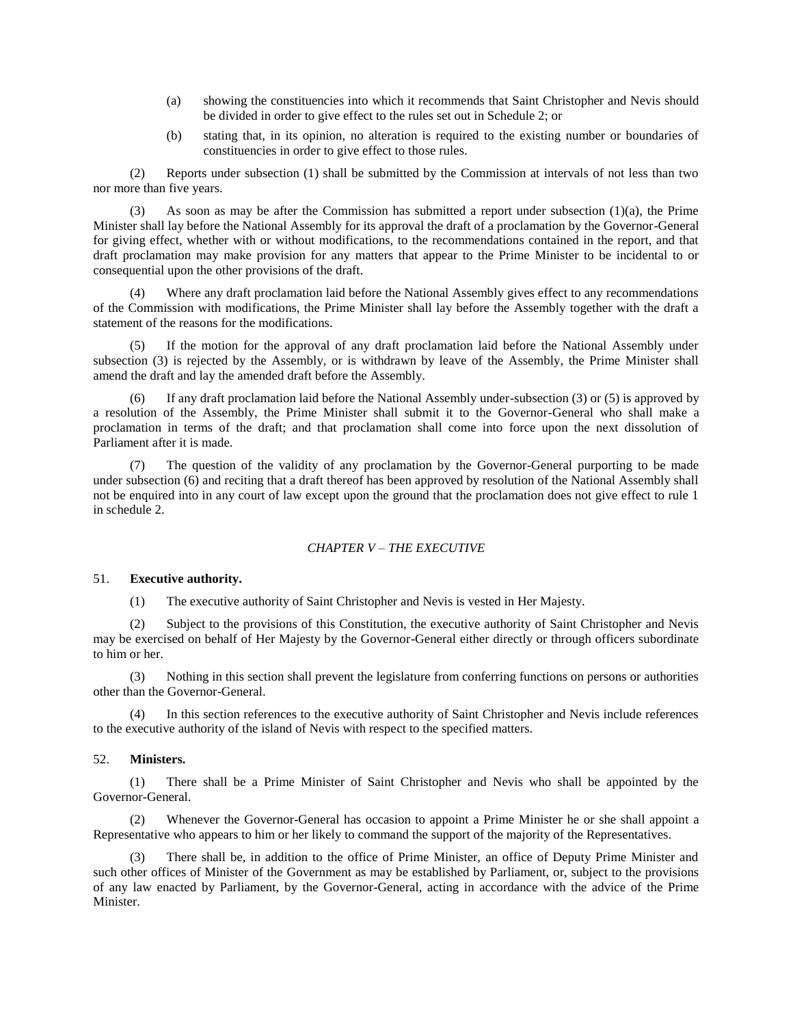- (a) showing the constituencies into which it recommends that Saint Christopher and Nevis should be divided in order to give effect to the rules set out in Schedule 2; or
- (b) stating that, in its opinion, no alteration is required to the existing number or boundaries of constituencies in order to give effect to those rules.

(2) Reports under subsection (1) shall be submitted by the Commission at intervals of not less than two nor more than five years.

(3) As soon as may be after the Commission has submitted a report under subsection (1)(a), the Prime Minister shall lay before the National Assembly for its approval the draft of a proclamation by the Governor-General for giving effect, whether with or without modifications, to the recommendations contained in the report, and that draft proclamation may make provision for any matters that appear to the Prime Minister to be incidental to or consequential upon the other provisions of the draft.

Where any draft proclamation laid before the National Assembly gives effect to any recommendations of the Commission with modifications, the Prime Minister shall lay before the Assembly together with the draft a statement of the reasons for the modifications.

If the motion for the approval of any draft proclamation laid before the National Assembly under subsection (3) is rejected by the Assembly, or is withdrawn by leave of the Assembly, the Prime Minister shall amend the draft and lay the amended draft before the Assembly.

(6) If any draft proclamation laid before the National Assembly under-subsection (3) or (5) is approved by a resolution of the Assembly, the Prime Minister shall submit it to the Governor-General who shall make a proclamation in terms of the draft; and that proclamation shall come into force upon the next dissolution of Parliament after it is made.

The question of the validity of any proclamation by the Governor-General purporting to be made under subsection (6) and reciting that a draft thereof has been approved by resolution of the National Assembly shall not be enquired into in any court of law except upon the ground that the proclamation does not give effect to rule 1 in schedule 2.

# *CHAPTER V – THE EXECUTIVE*

# 51. **Executive authority.**

(1) The executive authority of Saint Christopher and Nevis is vested in Her Majesty.

(2) Subject to the provisions of this Constitution, the executive authority of Saint Christopher and Nevis may be exercised on behalf of Her Majesty by the Governor-General either directly or through officers subordinate to him or her.

(3) Nothing in this section shall prevent the legislature from conferring functions on persons or authorities other than the Governor-General.

In this section references to the executive authority of Saint Christopher and Nevis include references to the executive authority of the island of Nevis with respect to the specified matters.

# 52. **Ministers.**

(1) There shall be a Prime Minister of Saint Christopher and Nevis who shall be appointed by the Governor-General.

Whenever the Governor-General has occasion to appoint a Prime Minister he or she shall appoint a Representative who appears to him or her likely to command the support of the majority of the Representatives.

(3) There shall be, in addition to the office of Prime Minister, an office of Deputy Prime Minister and such other offices of Minister of the Government as may be established by Parliament, or, subject to the provisions of any law enacted by Parliament, by the Governor-General, acting in accordance with the advice of the Prime Minister.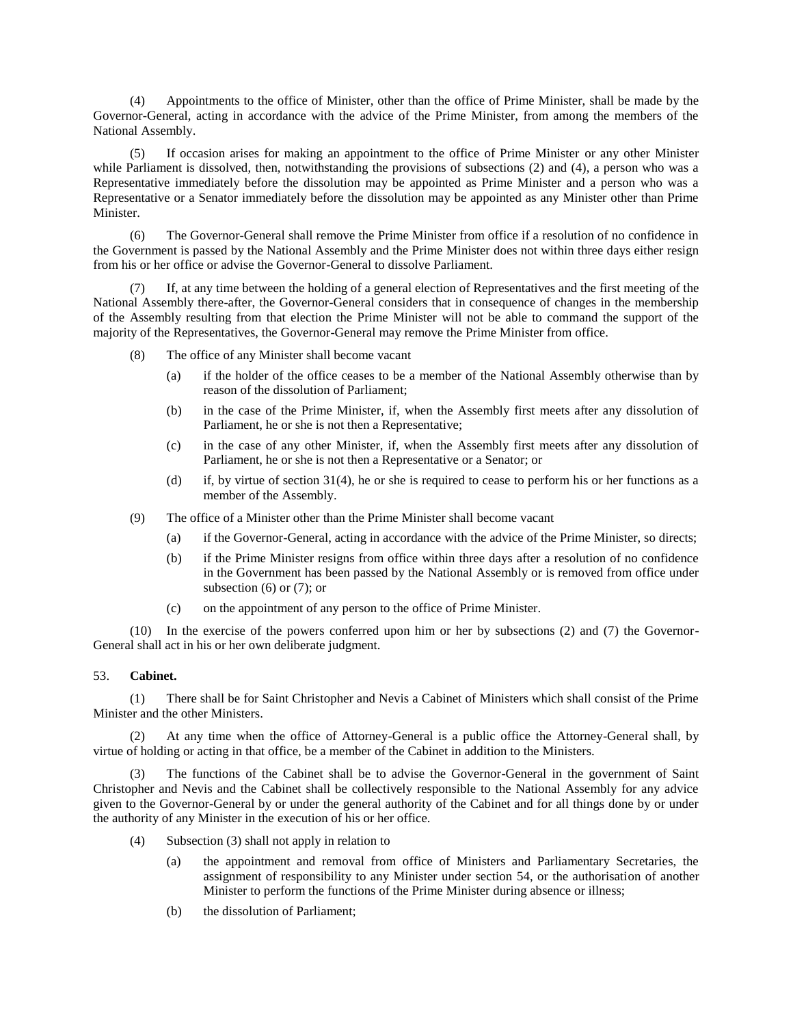(4) Appointments to the office of Minister, other than the office of Prime Minister, shall be made by the Governor-General, acting in accordance with the advice of the Prime Minister, from among the members of the National Assembly.

(5) If occasion arises for making an appointment to the office of Prime Minister or any other Minister while Parliament is dissolved, then, notwithstanding the provisions of subsections (2) and (4), a person who was a Representative immediately before the dissolution may be appointed as Prime Minister and a person who was a Representative or a Senator immediately before the dissolution may be appointed as any Minister other than Prime Minister.

(6) The Governor-General shall remove the Prime Minister from office if a resolution of no confidence in the Government is passed by the National Assembly and the Prime Minister does not within three days either resign from his or her office or advise the Governor-General to dissolve Parliament.

(7) If, at any time between the holding of a general election of Representatives and the first meeting of the National Assembly there-after, the Governor-General considers that in consequence of changes in the membership of the Assembly resulting from that election the Prime Minister will not be able to command the support of the majority of the Representatives, the Governor-General may remove the Prime Minister from office.

- (8) The office of any Minister shall become vacant
	- (a) if the holder of the office ceases to be a member of the National Assembly otherwise than by reason of the dissolution of Parliament;
	- (b) in the case of the Prime Minister, if, when the Assembly first meets after any dissolution of Parliament, he or she is not then a Representative;
	- (c) in the case of any other Minister, if, when the Assembly first meets after any dissolution of Parliament, he or she is not then a Representative or a Senator; or
	- (d) if, by virtue of section  $31(4)$ , he or she is required to cease to perform his or her functions as a member of the Assembly.
- (9) The office of a Minister other than the Prime Minister shall become vacant
	- (a) if the Governor-General, acting in accordance with the advice of the Prime Minister, so directs;
	- (b) if the Prime Minister resigns from office within three days after a resolution of no confidence in the Government has been passed by the National Assembly or is removed from office under subsection  $(6)$  or  $(7)$ ; or
	- (c) on the appointment of any person to the office of Prime Minister.

(10) In the exercise of the powers conferred upon him or her by subsections (2) and (7) the Governor-General shall act in his or her own deliberate judgment.

# 53. **Cabinet.**

(1) There shall be for Saint Christopher and Nevis a Cabinet of Ministers which shall consist of the Prime Minister and the other Ministers.

(2) At any time when the office of Attorney-General is a public office the Attorney-General shall, by virtue of holding or acting in that office, be a member of the Cabinet in addition to the Ministers.

(3) The functions of the Cabinet shall be to advise the Governor-General in the government of Saint Christopher and Nevis and the Cabinet shall be collectively responsible to the National Assembly for any advice given to the Governor-General by or under the general authority of the Cabinet and for all things done by or under the authority of any Minister in the execution of his or her office.

- (4) Subsection (3) shall not apply in relation to
	- (a) the appointment and removal from office of Ministers and Parliamentary Secretaries, the assignment of responsibility to any Minister under section 54, or the authorisation of another Minister to perform the functions of the Prime Minister during absence or illness;
	- (b) the dissolution of Parliament;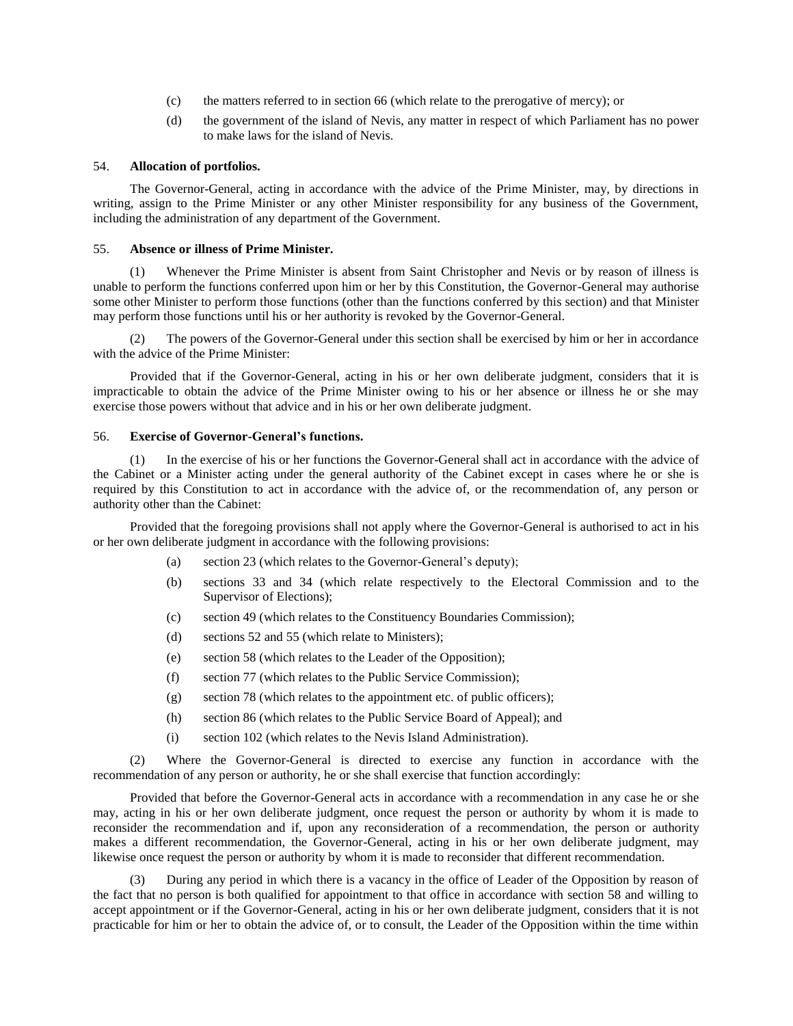- (c) the matters referred to in section 66 (which relate to the prerogative of mercy); or
- (d) the government of the island of Nevis, any matter in respect of which Parliament has no power to make laws for the island of Nevis.

### 54. **Allocation of portfolios.**

The Governor-General, acting in accordance with the advice of the Prime Minister, may, by directions in writing, assign to the Prime Minister or any other Minister responsibility for any business of the Government, including the administration of any department of the Government.

# 55. **Absence or illness of Prime Minister.**

(1) Whenever the Prime Minister is absent from Saint Christopher and Nevis or by reason of illness is unable to perform the functions conferred upon him or her by this Constitution, the Governor-General may authorise some other Minister to perform those functions (other than the functions conferred by this section) and that Minister may perform those functions until his or her authority is revoked by the Governor-General.

(2) The powers of the Governor-General under this section shall be exercised by him or her in accordance with the advice of the Prime Minister:

Provided that if the Governor-General, acting in his or her own deliberate judgment, considers that it is impracticable to obtain the advice of the Prime Minister owing to his or her absence or illness he or she may exercise those powers without that advice and in his or her own deliberate judgment.

# 56. **Exercise of Governor-General's functions.**

(1) In the exercise of his or her functions the Governor-General shall act in accordance with the advice of the Cabinet or a Minister acting under the general authority of the Cabinet except in cases where he or she is required by this Constitution to act in accordance with the advice of, or the recommendation of, any person or authority other than the Cabinet:

Provided that the foregoing provisions shall not apply where the Governor-General is authorised to act in his or her own deliberate judgment in accordance with the following provisions:

- (a) section 23 (which relates to the Governor-General's deputy);
- (b) sections 33 and 34 (which relate respectively to the Electoral Commission and to the Supervisor of Elections);
- (c) section 49 (which relates to the Constituency Boundaries Commission);
- (d) sections 52 and 55 (which relate to Ministers);
- (e) section 58 (which relates to the Leader of the Opposition);
- (f) section 77 (which relates to the Public Service Commission);
- (g) section 78 (which relates to the appointment etc. of public officers);
- (h) section 86 (which relates to the Public Service Board of Appeal); and
- (i) section 102 (which relates to the Nevis Island Administration).

(2) Where the Governor-General is directed to exercise any function in accordance with the recommendation of any person or authority, he or she shall exercise that function accordingly:

Provided that before the Governor-General acts in accordance with a recommendation in any case he or she may, acting in his or her own deliberate judgment, once request the person or authority by whom it is made to reconsider the recommendation and if, upon any reconsideration of a recommendation, the person or authority makes a different recommendation, the Governor-General, acting in his or her own deliberate judgment, may likewise once request the person or authority by whom it is made to reconsider that different recommendation.

During any period in which there is a vacancy in the office of Leader of the Opposition by reason of the fact that no person is both qualified for appointment to that office in accordance with section 58 and willing to accept appointment or if the Governor-General, acting in his or her own deliberate judgment, considers that it is not practicable for him or her to obtain the advice of, or to consult, the Leader of the Opposition within the time within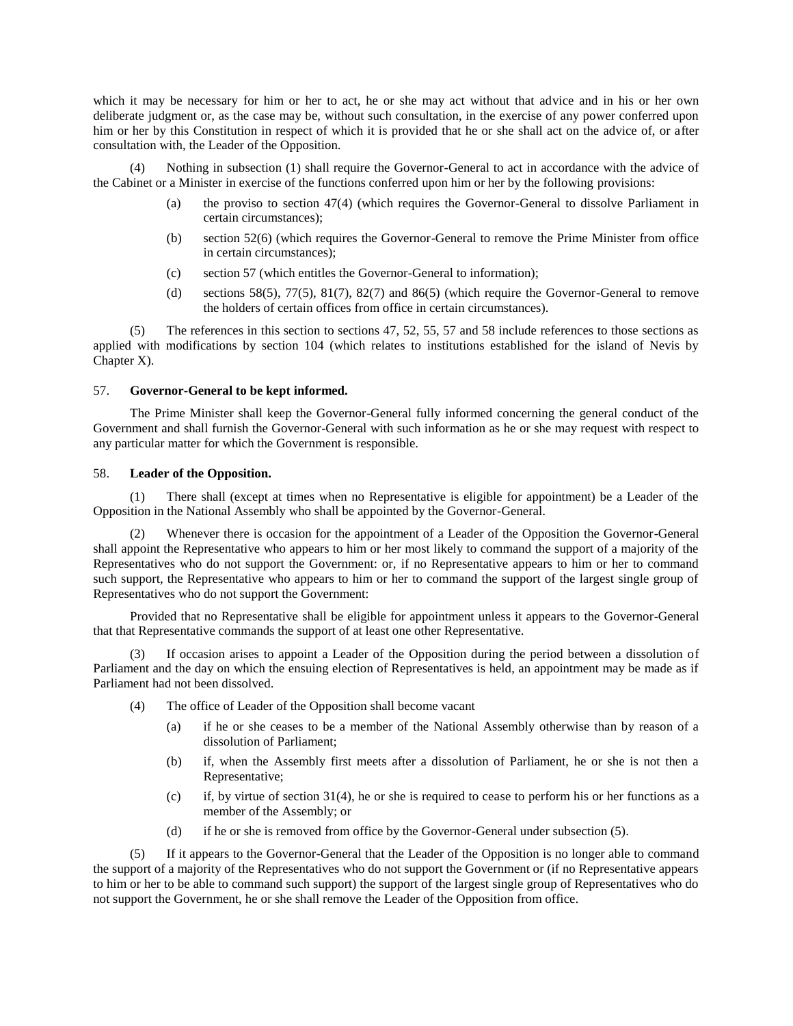which it may be necessary for him or her to act, he or she may act without that advice and in his or her own deliberate judgment or, as the case may be, without such consultation, in the exercise of any power conferred upon him or her by this Constitution in respect of which it is provided that he or she shall act on the advice of, or after consultation with, the Leader of the Opposition.

Nothing in subsection (1) shall require the Governor-General to act in accordance with the advice of the Cabinet or a Minister in exercise of the functions conferred upon him or her by the following provisions:

- (a) the proviso to section 47(4) (which requires the Governor-General to dissolve Parliament in certain circumstances);
- (b) section 52(6) (which requires the Governor-General to remove the Prime Minister from office in certain circumstances);
- (c) section 57 (which entitles the Governor-General to information);
- (d) sections 58(5), 77(5), 81(7), 82(7) and 86(5) (which require the Governor-General to remove the holders of certain offices from office in certain circumstances).

(5) The references in this section to sections 47, 52, 55, 57 and 58 include references to those sections as applied with modifications by section 104 (which relates to institutions established for the island of Nevis by Chapter X).

# 57. **Governor-General to be kept informed.**

The Prime Minister shall keep the Governor-General fully informed concerning the general conduct of the Government and shall furnish the Governor-General with such information as he or she may request with respect to any particular matter for which the Government is responsible.

# 58. **Leader of the Opposition.**

(1) There shall (except at times when no Representative is eligible for appointment) be a Leader of the Opposition in the National Assembly who shall be appointed by the Governor-General.

(2) Whenever there is occasion for the appointment of a Leader of the Opposition the Governor-General shall appoint the Representative who appears to him or her most likely to command the support of a majority of the Representatives who do not support the Government: or, if no Representative appears to him or her to command such support, the Representative who appears to him or her to command the support of the largest single group of Representatives who do not support the Government:

Provided that no Representative shall be eligible for appointment unless it appears to the Governor-General that that Representative commands the support of at least one other Representative.

If occasion arises to appoint a Leader of the Opposition during the period between a dissolution of Parliament and the day on which the ensuing election of Representatives is held, an appointment may be made as if Parliament had not been dissolved.

- (4) The office of Leader of the Opposition shall become vacant
	- (a) if he or she ceases to be a member of the National Assembly otherwise than by reason of a dissolution of Parliament;
	- (b) if, when the Assembly first meets after a dissolution of Parliament, he or she is not then a Representative;
	- (c) if, by virtue of section 31(4), he or she is required to cease to perform his or her functions as a member of the Assembly; or
	- (d) if he or she is removed from office by the Governor-General under subsection (5).

(5) If it appears to the Governor-General that the Leader of the Opposition is no longer able to command the support of a majority of the Representatives who do not support the Government or (if no Representative appears to him or her to be able to command such support) the support of the largest single group of Representatives who do not support the Government, he or she shall remove the Leader of the Opposition from office.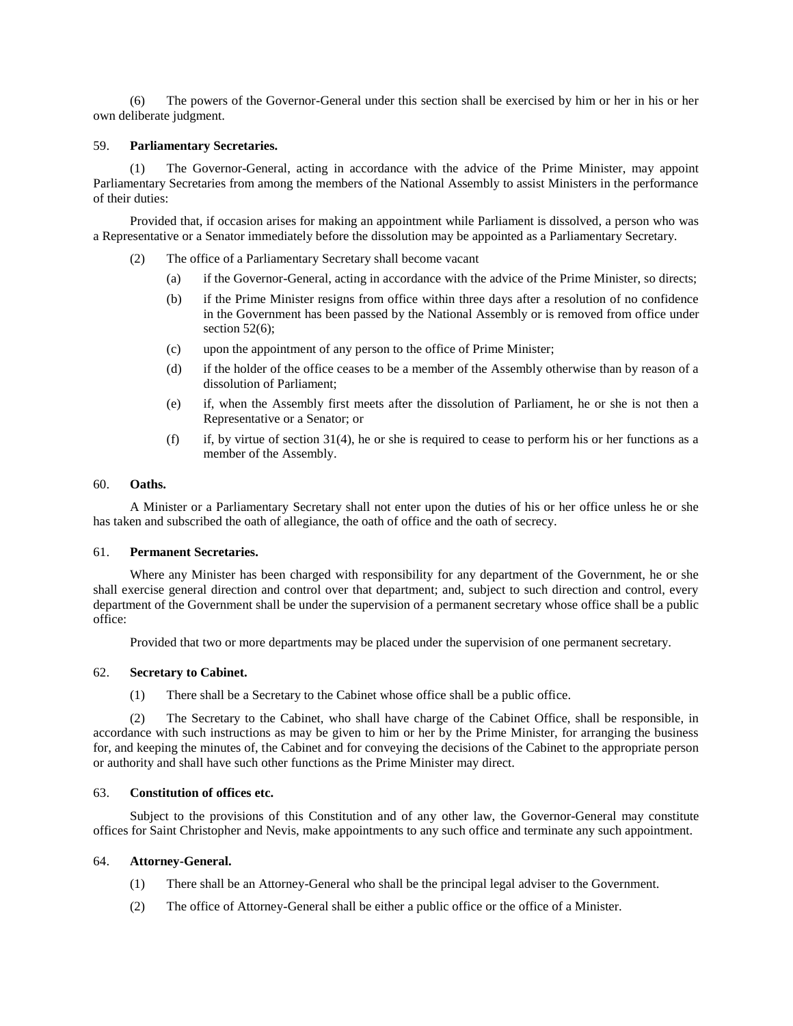(6) The powers of the Governor-General under this section shall be exercised by him or her in his or her own deliberate judgment.

### 59. **Parliamentary Secretaries.**

(1) The Governor-General, acting in accordance with the advice of the Prime Minister, may appoint Parliamentary Secretaries from among the members of the National Assembly to assist Ministers in the performance of their duties:

Provided that, if occasion arises for making an appointment while Parliament is dissolved, a person who was a Representative or a Senator immediately before the dissolution may be appointed as a Parliamentary Secretary.

- (2) The office of a Parliamentary Secretary shall become vacant
	- (a) if the Governor-General, acting in accordance with the advice of the Prime Minister, so directs;
	- (b) if the Prime Minister resigns from office within three days after a resolution of no confidence in the Government has been passed by the National Assembly or is removed from office under section  $52(6)$ ;
	- (c) upon the appointment of any person to the office of Prime Minister;
	- (d) if the holder of the office ceases to be a member of the Assembly otherwise than by reason of a dissolution of Parliament;
	- (e) if, when the Assembly first meets after the dissolution of Parliament, he or she is not then a Representative or a Senator; or
	- (f) if, by virtue of section  $31(4)$ , he or she is required to cease to perform his or her functions as a member of the Assembly.

# 60. **Oaths.**

A Minister or a Parliamentary Secretary shall not enter upon the duties of his or her office unless he or she has taken and subscribed the oath of allegiance, the oath of office and the oath of secrecy.

#### 61. **Permanent Secretaries.**

Where any Minister has been charged with responsibility for any department of the Government, he or she shall exercise general direction and control over that department; and, subject to such direction and control, every department of the Government shall be under the supervision of a permanent secretary whose office shall be a public office:

Provided that two or more departments may be placed under the supervision of one permanent secretary.

# 62. **Secretary to Cabinet.**

(1) There shall be a Secretary to the Cabinet whose office shall be a public office.

(2) The Secretary to the Cabinet, who shall have charge of the Cabinet Office, shall be responsible, in accordance with such instructions as may be given to him or her by the Prime Minister, for arranging the business for, and keeping the minutes of, the Cabinet and for conveying the decisions of the Cabinet to the appropriate person or authority and shall have such other functions as the Prime Minister may direct.

#### 63. **Constitution of offices etc.**

Subject to the provisions of this Constitution and of any other law, the Governor-General may constitute offices for Saint Christopher and Nevis, make appointments to any such office and terminate any such appointment.

#### 64. **Attorney-General.**

- (1) There shall be an Attorney-General who shall be the principal legal adviser to the Government.
- (2) The office of Attorney-General shall be either a public office or the office of a Minister.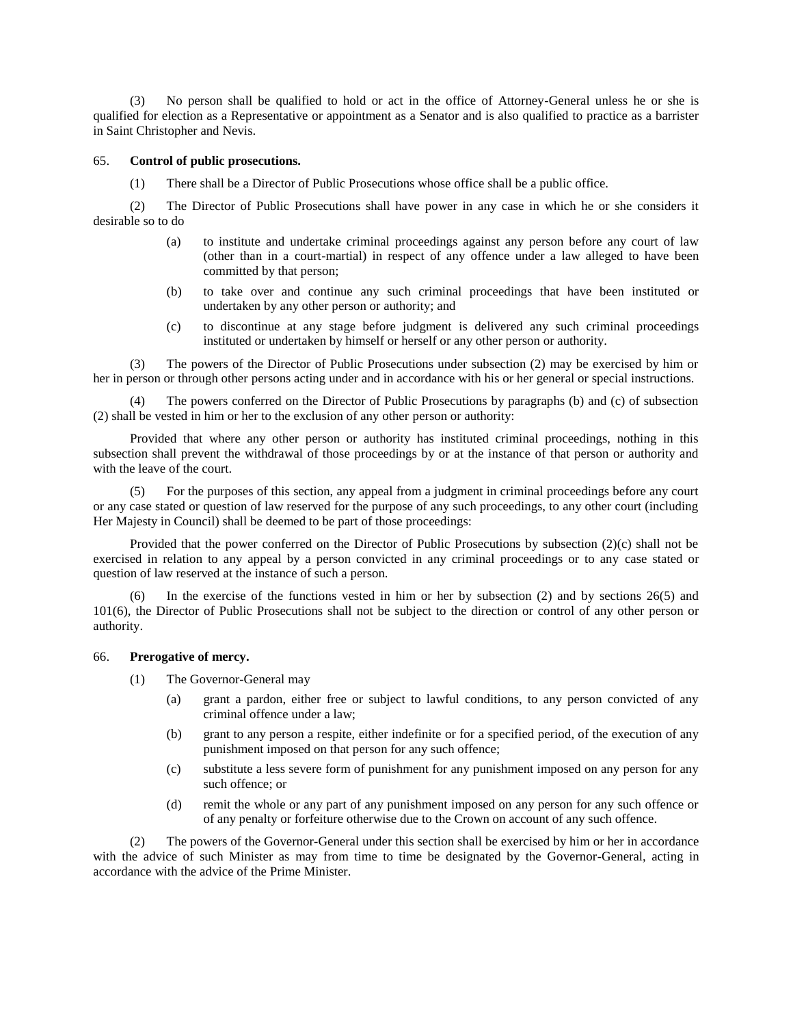(3) No person shall be qualified to hold or act in the office of Attorney-General unless he or she is qualified for election as a Representative or appointment as a Senator and is also qualified to practice as a barrister in Saint Christopher and Nevis.

### 65. **Control of public prosecutions.**

(1) There shall be a Director of Public Prosecutions whose office shall be a public office.

(2) The Director of Public Prosecutions shall have power in any case in which he or she considers it desirable so to do

- (a) to institute and undertake criminal proceedings against any person before any court of law (other than in a court-martial) in respect of any offence under a law alleged to have been committed by that person;
- (b) to take over and continue any such criminal proceedings that have been instituted or undertaken by any other person or authority; and
- (c) to discontinue at any stage before judgment is delivered any such criminal proceedings instituted or undertaken by himself or herself or any other person or authority.

(3) The powers of the Director of Public Prosecutions under subsection (2) may be exercised by him or her in person or through other persons acting under and in accordance with his or her general or special instructions.

(4) The powers conferred on the Director of Public Prosecutions by paragraphs (b) and (c) of subsection (2) shall be vested in him or her to the exclusion of any other person or authority:

Provided that where any other person or authority has instituted criminal proceedings, nothing in this subsection shall prevent the withdrawal of those proceedings by or at the instance of that person or authority and with the leave of the court.

For the purposes of this section, any appeal from a judgment in criminal proceedings before any court or any case stated or question of law reserved for the purpose of any such proceedings, to any other court (including Her Majesty in Council) shall be deemed to be part of those proceedings:

Provided that the power conferred on the Director of Public Prosecutions by subsection (2)(c) shall not be exercised in relation to any appeal by a person convicted in any criminal proceedings or to any case stated or question of law reserved at the instance of such a person.

In the exercise of the functions vested in him or her by subsection  $(2)$  and by sections 26(5) and 101(6), the Director of Public Prosecutions shall not be subject to the direction or control of any other person or authority.

#### 66. **Prerogative of mercy.**

- (1) The Governor-General may
	- (a) grant a pardon, either free or subject to lawful conditions, to any person convicted of any criminal offence under a law;
	- (b) grant to any person a respite, either indefinite or for a specified period, of the execution of any punishment imposed on that person for any such offence;
	- (c) substitute a less severe form of punishment for any punishment imposed on any person for any such offence; or
	- (d) remit the whole or any part of any punishment imposed on any person for any such offence or of any penalty or forfeiture otherwise due to the Crown on account of any such offence.

(2) The powers of the Governor-General under this section shall be exercised by him or her in accordance with the advice of such Minister as may from time to time be designated by the Governor-General, acting in accordance with the advice of the Prime Minister.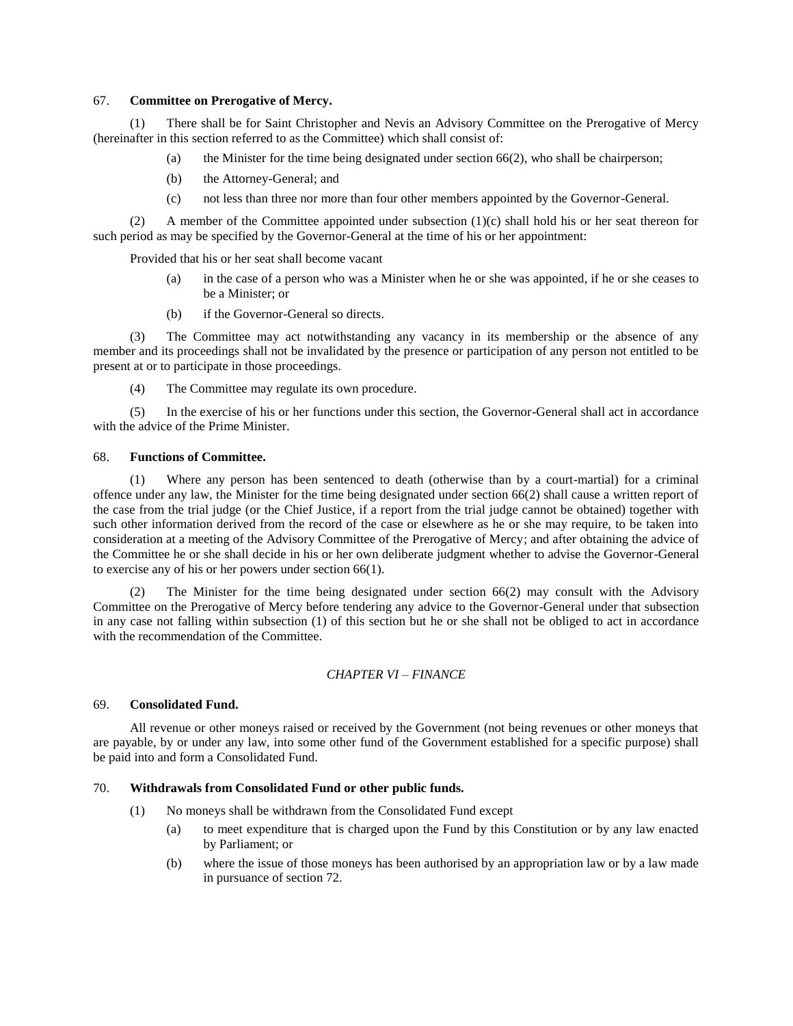### 67. **Committee on Prerogative of Mercy.**

(1) There shall be for Saint Christopher and Nevis an Advisory Committee on the Prerogative of Mercy (hereinafter in this section referred to as the Committee) which shall consist of:

- (a) the Minister for the time being designated under section  $66(2)$ , who shall be chairperson;
- (b) the Attorney-General; and
- (c) not less than three nor more than four other members appointed by the Governor-General.

(2) A member of the Committee appointed under subsection (1)(c) shall hold his or her seat thereon for such period as may be specified by the Governor-General at the time of his or her appointment:

Provided that his or her seat shall become vacant

- (a) in the case of a person who was a Minister when he or she was appointed, if he or she ceases to be a Minister; or
- (b) if the Governor-General so directs.

(3) The Committee may act notwithstanding any vacancy in its membership or the absence of any member and its proceedings shall not be invalidated by the presence or participation of any person not entitled to be present at or to participate in those proceedings.

(4) The Committee may regulate its own procedure.

(5) In the exercise of his or her functions under this section, the Governor-General shall act in accordance with the advice of the Prime Minister.

# 68. **Functions of Committee.**

(1) Where any person has been sentenced to death (otherwise than by a court-martial) for a criminal offence under any law, the Minister for the time being designated under section 66(2) shall cause a written report of the case from the trial judge (or the Chief Justice, if a report from the trial judge cannot be obtained) together with such other information derived from the record of the case or elsewhere as he or she may require, to be taken into consideration at a meeting of the Advisory Committee of the Prerogative of Mercy; and after obtaining the advice of the Committee he or she shall decide in his or her own deliberate judgment whether to advise the Governor-General to exercise any of his or her powers under section 66(1).

The Minister for the time being designated under section  $66(2)$  may consult with the Advisory Committee on the Prerogative of Mercy before tendering any advice to the Governor-General under that subsection in any case not falling within subsection (1) of this section but he or she shall not be obliged to act in accordance with the recommendation of the Committee.

# *CHAPTER VI – FINANCE*

# 69. **Consolidated Fund.**

All revenue or other moneys raised or received by the Government (not being revenues or other moneys that are payable, by or under any law, into some other fund of the Government established for a specific purpose) shall be paid into and form a Consolidated Fund.

# 70. **Withdrawals from Consolidated Fund or other public funds.**

- (1) No moneys shall be withdrawn from the Consolidated Fund except
	- (a) to meet expenditure that is charged upon the Fund by this Constitution or by any law enacted by Parliament; or
	- (b) where the issue of those moneys has been authorised by an appropriation law or by a law made in pursuance of section 72.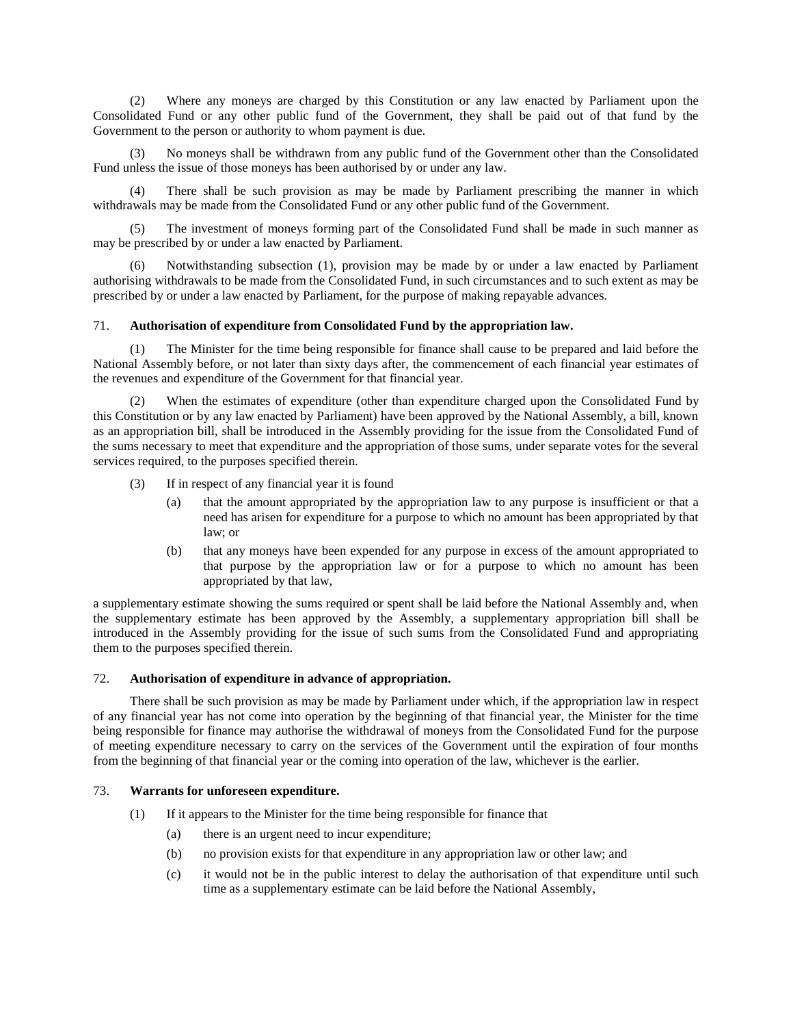(2) Where any moneys are charged by this Constitution or any law enacted by Parliament upon the Consolidated Fund or any other public fund of the Government, they shall be paid out of that fund by the Government to the person or authority to whom payment is due.

(3) No moneys shall be withdrawn from any public fund of the Government other than the Consolidated Fund unless the issue of those moneys has been authorised by or under any law.

There shall be such provision as may be made by Parliament prescribing the manner in which withdrawals may be made from the Consolidated Fund or any other public fund of the Government.

(5) The investment of moneys forming part of the Consolidated Fund shall be made in such manner as may be prescribed by or under a law enacted by Parliament.

Notwithstanding subsection (1), provision may be made by or under a law enacted by Parliament authorising withdrawals to be made from the Consolidated Fund, in such circumstances and to such extent as may be prescribed by or under a law enacted by Parliament, for the purpose of making repayable advances.

### 71. **Authorisation of expenditure from Consolidated Fund by the appropriation law.**

The Minister for the time being responsible for finance shall cause to be prepared and laid before the National Assembly before, or not later than sixty days after, the commencement of each financial year estimates of the revenues and expenditure of the Government for that financial year.

When the estimates of expenditure (other than expenditure charged upon the Consolidated Fund by this Constitution or by any law enacted by Parliament) have been approved by the National Assembly, a bill, known as an appropriation bill, shall be introduced in the Assembly providing for the issue from the Consolidated Fund of the sums necessary to meet that expenditure and the appropriation of those sums, under separate votes for the several services required, to the purposes specified therein.

- (3) If in respect of any financial year it is found
	- (a) that the amount appropriated by the appropriation law to any purpose is insufficient or that a need has arisen for expenditure for a purpose to which no amount has been appropriated by that law; or
	- (b) that any moneys have been expended for any purpose in excess of the amount appropriated to that purpose by the appropriation law or for a purpose to which no amount has been appropriated by that law,

a supplementary estimate showing the sums required or spent shall be laid before the National Assembly and, when the supplementary estimate has been approved by the Assembly, a supplementary appropriation bill shall be introduced in the Assembly providing for the issue of such sums from the Consolidated Fund and appropriating them to the purposes specified therein.

## 72. **Authorisation of expenditure in advance of appropriation.**

There shall be such provision as may be made by Parliament under which, if the appropriation law in respect of any financial year has not come into operation by the beginning of that financial year, the Minister for the time being responsible for finance may authorise the withdrawal of moneys from the Consolidated Fund for the purpose of meeting expenditure necessary to carry on the services of the Government until the expiration of four months from the beginning of that financial year or the coming into operation of the law, whichever is the earlier.

## 73. **Warrants for unforeseen expenditure.**

- (1) If it appears to the Minister for the time being responsible for finance that
	- (a) there is an urgent need to incur expenditure;
	- (b) no provision exists for that expenditure in any appropriation law or other law; and
	- (c) it would not be in the public interest to delay the authorisation of that expenditure until such time as a supplementary estimate can be laid before the National Assembly,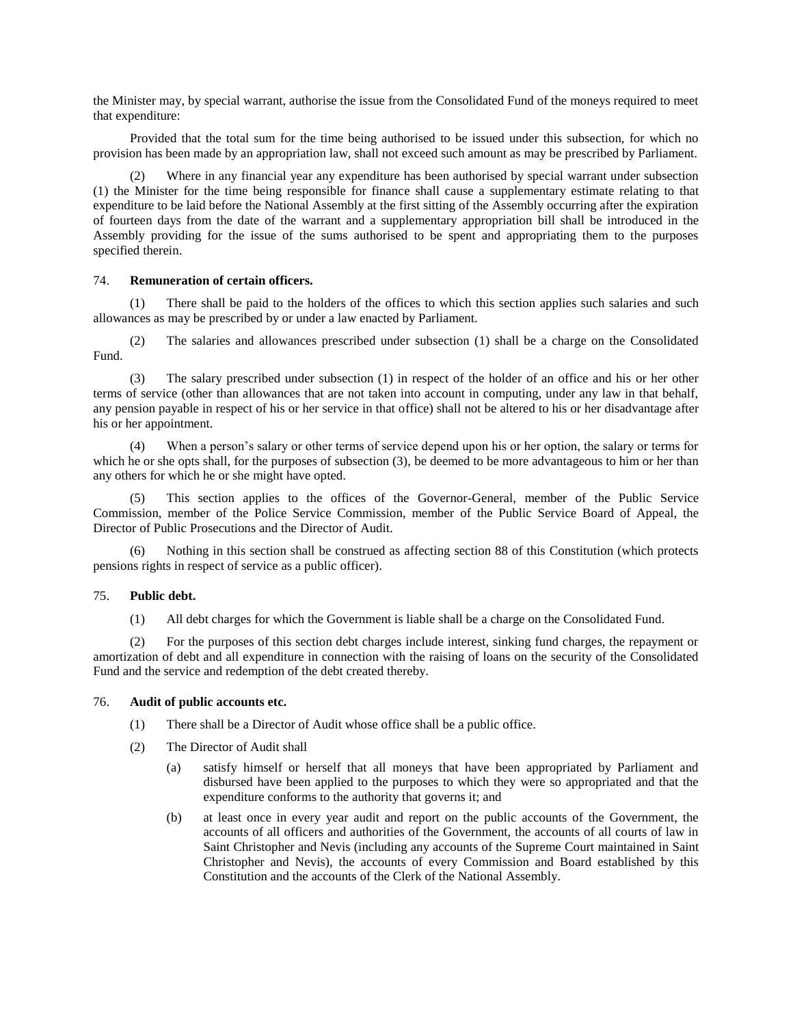the Minister may, by special warrant, authorise the issue from the Consolidated Fund of the moneys required to meet that expenditure:

Provided that the total sum for the time being authorised to be issued under this subsection, for which no provision has been made by an appropriation law, shall not exceed such amount as may be prescribed by Parliament.

(2) Where in any financial year any expenditure has been authorised by special warrant under subsection (1) the Minister for the time being responsible for finance shall cause a supplementary estimate relating to that expenditure to be laid before the National Assembly at the first sitting of the Assembly occurring after the expiration of fourteen days from the date of the warrant and a supplementary appropriation bill shall be introduced in the Assembly providing for the issue of the sums authorised to be spent and appropriating them to the purposes specified therein.

### 74. **Remuneration of certain officers.**

(1) There shall be paid to the holders of the offices to which this section applies such salaries and such allowances as may be prescribed by or under a law enacted by Parliament.

(2) The salaries and allowances prescribed under subsection (1) shall be a charge on the Consolidated Fund.

(3) The salary prescribed under subsection (1) in respect of the holder of an office and his or her other terms of service (other than allowances that are not taken into account in computing, under any law in that behalf, any pension payable in respect of his or her service in that office) shall not be altered to his or her disadvantage after his or her appointment.

(4) When a person's salary or other terms of service depend upon his or her option, the salary or terms for which he or she opts shall, for the purposes of subsection (3), be deemed to be more advantageous to him or her than any others for which he or she might have opted.

(5) This section applies to the offices of the Governor-General, member of the Public Service Commission, member of the Police Service Commission, member of the Public Service Board of Appeal, the Director of Public Prosecutions and the Director of Audit.

Nothing in this section shall be construed as affecting section 88 of this Constitution (which protects pensions rights in respect of service as a public officer).

### 75. **Public debt.**

(1) All debt charges for which the Government is liable shall be a charge on the Consolidated Fund.

(2) For the purposes of this section debt charges include interest, sinking fund charges, the repayment or amortization of debt and all expenditure in connection with the raising of loans on the security of the Consolidated Fund and the service and redemption of the debt created thereby.

### 76. **Audit of public accounts etc.**

- (1) There shall be a Director of Audit whose office shall be a public office.
- (2) The Director of Audit shall
	- (a) satisfy himself or herself that all moneys that have been appropriated by Parliament and disbursed have been applied to the purposes to which they were so appropriated and that the expenditure conforms to the authority that governs it; and
	- (b) at least once in every year audit and report on the public accounts of the Government, the accounts of all officers and authorities of the Government, the accounts of all courts of law in Saint Christopher and Nevis (including any accounts of the Supreme Court maintained in Saint Christopher and Nevis), the accounts of every Commission and Board established by this Constitution and the accounts of the Clerk of the National Assembly.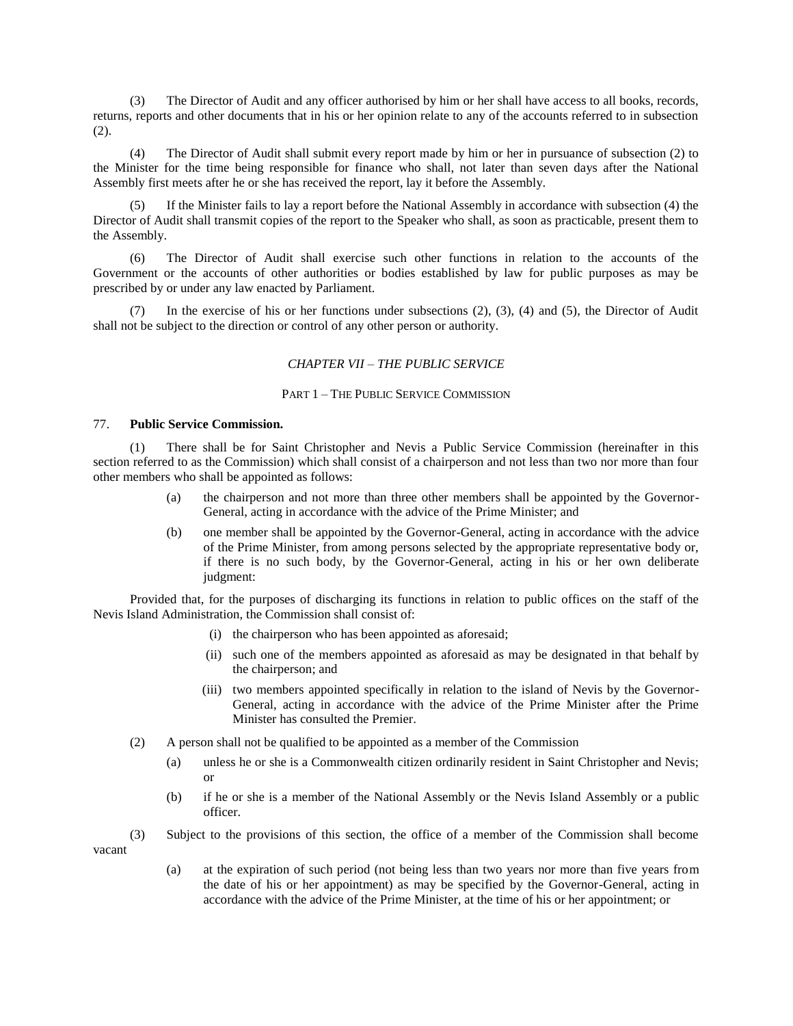(3) The Director of Audit and any officer authorised by him or her shall have access to all books, records, returns, reports and other documents that in his or her opinion relate to any of the accounts referred to in subsection (2).

(4) The Director of Audit shall submit every report made by him or her in pursuance of subsection (2) to the Minister for the time being responsible for finance who shall, not later than seven days after the National Assembly first meets after he or she has received the report, lay it before the Assembly.

If the Minister fails to lay a report before the National Assembly in accordance with subsection (4) the Director of Audit shall transmit copies of the report to the Speaker who shall, as soon as practicable, present them to the Assembly.

(6) The Director of Audit shall exercise such other functions in relation to the accounts of the Government or the accounts of other authorities or bodies established by law for public purposes as may be prescribed by or under any law enacted by Parliament.

(7) In the exercise of his or her functions under subsections (2), (3), (4) and (5), the Director of Audit shall not be subject to the direction or control of any other person or authority.

## *CHAPTER VII – THE PUBLIC SERVICE*

## PART 1 – THE PUBLIC SERVICE COMMISSION

### 77. **Public Service Commission.**

(1) There shall be for Saint Christopher and Nevis a Public Service Commission (hereinafter in this section referred to as the Commission) which shall consist of a chairperson and not less than two nor more than four other members who shall be appointed as follows:

- (a) the chairperson and not more than three other members shall be appointed by the Governor-General, acting in accordance with the advice of the Prime Minister; and
- (b) one member shall be appointed by the Governor-General, acting in accordance with the advice of the Prime Minister, from among persons selected by the appropriate representative body or, if there is no such body, by the Governor-General, acting in his or her own deliberate judgment:

Provided that, for the purposes of discharging its functions in relation to public offices on the staff of the Nevis Island Administration, the Commission shall consist of:

- (i) the chairperson who has been appointed as aforesaid;
- (ii) such one of the members appointed as aforesaid as may be designated in that behalf by the chairperson; and
- (iii) two members appointed specifically in relation to the island of Nevis by the Governor-General, acting in accordance with the advice of the Prime Minister after the Prime Minister has consulted the Premier.
- (2) A person shall not be qualified to be appointed as a member of the Commission
	- (a) unless he or she is a Commonwealth citizen ordinarily resident in Saint Christopher and Nevis; or
	- (b) if he or she is a member of the National Assembly or the Nevis Island Assembly or a public officer.
- (3) Subject to the provisions of this section, the office of a member of the Commission shall become vacant
	- (a) at the expiration of such period (not being less than two years nor more than five years from the date of his or her appointment) as may be specified by the Governor-General, acting in accordance with the advice of the Prime Minister, at the time of his or her appointment; or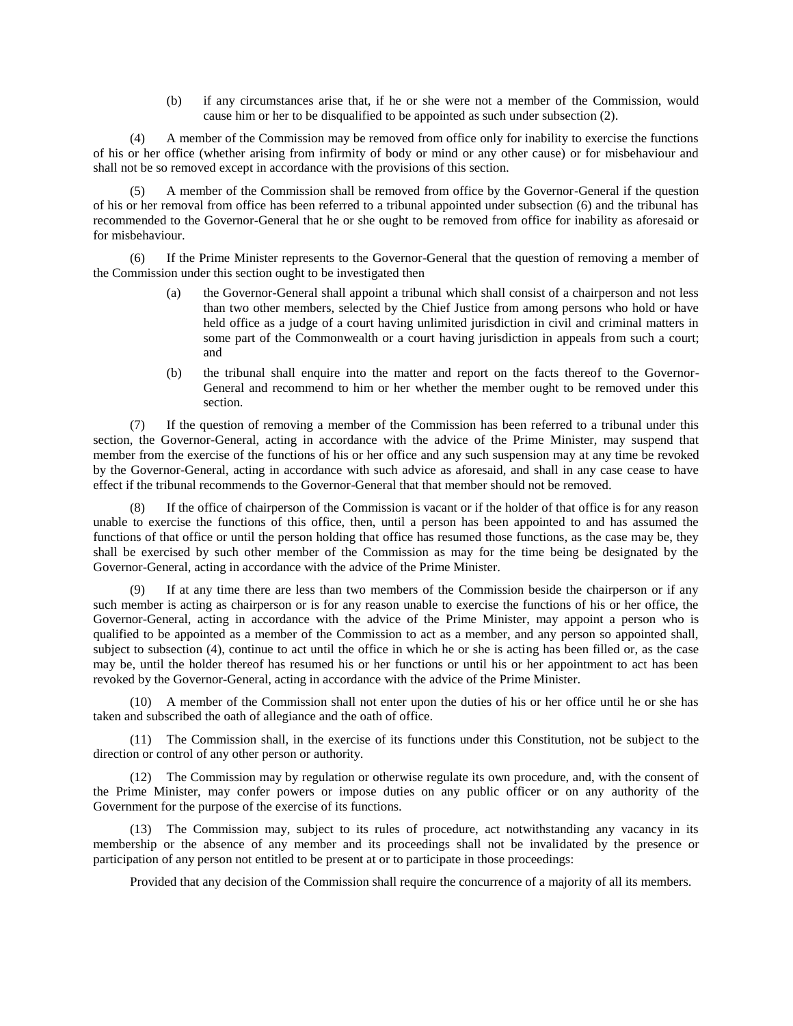(b) if any circumstances arise that, if he or she were not a member of the Commission, would cause him or her to be disqualified to be appointed as such under subsection (2).

(4) A member of the Commission may be removed from office only for inability to exercise the functions of his or her office (whether arising from infirmity of body or mind or any other cause) or for misbehaviour and shall not be so removed except in accordance with the provisions of this section.

(5) A member of the Commission shall be removed from office by the Governor-General if the question of his or her removal from office has been referred to a tribunal appointed under subsection (6) and the tribunal has recommended to the Governor-General that he or she ought to be removed from office for inability as aforesaid or for misbehaviour.

(6) If the Prime Minister represents to the Governor-General that the question of removing a member of the Commission under this section ought to be investigated then

- (a) the Governor-General shall appoint a tribunal which shall consist of a chairperson and not less than two other members, selected by the Chief Justice from among persons who hold or have held office as a judge of a court having unlimited jurisdiction in civil and criminal matters in some part of the Commonwealth or a court having jurisdiction in appeals from such a court; and
- (b) the tribunal shall enquire into the matter and report on the facts thereof to the Governor-General and recommend to him or her whether the member ought to be removed under this section.

(7) If the question of removing a member of the Commission has been referred to a tribunal under this section, the Governor-General, acting in accordance with the advice of the Prime Minister, may suspend that member from the exercise of the functions of his or her office and any such suspension may at any time be revoked by the Governor-General, acting in accordance with such advice as aforesaid, and shall in any case cease to have effect if the tribunal recommends to the Governor-General that that member should not be removed.

(8) If the office of chairperson of the Commission is vacant or if the holder of that office is for any reason unable to exercise the functions of this office, then, until a person has been appointed to and has assumed the functions of that office or until the person holding that office has resumed those functions, as the case may be, they shall be exercised by such other member of the Commission as may for the time being be designated by the Governor-General, acting in accordance with the advice of the Prime Minister.

(9) If at any time there are less than two members of the Commission beside the chairperson or if any such member is acting as chairperson or is for any reason unable to exercise the functions of his or her office, the Governor-General, acting in accordance with the advice of the Prime Minister, may appoint a person who is qualified to be appointed as a member of the Commission to act as a member, and any person so appointed shall, subject to subsection (4), continue to act until the office in which he or she is acting has been filled or, as the case may be, until the holder thereof has resumed his or her functions or until his or her appointment to act has been revoked by the Governor-General, acting in accordance with the advice of the Prime Minister.

(10) A member of the Commission shall not enter upon the duties of his or her office until he or she has taken and subscribed the oath of allegiance and the oath of office.

(11) The Commission shall, in the exercise of its functions under this Constitution, not be subject to the direction or control of any other person or authority.

(12) The Commission may by regulation or otherwise regulate its own procedure, and, with the consent of the Prime Minister, may confer powers or impose duties on any public officer or on any authority of the Government for the purpose of the exercise of its functions.

(13) The Commission may, subject to its rules of procedure, act notwithstanding any vacancy in its membership or the absence of any member and its proceedings shall not be invalidated by the presence or participation of any person not entitled to be present at or to participate in those proceedings:

Provided that any decision of the Commission shall require the concurrence of a majority of all its members.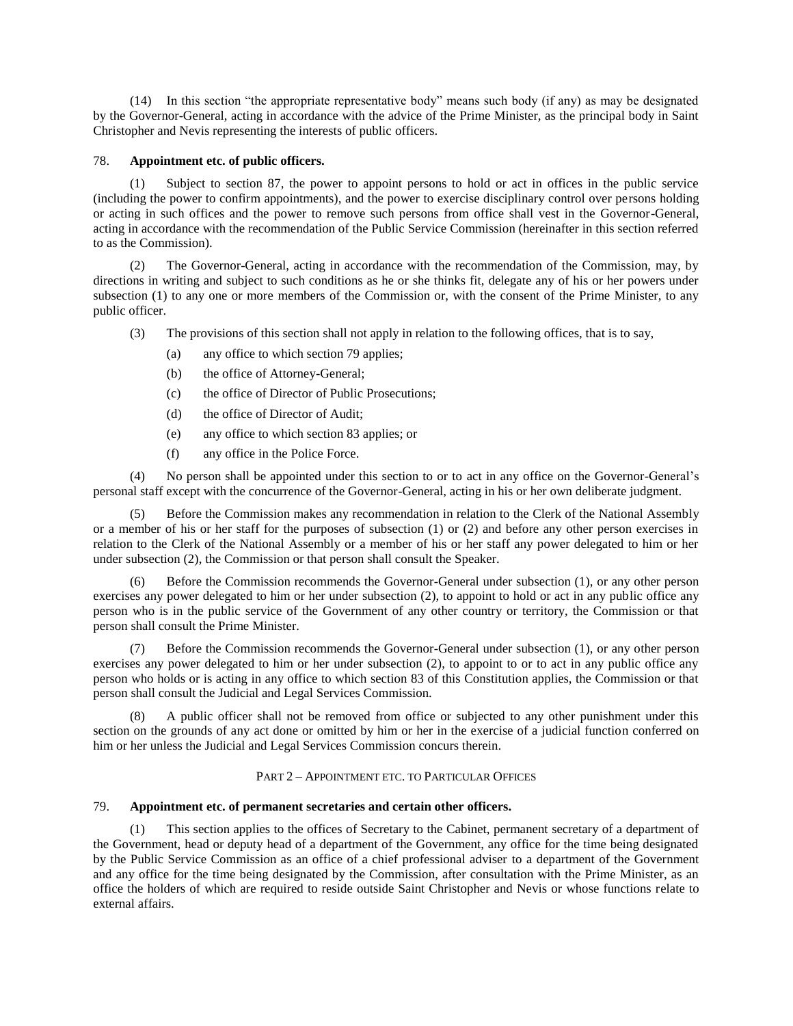(14) In this section "the appropriate representative body" means such body (if any) as may be designated by the Governor-General, acting in accordance with the advice of the Prime Minister, as the principal body in Saint Christopher and Nevis representing the interests of public officers.

## 78. **Appointment etc. of public officers.**

(1) Subject to section 87, the power to appoint persons to hold or act in offices in the public service (including the power to confirm appointments), and the power to exercise disciplinary control over persons holding or acting in such offices and the power to remove such persons from office shall vest in the Governor-General, acting in accordance with the recommendation of the Public Service Commission (hereinafter in this section referred to as the Commission).

(2) The Governor-General, acting in accordance with the recommendation of the Commission, may, by directions in writing and subject to such conditions as he or she thinks fit, delegate any of his or her powers under subsection (1) to any one or more members of the Commission or, with the consent of the Prime Minister, to any public officer.

- (3) The provisions of this section shall not apply in relation to the following offices, that is to say,
	- (a) any office to which section 79 applies;
	- (b) the office of Attorney-General;
	- (c) the office of Director of Public Prosecutions;
	- (d) the office of Director of Audit;
	- (e) any office to which section 83 applies; or
	- (f) any office in the Police Force.

(4) No person shall be appointed under this section to or to act in any office on the Governor-General's personal staff except with the concurrence of the Governor-General, acting in his or her own deliberate judgment.

(5) Before the Commission makes any recommendation in relation to the Clerk of the National Assembly or a member of his or her staff for the purposes of subsection (1) or (2) and before any other person exercises in relation to the Clerk of the National Assembly or a member of his or her staff any power delegated to him or her under subsection (2), the Commission or that person shall consult the Speaker.

(6) Before the Commission recommends the Governor-General under subsection (1), or any other person exercises any power delegated to him or her under subsection (2), to appoint to hold or act in any public office any person who is in the public service of the Government of any other country or territory, the Commission or that person shall consult the Prime Minister.

Before the Commission recommends the Governor-General under subsection (1), or any other person exercises any power delegated to him or her under subsection (2), to appoint to or to act in any public office any person who holds or is acting in any office to which section 83 of this Constitution applies, the Commission or that person shall consult the Judicial and Legal Services Commission.

(8) A public officer shall not be removed from office or subjected to any other punishment under this section on the grounds of any act done or omitted by him or her in the exercise of a judicial function conferred on him or her unless the Judicial and Legal Services Commission concurs therein.

## PART 2 – APPOINTMENT ETC. TO PARTICULAR OFFICES

## 79. **Appointment etc. of permanent secretaries and certain other officers.**

(1) This section applies to the offices of Secretary to the Cabinet, permanent secretary of a department of the Government, head or deputy head of a department of the Government, any office for the time being designated by the Public Service Commission as an office of a chief professional adviser to a department of the Government and any office for the time being designated by the Commission, after consultation with the Prime Minister, as an office the holders of which are required to reside outside Saint Christopher and Nevis or whose functions relate to external affairs.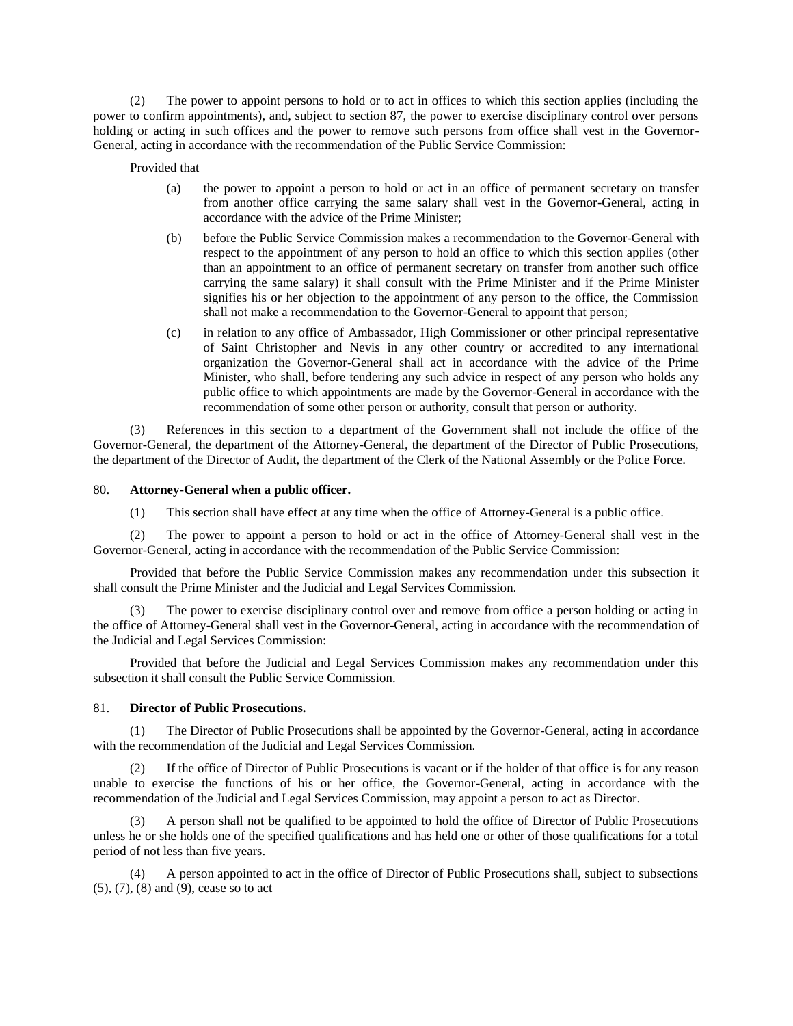(2) The power to appoint persons to hold or to act in offices to which this section applies (including the power to confirm appointments), and, subject to section 87, the power to exercise disciplinary control over persons holding or acting in such offices and the power to remove such persons from office shall vest in the Governor-General, acting in accordance with the recommendation of the Public Service Commission:

Provided that

- (a) the power to appoint a person to hold or act in an office of permanent secretary on transfer from another office carrying the same salary shall vest in the Governor-General, acting in accordance with the advice of the Prime Minister;
- (b) before the Public Service Commission makes a recommendation to the Governor-General with respect to the appointment of any person to hold an office to which this section applies (other than an appointment to an office of permanent secretary on transfer from another such office carrying the same salary) it shall consult with the Prime Minister and if the Prime Minister signifies his or her objection to the appointment of any person to the office, the Commission shall not make a recommendation to the Governor-General to appoint that person;
- (c) in relation to any office of Ambassador, High Commissioner or other principal representative of Saint Christopher and Nevis in any other country or accredited to any international organization the Governor-General shall act in accordance with the advice of the Prime Minister, who shall, before tendering any such advice in respect of any person who holds any public office to which appointments are made by the Governor-General in accordance with the recommendation of some other person or authority, consult that person or authority.

(3) References in this section to a department of the Government shall not include the office of the Governor-General, the department of the Attorney-General, the department of the Director of Public Prosecutions, the department of the Director of Audit, the department of the Clerk of the National Assembly or the Police Force.

## 80. **Attorney-General when a public officer.**

(1) This section shall have effect at any time when the office of Attorney-General is a public office.

(2) The power to appoint a person to hold or act in the office of Attorney-General shall vest in the Governor-General, acting in accordance with the recommendation of the Public Service Commission:

Provided that before the Public Service Commission makes any recommendation under this subsection it shall consult the Prime Minister and the Judicial and Legal Services Commission.

(3) The power to exercise disciplinary control over and remove from office a person holding or acting in the office of Attorney-General shall vest in the Governor-General, acting in accordance with the recommendation of the Judicial and Legal Services Commission:

Provided that before the Judicial and Legal Services Commission makes any recommendation under this subsection it shall consult the Public Service Commission.

#### 81. **Director of Public Prosecutions.**

(1) The Director of Public Prosecutions shall be appointed by the Governor-General, acting in accordance with the recommendation of the Judicial and Legal Services Commission.

(2) If the office of Director of Public Prosecutions is vacant or if the holder of that office is for any reason unable to exercise the functions of his or her office, the Governor-General, acting in accordance with the recommendation of the Judicial and Legal Services Commission, may appoint a person to act as Director.

(3) A person shall not be qualified to be appointed to hold the office of Director of Public Prosecutions unless he or she holds one of the specified qualifications and has held one or other of those qualifications for a total period of not less than five years.

(4) A person appointed to act in the office of Director of Public Prosecutions shall, subject to subsections (5), (7), (8) and (9), cease so to act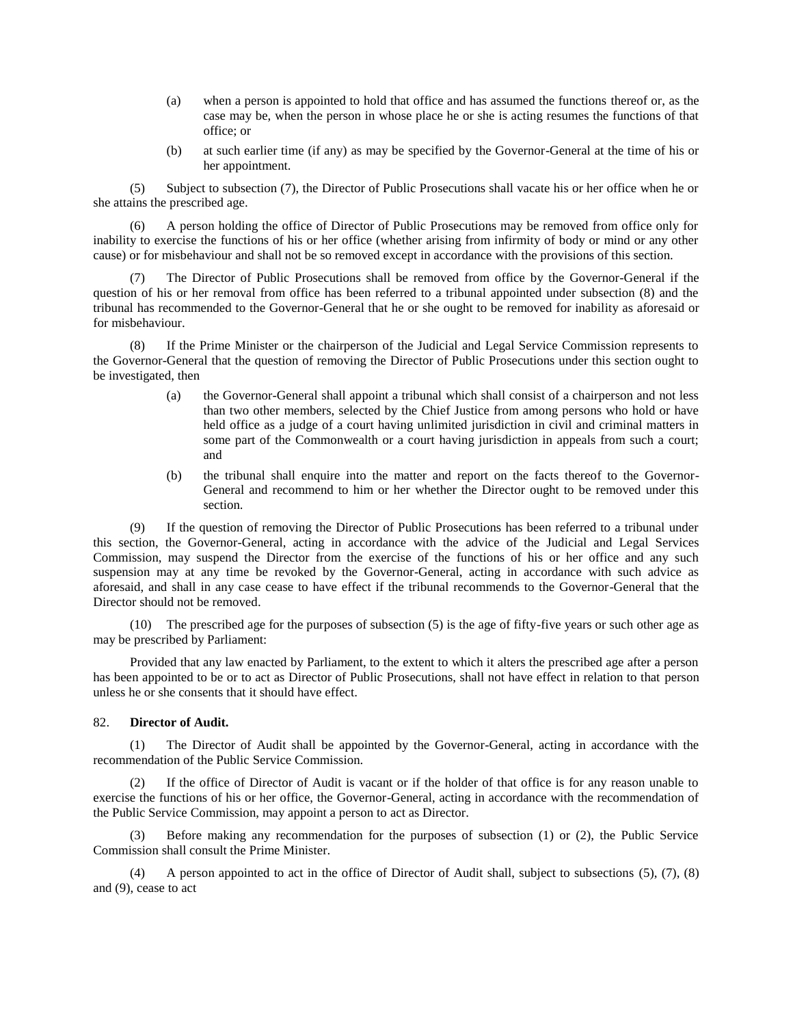- (a) when a person is appointed to hold that office and has assumed the functions thereof or, as the case may be, when the person in whose place he or she is acting resumes the functions of that office; or
- (b) at such earlier time (if any) as may be specified by the Governor-General at the time of his or her appointment.

(5) Subject to subsection (7), the Director of Public Prosecutions shall vacate his or her office when he or she attains the prescribed age.

(6) A person holding the office of Director of Public Prosecutions may be removed from office only for inability to exercise the functions of his or her office (whether arising from infirmity of body or mind or any other cause) or for misbehaviour and shall not be so removed except in accordance with the provisions of this section.

(7) The Director of Public Prosecutions shall be removed from office by the Governor-General if the question of his or her removal from office has been referred to a tribunal appointed under subsection (8) and the tribunal has recommended to the Governor-General that he or she ought to be removed for inability as aforesaid or for misbehaviour.

(8) If the Prime Minister or the chairperson of the Judicial and Legal Service Commission represents to the Governor-General that the question of removing the Director of Public Prosecutions under this section ought to be investigated, then

- (a) the Governor-General shall appoint a tribunal which shall consist of a chairperson and not less than two other members, selected by the Chief Justice from among persons who hold or have held office as a judge of a court having unlimited jurisdiction in civil and criminal matters in some part of the Commonwealth or a court having jurisdiction in appeals from such a court; and
- (b) the tribunal shall enquire into the matter and report on the facts thereof to the Governor-General and recommend to him or her whether the Director ought to be removed under this section.

(9) If the question of removing the Director of Public Prosecutions has been referred to a tribunal under this section, the Governor-General, acting in accordance with the advice of the Judicial and Legal Services Commission, may suspend the Director from the exercise of the functions of his or her office and any such suspension may at any time be revoked by the Governor-General, acting in accordance with such advice as aforesaid, and shall in any case cease to have effect if the tribunal recommends to the Governor-General that the Director should not be removed.

(10) The prescribed age for the purposes of subsection (5) is the age of fifty-five years or such other age as may be prescribed by Parliament:

Provided that any law enacted by Parliament, to the extent to which it alters the prescribed age after a person has been appointed to be or to act as Director of Public Prosecutions, shall not have effect in relation to that person unless he or she consents that it should have effect.

## 82. **Director of Audit.**

(1) The Director of Audit shall be appointed by the Governor-General, acting in accordance with the recommendation of the Public Service Commission.

If the office of Director of Audit is vacant or if the holder of that office is for any reason unable to exercise the functions of his or her office, the Governor-General, acting in accordance with the recommendation of the Public Service Commission, may appoint a person to act as Director.

(3) Before making any recommendation for the purposes of subsection (1) or (2), the Public Service Commission shall consult the Prime Minister.

(4) A person appointed to act in the office of Director of Audit shall, subject to subsections (5), (7), (8) and (9), cease to act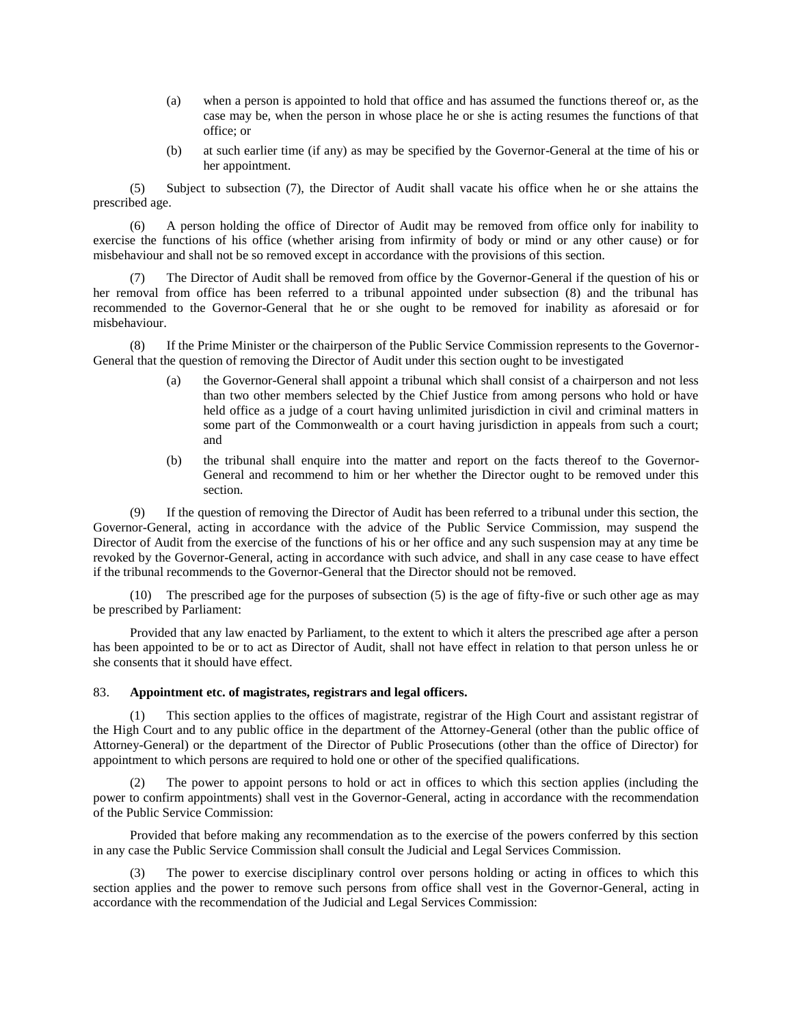- (a) when a person is appointed to hold that office and has assumed the functions thereof or, as the case may be, when the person in whose place he or she is acting resumes the functions of that office; or
- (b) at such earlier time (if any) as may be specified by the Governor-General at the time of his or her appointment.

(5) Subject to subsection (7), the Director of Audit shall vacate his office when he or she attains the prescribed age.

(6) A person holding the office of Director of Audit may be removed from office only for inability to exercise the functions of his office (whether arising from infirmity of body or mind or any other cause) or for misbehaviour and shall not be so removed except in accordance with the provisions of this section.

(7) The Director of Audit shall be removed from office by the Governor-General if the question of his or her removal from office has been referred to a tribunal appointed under subsection (8) and the tribunal has recommended to the Governor-General that he or she ought to be removed for inability as aforesaid or for misbehaviour.

(8) If the Prime Minister or the chairperson of the Public Service Commission represents to the Governor-General that the question of removing the Director of Audit under this section ought to be investigated

- (a) the Governor-General shall appoint a tribunal which shall consist of a chairperson and not less than two other members selected by the Chief Justice from among persons who hold or have held office as a judge of a court having unlimited jurisdiction in civil and criminal matters in some part of the Commonwealth or a court having jurisdiction in appeals from such a court; and
- (b) the tribunal shall enquire into the matter and report on the facts thereof to the Governor-General and recommend to him or her whether the Director ought to be removed under this section.

(9) If the question of removing the Director of Audit has been referred to a tribunal under this section, the Governor-General, acting in accordance with the advice of the Public Service Commission, may suspend the Director of Audit from the exercise of the functions of his or her office and any such suspension may at any time be revoked by the Governor-General, acting in accordance with such advice, and shall in any case cease to have effect if the tribunal recommends to the Governor-General that the Director should not be removed.

(10) The prescribed age for the purposes of subsection (5) is the age of fifty-five or such other age as may be prescribed by Parliament:

Provided that any law enacted by Parliament, to the extent to which it alters the prescribed age after a person has been appointed to be or to act as Director of Audit, shall not have effect in relation to that person unless he or she consents that it should have effect.

## 83. **Appointment etc. of magistrates, registrars and legal officers.**

(1) This section applies to the offices of magistrate, registrar of the High Court and assistant registrar of the High Court and to any public office in the department of the Attorney-General (other than the public office of Attorney-General) or the department of the Director of Public Prosecutions (other than the office of Director) for appointment to which persons are required to hold one or other of the specified qualifications.

The power to appoint persons to hold or act in offices to which this section applies (including the power to confirm appointments) shall vest in the Governor-General, acting in accordance with the recommendation of the Public Service Commission:

Provided that before making any recommendation as to the exercise of the powers conferred by this section in any case the Public Service Commission shall consult the Judicial and Legal Services Commission.

The power to exercise disciplinary control over persons holding or acting in offices to which this section applies and the power to remove such persons from office shall vest in the Governor-General, acting in accordance with the recommendation of the Judicial and Legal Services Commission: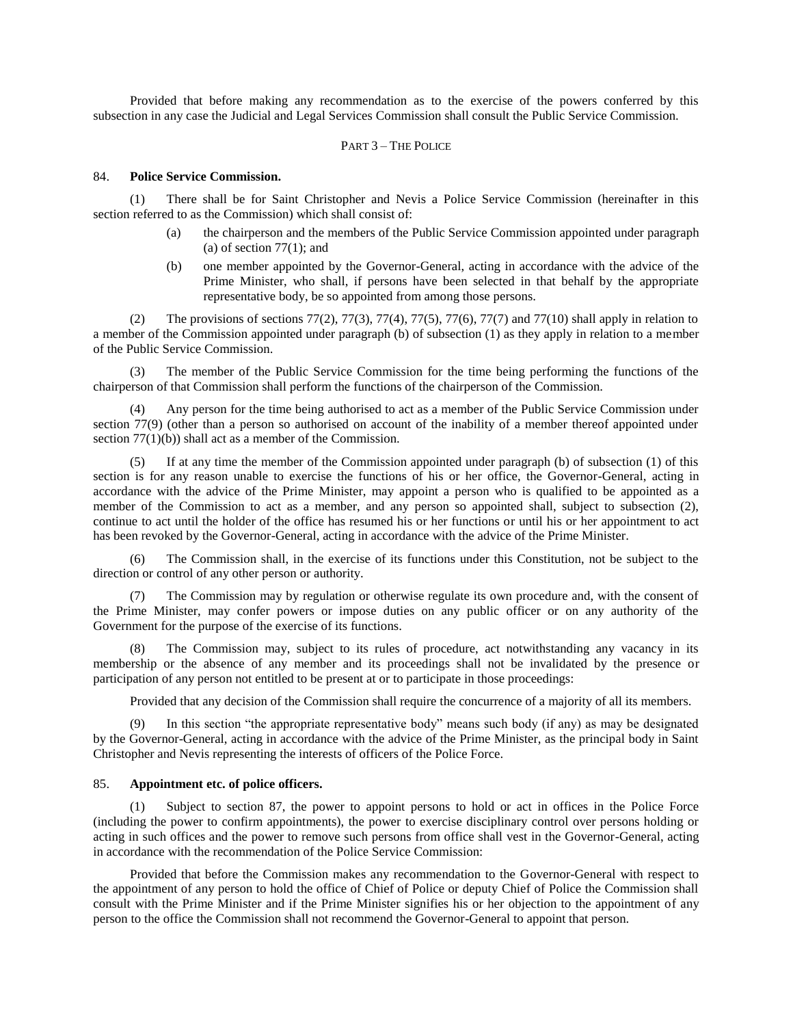Provided that before making any recommendation as to the exercise of the powers conferred by this subsection in any case the Judicial and Legal Services Commission shall consult the Public Service Commission.

### PART 3 – THE POLICE

#### 84. **Police Service Commission.**

(1) There shall be for Saint Christopher and Nevis a Police Service Commission (hereinafter in this section referred to as the Commission) which shall consist of:

- (a) the chairperson and the members of the Public Service Commission appointed under paragraph (a) of section  $77(1)$ ; and
- (b) one member appointed by the Governor-General, acting in accordance with the advice of the Prime Minister, who shall, if persons have been selected in that behalf by the appropriate representative body, be so appointed from among those persons.

(2) The provisions of sections 77(2), 77(3), 77(4), 77(5), 77(6), 77(7) and 77(10) shall apply in relation to a member of the Commission appointed under paragraph (b) of subsection (1) as they apply in relation to a member of the Public Service Commission.

(3) The member of the Public Service Commission for the time being performing the functions of the chairperson of that Commission shall perform the functions of the chairperson of the Commission.

Any person for the time being authorised to act as a member of the Public Service Commission under section 77(9) (other than a person so authorised on account of the inability of a member thereof appointed under section  $77(1)(b)$ ) shall act as a member of the Commission.

(5) If at any time the member of the Commission appointed under paragraph (b) of subsection (1) of this section is for any reason unable to exercise the functions of his or her office, the Governor-General, acting in accordance with the advice of the Prime Minister, may appoint a person who is qualified to be appointed as a member of the Commission to act as a member, and any person so appointed shall, subject to subsection (2), continue to act until the holder of the office has resumed his or her functions or until his or her appointment to act has been revoked by the Governor-General, acting in accordance with the advice of the Prime Minister.

(6) The Commission shall, in the exercise of its functions under this Constitution, not be subject to the direction or control of any other person or authority.

(7) The Commission may by regulation or otherwise regulate its own procedure and, with the consent of the Prime Minister, may confer powers or impose duties on any public officer or on any authority of the Government for the purpose of the exercise of its functions.

The Commission may, subject to its rules of procedure, act notwithstanding any vacancy in its membership or the absence of any member and its proceedings shall not be invalidated by the presence or participation of any person not entitled to be present at or to participate in those proceedings:

Provided that any decision of the Commission shall require the concurrence of a majority of all its members.

(9) In this section "the appropriate representative body" means such body (if any) as may be designated by the Governor-General, acting in accordance with the advice of the Prime Minister, as the principal body in Saint Christopher and Nevis representing the interests of officers of the Police Force.

## 85. **Appointment etc. of police officers.**

Subject to section 87, the power to appoint persons to hold or act in offices in the Police Force (including the power to confirm appointments), the power to exercise disciplinary control over persons holding or acting in such offices and the power to remove such persons from office shall vest in the Governor-General, acting in accordance with the recommendation of the Police Service Commission:

Provided that before the Commission makes any recommendation to the Governor-General with respect to the appointment of any person to hold the office of Chief of Police or deputy Chief of Police the Commission shall consult with the Prime Minister and if the Prime Minister signifies his or her objection to the appointment of any person to the office the Commission shall not recommend the Governor-General to appoint that person.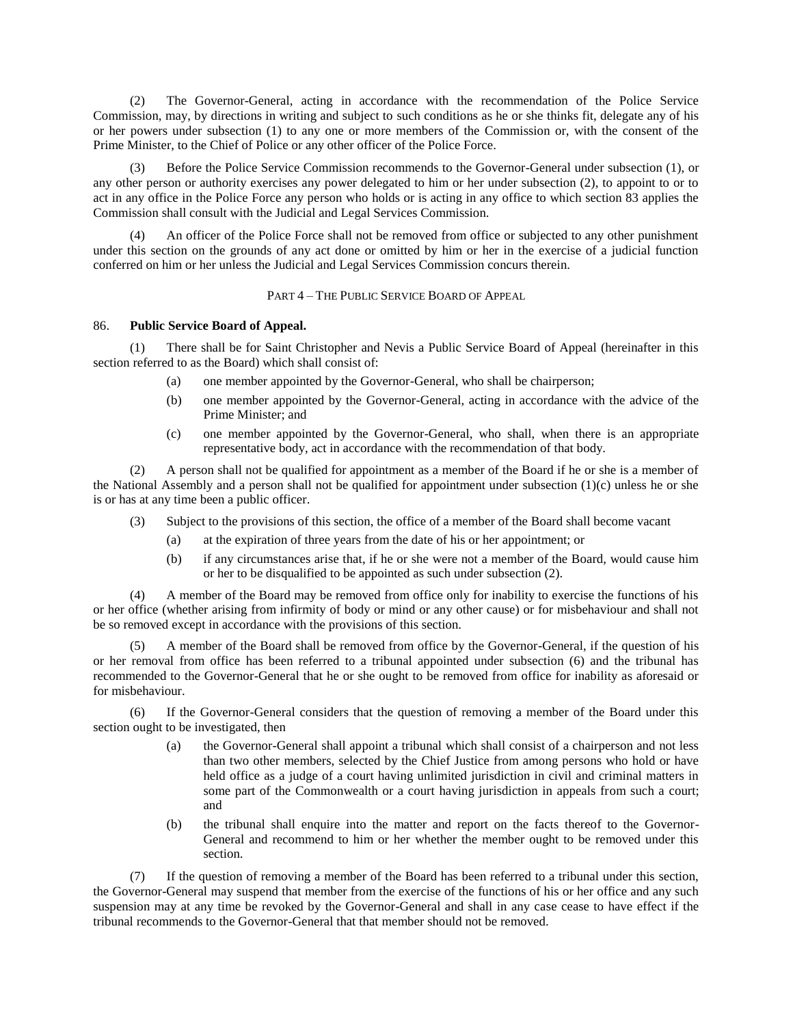(2) The Governor-General, acting in accordance with the recommendation of the Police Service Commission, may, by directions in writing and subject to such conditions as he or she thinks fit, delegate any of his or her powers under subsection (1) to any one or more members of the Commission or, with the consent of the Prime Minister, to the Chief of Police or any other officer of the Police Force.

Before the Police Service Commission recommends to the Governor-General under subsection (1), or any other person or authority exercises any power delegated to him or her under subsection (2), to appoint to or to act in any office in the Police Force any person who holds or is acting in any office to which section 83 applies the Commission shall consult with the Judicial and Legal Services Commission.

An officer of the Police Force shall not be removed from office or subjected to any other punishment under this section on the grounds of any act done or omitted by him or her in the exercise of a judicial function conferred on him or her unless the Judicial and Legal Services Commission concurs therein.

PART 4 – THE PUBLIC SERVICE BOARD OF APPEAL

## 86. **Public Service Board of Appeal.**

(1) There shall be for Saint Christopher and Nevis a Public Service Board of Appeal (hereinafter in this section referred to as the Board) which shall consist of:

- (a) one member appointed by the Governor-General, who shall be chairperson;
- (b) one member appointed by the Governor-General, acting in accordance with the advice of the Prime Minister; and
- (c) one member appointed by the Governor-General, who shall, when there is an appropriate representative body, act in accordance with the recommendation of that body.

(2) A person shall not be qualified for appointment as a member of the Board if he or she is a member of the National Assembly and a person shall not be qualified for appointment under subsection (1)(c) unless he or she is or has at any time been a public officer.

- (3) Subject to the provisions of this section, the office of a member of the Board shall become vacant
	- (a) at the expiration of three years from the date of his or her appointment; or
	- (b) if any circumstances arise that, if he or she were not a member of the Board, would cause him or her to be disqualified to be appointed as such under subsection (2).

(4) A member of the Board may be removed from office only for inability to exercise the functions of his or her office (whether arising from infirmity of body or mind or any other cause) or for misbehaviour and shall not be so removed except in accordance with the provisions of this section.

(5) A member of the Board shall be removed from office by the Governor-General, if the question of his or her removal from office has been referred to a tribunal appointed under subsection (6) and the tribunal has recommended to the Governor-General that he or she ought to be removed from office for inability as aforesaid or for misbehaviour.

(6) If the Governor-General considers that the question of removing a member of the Board under this section ought to be investigated, then

- (a) the Governor-General shall appoint a tribunal which shall consist of a chairperson and not less than two other members, selected by the Chief Justice from among persons who hold or have held office as a judge of a court having unlimited jurisdiction in civil and criminal matters in some part of the Commonwealth or a court having jurisdiction in appeals from such a court; and
- (b) the tribunal shall enquire into the matter and report on the facts thereof to the Governor-General and recommend to him or her whether the member ought to be removed under this section.

(7) If the question of removing a member of the Board has been referred to a tribunal under this section, the Governor-General may suspend that member from the exercise of the functions of his or her office and any such suspension may at any time be revoked by the Governor-General and shall in any case cease to have effect if the tribunal recommends to the Governor-General that that member should not be removed.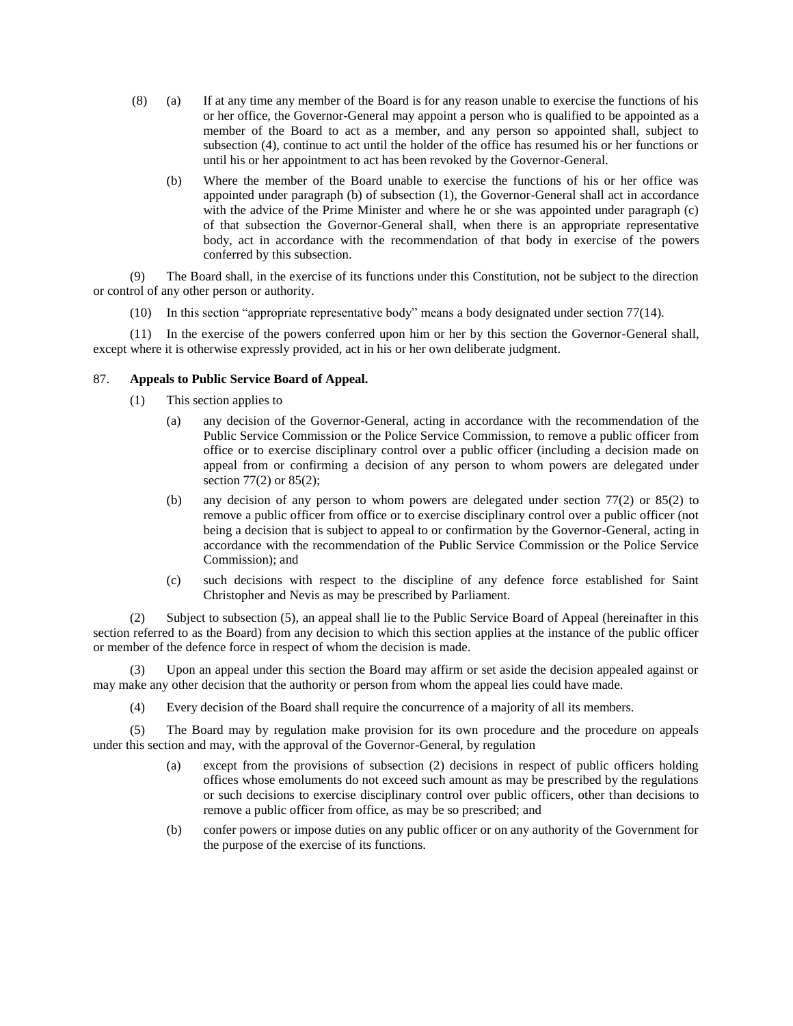- (8) (a) If at any time any member of the Board is for any reason unable to exercise the functions of his or her office, the Governor-General may appoint a person who is qualified to be appointed as a member of the Board to act as a member, and any person so appointed shall, subject to subsection (4), continue to act until the holder of the office has resumed his or her functions or until his or her appointment to act has been revoked by the Governor-General.
	- (b) Where the member of the Board unable to exercise the functions of his or her office was appointed under paragraph (b) of subsection (1), the Governor-General shall act in accordance with the advice of the Prime Minister and where he or she was appointed under paragraph (c) of that subsection the Governor-General shall, when there is an appropriate representative body, act in accordance with the recommendation of that body in exercise of the powers conferred by this subsection.

(9) The Board shall, in the exercise of its functions under this Constitution, not be subject to the direction or control of any other person or authority.

(10) In this section "appropriate representative body" means a body designated under section 77(14).

(11) In the exercise of the powers conferred upon him or her by this section the Governor-General shall, except where it is otherwise expressly provided, act in his or her own deliberate judgment.

## 87. **Appeals to Public Service Board of Appeal.**

- (1) This section applies to
	- (a) any decision of the Governor-General, acting in accordance with the recommendation of the Public Service Commission or the Police Service Commission, to remove a public officer from office or to exercise disciplinary control over a public officer (including a decision made on appeal from or confirming a decision of any person to whom powers are delegated under section 77(2) or 85(2);
	- (b) any decision of any person to whom powers are delegated under section 77(2) or 85(2) to remove a public officer from office or to exercise disciplinary control over a public officer (not being a decision that is subject to appeal to or confirmation by the Governor-General, acting in accordance with the recommendation of the Public Service Commission or the Police Service Commission); and
	- (c) such decisions with respect to the discipline of any defence force established for Saint Christopher and Nevis as may be prescribed by Parliament.

(2) Subject to subsection (5), an appeal shall lie to the Public Service Board of Appeal (hereinafter in this section referred to as the Board) from any decision to which this section applies at the instance of the public officer or member of the defence force in respect of whom the decision is made.

Upon an appeal under this section the Board may affirm or set aside the decision appealed against or may make any other decision that the authority or person from whom the appeal lies could have made.

(4) Every decision of the Board shall require the concurrence of a majority of all its members.

(5) The Board may by regulation make provision for its own procedure and the procedure on appeals under this section and may, with the approval of the Governor-General, by regulation

- (a) except from the provisions of subsection (2) decisions in respect of public officers holding offices whose emoluments do not exceed such amount as may be prescribed by the regulations or such decisions to exercise disciplinary control over public officers, other than decisions to remove a public officer from office, as may be so prescribed; and
- (b) confer powers or impose duties on any public officer or on any authority of the Government for the purpose of the exercise of its functions.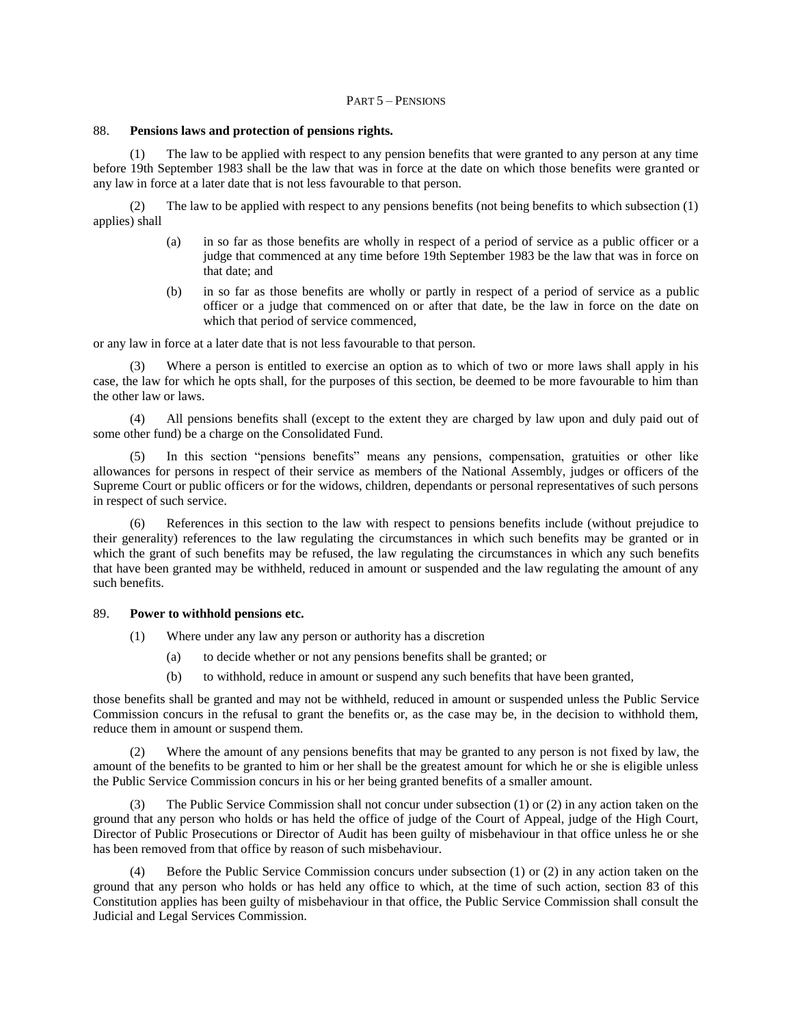## PART 5 – PENSIONS

### 88. **Pensions laws and protection of pensions rights.**

(1) The law to be applied with respect to any pension benefits that were granted to any person at any time before 19th September 1983 shall be the law that was in force at the date on which those benefits were granted or any law in force at a later date that is not less favourable to that person.

(2) The law to be applied with respect to any pensions benefits (not being benefits to which subsection (1) applies) shall

- (a) in so far as those benefits are wholly in respect of a period of service as a public officer or a judge that commenced at any time before 19th September 1983 be the law that was in force on that date; and
- (b) in so far as those benefits are wholly or partly in respect of a period of service as a public officer or a judge that commenced on or after that date, be the law in force on the date on which that period of service commenced,

or any law in force at a later date that is not less favourable to that person.

Where a person is entitled to exercise an option as to which of two or more laws shall apply in his case, the law for which he opts shall, for the purposes of this section, be deemed to be more favourable to him than the other law or laws.

(4) All pensions benefits shall (except to the extent they are charged by law upon and duly paid out of some other fund) be a charge on the Consolidated Fund.

In this section "pensions benefits" means any pensions, compensation, gratuities or other like allowances for persons in respect of their service as members of the National Assembly, judges or officers of the Supreme Court or public officers or for the widows, children, dependants or personal representatives of such persons in respect of such service.

(6) References in this section to the law with respect to pensions benefits include (without prejudice to their generality) references to the law regulating the circumstances in which such benefits may be granted or in which the grant of such benefits may be refused, the law regulating the circumstances in which any such benefits that have been granted may be withheld, reduced in amount or suspended and the law regulating the amount of any such benefits.

## 89. **Power to withhold pensions etc.**

- (1) Where under any law any person or authority has a discretion
	- (a) to decide whether or not any pensions benefits shall be granted; or
	- (b) to withhold, reduce in amount or suspend any such benefits that have been granted,

those benefits shall be granted and may not be withheld, reduced in amount or suspended unless the Public Service Commission concurs in the refusal to grant the benefits or, as the case may be, in the decision to withhold them, reduce them in amount or suspend them.

Where the amount of any pensions benefits that may be granted to any person is not fixed by law, the amount of the benefits to be granted to him or her shall be the greatest amount for which he or she is eligible unless the Public Service Commission concurs in his or her being granted benefits of a smaller amount.

The Public Service Commission shall not concur under subsection  $(1)$  or  $(2)$  in any action taken on the ground that any person who holds or has held the office of judge of the Court of Appeal, judge of the High Court, Director of Public Prosecutions or Director of Audit has been guilty of misbehaviour in that office unless he or she has been removed from that office by reason of such misbehaviour.

Before the Public Service Commission concurs under subsection  $(1)$  or  $(2)$  in any action taken on the ground that any person who holds or has held any office to which, at the time of such action, section 83 of this Constitution applies has been guilty of misbehaviour in that office, the Public Service Commission shall consult the Judicial and Legal Services Commission.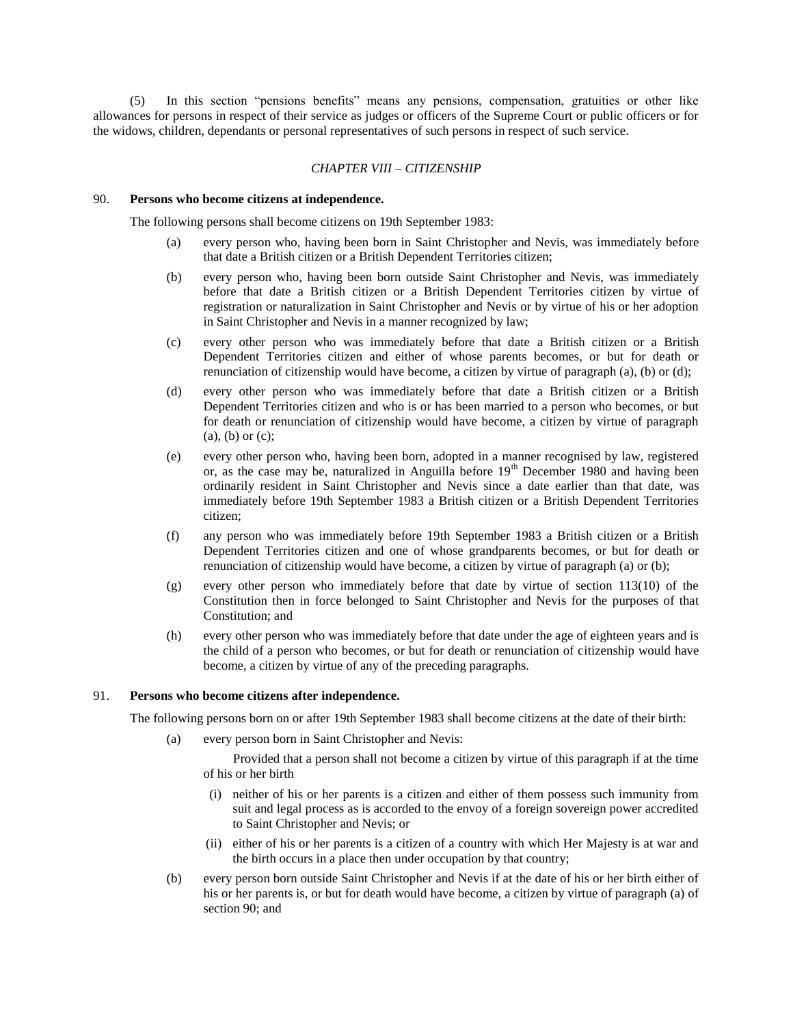(5) In this section "pensions benefits" means any pensions, compensation, gratuities or other like allowances for persons in respect of their service as judges or officers of the Supreme Court or public officers or for the widows, children, dependants or personal representatives of such persons in respect of such service.

## *CHAPTER VIII – CITIZENSHIP*

## 90. **Persons who become citizens at independence.**

The following persons shall become citizens on 19th September 1983:

- (a) every person who, having been born in Saint Christopher and Nevis, was immediately before that date a British citizen or a British Dependent Territories citizen;
- (b) every person who, having been born outside Saint Christopher and Nevis, was immediately before that date a British citizen or a British Dependent Territories citizen by virtue of registration or naturalization in Saint Christopher and Nevis or by virtue of his or her adoption in Saint Christopher and Nevis in a manner recognized by law;
- (c) every other person who was immediately before that date a British citizen or a British Dependent Territories citizen and either of whose parents becomes, or but for death or renunciation of citizenship would have become, a citizen by virtue of paragraph (a), (b) or (d);
- (d) every other person who was immediately before that date a British citizen or a British Dependent Territories citizen and who is or has been married to a person who becomes, or but for death or renunciation of citizenship would have become, a citizen by virtue of paragraph (a), (b) or (c);
- (e) every other person who, having been born, adopted in a manner recognised by law, registered or, as the case may be, naturalized in Anguilla before  $19<sup>th</sup>$  December 1980 and having been ordinarily resident in Saint Christopher and Nevis since a date earlier than that date, was immediately before 19th September 1983 a British citizen or a British Dependent Territories citizen;
- (f) any person who was immediately before 19th September 1983 a British citizen or a British Dependent Territories citizen and one of whose grandparents becomes, or but for death or renunciation of citizenship would have become, a citizen by virtue of paragraph (a) or (b);
- (g) every other person who immediately before that date by virtue of section 113(10) of the Constitution then in force belonged to Saint Christopher and Nevis for the purposes of that Constitution; and
- (h) every other person who was immediately before that date under the age of eighteen years and is the child of a person who becomes, or but for death or renunciation of citizenship would have become, a citizen by virtue of any of the preceding paragraphs.

## 91. **Persons who become citizens after independence.**

The following persons born on or after 19th September 1983 shall become citizens at the date of their birth:

(a) every person born in Saint Christopher and Nevis:

Provided that a person shall not become a citizen by virtue of this paragraph if at the time of his or her birth

- (i) neither of his or her parents is a citizen and either of them possess such immunity from suit and legal process as is accorded to the envoy of a foreign sovereign power accredited to Saint Christopher and Nevis; or
- (ii) either of his or her parents is a citizen of a country with which Her Majesty is at war and the birth occurs in a place then under occupation by that country;
- (b) every person born outside Saint Christopher and Nevis if at the date of his or her birth either of his or her parents is, or but for death would have become, a citizen by virtue of paragraph (a) of section 90; and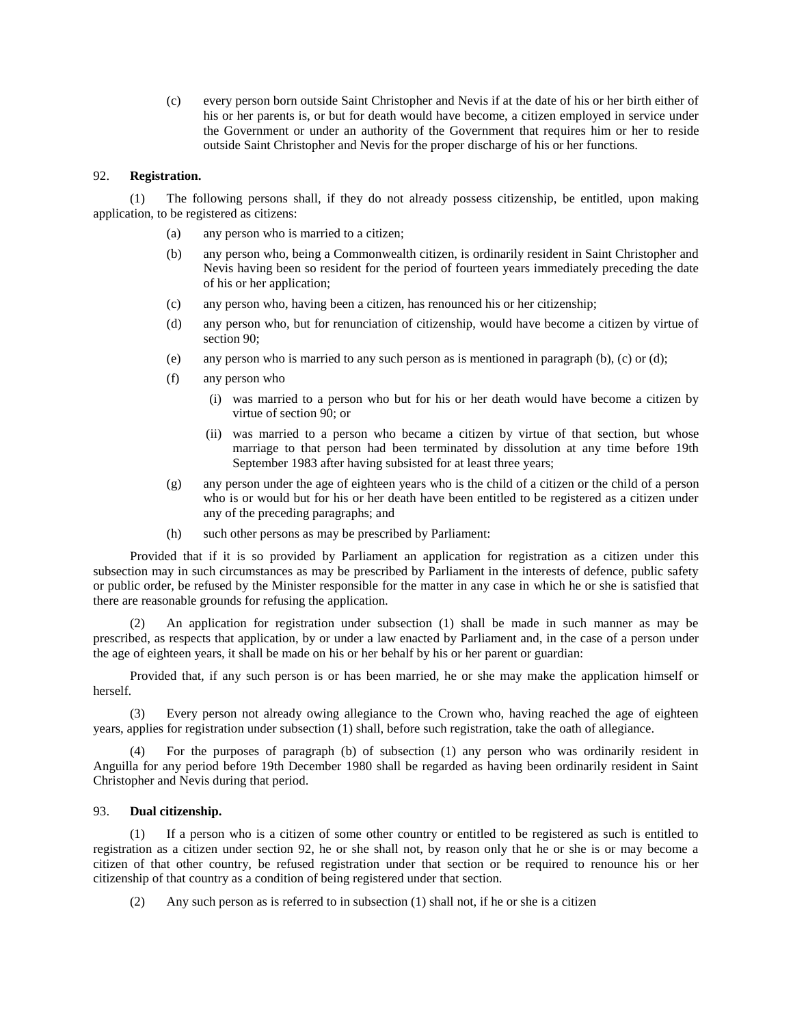(c) every person born outside Saint Christopher and Nevis if at the date of his or her birth either of his or her parents is, or but for death would have become, a citizen employed in service under the Government or under an authority of the Government that requires him or her to reside outside Saint Christopher and Nevis for the proper discharge of his or her functions.

## 92. **Registration.**

(1) The following persons shall, if they do not already possess citizenship, be entitled, upon making application, to be registered as citizens:

- (a) any person who is married to a citizen;
- (b) any person who, being a Commonwealth citizen, is ordinarily resident in Saint Christopher and Nevis having been so resident for the period of fourteen years immediately preceding the date of his or her application;
- (c) any person who, having been a citizen, has renounced his or her citizenship;
- (d) any person who, but for renunciation of citizenship, would have become a citizen by virtue of section 90;
- (e) any person who is married to any such person as is mentioned in paragraph  $(b)$ ,  $(c)$  or  $(d)$ ;
- (f) any person who
	- (i) was married to a person who but for his or her death would have become a citizen by virtue of section 90; or
	- (ii) was married to a person who became a citizen by virtue of that section, but whose marriage to that person had been terminated by dissolution at any time before 19th September 1983 after having subsisted for at least three years;
- (g) any person under the age of eighteen years who is the child of a citizen or the child of a person who is or would but for his or her death have been entitled to be registered as a citizen under any of the preceding paragraphs; and
- (h) such other persons as may be prescribed by Parliament:

Provided that if it is so provided by Parliament an application for registration as a citizen under this subsection may in such circumstances as may be prescribed by Parliament in the interests of defence, public safety or public order, be refused by the Minister responsible for the matter in any case in which he or she is satisfied that there are reasonable grounds for refusing the application.

(2) An application for registration under subsection (1) shall be made in such manner as may be prescribed, as respects that application, by or under a law enacted by Parliament and, in the case of a person under the age of eighteen years, it shall be made on his or her behalf by his or her parent or guardian:

Provided that, if any such person is or has been married, he or she may make the application himself or herself.

(3) Every person not already owing allegiance to the Crown who, having reached the age of eighteen years, applies for registration under subsection (1) shall, before such registration, take the oath of allegiance.

(4) For the purposes of paragraph (b) of subsection (1) any person who was ordinarily resident in Anguilla for any period before 19th December 1980 shall be regarded as having been ordinarily resident in Saint Christopher and Nevis during that period.

## 93. **Dual citizenship.**

If a person who is a citizen of some other country or entitled to be registered as such is entitled to registration as a citizen under section 92, he or she shall not, by reason only that he or she is or may become a citizen of that other country, be refused registration under that section or be required to renounce his or her citizenship of that country as a condition of being registered under that section.

(2) Any such person as is referred to in subsection (1) shall not, if he or she is a citizen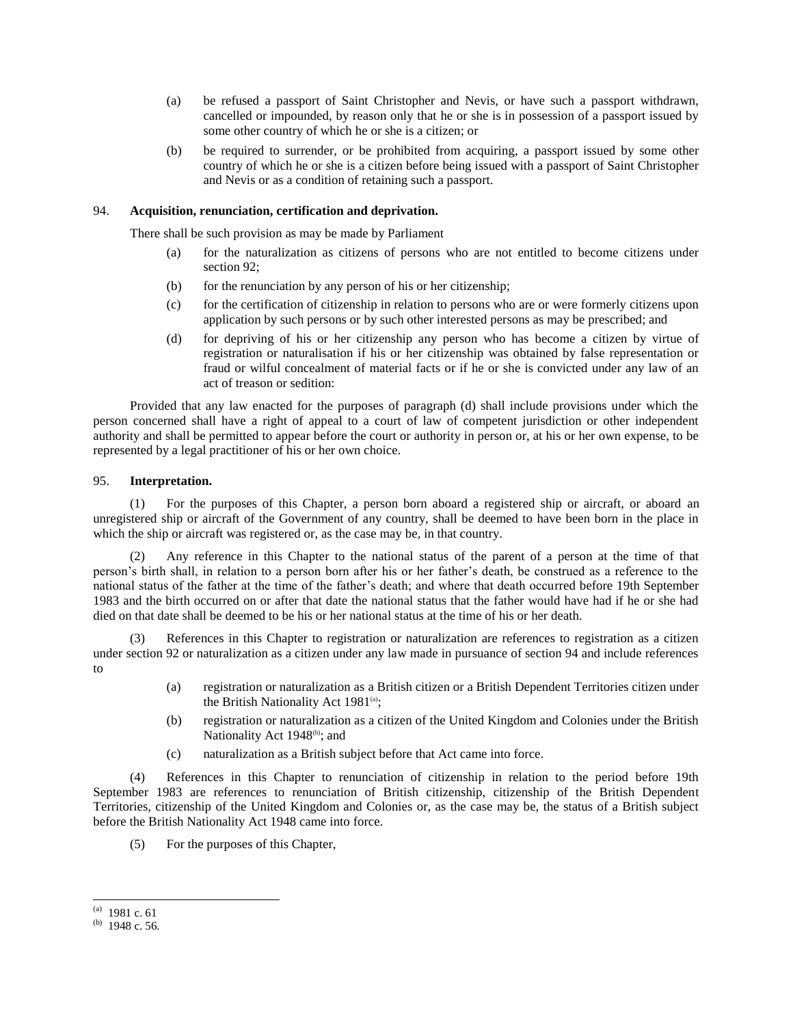- (a) be refused a passport of Saint Christopher and Nevis, or have such a passport withdrawn, cancelled or impounded, by reason only that he or she is in possession of a passport issued by some other country of which he or she is a citizen; or
- (b) be required to surrender, or be prohibited from acquiring, a passport issued by some other country of which he or she is a citizen before being issued with a passport of Saint Christopher and Nevis or as a condition of retaining such a passport.

## 94. **Acquisition, renunciation, certification and deprivation.**

There shall be such provision as may be made by Parliament

- (a) for the naturalization as citizens of persons who are not entitled to become citizens under section 92:
- (b) for the renunciation by any person of his or her citizenship;
- (c) for the certification of citizenship in relation to persons who are or were formerly citizens upon application by such persons or by such other interested persons as may be prescribed; and
- (d) for depriving of his or her citizenship any person who has become a citizen by virtue of registration or naturalisation if his or her citizenship was obtained by false representation or fraud or wilful concealment of material facts or if he or she is convicted under any law of an act of treason or sedition:

Provided that any law enacted for the purposes of paragraph (d) shall include provisions under which the person concerned shall have a right of appeal to a court of law of competent jurisdiction or other independent authority and shall be permitted to appear before the court or authority in person or, at his or her own expense, to be represented by a legal practitioner of his or her own choice.

## 95. **Interpretation.**

(1) For the purposes of this Chapter, a person born aboard a registered ship or aircraft, or aboard an unregistered ship or aircraft of the Government of any country, shall be deemed to have been born in the place in which the ship or aircraft was registered or, as the case may be, in that country.

(2) Any reference in this Chapter to the national status of the parent of a person at the time of that person's birth shall, in relation to a person born after his or her father's death, be construed as a reference to the national status of the father at the time of the father's death; and where that death occurred before 19th September 1983 and the birth occurred on or after that date the national status that the father would have had if he or she had died on that date shall be deemed to be his or her national status at the time of his or her death.

(3) References in this Chapter to registration or naturalization are references to registration as a citizen under section 92 or naturalization as a citizen under any law made in pursuance of section 94 and include references to

- (a) registration or naturalization as a British citizen or a British Dependent Territories citizen under the British Nationality Act  $1981^{\text{(a)}}$ ;
- (b) registration or naturalization as a citizen of the United Kingdom and Colonies under the British Nationality Act 1948<sup>(b)</sup>; and
- (c) naturalization as a British subject before that Act came into force.

(4) References in this Chapter to renunciation of citizenship in relation to the period before 19th September 1983 are references to renunciation of British citizenship, citizenship of the British Dependent Territories, citizenship of the United Kingdom and Colonies or, as the case may be, the status of a British subject before the British Nationality Act 1948 came into force.

(5) For the purposes of this Chapter,

 $\overline{a}$  $^{(a)}$  1981 c. 61

<sup>(</sup>b) 1948 c. 56.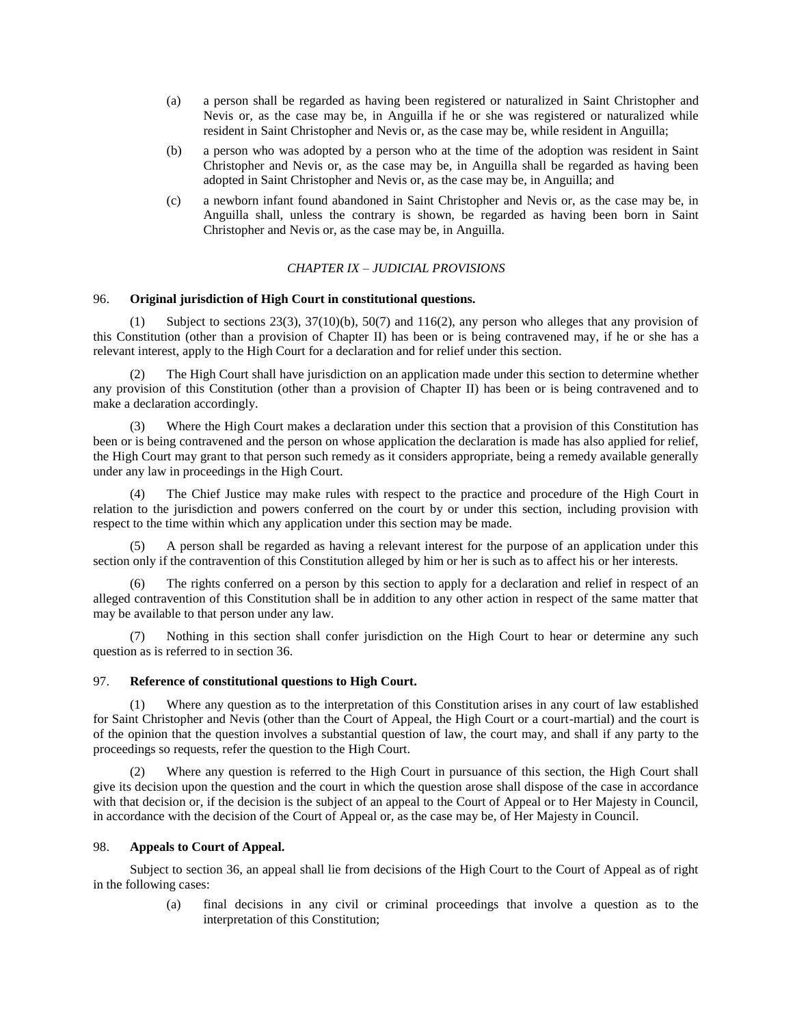- (a) a person shall be regarded as having been registered or naturalized in Saint Christopher and Nevis or, as the case may be, in Anguilla if he or she was registered or naturalized while resident in Saint Christopher and Nevis or, as the case may be, while resident in Anguilla;
- (b) a person who was adopted by a person who at the time of the adoption was resident in Saint Christopher and Nevis or, as the case may be, in Anguilla shall be regarded as having been adopted in Saint Christopher and Nevis or, as the case may be, in Anguilla; and
- (c) a newborn infant found abandoned in Saint Christopher and Nevis or, as the case may be, in Anguilla shall, unless the contrary is shown, be regarded as having been born in Saint Christopher and Nevis or, as the case may be, in Anguilla.

## *CHAPTER IX – JUDICIAL PROVISIONS*

## 96. **Original jurisdiction of High Court in constitutional questions.**

(1) Subject to sections 23(3), 37(10)(b), 50(7) and 116(2), any person who alleges that any provision of this Constitution (other than a provision of Chapter II) has been or is being contravened may, if he or she has a relevant interest, apply to the High Court for a declaration and for relief under this section.

The High Court shall have jurisdiction on an application made under this section to determine whether any provision of this Constitution (other than a provision of Chapter II) has been or is being contravened and to make a declaration accordingly.

(3) Where the High Court makes a declaration under this section that a provision of this Constitution has been or is being contravened and the person on whose application the declaration is made has also applied for relief, the High Court may grant to that person such remedy as it considers appropriate, being a remedy available generally under any law in proceedings in the High Court.

(4) The Chief Justice may make rules with respect to the practice and procedure of the High Court in relation to the jurisdiction and powers conferred on the court by or under this section, including provision with respect to the time within which any application under this section may be made.

(5) A person shall be regarded as having a relevant interest for the purpose of an application under this section only if the contravention of this Constitution alleged by him or her is such as to affect his or her interests.

(6) The rights conferred on a person by this section to apply for a declaration and relief in respect of an alleged contravention of this Constitution shall be in addition to any other action in respect of the same matter that may be available to that person under any law.

(7) Nothing in this section shall confer jurisdiction on the High Court to hear or determine any such question as is referred to in section 36.

### 97. **Reference of constitutional questions to High Court.**

Where any question as to the interpretation of this Constitution arises in any court of law established for Saint Christopher and Nevis (other than the Court of Appeal, the High Court or a court-martial) and the court is of the opinion that the question involves a substantial question of law, the court may, and shall if any party to the proceedings so requests, refer the question to the High Court.

(2) Where any question is referred to the High Court in pursuance of this section, the High Court shall give its decision upon the question and the court in which the question arose shall dispose of the case in accordance with that decision or, if the decision is the subject of an appeal to the Court of Appeal or to Her Majesty in Council, in accordance with the decision of the Court of Appeal or, as the case may be, of Her Majesty in Council.

## 98. **Appeals to Court of Appeal.**

Subject to section 36, an appeal shall lie from decisions of the High Court to the Court of Appeal as of right in the following cases:

> (a) final decisions in any civil or criminal proceedings that involve a question as to the interpretation of this Constitution;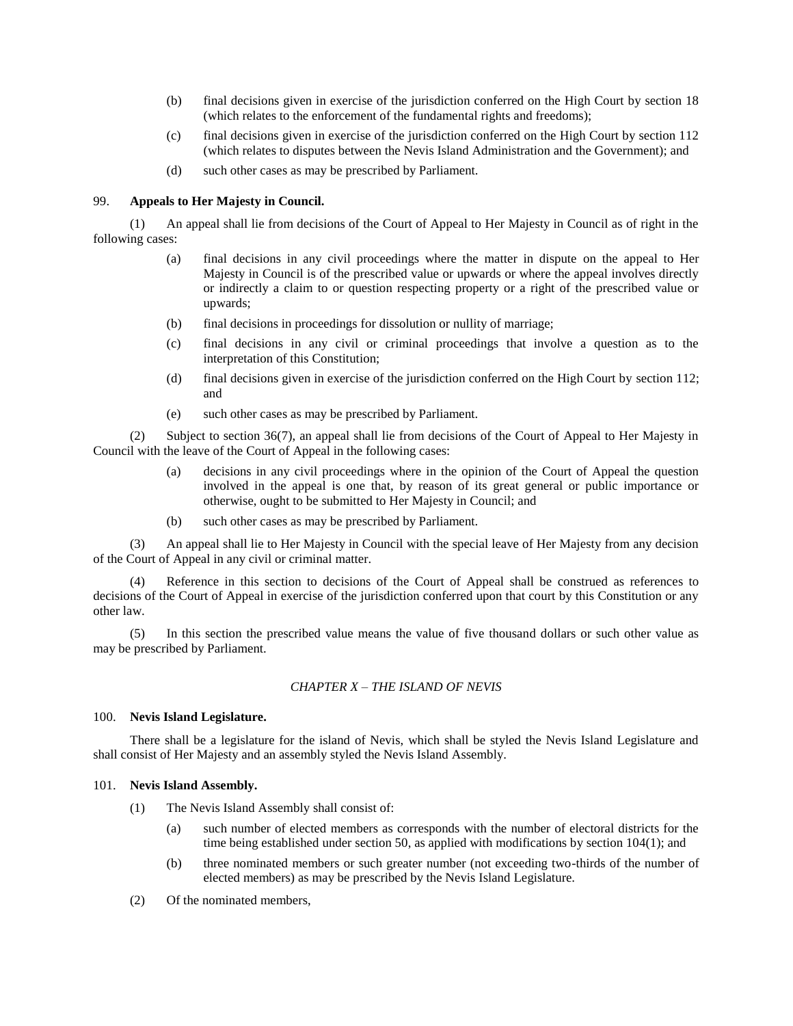- (b) final decisions given in exercise of the jurisdiction conferred on the High Court by section 18 (which relates to the enforcement of the fundamental rights and freedoms);
- (c) final decisions given in exercise of the jurisdiction conferred on the High Court by section 112 (which relates to disputes between the Nevis Island Administration and the Government); and
- (d) such other cases as may be prescribed by Parliament.

## 99. **Appeals to Her Majesty in Council.**

(1) An appeal shall lie from decisions of the Court of Appeal to Her Majesty in Council as of right in the following cases:

- (a) final decisions in any civil proceedings where the matter in dispute on the appeal to Her Majesty in Council is of the prescribed value or upwards or where the appeal involves directly or indirectly a claim to or question respecting property or a right of the prescribed value or upwards;
- (b) final decisions in proceedings for dissolution or nullity of marriage;
- (c) final decisions in any civil or criminal proceedings that involve a question as to the interpretation of this Constitution;
- (d) final decisions given in exercise of the jurisdiction conferred on the High Court by section 112; and
- (e) such other cases as may be prescribed by Parliament.

(2) Subject to section 36(7), an appeal shall lie from decisions of the Court of Appeal to Her Majesty in Council with the leave of the Court of Appeal in the following cases:

- (a) decisions in any civil proceedings where in the opinion of the Court of Appeal the question involved in the appeal is one that, by reason of its great general or public importance or otherwise, ought to be submitted to Her Majesty in Council; and
- (b) such other cases as may be prescribed by Parliament.

(3) An appeal shall lie to Her Majesty in Council with the special leave of Her Majesty from any decision of the Court of Appeal in any civil or criminal matter.

(4) Reference in this section to decisions of the Court of Appeal shall be construed as references to decisions of the Court of Appeal in exercise of the jurisdiction conferred upon that court by this Constitution or any other law.

(5) In this section the prescribed value means the value of five thousand dollars or such other value as may be prescribed by Parliament.

### *CHAPTER X – THE ISLAND OF NEVIS*

### 100. **Nevis Island Legislature.**

There shall be a legislature for the island of Nevis, which shall be styled the Nevis Island Legislature and shall consist of Her Majesty and an assembly styled the Nevis Island Assembly.

### 101. **Nevis Island Assembly.**

- (1) The Nevis Island Assembly shall consist of:
	- (a) such number of elected members as corresponds with the number of electoral districts for the time being established under section 50, as applied with modifications by section 104(1); and
	- (b) three nominated members or such greater number (not exceeding two-thirds of the number of elected members) as may be prescribed by the Nevis Island Legislature.
- (2) Of the nominated members,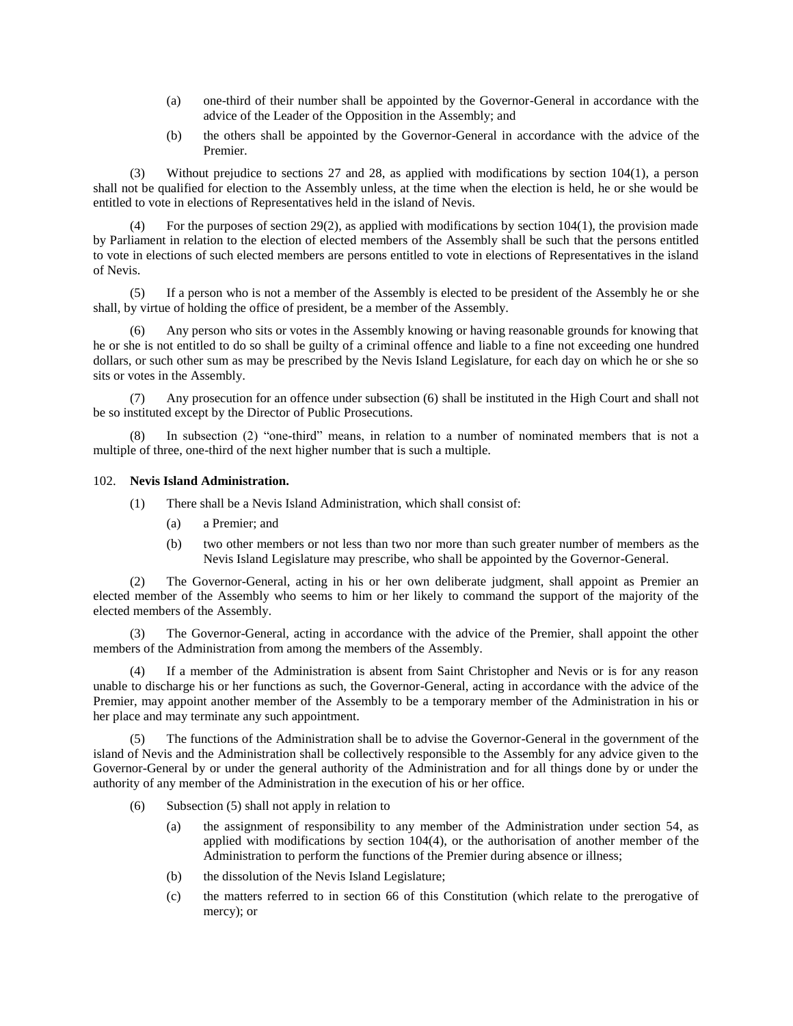- (a) one-third of their number shall be appointed by the Governor-General in accordance with the advice of the Leader of the Opposition in the Assembly; and
- (b) the others shall be appointed by the Governor-General in accordance with the advice of the Premier.

(3) Without prejudice to sections 27 and 28, as applied with modifications by section 104(1), a person shall not be qualified for election to the Assembly unless, at the time when the election is held, he or she would be entitled to vote in elections of Representatives held in the island of Nevis.

(4) For the purposes of section 29(2), as applied with modifications by section 104(1), the provision made by Parliament in relation to the election of elected members of the Assembly shall be such that the persons entitled to vote in elections of such elected members are persons entitled to vote in elections of Representatives in the island of Nevis.

(5) If a person who is not a member of the Assembly is elected to be president of the Assembly he or she shall, by virtue of holding the office of president, be a member of the Assembly.

(6) Any person who sits or votes in the Assembly knowing or having reasonable grounds for knowing that he or she is not entitled to do so shall be guilty of a criminal offence and liable to a fine not exceeding one hundred dollars, or such other sum as may be prescribed by the Nevis Island Legislature, for each day on which he or she so sits or votes in the Assembly.

(7) Any prosecution for an offence under subsection (6) shall be instituted in the High Court and shall not be so instituted except by the Director of Public Prosecutions.

In subsection (2) "one-third" means, in relation to a number of nominated members that is not a multiple of three, one-third of the next higher number that is such a multiple.

## 102. **Nevis Island Administration.**

- (1) There shall be a Nevis Island Administration, which shall consist of:
	- (a) a Premier; and
	- (b) two other members or not less than two nor more than such greater number of members as the Nevis Island Legislature may prescribe, who shall be appointed by the Governor-General.

(2) The Governor-General, acting in his or her own deliberate judgment, shall appoint as Premier an elected member of the Assembly who seems to him or her likely to command the support of the majority of the elected members of the Assembly.

(3) The Governor-General, acting in accordance with the advice of the Premier, shall appoint the other members of the Administration from among the members of the Assembly.

(4) If a member of the Administration is absent from Saint Christopher and Nevis or is for any reason unable to discharge his or her functions as such, the Governor-General, acting in accordance with the advice of the Premier, may appoint another member of the Assembly to be a temporary member of the Administration in his or her place and may terminate any such appointment.

(5) The functions of the Administration shall be to advise the Governor-General in the government of the island of Nevis and the Administration shall be collectively responsible to the Assembly for any advice given to the Governor-General by or under the general authority of the Administration and for all things done by or under the authority of any member of the Administration in the execution of his or her office.

- (6) Subsection (5) shall not apply in relation to
	- (a) the assignment of responsibility to any member of the Administration under section 54, as applied with modifications by section 104(4), or the authorisation of another member of the Administration to perform the functions of the Premier during absence or illness;
	- (b) the dissolution of the Nevis Island Legislature;
	- (c) the matters referred to in section 66 of this Constitution (which relate to the prerogative of mercy); or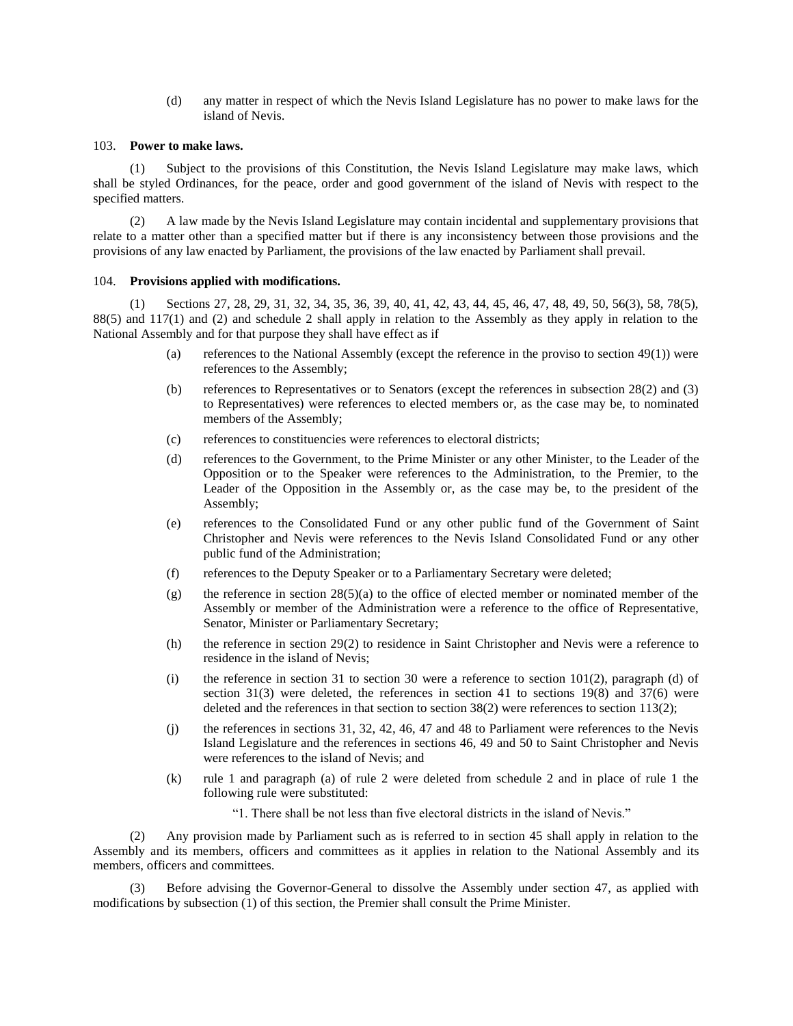(d) any matter in respect of which the Nevis Island Legislature has no power to make laws for the island of Nevis.

### 103. **Power to make laws.**

(1) Subject to the provisions of this Constitution, the Nevis Island Legislature may make laws, which shall be styled Ordinances, for the peace, order and good government of the island of Nevis with respect to the specified matters.

(2) A law made by the Nevis Island Legislature may contain incidental and supplementary provisions that relate to a matter other than a specified matter but if there is any inconsistency between those provisions and the provisions of any law enacted by Parliament, the provisions of the law enacted by Parliament shall prevail.

### 104. **Provisions applied with modifications.**

(1) Sections 27, 28, 29, 31, 32, 34, 35, 36, 39, 40, 41, 42, 43, 44, 45, 46, 47, 48, 49, 50, 56(3), 58, 78(5), 88(5) and 117(1) and (2) and schedule 2 shall apply in relation to the Assembly as they apply in relation to the National Assembly and for that purpose they shall have effect as if

- (a) references to the National Assembly (except the reference in the proviso to section  $49(1)$ ) were references to the Assembly;
- (b) references to Representatives or to Senators (except the references in subsection 28(2) and (3) to Representatives) were references to elected members or, as the case may be, to nominated members of the Assembly;
- (c) references to constituencies were references to electoral districts;
- (d) references to the Government, to the Prime Minister or any other Minister, to the Leader of the Opposition or to the Speaker were references to the Administration, to the Premier, to the Leader of the Opposition in the Assembly or, as the case may be, to the president of the Assembly;
- (e) references to the Consolidated Fund or any other public fund of the Government of Saint Christopher and Nevis were references to the Nevis Island Consolidated Fund or any other public fund of the Administration;
- (f) references to the Deputy Speaker or to a Parliamentary Secretary were deleted;
- (g) the reference in section  $28(5)(a)$  to the office of elected member or nominated member of the Assembly or member of the Administration were a reference to the office of Representative, Senator, Minister or Parliamentary Secretary;
- (h) the reference in section 29(2) to residence in Saint Christopher and Nevis were a reference to residence in the island of Nevis;
- (i) the reference in section 31 to section 30 were a reference to section 101(2), paragraph (d) of section  $31(3)$  were deleted, the references in section 41 to sections  $19(8)$  and  $37(6)$  were deleted and the references in that section to section  $38(2)$  were references to section  $113(2)$ ;
- (j) the references in sections 31, 32, 42, 46, 47 and 48 to Parliament were references to the Nevis Island Legislature and the references in sections 46, 49 and 50 to Saint Christopher and Nevis were references to the island of Nevis; and
- (k) rule 1 and paragraph (a) of rule 2 were deleted from schedule 2 and in place of rule 1 the following rule were substituted:

"1. There shall be not less than five electoral districts in the island of Nevis."

(2) Any provision made by Parliament such as is referred to in section 45 shall apply in relation to the Assembly and its members, officers and committees as it applies in relation to the National Assembly and its members, officers and committees.

Before advising the Governor-General to dissolve the Assembly under section 47, as applied with modifications by subsection (1) of this section, the Premier shall consult the Prime Minister.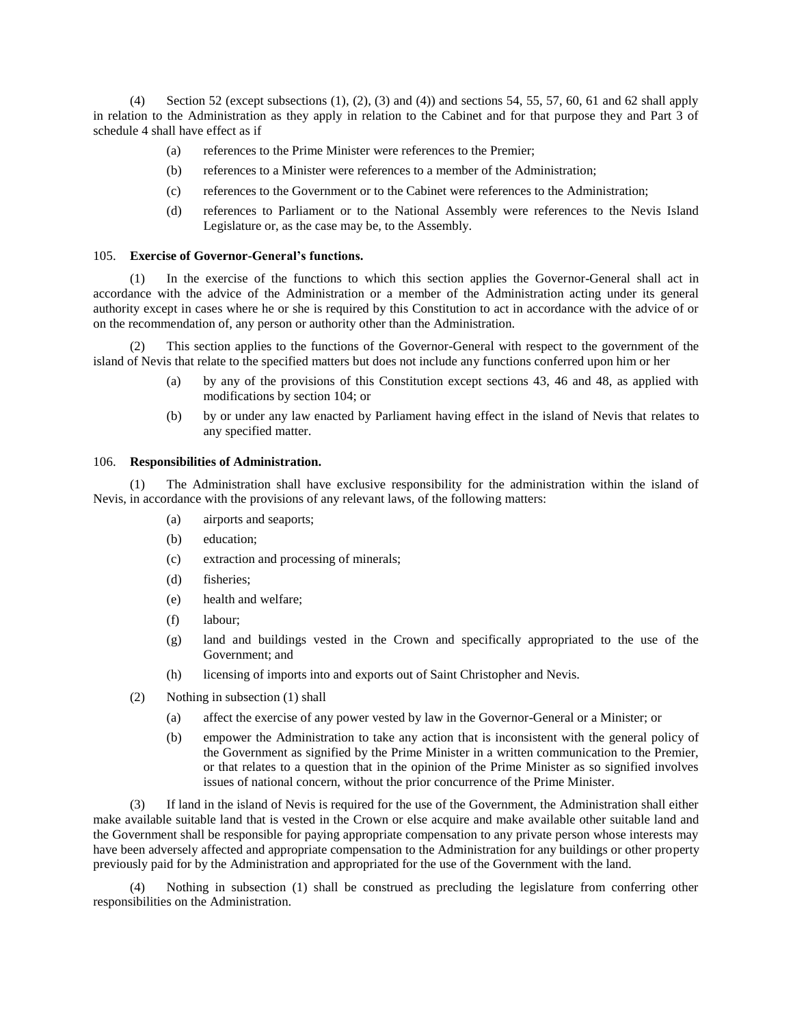(4) Section 52 (except subsections (1), (2), (3) and (4)) and sections 54, 55, 57, 60, 61 and 62 shall apply in relation to the Administration as they apply in relation to the Cabinet and for that purpose they and Part 3 of schedule 4 shall have effect as if

- (a) references to the Prime Minister were references to the Premier;
- (b) references to a Minister were references to a member of the Administration;
- (c) references to the Government or to the Cabinet were references to the Administration;
- (d) references to Parliament or to the National Assembly were references to the Nevis Island Legislature or, as the case may be, to the Assembly.

## 105. **Exercise of Governor-General's functions.**

(1) In the exercise of the functions to which this section applies the Governor-General shall act in accordance with the advice of the Administration or a member of the Administration acting under its general authority except in cases where he or she is required by this Constitution to act in accordance with the advice of or on the recommendation of, any person or authority other than the Administration.

This section applies to the functions of the Governor-General with respect to the government of the island of Nevis that relate to the specified matters but does not include any functions conferred upon him or her

- (a) by any of the provisions of this Constitution except sections 43, 46 and 48, as applied with modifications by section 104; or
- (b) by or under any law enacted by Parliament having effect in the island of Nevis that relates to any specified matter.

#### 106. **Responsibilities of Administration.**

(1) The Administration shall have exclusive responsibility for the administration within the island of Nevis, in accordance with the provisions of any relevant laws, of the following matters:

- (a) airports and seaports;
- (b) education;
- (c) extraction and processing of minerals;
- (d) fisheries;
- (e) health and welfare;
- (f) labour;
- (g) land and buildings vested in the Crown and specifically appropriated to the use of the Government; and
- (h) licensing of imports into and exports out of Saint Christopher and Nevis.
- (2) Nothing in subsection (1) shall
	- (a) affect the exercise of any power vested by law in the Governor-General or a Minister; or
	- (b) empower the Administration to take any action that is inconsistent with the general policy of the Government as signified by the Prime Minister in a written communication to the Premier, or that relates to a question that in the opinion of the Prime Minister as so signified involves issues of national concern, without the prior concurrence of the Prime Minister.

(3) If land in the island of Nevis is required for the use of the Government, the Administration shall either make available suitable land that is vested in the Crown or else acquire and make available other suitable land and the Government shall be responsible for paying appropriate compensation to any private person whose interests may have been adversely affected and appropriate compensation to the Administration for any buildings or other property previously paid for by the Administration and appropriated for the use of the Government with the land.

Nothing in subsection (1) shall be construed as precluding the legislature from conferring other responsibilities on the Administration.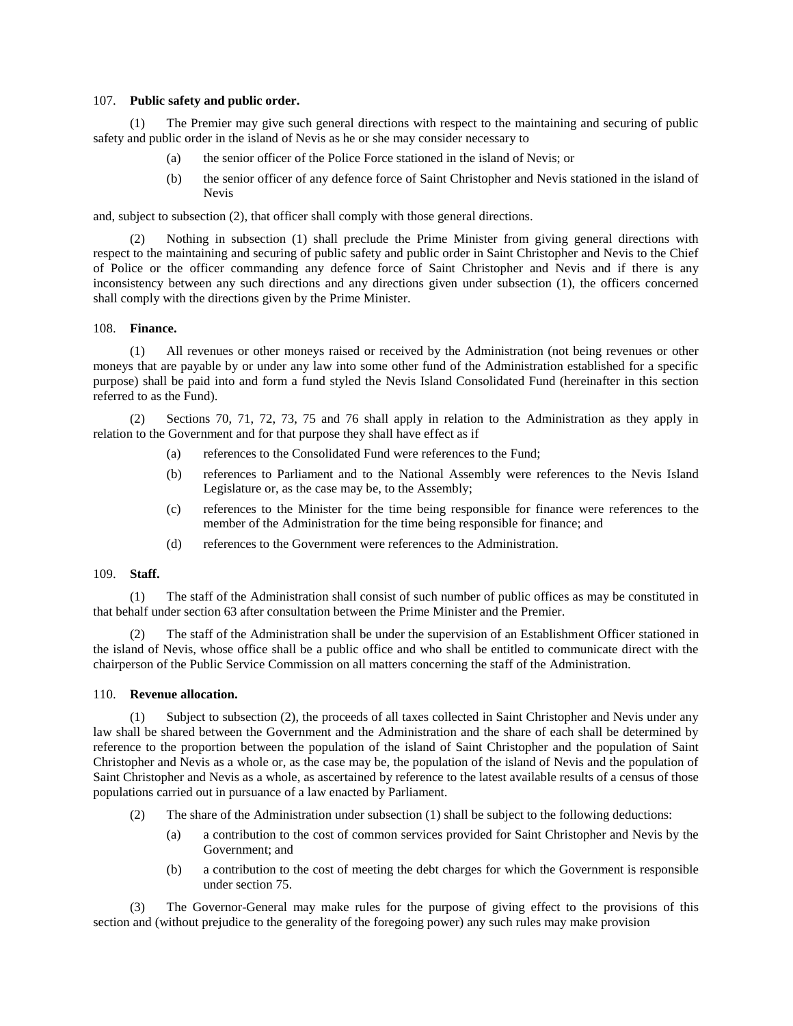## 107. **Public safety and public order.**

(1) The Premier may give such general directions with respect to the maintaining and securing of public safety and public order in the island of Nevis as he or she may consider necessary to

- (a) the senior officer of the Police Force stationed in the island of Nevis; or
- (b) the senior officer of any defence force of Saint Christopher and Nevis stationed in the island of Nevis

and, subject to subsection (2), that officer shall comply with those general directions.

Nothing in subsection (1) shall preclude the Prime Minister from giving general directions with respect to the maintaining and securing of public safety and public order in Saint Christopher and Nevis to the Chief of Police or the officer commanding any defence force of Saint Christopher and Nevis and if there is any inconsistency between any such directions and any directions given under subsection (1), the officers concerned shall comply with the directions given by the Prime Minister.

### 108. **Finance.**

(1) All revenues or other moneys raised or received by the Administration (not being revenues or other moneys that are payable by or under any law into some other fund of the Administration established for a specific purpose) shall be paid into and form a fund styled the Nevis Island Consolidated Fund (hereinafter in this section referred to as the Fund).

(2) Sections 70, 71, 72, 73, 75 and 76 shall apply in relation to the Administration as they apply in relation to the Government and for that purpose they shall have effect as if

- (a) references to the Consolidated Fund were references to the Fund;
- (b) references to Parliament and to the National Assembly were references to the Nevis Island Legislature or, as the case may be, to the Assembly;
- (c) references to the Minister for the time being responsible for finance were references to the member of the Administration for the time being responsible for finance; and
- (d) references to the Government were references to the Administration.

### 109. **Staff.**

(1) The staff of the Administration shall consist of such number of public offices as may be constituted in that behalf under section 63 after consultation between the Prime Minister and the Premier.

(2) The staff of the Administration shall be under the supervision of an Establishment Officer stationed in the island of Nevis, whose office shall be a public office and who shall be entitled to communicate direct with the chairperson of the Public Service Commission on all matters concerning the staff of the Administration.

## 110. **Revenue allocation.**

(1) Subject to subsection (2), the proceeds of all taxes collected in Saint Christopher and Nevis under any law shall be shared between the Government and the Administration and the share of each shall be determined by reference to the proportion between the population of the island of Saint Christopher and the population of Saint Christopher and Nevis as a whole or, as the case may be, the population of the island of Nevis and the population of Saint Christopher and Nevis as a whole, as ascertained by reference to the latest available results of a census of those populations carried out in pursuance of a law enacted by Parliament.

- (2) The share of the Administration under subsection (1) shall be subject to the following deductions:
	- (a) a contribution to the cost of common services provided for Saint Christopher and Nevis by the Government; and
	- (b) a contribution to the cost of meeting the debt charges for which the Government is responsible under section 75.

(3) The Governor-General may make rules for the purpose of giving effect to the provisions of this section and (without prejudice to the generality of the foregoing power) any such rules may make provision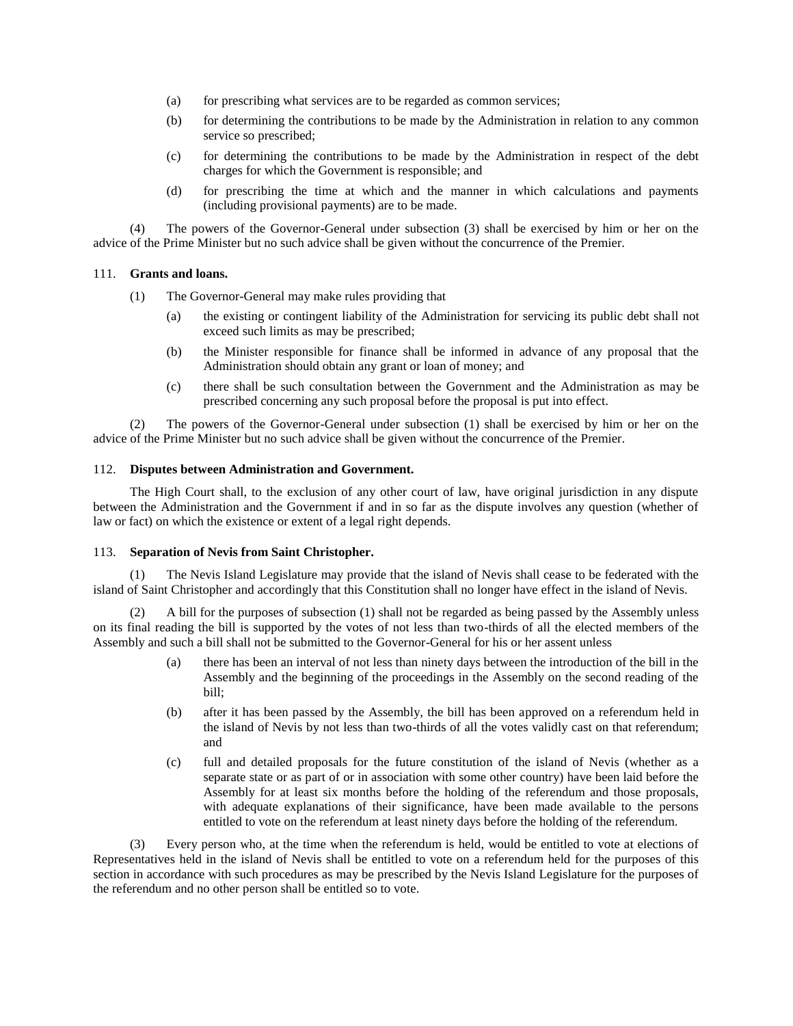- (a) for prescribing what services are to be regarded as common services;
- (b) for determining the contributions to be made by the Administration in relation to any common service so prescribed;
- (c) for determining the contributions to be made by the Administration in respect of the debt charges for which the Government is responsible; and
- (d) for prescribing the time at which and the manner in which calculations and payments (including provisional payments) are to be made.

(4) The powers of the Governor-General under subsection (3) shall be exercised by him or her on the advice of the Prime Minister but no such advice shall be given without the concurrence of the Premier.

### 111. **Grants and loans.**

- (1) The Governor-General may make rules providing that
	- (a) the existing or contingent liability of the Administration for servicing its public debt shall not exceed such limits as may be prescribed;
	- (b) the Minister responsible for finance shall be informed in advance of any proposal that the Administration should obtain any grant or loan of money; and
	- (c) there shall be such consultation between the Government and the Administration as may be prescribed concerning any such proposal before the proposal is put into effect.

(2) The powers of the Governor-General under subsection (1) shall be exercised by him or her on the advice of the Prime Minister but no such advice shall be given without the concurrence of the Premier.

## 112. **Disputes between Administration and Government.**

The High Court shall, to the exclusion of any other court of law, have original jurisdiction in any dispute between the Administration and the Government if and in so far as the dispute involves any question (whether of law or fact) on which the existence or extent of a legal right depends.

### 113. **Separation of Nevis from Saint Christopher.**

(1) The Nevis Island Legislature may provide that the island of Nevis shall cease to be federated with the island of Saint Christopher and accordingly that this Constitution shall no longer have effect in the island of Nevis.

A bill for the purposes of subsection (1) shall not be regarded as being passed by the Assembly unless on its final reading the bill is supported by the votes of not less than two-thirds of all the elected members of the Assembly and such a bill shall not be submitted to the Governor-General for his or her assent unless

- (a) there has been an interval of not less than ninety days between the introduction of the bill in the Assembly and the beginning of the proceedings in the Assembly on the second reading of the bill;
- (b) after it has been passed by the Assembly, the bill has been approved on a referendum held in the island of Nevis by not less than two-thirds of all the votes validly cast on that referendum; and
- (c) full and detailed proposals for the future constitution of the island of Nevis (whether as a separate state or as part of or in association with some other country) have been laid before the Assembly for at least six months before the holding of the referendum and those proposals, with adequate explanations of their significance, have been made available to the persons entitled to vote on the referendum at least ninety days before the holding of the referendum.

Every person who, at the time when the referendum is held, would be entitled to vote at elections of Representatives held in the island of Nevis shall be entitled to vote on a referendum held for the purposes of this section in accordance with such procedures as may be prescribed by the Nevis Island Legislature for the purposes of the referendum and no other person shall be entitled so to vote.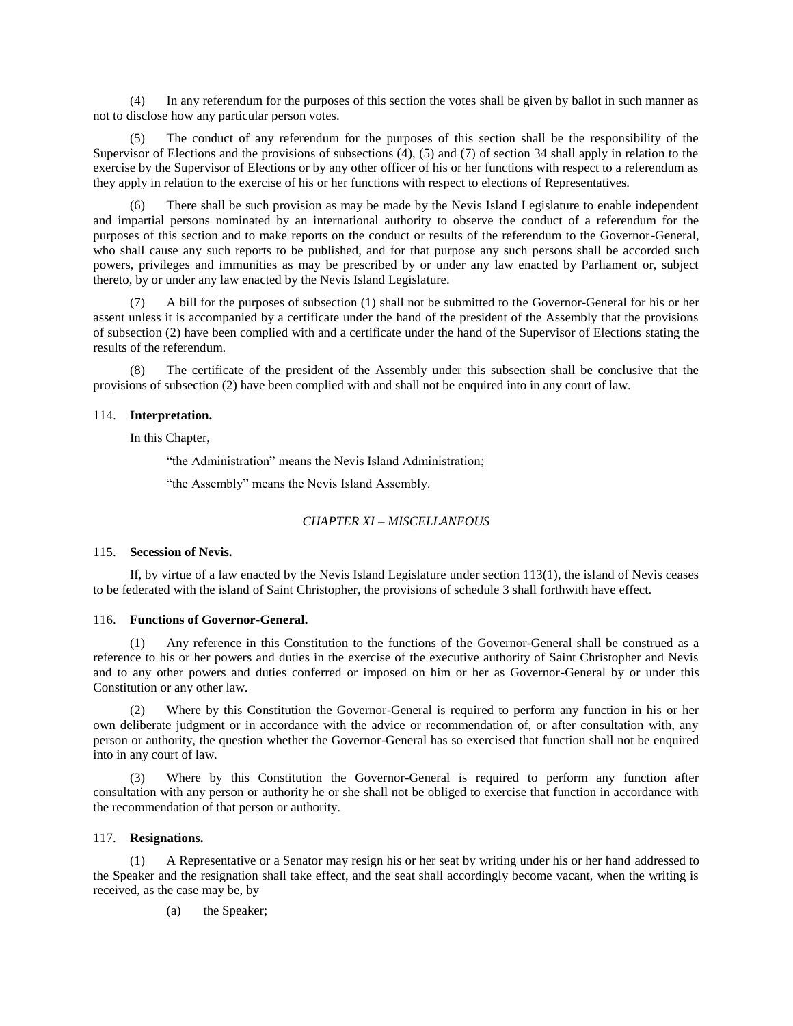(4) In any referendum for the purposes of this section the votes shall be given by ballot in such manner as not to disclose how any particular person votes.

(5) The conduct of any referendum for the purposes of this section shall be the responsibility of the Supervisor of Elections and the provisions of subsections (4), (5) and (7) of section 34 shall apply in relation to the exercise by the Supervisor of Elections or by any other officer of his or her functions with respect to a referendum as they apply in relation to the exercise of his or her functions with respect to elections of Representatives.

There shall be such provision as may be made by the Nevis Island Legislature to enable independent and impartial persons nominated by an international authority to observe the conduct of a referendum for the purposes of this section and to make reports on the conduct or results of the referendum to the Governor-General, who shall cause any such reports to be published, and for that purpose any such persons shall be accorded such powers, privileges and immunities as may be prescribed by or under any law enacted by Parliament or, subject thereto, by or under any law enacted by the Nevis Island Legislature.

(7) A bill for the purposes of subsection (1) shall not be submitted to the Governor-General for his or her assent unless it is accompanied by a certificate under the hand of the president of the Assembly that the provisions of subsection (2) have been complied with and a certificate under the hand of the Supervisor of Elections stating the results of the referendum.

(8) The certificate of the president of the Assembly under this subsection shall be conclusive that the provisions of subsection (2) have been complied with and shall not be enquired into in any court of law.

### 114. **Interpretation.**

In this Chapter,

"the Administration" means the Nevis Island Administration;

"the Assembly" means the Nevis Island Assembly.

## *CHAPTER XI – MISCELLANEOUS*

## 115. **Secession of Nevis.**

If, by virtue of a law enacted by the Nevis Island Legislature under section 113(1), the island of Nevis ceases to be federated with the island of Saint Christopher, the provisions of schedule 3 shall forthwith have effect.

## 116. **Functions of Governor-General.**

Any reference in this Constitution to the functions of the Governor-General shall be construed as a reference to his or her powers and duties in the exercise of the executive authority of Saint Christopher and Nevis and to any other powers and duties conferred or imposed on him or her as Governor-General by or under this Constitution or any other law.

(2) Where by this Constitution the Governor-General is required to perform any function in his or her own deliberate judgment or in accordance with the advice or recommendation of, or after consultation with, any person or authority, the question whether the Governor-General has so exercised that function shall not be enquired into in any court of law.

(3) Where by this Constitution the Governor-General is required to perform any function after consultation with any person or authority he or she shall not be obliged to exercise that function in accordance with the recommendation of that person or authority.

### 117. **Resignations.**

(1) A Representative or a Senator may resign his or her seat by writing under his or her hand addressed to the Speaker and the resignation shall take effect, and the seat shall accordingly become vacant, when the writing is received, as the case may be, by

(a) the Speaker;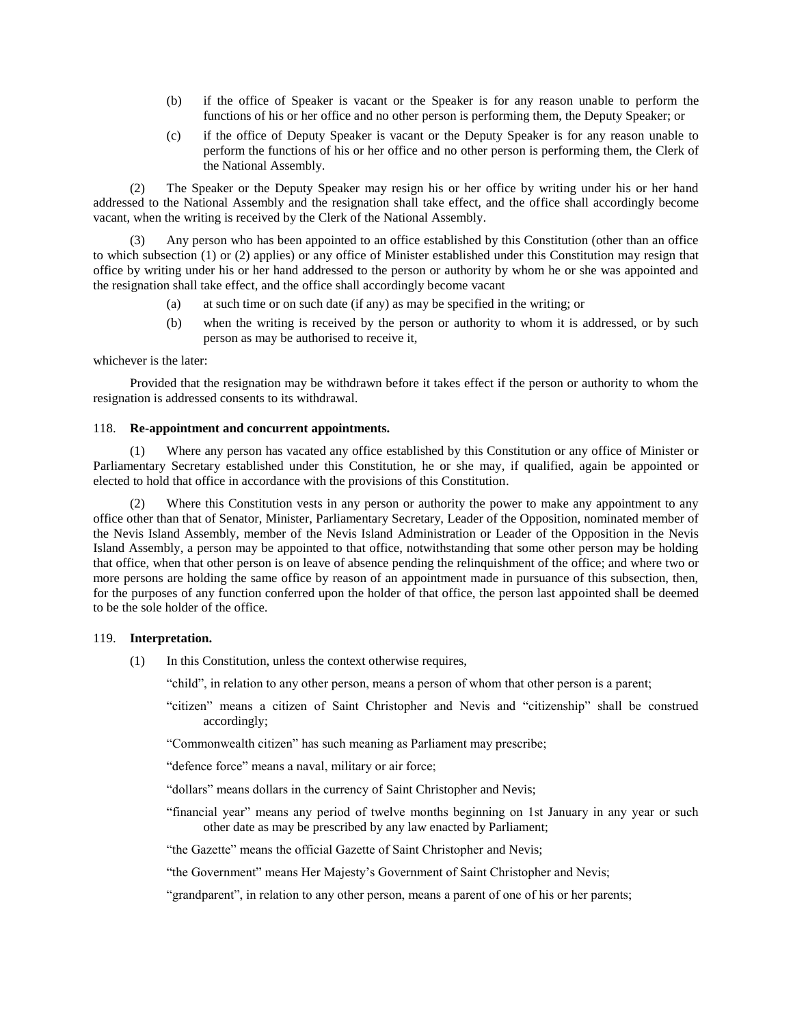- (b) if the office of Speaker is vacant or the Speaker is for any reason unable to perform the functions of his or her office and no other person is performing them, the Deputy Speaker; or
- (c) if the office of Deputy Speaker is vacant or the Deputy Speaker is for any reason unable to perform the functions of his or her office and no other person is performing them, the Clerk of the National Assembly.

(2) The Speaker or the Deputy Speaker may resign his or her office by writing under his or her hand addressed to the National Assembly and the resignation shall take effect, and the office shall accordingly become vacant, when the writing is received by the Clerk of the National Assembly.

Any person who has been appointed to an office established by this Constitution (other than an office to which subsection (1) or (2) applies) or any office of Minister established under this Constitution may resign that office by writing under his or her hand addressed to the person or authority by whom he or she was appointed and the resignation shall take effect, and the office shall accordingly become vacant

- (a) at such time or on such date (if any) as may be specified in the writing; or
- (b) when the writing is received by the person or authority to whom it is addressed, or by such person as may be authorised to receive it,

whichever is the later:

Provided that the resignation may be withdrawn before it takes effect if the person or authority to whom the resignation is addressed consents to its withdrawal.

## 118. **Re-appointment and concurrent appointments.**

Where any person has vacated any office established by this Constitution or any office of Minister or Parliamentary Secretary established under this Constitution, he or she may, if qualified, again be appointed or elected to hold that office in accordance with the provisions of this Constitution.

(2) Where this Constitution vests in any person or authority the power to make any appointment to any office other than that of Senator, Minister, Parliamentary Secretary, Leader of the Opposition, nominated member of the Nevis Island Assembly, member of the Nevis Island Administration or Leader of the Opposition in the Nevis Island Assembly, a person may be appointed to that office, notwithstanding that some other person may be holding that office, when that other person is on leave of absence pending the relinquishment of the office; and where two or more persons are holding the same office by reason of an appointment made in pursuance of this subsection, then, for the purposes of any function conferred upon the holder of that office, the person last appointed shall be deemed to be the sole holder of the office.

## 119. **Interpretation.**

(1) In this Constitution, unless the context otherwise requires,

"child", in relation to any other person, means a person of whom that other person is a parent;

- "citizen" means a citizen of Saint Christopher and Nevis and "citizenship" shall be construed accordingly;
- "Commonwealth citizen" has such meaning as Parliament may prescribe;

"defence force" means a naval, military or air force;

- "dollars" means dollars in the currency of Saint Christopher and Nevis;
- "financial year" means any period of twelve months beginning on 1st January in any year or such other date as may be prescribed by any law enacted by Parliament;

"the Gazette" means the official Gazette of Saint Christopher and Nevis;

"the Government" means Her Majesty's Government of Saint Christopher and Nevis;

"grandparent", in relation to any other person, means a parent of one of his or her parents;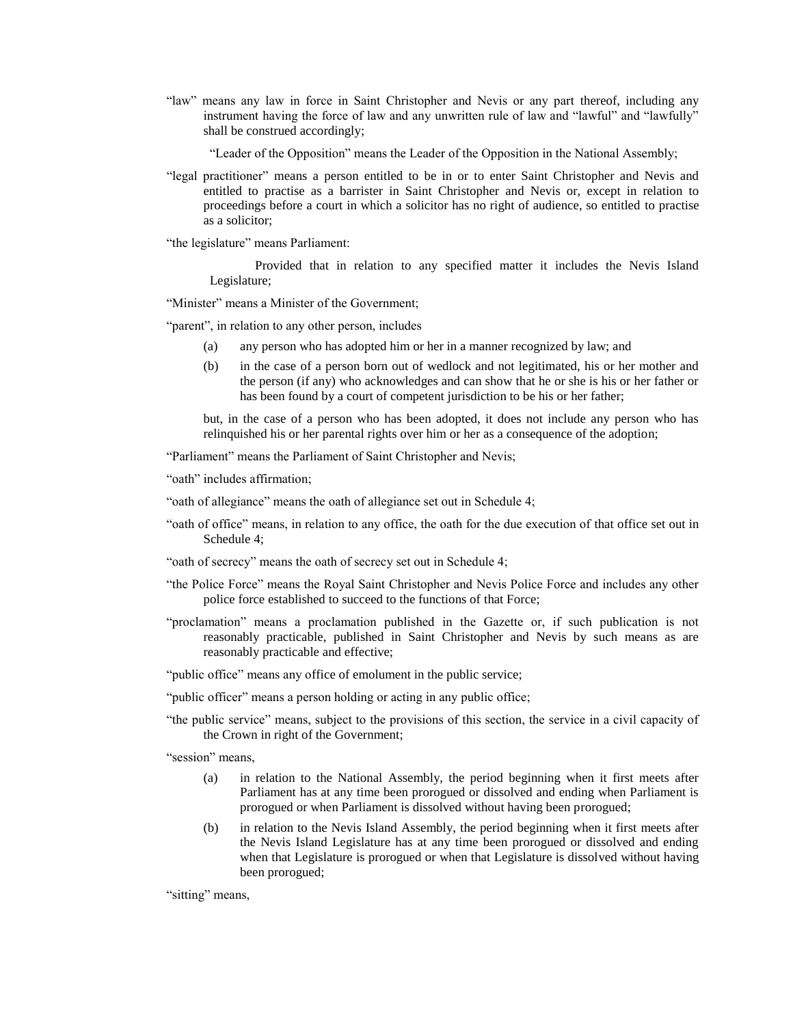"law" means any law in force in Saint Christopher and Nevis or any part thereof, including any instrument having the force of law and any unwritten rule of law and "lawful" and "lawfully" shall be construed accordingly;

"Leader of the Opposition" means the Leader of the Opposition in the National Assembly;

"legal practitioner" means a person entitled to be in or to enter Saint Christopher and Nevis and entitled to practise as a barrister in Saint Christopher and Nevis or, except in relation to proceedings before a court in which a solicitor has no right of audience, so entitled to practise as a solicitor;

"the legislature" means Parliament:

Provided that in relation to any specified matter it includes the Nevis Island Legislature;

"Minister" means a Minister of the Government;

"parent", in relation to any other person, includes

- (a) any person who has adopted him or her in a manner recognized by law; and
- (b) in the case of a person born out of wedlock and not legitimated, his or her mother and the person (if any) who acknowledges and can show that he or she is his or her father or has been found by a court of competent jurisdiction to be his or her father;

but, in the case of a person who has been adopted, it does not include any person who has relinquished his or her parental rights over him or her as a consequence of the adoption;

"Parliament" means the Parliament of Saint Christopher and Nevis;

"oath" includes affirmation;

"oath of allegiance" means the oath of allegiance set out in Schedule 4;

- "oath of office" means, in relation to any office, the oath for the due execution of that office set out in Schedule 4;
- "oath of secrecy" means the oath of secrecy set out in Schedule 4;
- "the Police Force" means the Royal Saint Christopher and Nevis Police Force and includes any other police force established to succeed to the functions of that Force;
- "proclamation" means a proclamation published in the Gazette or, if such publication is not reasonably practicable, published in Saint Christopher and Nevis by such means as are reasonably practicable and effective;

"public office" means any office of emolument in the public service;

"public officer" means a person holding or acting in any public office;

"the public service" means, subject to the provisions of this section, the service in a civil capacity of the Crown in right of the Government;

"session" means.

- (a) in relation to the National Assembly, the period beginning when it first meets after Parliament has at any time been prorogued or dissolved and ending when Parliament is prorogued or when Parliament is dissolved without having been prorogued;
- (b) in relation to the Nevis Island Assembly, the period beginning when it first meets after the Nevis Island Legislature has at any time been prorogued or dissolved and ending when that Legislature is prorogued or when that Legislature is dissolved without having been prorogued;

"sitting" means,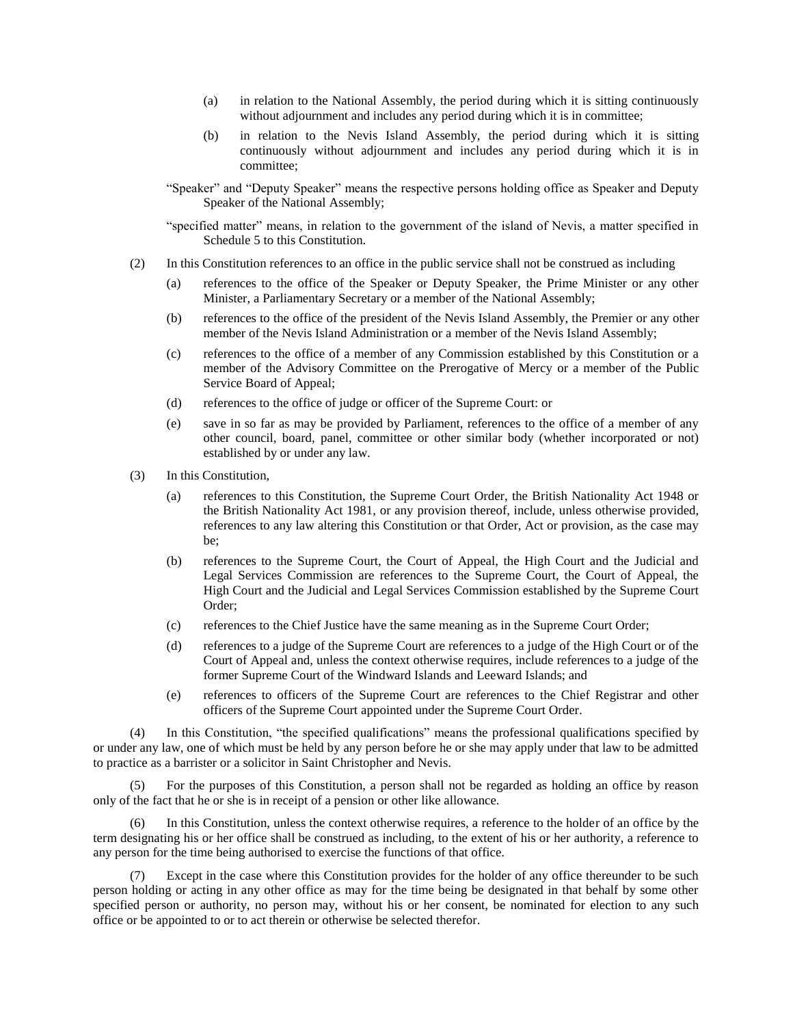- (a) in relation to the National Assembly, the period during which it is sitting continuously without adjournment and includes any period during which it is in committee;
- (b) in relation to the Nevis Island Assembly, the period during which it is sitting continuously without adjournment and includes any period during which it is in committee;
- "Speaker" and "Deputy Speaker" means the respective persons holding office as Speaker and Deputy Speaker of the National Assembly;
- "specified matter" means, in relation to the government of the island of Nevis, a matter specified in Schedule 5 to this Constitution.
- (2) In this Constitution references to an office in the public service shall not be construed as including
	- (a) references to the office of the Speaker or Deputy Speaker, the Prime Minister or any other Minister, a Parliamentary Secretary or a member of the National Assembly;
	- (b) references to the office of the president of the Nevis Island Assembly, the Premier or any other member of the Nevis Island Administration or a member of the Nevis Island Assembly;
	- (c) references to the office of a member of any Commission established by this Constitution or a member of the Advisory Committee on the Prerogative of Mercy or a member of the Public Service Board of Appeal;
	- (d) references to the office of judge or officer of the Supreme Court: or
	- (e) save in so far as may be provided by Parliament, references to the office of a member of any other council, board, panel, committee or other similar body (whether incorporated or not) established by or under any law.
- (3) In this Constitution,
	- (a) references to this Constitution, the Supreme Court Order, the British Nationality Act 1948 or the British Nationality Act 1981, or any provision thereof, include, unless otherwise provided, references to any law altering this Constitution or that Order, Act or provision, as the case may be;
	- (b) references to the Supreme Court, the Court of Appeal, the High Court and the Judicial and Legal Services Commission are references to the Supreme Court, the Court of Appeal, the High Court and the Judicial and Legal Services Commission established by the Supreme Court Order;
	- (c) references to the Chief Justice have the same meaning as in the Supreme Court Order;
	- (d) references to a judge of the Supreme Court are references to a judge of the High Court or of the Court of Appeal and, unless the context otherwise requires, include references to a judge of the former Supreme Court of the Windward Islands and Leeward Islands; and
	- (e) references to officers of the Supreme Court are references to the Chief Registrar and other officers of the Supreme Court appointed under the Supreme Court Order.

(4) In this Constitution, "the specified qualifications" means the professional qualifications specified by or under any law, one of which must be held by any person before he or she may apply under that law to be admitted to practice as a barrister or a solicitor in Saint Christopher and Nevis.

For the purposes of this Constitution, a person shall not be regarded as holding an office by reason only of the fact that he or she is in receipt of a pension or other like allowance.

(6) In this Constitution, unless the context otherwise requires, a reference to the holder of an office by the term designating his or her office shall be construed as including, to the extent of his or her authority, a reference to any person for the time being authorised to exercise the functions of that office.

(7) Except in the case where this Constitution provides for the holder of any office thereunder to be such person holding or acting in any other office as may for the time being be designated in that behalf by some other specified person or authority, no person may, without his or her consent, be nominated for election to any such office or be appointed to or to act therein or otherwise be selected therefor.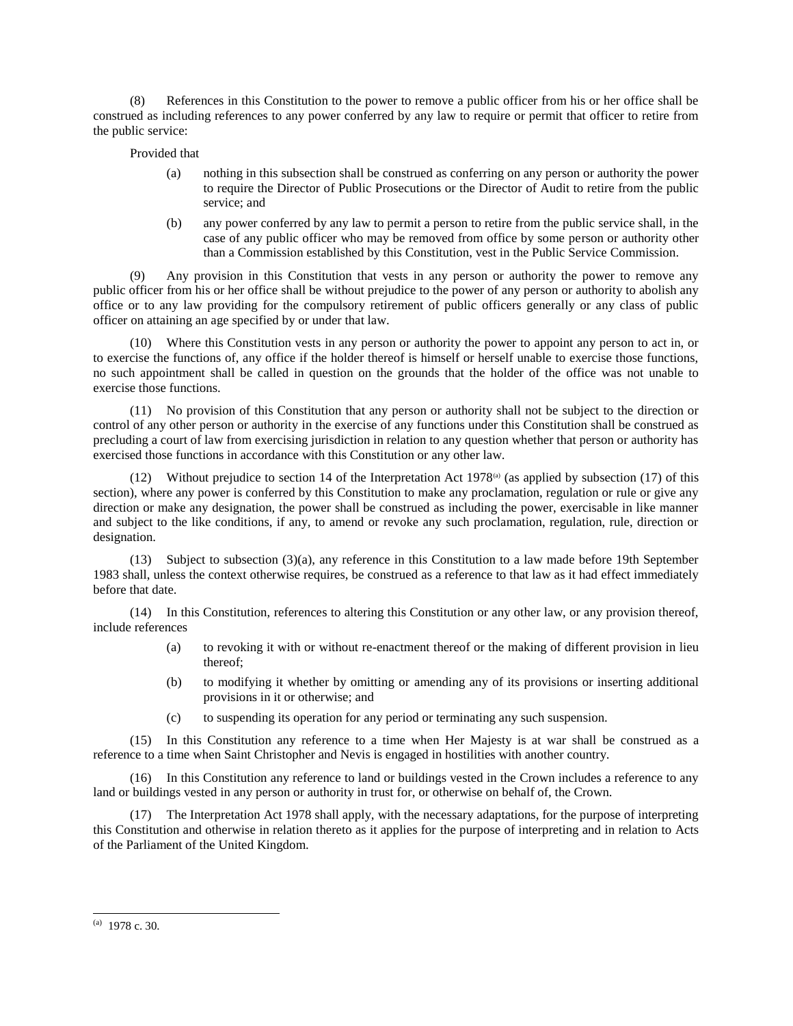(8) References in this Constitution to the power to remove a public officer from his or her office shall be construed as including references to any power conferred by any law to require or permit that officer to retire from the public service:

Provided that

- (a) nothing in this subsection shall be construed as conferring on any person or authority the power to require the Director of Public Prosecutions or the Director of Audit to retire from the public service; and
- (b) any power conferred by any law to permit a person to retire from the public service shall, in the case of any public officer who may be removed from office by some person or authority other than a Commission established by this Constitution, vest in the Public Service Commission.

(9) Any provision in this Constitution that vests in any person or authority the power to remove any public officer from his or her office shall be without prejudice to the power of any person or authority to abolish any office or to any law providing for the compulsory retirement of public officers generally or any class of public officer on attaining an age specified by or under that law.

(10) Where this Constitution vests in any person or authority the power to appoint any person to act in, or to exercise the functions of, any office if the holder thereof is himself or herself unable to exercise those functions, no such appointment shall be called in question on the grounds that the holder of the office was not unable to exercise those functions.

(11) No provision of this Constitution that any person or authority shall not be subject to the direction or control of any other person or authority in the exercise of any functions under this Constitution shall be construed as precluding a court of law from exercising jurisdiction in relation to any question whether that person or authority has exercised those functions in accordance with this Constitution or any other law.

(12) Without prejudice to section 14 of the Interpretation Act 1978<sup> $\omega$ </sup> (as applied by subsection (17) of this section), where any power is conferred by this Constitution to make any proclamation, regulation or rule or give any direction or make any designation, the power shall be construed as including the power, exercisable in like manner and subject to the like conditions, if any, to amend or revoke any such proclamation, regulation, rule, direction or designation.

(13) Subject to subsection (3)(a), any reference in this Constitution to a law made before 19th September 1983 shall, unless the context otherwise requires, be construed as a reference to that law as it had effect immediately before that date.

(14) In this Constitution, references to altering this Constitution or any other law, or any provision thereof, include references

- (a) to revoking it with or without re-enactment thereof or the making of different provision in lieu thereof;
- (b) to modifying it whether by omitting or amending any of its provisions or inserting additional provisions in it or otherwise; and
- (c) to suspending its operation for any period or terminating any such suspension.

(15) In this Constitution any reference to a time when Her Majesty is at war shall be construed as a reference to a time when Saint Christopher and Nevis is engaged in hostilities with another country.

(16) In this Constitution any reference to land or buildings vested in the Crown includes a reference to any land or buildings vested in any person or authority in trust for, or otherwise on behalf of, the Crown.

(17) The Interpretation Act 1978 shall apply, with the necessary adaptations, for the purpose of interpreting this Constitution and otherwise in relation thereto as it applies for the purpose of interpreting and in relation to Acts of the Parliament of the United Kingdom.

 $\overline{a}$ 

 $(a)$  1978 c. 30.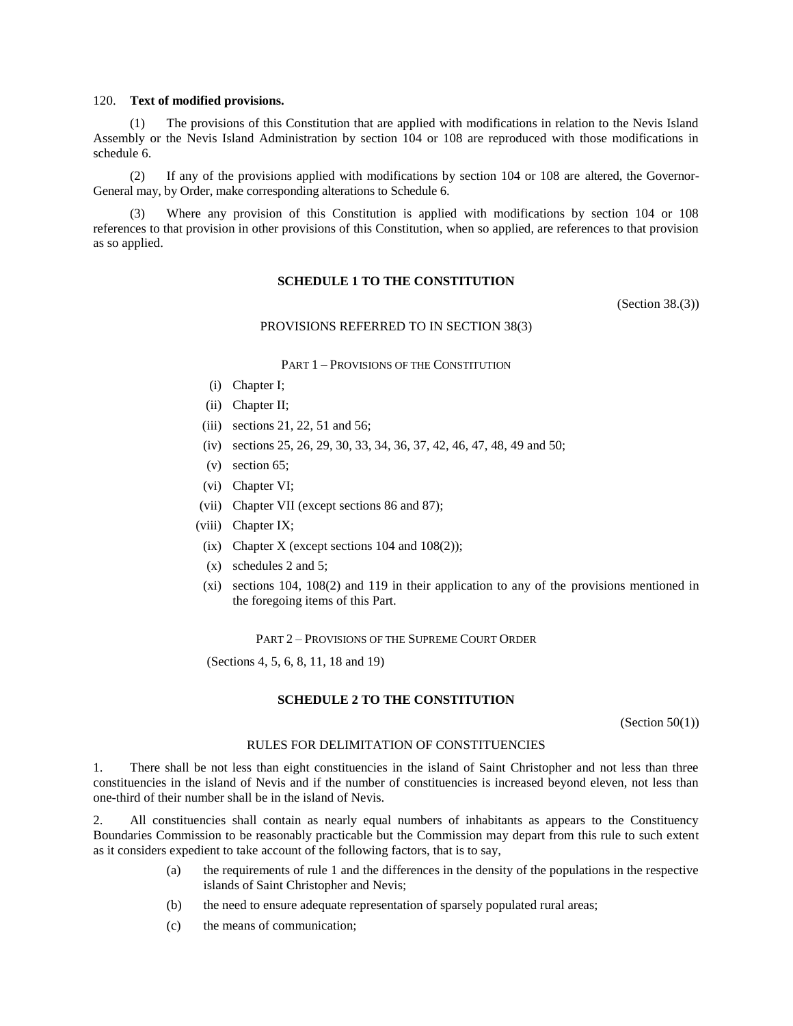### 120. **Text of modified provisions.**

(1) The provisions of this Constitution that are applied with modifications in relation to the Nevis Island Assembly or the Nevis Island Administration by section 104 or 108 are reproduced with those modifications in schedule 6.

(2) If any of the provisions applied with modifications by section 104 or 108 are altered, the Governor-General may, by Order, make corresponding alterations to Schedule 6.

Where any provision of this Constitution is applied with modifications by section 104 or 108 references to that provision in other provisions of this Constitution, when so applied, are references to that provision as so applied.

## **SCHEDULE 1 TO THE CONSTITUTION**

(Section 38.(3))

## PROVISIONS REFERRED TO IN SECTION 38(3)

PART 1 – PROVISIONS OF THE CONSTITUTION

- (i) Chapter I;
- (ii) Chapter II;
- (iii) sections 21, 22, 51 and 56;
- (iv) sections 25, 26, 29, 30, 33, 34, 36, 37, 42, 46, 47, 48, 49 and 50;
- (v) section 65;
- (vi) Chapter VI;
- (vii) Chapter VII (except sections 86 and 87);
- (viii) Chapter IX;
- (ix) Chapter X (except sections  $104$  and  $108(2)$ );
- (x) schedules 2 and 5;
- (xi) sections 104, 108(2) and 119 in their application to any of the provisions mentioned in the foregoing items of this Part.

PART 2 – PROVISIONS OF THE SUPREME COURT ORDER

(Sections 4, 5, 6, 8, 11, 18 and 19)

## **SCHEDULE 2 TO THE CONSTITUTION**

 $(Section 50(1))$ 

### RULES FOR DELIMITATION OF CONSTITUENCIES

1. There shall be not less than eight constituencies in the island of Saint Christopher and not less than three constituencies in the island of Nevis and if the number of constituencies is increased beyond eleven, not less than one-third of their number shall be in the island of Nevis.

2. All constituencies shall contain as nearly equal numbers of inhabitants as appears to the Constituency Boundaries Commission to be reasonably practicable but the Commission may depart from this rule to such extent as it considers expedient to take account of the following factors, that is to say,

- (a) the requirements of rule 1 and the differences in the density of the populations in the respective islands of Saint Christopher and Nevis;
- (b) the need to ensure adequate representation of sparsely populated rural areas;
- (c) the means of communication;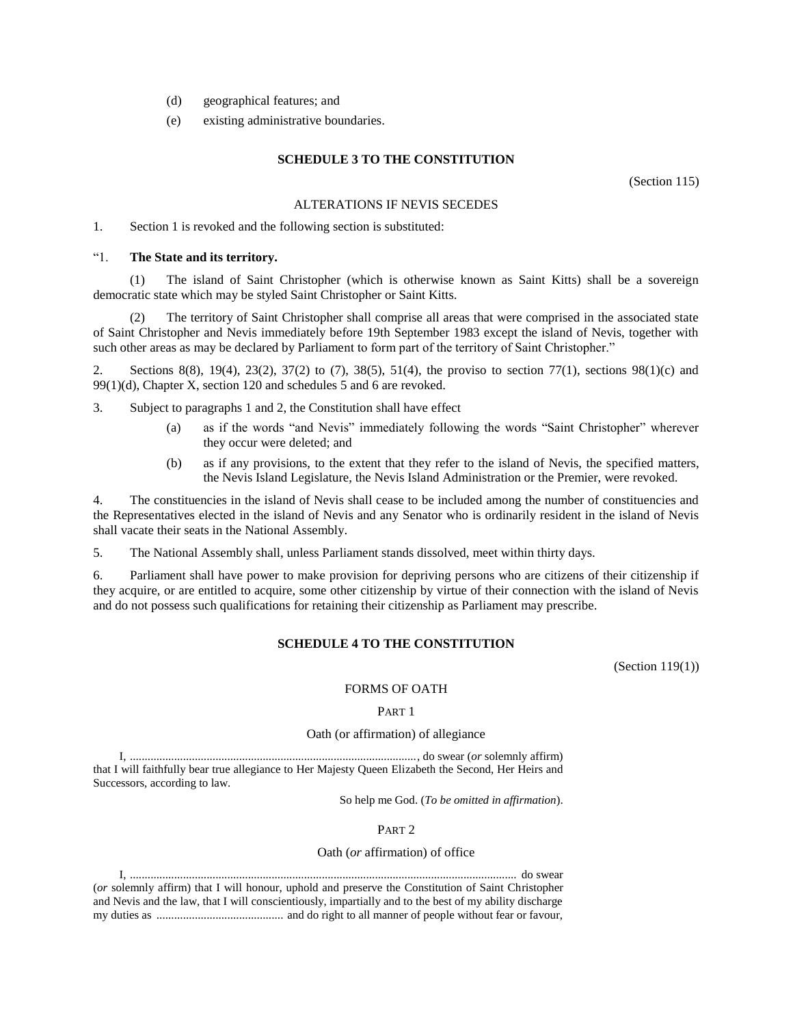- (d) geographical features; and
- (e) existing administrative boundaries.

## **SCHEDULE 3 TO THE CONSTITUTION**

(Section 115)

#### ALTERATIONS IF NEVIS SECEDES

1. Section 1 is revoked and the following section is substituted:

## "1. **The State and its territory.**

(1) The island of Saint Christopher (which is otherwise known as Saint Kitts) shall be a sovereign democratic state which may be styled Saint Christopher or Saint Kitts.

The territory of Saint Christopher shall comprise all areas that were comprised in the associated state of Saint Christopher and Nevis immediately before 19th September 1983 except the island of Nevis, together with such other areas as may be declared by Parliament to form part of the territory of Saint Christopher."

2. Sections 8(8), 19(4), 23(2), 37(2) to (7), 38(5), 51(4), the proviso to section 77(1), sections 98(1)(c) and 99(1)(d), Chapter X, section 120 and schedules 5 and 6 are revoked.

- 3. Subject to paragraphs 1 and 2, the Constitution shall have effect
	- (a) as if the words "and Nevis" immediately following the words "Saint Christopher" wherever they occur were deleted; and
	- (b) as if any provisions, to the extent that they refer to the island of Nevis, the specified matters, the Nevis Island Legislature, the Nevis Island Administration or the Premier, were revoked.

4. The constituencies in the island of Nevis shall cease to be included among the number of constituencies and the Representatives elected in the island of Nevis and any Senator who is ordinarily resident in the island of Nevis shall vacate their seats in the National Assembly.

5. The National Assembly shall, unless Parliament stands dissolved, meet within thirty days.

6. Parliament shall have power to make provision for depriving persons who are citizens of their citizenship if they acquire, or are entitled to acquire, some other citizenship by virtue of their connection with the island of Nevis and do not possess such qualifications for retaining their citizenship as Parliament may prescribe.

## **SCHEDULE 4 TO THE CONSTITUTION**

(Section 119(1))

#### FORMS OF OATH

### PART 1

#### Oath (or affirmation) of allegiance

I, ................................................................................................., do swear (*or* solemnly affirm) that I will faithfully bear true allegiance to Her Majesty Queen Elizabeth the Second, Her Heirs and Successors, according to law.

So help me God. (*To be omitted in affirmation*).

#### PART 2

#### Oath (*or* affirmation) of office

I, ................................................................................................................................... do swear (*or* solemnly affirm) that I will honour, uphold and preserve the Constitution of Saint Christopher and Nevis and the law, that I will conscientiously, impartially and to the best of my ability discharge my duties as ........................................... and do right to all manner of people without fear or favour,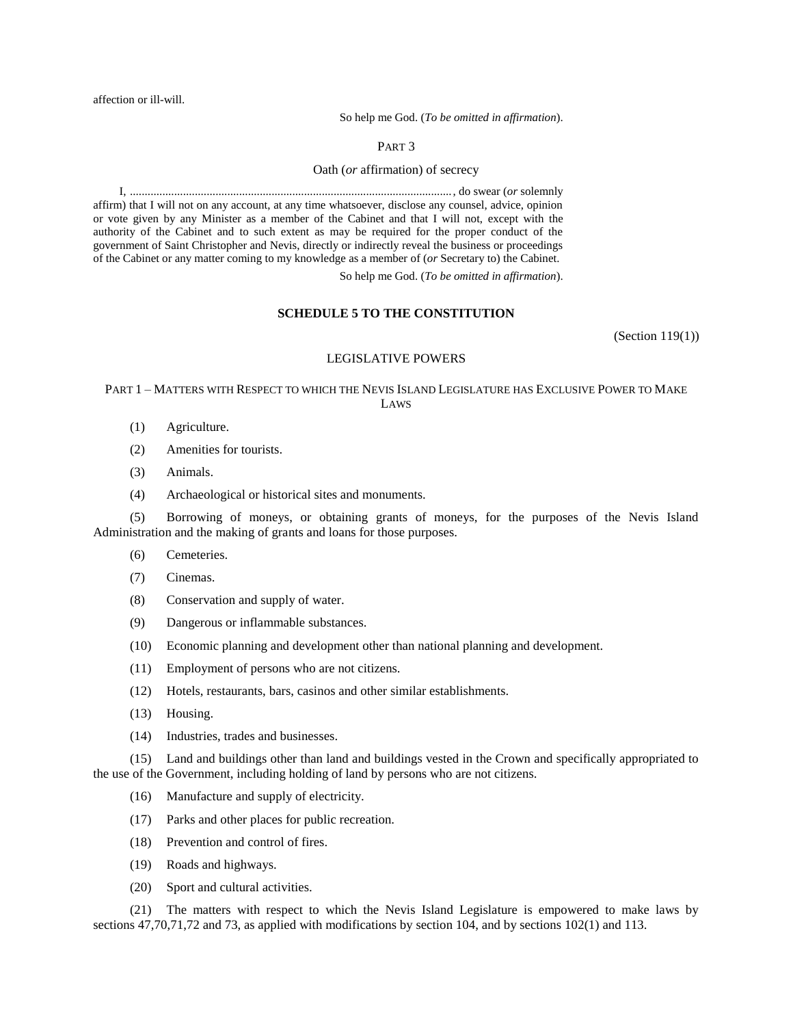affection or ill-will.

#### So help me God. (*To be omitted in affirmation*).

#### PART 3

### Oath (*or* affirmation) of secrecy

I, ............................................................................................................., do swear (*or* solemnly affirm) that I will not on any account, at any time whatsoever, disclose any counsel, advice, opinion or vote given by any Minister as a member of the Cabinet and that I will not, except with the authority of the Cabinet and to such extent as may be required for the proper conduct of the government of Saint Christopher and Nevis, directly or indirectly reveal the business or proceedings of the Cabinet or any matter coming to my knowledge as a member of (*or* Secretary to) the Cabinet.

So help me God. (*To be omitted in affirmation*).

# **SCHEDULE 5 TO THE CONSTITUTION**

(Section 119(1))

#### LEGISLATIVE POWERS

## PART 1 – MATTERS WITH RESPECT TO WHICH THE NEVIS ISLAND LEGISLATURE HAS EXCLUSIVE POWER TO MAKE LAWS

- (1) Agriculture.
- (2) Amenities for tourists.
- (3) Animals.
- (4) Archaeological or historical sites and monuments.

(5) Borrowing of moneys, or obtaining grants of moneys, for the purposes of the Nevis Island Administration and the making of grants and loans for those purposes.

- (6) Cemeteries.
- (7) Cinemas.
- (8) Conservation and supply of water.
- (9) Dangerous or inflammable substances.
- (10) Economic planning and development other than national planning and development.
- (11) Employment of persons who are not citizens.
- (12) Hotels, restaurants, bars, casinos and other similar establishments.
- (13) Housing.
- (14) Industries, trades and businesses.

(15) Land and buildings other than land and buildings vested in the Crown and specifically appropriated to the use of the Government, including holding of land by persons who are not citizens.

- (16) Manufacture and supply of electricity.
- (17) Parks and other places for public recreation.
- (18) Prevention and control of fires.
- (19) Roads and highways.
- (20) Sport and cultural activities.

(21) The matters with respect to which the Nevis Island Legislature is empowered to make laws by sections 47,70,71,72 and 73, as applied with modifications by section 104, and by sections 102(1) and 113.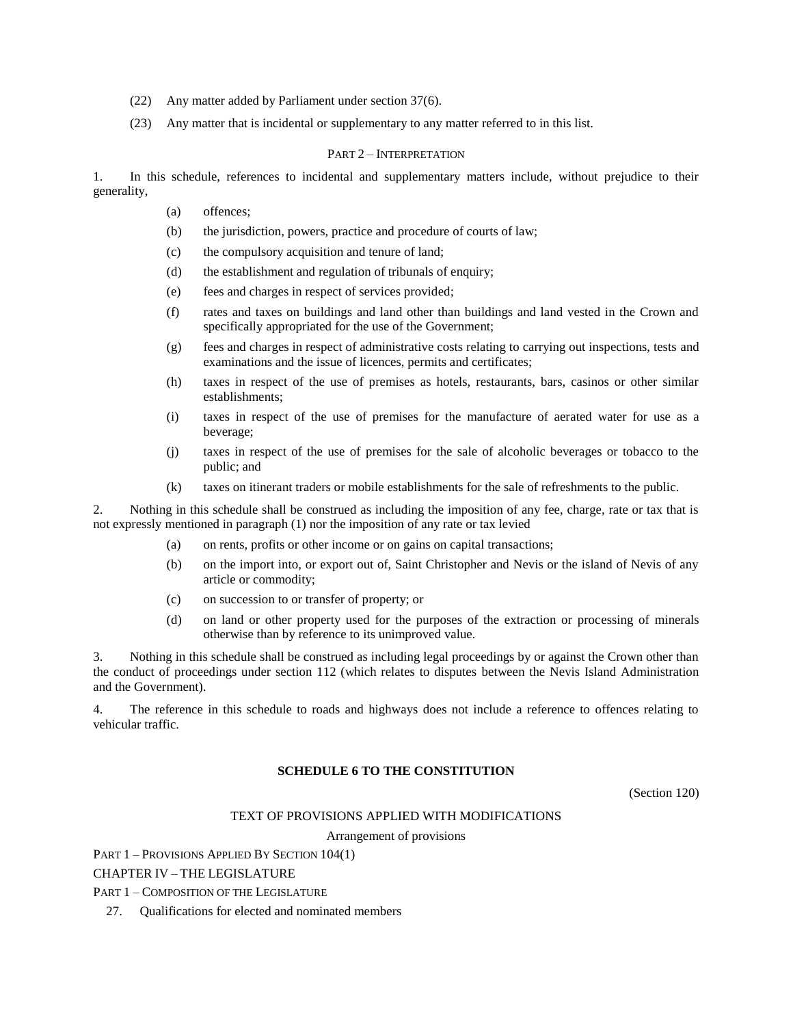- (22) Any matter added by Parliament under section 37(6).
- (23) Any matter that is incidental or supplementary to any matter referred to in this list.

### PART 2 – INTERPRETATION

1. In this schedule, references to incidental and supplementary matters include, without prejudice to their generality,

- (a) offences;
- (b) the jurisdiction, powers, practice and procedure of courts of law;
- (c) the compulsory acquisition and tenure of land;
- (d) the establishment and regulation of tribunals of enquiry;
- (e) fees and charges in respect of services provided;
- (f) rates and taxes on buildings and land other than buildings and land vested in the Crown and specifically appropriated for the use of the Government;
- (g) fees and charges in respect of administrative costs relating to carrying out inspections, tests and examinations and the issue of licences, permits and certificates;
- (h) taxes in respect of the use of premises as hotels, restaurants, bars, casinos or other similar establishments;
- (i) taxes in respect of the use of premises for the manufacture of aerated water for use as a beverage;
- (j) taxes in respect of the use of premises for the sale of alcoholic beverages or tobacco to the public; and
- (k) taxes on itinerant traders or mobile establishments for the sale of refreshments to the public.

2. Nothing in this schedule shall be construed as including the imposition of any fee, charge, rate or tax that is not expressly mentioned in paragraph (1) nor the imposition of any rate or tax levied

- (a) on rents, profits or other income or on gains on capital transactions;
- (b) on the import into, or export out of, Saint Christopher and Nevis or the island of Nevis of any article or commodity;
- (c) on succession to or transfer of property; or
- (d) on land or other property used for the purposes of the extraction or processing of minerals otherwise than by reference to its unimproved value.

3. Nothing in this schedule shall be construed as including legal proceedings by or against the Crown other than the conduct of proceedings under section 112 (which relates to disputes between the Nevis Island Administration and the Government).

4. The reference in this schedule to roads and highways does not include a reference to offences relating to vehicular traffic.

# **SCHEDULE 6 TO THE CONSTITUTION**

(Section 120)

## TEXT OF PROVISIONS APPLIED WITH MODIFICATIONS

Arrangement of provisions

PART 1 – PROVISIONS APPLIED BY SECTION 104(1)

### CHAPTER IV – THE LEGISLATURE

PART  $1$  – COMPOSITION OF THE LEGISLATURE

27. Qualifications for elected and nominated members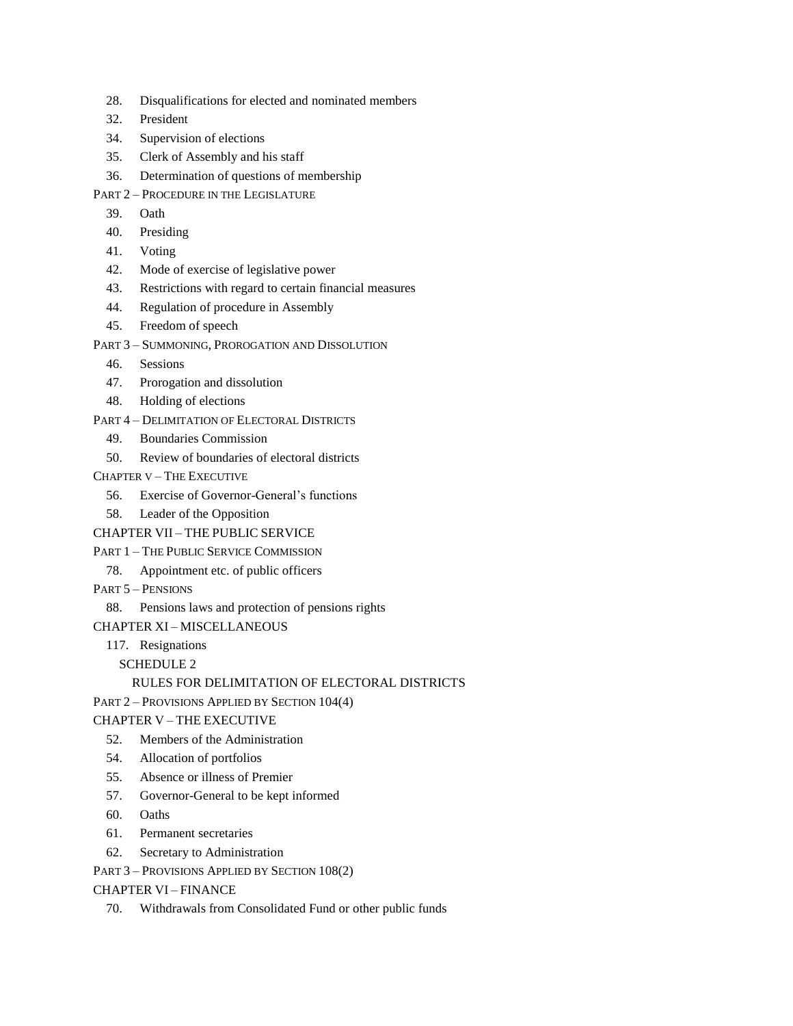- 28. Disqualifications for elected and nominated members
- 32. President
- 34. Supervision of elections
- 35. Clerk of Assembly and his staff
- 36. Determination of questions of membership
- PART 2 PROCEDURE IN THE LEGISLATURE
	- 39. Oath
	- 40. Presiding
	- 41. Voting
	- 42. Mode of exercise of legislative power
	- 43. Restrictions with regard to certain financial measures
	- 44. Regulation of procedure in Assembly
	- 45. Freedom of speech
- PART 3 SUMMONING, PROROGATION AND DISSOLUTION
	- 46. Sessions
	- 47. Prorogation and dissolution
	- 48. Holding of elections
- PART 4 DELIMITATION OF ELECTORAL DISTRICTS
	- 49. Boundaries Commission
	- 50. Review of boundaries of electoral districts
- CHAPTER V THE EXECUTIVE
	- 56. Exercise of Governor-General's functions
	- 58. Leader of the Opposition
- CHAPTER VII THE PUBLIC SERVICE
- PART 1 THE PUBLIC SERVICE COMMISSION
	- 78. Appointment etc. of public officers
- PART 5 PENSIONS
	- 88. Pensions laws and protection of pensions rights
- CHAPTER XI MISCELLANEOUS
	- 117. Resignations
		- SCHEDULE 2

# RULES FOR DELIMITATION OF ELECTORAL DISTRICTS

# PART 2 – PROVISIONS APPLIED BY SECTION 104(4)

# CHAPTER V – THE EXECUTIVE

- 52. Members of the Administration
- 54. Allocation of portfolios
- 55. Absence or illness of Premier
- 57. Governor-General to be kept informed
- 60. Oaths
- 61. Permanent secretaries
- 62. Secretary to Administration
- PART 3 PROVISIONS APPLIED BY SECTION 108(2)

# CHAPTER VI – FINANCE

70. Withdrawals from Consolidated Fund or other public funds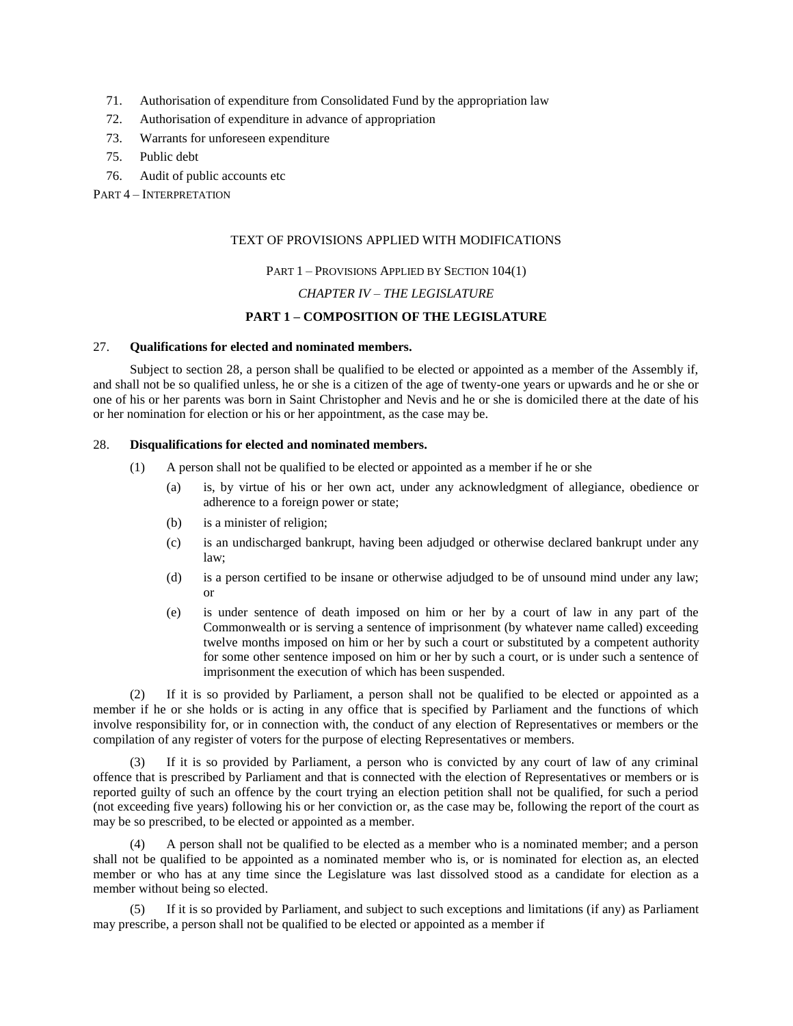- 71. Authorisation of expenditure from Consolidated Fund by the appropriation law
- 72. Authorisation of expenditure in advance of appropriation
- 73. Warrants for unforeseen expenditure
- 75. Public debt
- 76. Audit of public accounts etc

PART 4 – INTERPRETATION

## TEXT OF PROVISIONS APPLIED WITH MODIFICATIONS

PART 1 – PROVISIONS APPLIED BY SECTION 104(1)

## *CHAPTER IV – THE LEGISLATURE*

## **PART 1 – COMPOSITION OF THE LEGISLATURE**

### 27. **Qualifications for elected and nominated members.**

Subject to section 28, a person shall be qualified to be elected or appointed as a member of the Assembly if, and shall not be so qualified unless, he or she is a citizen of the age of twenty-one years or upwards and he or she or one of his or her parents was born in Saint Christopher and Nevis and he or she is domiciled there at the date of his or her nomination for election or his or her appointment, as the case may be.

### 28. **Disqualifications for elected and nominated members.**

- (1) A person shall not be qualified to be elected or appointed as a member if he or she
	- (a) is, by virtue of his or her own act, under any acknowledgment of allegiance, obedience or adherence to a foreign power or state;
	- (b) is a minister of religion;
	- (c) is an undischarged bankrupt, having been adjudged or otherwise declared bankrupt under any law;
	- (d) is a person certified to be insane or otherwise adjudged to be of unsound mind under any law; or
	- (e) is under sentence of death imposed on him or her by a court of law in any part of the Commonwealth or is serving a sentence of imprisonment (by whatever name called) exceeding twelve months imposed on him or her by such a court or substituted by a competent authority for some other sentence imposed on him or her by such a court, or is under such a sentence of imprisonment the execution of which has been suspended.

(2) If it is so provided by Parliament, a person shall not be qualified to be elected or appointed as a member if he or she holds or is acting in any office that is specified by Parliament and the functions of which involve responsibility for, or in connection with, the conduct of any election of Representatives or members or the compilation of any register of voters for the purpose of electing Representatives or members.

If it is so provided by Parliament, a person who is convicted by any court of law of any criminal offence that is prescribed by Parliament and that is connected with the election of Representatives or members or is reported guilty of such an offence by the court trying an election petition shall not be qualified, for such a period (not exceeding five years) following his or her conviction or, as the case may be, following the report of the court as may be so prescribed, to be elected or appointed as a member.

(4) A person shall not be qualified to be elected as a member who is a nominated member; and a person shall not be qualified to be appointed as a nominated member who is, or is nominated for election as, an elected member or who has at any time since the Legislature was last dissolved stood as a candidate for election as a member without being so elected.

If it is so provided by Parliament, and subject to such exceptions and limitations (if any) as Parliament may prescribe, a person shall not be qualified to be elected or appointed as a member if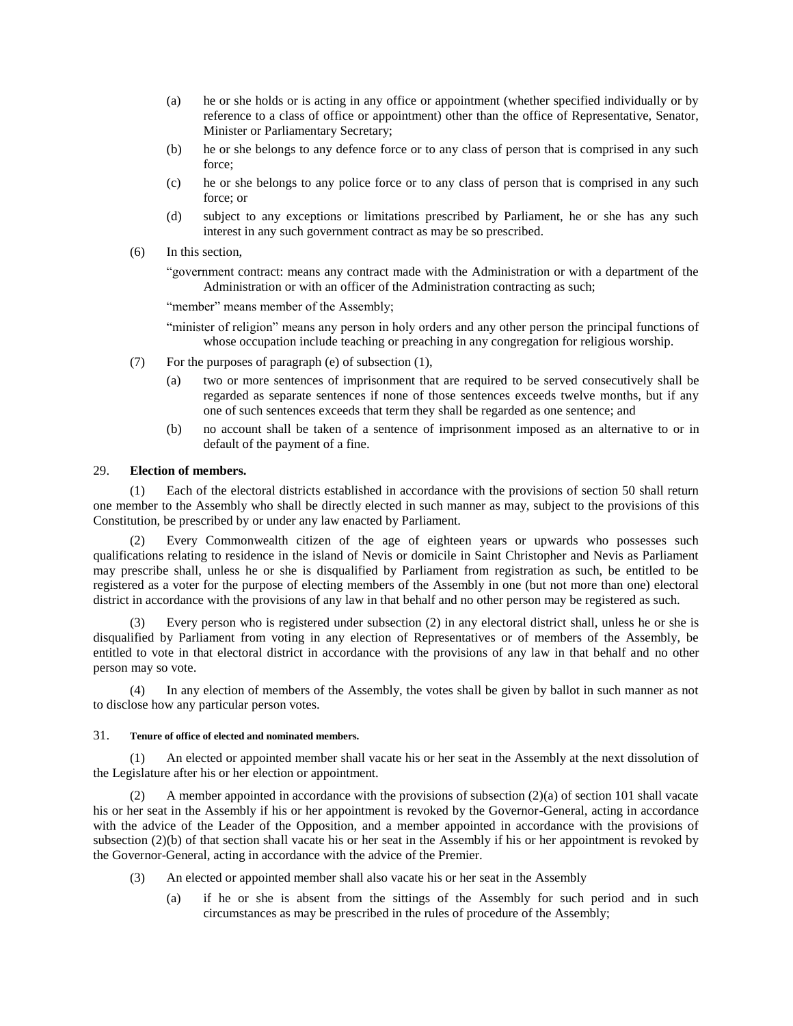- (a) he or she holds or is acting in any office or appointment (whether specified individually or by reference to a class of office or appointment) other than the office of Representative, Senator, Minister or Parliamentary Secretary;
- (b) he or she belongs to any defence force or to any class of person that is comprised in any such force;
- (c) he or she belongs to any police force or to any class of person that is comprised in any such force; or
- (d) subject to any exceptions or limitations prescribed by Parliament, he or she has any such interest in any such government contract as may be so prescribed.
- (6) In this section,

"government contract: means any contract made with the Administration or with a department of the Administration or with an officer of the Administration contracting as such;

"member" means member of the Assembly;

"minister of religion" means any person in holy orders and any other person the principal functions of whose occupation include teaching or preaching in any congregation for religious worship.

- (7) For the purposes of paragraph (e) of subsection (1),
	- (a) two or more sentences of imprisonment that are required to be served consecutively shall be regarded as separate sentences if none of those sentences exceeds twelve months, but if any one of such sentences exceeds that term they shall be regarded as one sentence; and
	- (b) no account shall be taken of a sentence of imprisonment imposed as an alternative to or in default of the payment of a fine.

# 29. **Election of members.**

(1) Each of the electoral districts established in accordance with the provisions of section 50 shall return one member to the Assembly who shall be directly elected in such manner as may, subject to the provisions of this Constitution, be prescribed by or under any law enacted by Parliament.

(2) Every Commonwealth citizen of the age of eighteen years or upwards who possesses such qualifications relating to residence in the island of Nevis or domicile in Saint Christopher and Nevis as Parliament may prescribe shall, unless he or she is disqualified by Parliament from registration as such, be entitled to be registered as a voter for the purpose of electing members of the Assembly in one (but not more than one) electoral district in accordance with the provisions of any law in that behalf and no other person may be registered as such.

Every person who is registered under subsection (2) in any electoral district shall, unless he or she is disqualified by Parliament from voting in any election of Representatives or of members of the Assembly, be entitled to vote in that electoral district in accordance with the provisions of any law in that behalf and no other person may so vote.

(4) In any election of members of the Assembly, the votes shall be given by ballot in such manner as not to disclose how any particular person votes.

### 31. **Tenure of office of elected and nominated members.**

(1) An elected or appointed member shall vacate his or her seat in the Assembly at the next dissolution of the Legislature after his or her election or appointment.

(2) A member appointed in accordance with the provisions of subsection  $(2)(a)$  of section 101 shall vacate his or her seat in the Assembly if his or her appointment is revoked by the Governor-General, acting in accordance with the advice of the Leader of the Opposition, and a member appointed in accordance with the provisions of subsection (2)(b) of that section shall vacate his or her seat in the Assembly if his or her appointment is revoked by the Governor-General, acting in accordance with the advice of the Premier.

- (3) An elected or appointed member shall also vacate his or her seat in the Assembly
	- (a) if he or she is absent from the sittings of the Assembly for such period and in such circumstances as may be prescribed in the rules of procedure of the Assembly;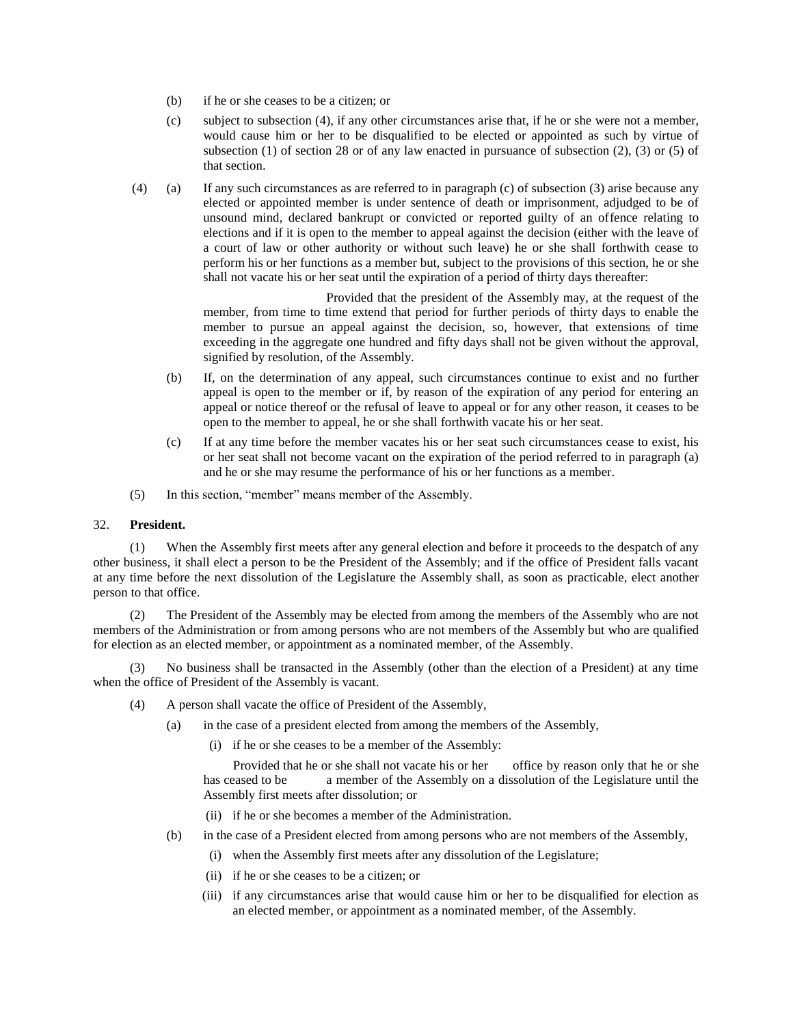- (b) if he or she ceases to be a citizen; or
- (c) subject to subsection (4), if any other circumstances arise that, if he or she were not a member, would cause him or her to be disqualified to be elected or appointed as such by virtue of subsection (1) of section 28 or of any law enacted in pursuance of subsection (2), (3) or (5) of that section.
- (4) (a) If any such circumstances as are referred to in paragraph (c) of subsection (3) arise because any elected or appointed member is under sentence of death or imprisonment, adjudged to be of unsound mind, declared bankrupt or convicted or reported guilty of an offence relating to elections and if it is open to the member to appeal against the decision (either with the leave of a court of law or other authority or without such leave) he or she shall forthwith cease to perform his or her functions as a member but, subject to the provisions of this section, he or she shall not vacate his or her seat until the expiration of a period of thirty days thereafter:

Provided that the president of the Assembly may, at the request of the member, from time to time extend that period for further periods of thirty days to enable the member to pursue an appeal against the decision, so, however, that extensions of time exceeding in the aggregate one hundred and fifty days shall not be given without the approval, signified by resolution, of the Assembly.

- (b) If, on the determination of any appeal, such circumstances continue to exist and no further appeal is open to the member or if, by reason of the expiration of any period for entering an appeal or notice thereof or the refusal of leave to appeal or for any other reason, it ceases to be open to the member to appeal, he or she shall forthwith vacate his or her seat.
- (c) If at any time before the member vacates his or her seat such circumstances cease to exist, his or her seat shall not become vacant on the expiration of the period referred to in paragraph (a) and he or she may resume the performance of his or her functions as a member.
- (5) In this section, "member" means member of the Assembly.

## 32. **President.**

(1) When the Assembly first meets after any general election and before it proceeds to the despatch of any other business, it shall elect a person to be the President of the Assembly; and if the office of President falls vacant at any time before the next dissolution of the Legislature the Assembly shall, as soon as practicable, elect another person to that office.

The President of the Assembly may be elected from among the members of the Assembly who are not members of the Administration or from among persons who are not members of the Assembly but who are qualified for election as an elected member, or appointment as a nominated member, of the Assembly.

(3) No business shall be transacted in the Assembly (other than the election of a President) at any time when the office of President of the Assembly is vacant.

- (4) A person shall vacate the office of President of the Assembly,
	- (a) in the case of a president elected from among the members of the Assembly,
		- (i) if he or she ceases to be a member of the Assembly:

Provided that he or she shall not vacate his or her office by reason only that he or she has ceased to be a member of the Assembly on a dissolution of the Legislature until the Assembly first meets after dissolution; or

- (ii) if he or she becomes a member of the Administration.
- (b) in the case of a President elected from among persons who are not members of the Assembly,
	- (i) when the Assembly first meets after any dissolution of the Legislature;
	- (ii) if he or she ceases to be a citizen; or
	- (iii) if any circumstances arise that would cause him or her to be disqualified for election as an elected member, or appointment as a nominated member, of the Assembly.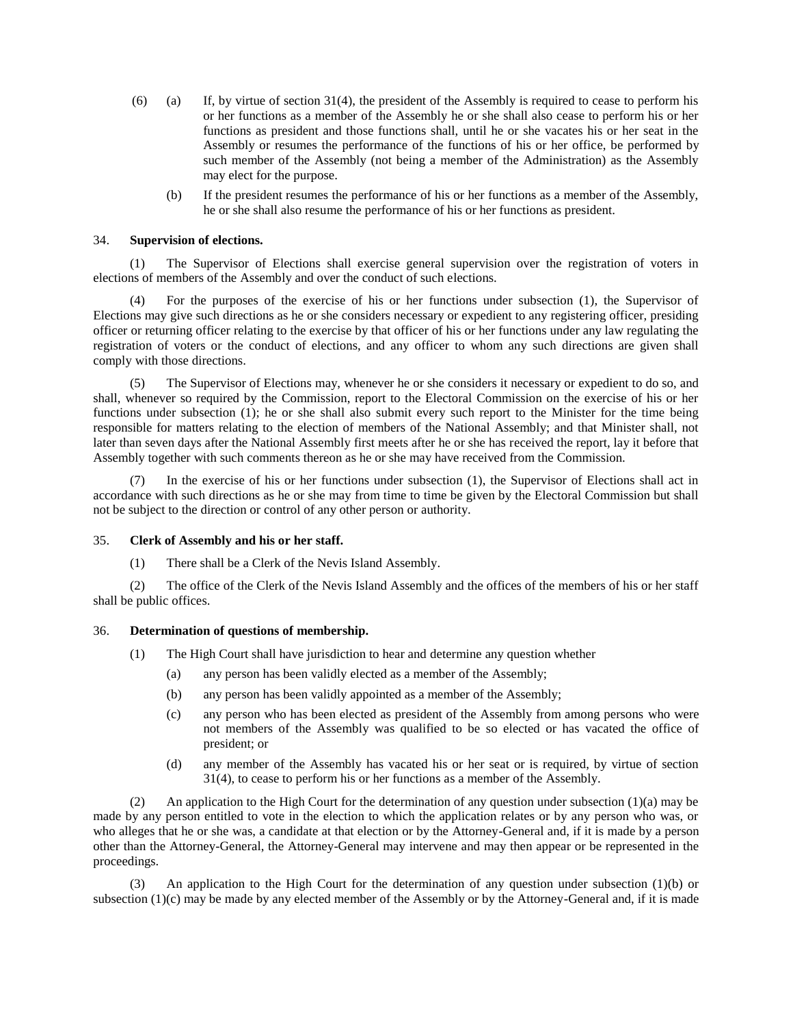- (6) (a) If, by virtue of section 31(4), the president of the Assembly is required to cease to perform his or her functions as a member of the Assembly he or she shall also cease to perform his or her functions as president and those functions shall, until he or she vacates his or her seat in the Assembly or resumes the performance of the functions of his or her office, be performed by such member of the Assembly (not being a member of the Administration) as the Assembly may elect for the purpose.
	- (b) If the president resumes the performance of his or her functions as a member of the Assembly, he or she shall also resume the performance of his or her functions as president.

## 34. **Supervision of elections.**

(1) The Supervisor of Elections shall exercise general supervision over the registration of voters in elections of members of the Assembly and over the conduct of such elections.

For the purposes of the exercise of his or her functions under subsection (1), the Supervisor of Elections may give such directions as he or she considers necessary or expedient to any registering officer, presiding officer or returning officer relating to the exercise by that officer of his or her functions under any law regulating the registration of voters or the conduct of elections, and any officer to whom any such directions are given shall comply with those directions.

(5) The Supervisor of Elections may, whenever he or she considers it necessary or expedient to do so, and shall, whenever so required by the Commission, report to the Electoral Commission on the exercise of his or her functions under subsection (1); he or she shall also submit every such report to the Minister for the time being responsible for matters relating to the election of members of the National Assembly; and that Minister shall, not later than seven days after the National Assembly first meets after he or she has received the report, lay it before that Assembly together with such comments thereon as he or she may have received from the Commission.

(7) In the exercise of his or her functions under subsection (1), the Supervisor of Elections shall act in accordance with such directions as he or she may from time to time be given by the Electoral Commission but shall not be subject to the direction or control of any other person or authority.

### 35. **Clerk of Assembly and his or her staff.**

(1) There shall be a Clerk of the Nevis Island Assembly.

(2) The office of the Clerk of the Nevis Island Assembly and the offices of the members of his or her staff shall be public offices.

### 36. **Determination of questions of membership.**

- (1) The High Court shall have jurisdiction to hear and determine any question whether
	- (a) any person has been validly elected as a member of the Assembly;
	- (b) any person has been validly appointed as a member of the Assembly;
	- (c) any person who has been elected as president of the Assembly from among persons who were not members of the Assembly was qualified to be so elected or has vacated the office of president; or
	- (d) any member of the Assembly has vacated his or her seat or is required, by virtue of section 31(4), to cease to perform his or her functions as a member of the Assembly.

(2) An application to the High Court for the determination of any question under subsection  $(1)(a)$  may be made by any person entitled to vote in the election to which the application relates or by any person who was, or who alleges that he or she was, a candidate at that election or by the Attorney-General and, if it is made by a person other than the Attorney-General, the Attorney-General may intervene and may then appear or be represented in the proceedings.

(3) An application to the High Court for the determination of any question under subsection (1)(b) or subsection (1)(c) may be made by any elected member of the Assembly or by the Attorney-General and, if it is made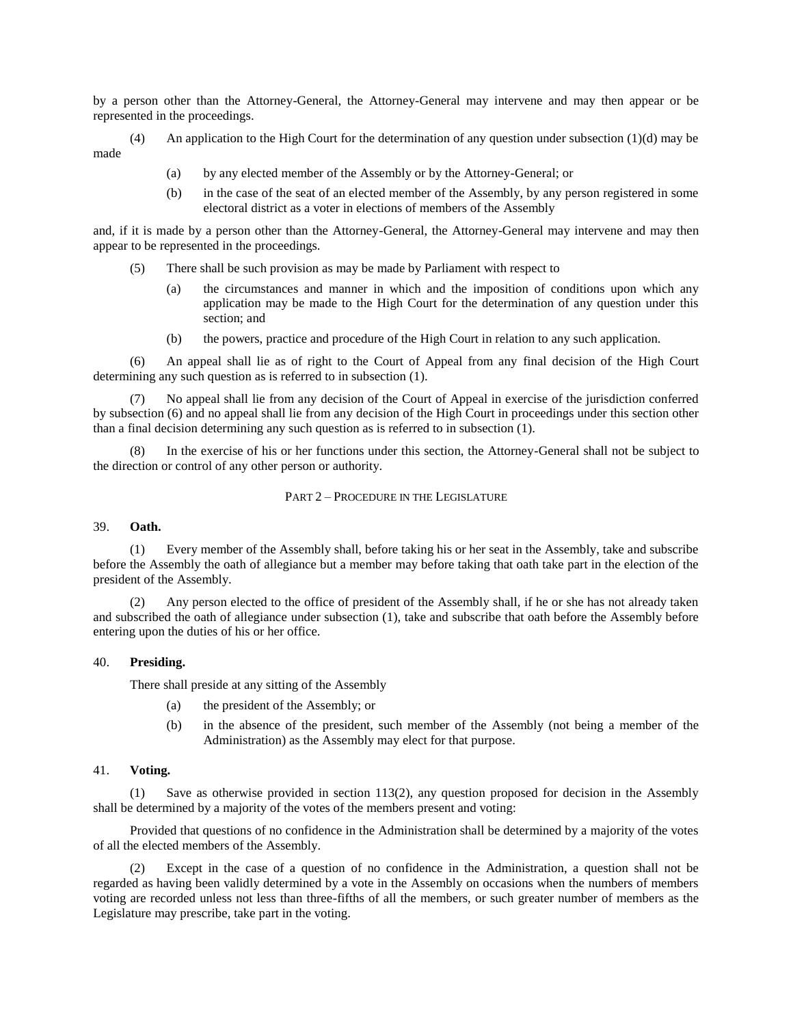by a person other than the Attorney-General, the Attorney-General may intervene and may then appear or be represented in the proceedings.

(4) An application to the High Court for the determination of any question under subsection (1)(d) may be made

- (a) by any elected member of the Assembly or by the Attorney-General; or
- (b) in the case of the seat of an elected member of the Assembly, by any person registered in some electoral district as a voter in elections of members of the Assembly

and, if it is made by a person other than the Attorney-General, the Attorney-General may intervene and may then appear to be represented in the proceedings.

- (5) There shall be such provision as may be made by Parliament with respect to
	- (a) the circumstances and manner in which and the imposition of conditions upon which any application may be made to the High Court for the determination of any question under this section; and
	- (b) the powers, practice and procedure of the High Court in relation to any such application.

(6) An appeal shall lie as of right to the Court of Appeal from any final decision of the High Court determining any such question as is referred to in subsection (1).

(7) No appeal shall lie from any decision of the Court of Appeal in exercise of the jurisdiction conferred by subsection (6) and no appeal shall lie from any decision of the High Court in proceedings under this section other than a final decision determining any such question as is referred to in subsection (1).

In the exercise of his or her functions under this section, the Attorney-General shall not be subject to the direction or control of any other person or authority.

### PART 2 – PROCEDURE IN THE LEGISLATURE

#### 39. **Oath.**

(1) Every member of the Assembly shall, before taking his or her seat in the Assembly, take and subscribe before the Assembly the oath of allegiance but a member may before taking that oath take part in the election of the president of the Assembly.

Any person elected to the office of president of the Assembly shall, if he or she has not already taken and subscribed the oath of allegiance under subsection (1), take and subscribe that oath before the Assembly before entering upon the duties of his or her office.

## 40. **Presiding.**

There shall preside at any sitting of the Assembly

- (a) the president of the Assembly; or
- (b) in the absence of the president, such member of the Assembly (not being a member of the Administration) as the Assembly may elect for that purpose.

## 41. **Voting.**

(1) Save as otherwise provided in section 113(2), any question proposed for decision in the Assembly shall be determined by a majority of the votes of the members present and voting:

Provided that questions of no confidence in the Administration shall be determined by a majority of the votes of all the elected members of the Assembly.

Except in the case of a question of no confidence in the Administration, a question shall not be regarded as having been validly determined by a vote in the Assembly on occasions when the numbers of members voting are recorded unless not less than three-fifths of all the members, or such greater number of members as the Legislature may prescribe, take part in the voting.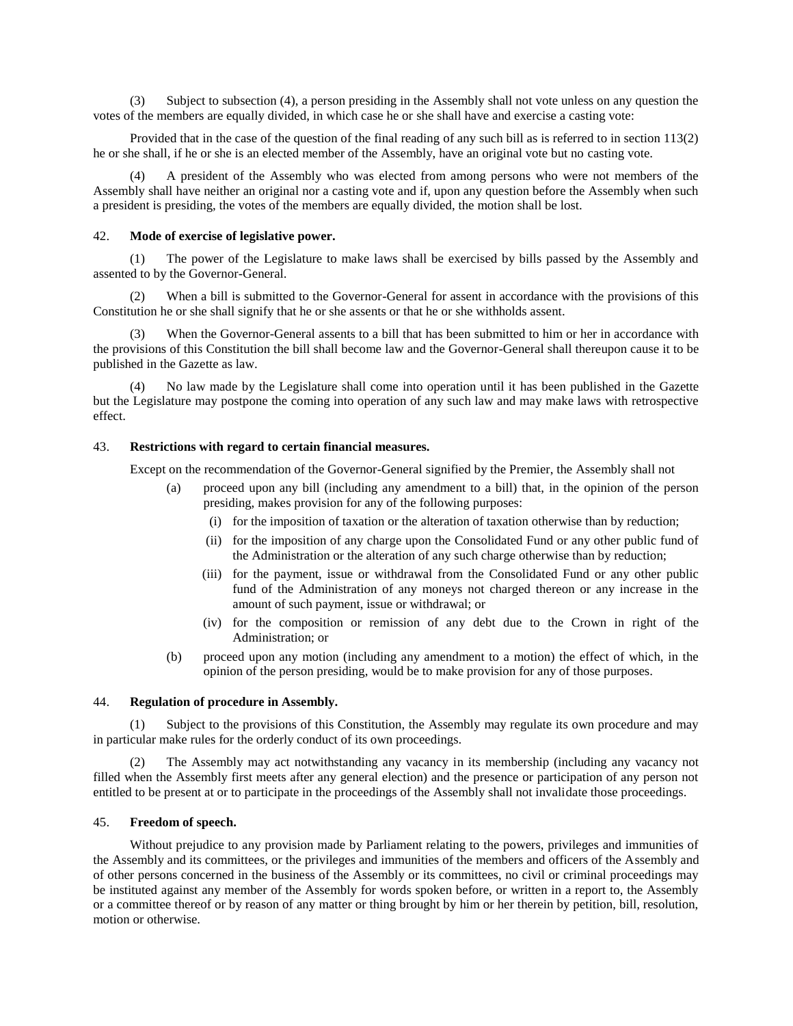(3) Subject to subsection (4), a person presiding in the Assembly shall not vote unless on any question the votes of the members are equally divided, in which case he or she shall have and exercise a casting vote:

Provided that in the case of the question of the final reading of any such bill as is referred to in section 113(2) he or she shall, if he or she is an elected member of the Assembly, have an original vote but no casting vote.

(4) A president of the Assembly who was elected from among persons who were not members of the Assembly shall have neither an original nor a casting vote and if, upon any question before the Assembly when such a president is presiding, the votes of the members are equally divided, the motion shall be lost.

#### 42. **Mode of exercise of legislative power.**

(1) The power of the Legislature to make laws shall be exercised by bills passed by the Assembly and assented to by the Governor-General.

(2) When a bill is submitted to the Governor-General for assent in accordance with the provisions of this Constitution he or she shall signify that he or she assents or that he or she withholds assent.

When the Governor-General assents to a bill that has been submitted to him or her in accordance with the provisions of this Constitution the bill shall become law and the Governor-General shall thereupon cause it to be published in the Gazette as law.

(4) No law made by the Legislature shall come into operation until it has been published in the Gazette but the Legislature may postpone the coming into operation of any such law and may make laws with retrospective effect.

### 43. **Restrictions with regard to certain financial measures.**

Except on the recommendation of the Governor-General signified by the Premier, the Assembly shall not

- (a) proceed upon any bill (including any amendment to a bill) that, in the opinion of the person presiding, makes provision for any of the following purposes:
	- (i) for the imposition of taxation or the alteration of taxation otherwise than by reduction;
	- (ii) for the imposition of any charge upon the Consolidated Fund or any other public fund of the Administration or the alteration of any such charge otherwise than by reduction;
	- (iii) for the payment, issue or withdrawal from the Consolidated Fund or any other public fund of the Administration of any moneys not charged thereon or any increase in the amount of such payment, issue or withdrawal; or
	- (iv) for the composition or remission of any debt due to the Crown in right of the Administration; or
- (b) proceed upon any motion (including any amendment to a motion) the effect of which, in the opinion of the person presiding, would be to make provision for any of those purposes.

#### 44. **Regulation of procedure in Assembly.**

(1) Subject to the provisions of this Constitution, the Assembly may regulate its own procedure and may in particular make rules for the orderly conduct of its own proceedings.

The Assembly may act notwithstanding any vacancy in its membership (including any vacancy not filled when the Assembly first meets after any general election) and the presence or participation of any person not entitled to be present at or to participate in the proceedings of the Assembly shall not invalidate those proceedings.

#### 45. **Freedom of speech.**

Without prejudice to any provision made by Parliament relating to the powers, privileges and immunities of the Assembly and its committees, or the privileges and immunities of the members and officers of the Assembly and of other persons concerned in the business of the Assembly or its committees, no civil or criminal proceedings may be instituted against any member of the Assembly for words spoken before, or written in a report to, the Assembly or a committee thereof or by reason of any matter or thing brought by him or her therein by petition, bill, resolution, motion or otherwise.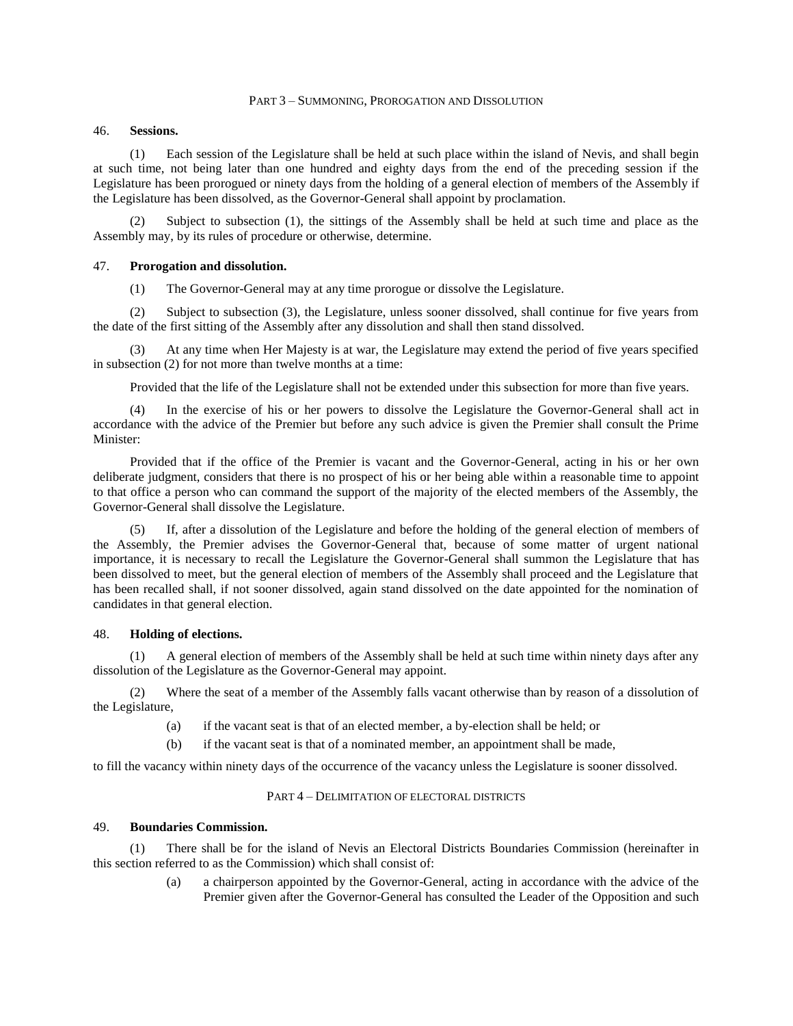### PART 3 – SUMMONING, PROROGATION AND DISSOLUTION

#### 46. **Sessions.**

(1) Each session of the Legislature shall be held at such place within the island of Nevis, and shall begin at such time, not being later than one hundred and eighty days from the end of the preceding session if the Legislature has been prorogued or ninety days from the holding of a general election of members of the Assembly if the Legislature has been dissolved, as the Governor-General shall appoint by proclamation.

Subject to subsection (1), the sittings of the Assembly shall be held at such time and place as the Assembly may, by its rules of procedure or otherwise, determine.

## 47. **Prorogation and dissolution.**

(1) The Governor-General may at any time prorogue or dissolve the Legislature.

(2) Subject to subsection (3), the Legislature, unless sooner dissolved, shall continue for five years from the date of the first sitting of the Assembly after any dissolution and shall then stand dissolved.

At any time when Her Majesty is at war, the Legislature may extend the period of five years specified in subsection (2) for not more than twelve months at a time:

Provided that the life of the Legislature shall not be extended under this subsection for more than five years.

In the exercise of his or her powers to dissolve the Legislature the Governor-General shall act in accordance with the advice of the Premier but before any such advice is given the Premier shall consult the Prime Minister:

Provided that if the office of the Premier is vacant and the Governor-General, acting in his or her own deliberate judgment, considers that there is no prospect of his or her being able within a reasonable time to appoint to that office a person who can command the support of the majority of the elected members of the Assembly, the Governor-General shall dissolve the Legislature.

(5) If, after a dissolution of the Legislature and before the holding of the general election of members of the Assembly, the Premier advises the Governor-General that, because of some matter of urgent national importance, it is necessary to recall the Legislature the Governor-General shall summon the Legislature that has been dissolved to meet, but the general election of members of the Assembly shall proceed and the Legislature that has been recalled shall, if not sooner dissolved, again stand dissolved on the date appointed for the nomination of candidates in that general election.

## 48. **Holding of elections.**

A general election of members of the Assembly shall be held at such time within ninety days after any dissolution of the Legislature as the Governor-General may appoint.

(2) Where the seat of a member of the Assembly falls vacant otherwise than by reason of a dissolution of the Legislature,

- (a) if the vacant seat is that of an elected member, a by-election shall be held; or
- (b) if the vacant seat is that of a nominated member, an appointment shall be made,

to fill the vacancy within ninety days of the occurrence of the vacancy unless the Legislature is sooner dissolved.

## PART 4 – DELIMITATION OF ELECTORAL DISTRICTS

## 49. **Boundaries Commission.**

(1) There shall be for the island of Nevis an Electoral Districts Boundaries Commission (hereinafter in this section referred to as the Commission) which shall consist of:

> (a) a chairperson appointed by the Governor-General, acting in accordance with the advice of the Premier given after the Governor-General has consulted the Leader of the Opposition and such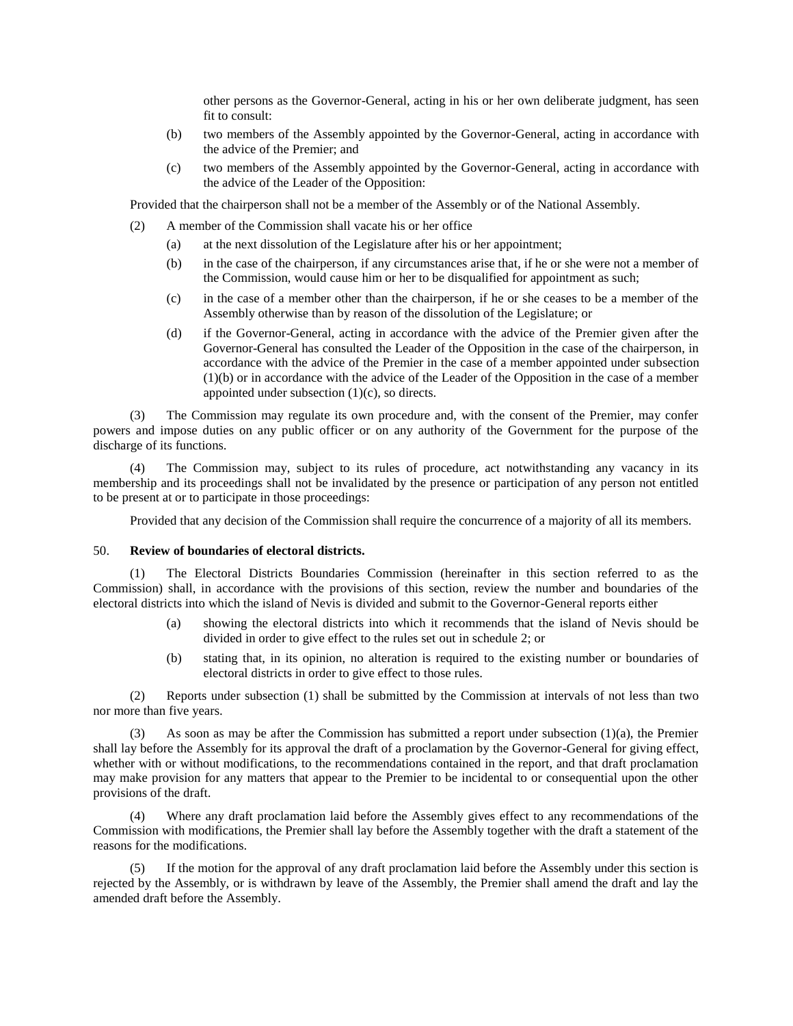other persons as the Governor-General, acting in his or her own deliberate judgment, has seen fit to consult:

- (b) two members of the Assembly appointed by the Governor-General, acting in accordance with the advice of the Premier; and
- (c) two members of the Assembly appointed by the Governor-General, acting in accordance with the advice of the Leader of the Opposition:

Provided that the chairperson shall not be a member of the Assembly or of the National Assembly.

- (2) A member of the Commission shall vacate his or her office
	- (a) at the next dissolution of the Legislature after his or her appointment;
	- (b) in the case of the chairperson, if any circumstances arise that, if he or she were not a member of the Commission, would cause him or her to be disqualified for appointment as such;
	- (c) in the case of a member other than the chairperson, if he or she ceases to be a member of the Assembly otherwise than by reason of the dissolution of the Legislature; or
	- (d) if the Governor-General, acting in accordance with the advice of the Premier given after the Governor-General has consulted the Leader of the Opposition in the case of the chairperson, in accordance with the advice of the Premier in the case of a member appointed under subsection (1)(b) or in accordance with the advice of the Leader of the Opposition in the case of a member appointed under subsection (1)(c), so directs.

(3) The Commission may regulate its own procedure and, with the consent of the Premier, may confer powers and impose duties on any public officer or on any authority of the Government for the purpose of the discharge of its functions.

The Commission may, subject to its rules of procedure, act notwithstanding any vacancy in its membership and its proceedings shall not be invalidated by the presence or participation of any person not entitled to be present at or to participate in those proceedings:

Provided that any decision of the Commission shall require the concurrence of a majority of all its members.

#### 50. **Review of boundaries of electoral districts.**

(1) The Electoral Districts Boundaries Commission (hereinafter in this section referred to as the Commission) shall, in accordance with the provisions of this section, review the number and boundaries of the electoral districts into which the island of Nevis is divided and submit to the Governor-General reports either

- (a) showing the electoral districts into which it recommends that the island of Nevis should be divided in order to give effect to the rules set out in schedule 2; or
- (b) stating that, in its opinion, no alteration is required to the existing number or boundaries of electoral districts in order to give effect to those rules.

(2) Reports under subsection (1) shall be submitted by the Commission at intervals of not less than two nor more than five years.

(3) As soon as may be after the Commission has submitted a report under subsection (1)(a), the Premier shall lay before the Assembly for its approval the draft of a proclamation by the Governor-General for giving effect, whether with or without modifications, to the recommendations contained in the report, and that draft proclamation may make provision for any matters that appear to the Premier to be incidental to or consequential upon the other provisions of the draft.

Where any draft proclamation laid before the Assembly gives effect to any recommendations of the Commission with modifications, the Premier shall lay before the Assembly together with the draft a statement of the reasons for the modifications.

If the motion for the approval of any draft proclamation laid before the Assembly under this section is rejected by the Assembly, or is withdrawn by leave of the Assembly, the Premier shall amend the draft and lay the amended draft before the Assembly.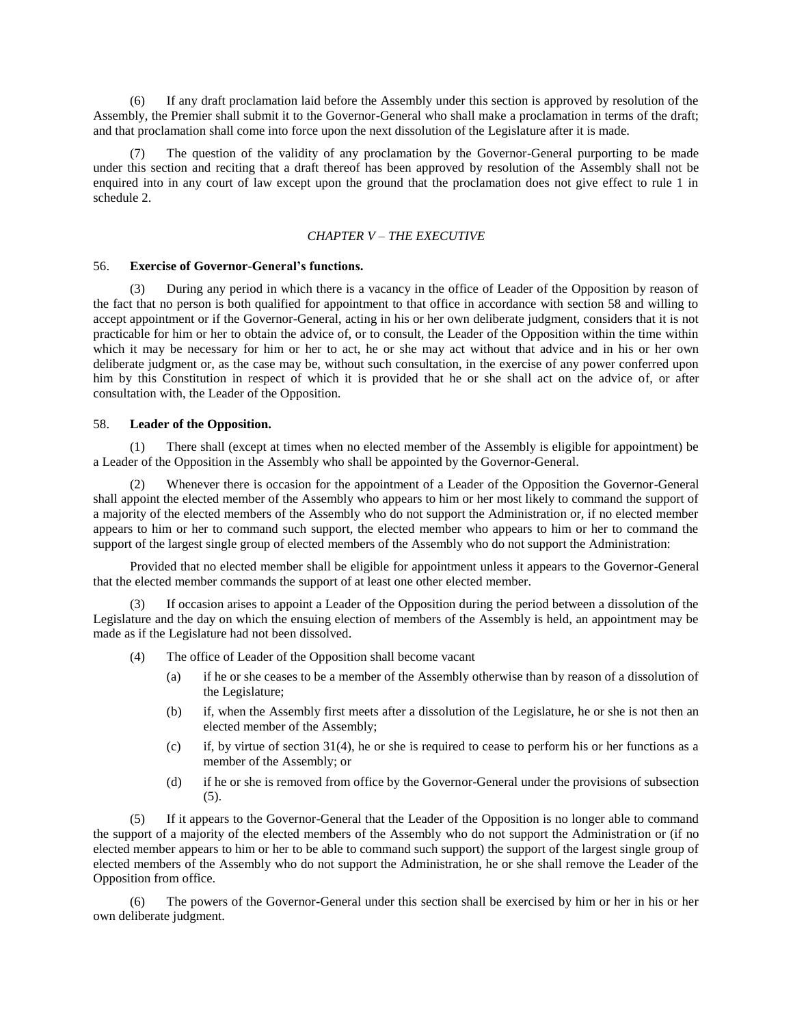(6) If any draft proclamation laid before the Assembly under this section is approved by resolution of the Assembly, the Premier shall submit it to the Governor-General who shall make a proclamation in terms of the draft; and that proclamation shall come into force upon the next dissolution of the Legislature after it is made.

The question of the validity of any proclamation by the Governor-General purporting to be made under this section and reciting that a draft thereof has been approved by resolution of the Assembly shall not be enquired into in any court of law except upon the ground that the proclamation does not give effect to rule 1 in schedule 2.

## *CHAPTER V – THE EXECUTIVE*

## 56. **Exercise of Governor-General's functions.**

(3) During any period in which there is a vacancy in the office of Leader of the Opposition by reason of the fact that no person is both qualified for appointment to that office in accordance with section 58 and willing to accept appointment or if the Governor-General, acting in his or her own deliberate judgment, considers that it is not practicable for him or her to obtain the advice of, or to consult, the Leader of the Opposition within the time within which it may be necessary for him or her to act, he or she may act without that advice and in his or her own deliberate judgment or, as the case may be, without such consultation, in the exercise of any power conferred upon him by this Constitution in respect of which it is provided that he or she shall act on the advice of, or after consultation with, the Leader of the Opposition.

## 58. **Leader of the Opposition.**

(1) There shall (except at times when no elected member of the Assembly is eligible for appointment) be a Leader of the Opposition in the Assembly who shall be appointed by the Governor-General.

Whenever there is occasion for the appointment of a Leader of the Opposition the Governor-General shall appoint the elected member of the Assembly who appears to him or her most likely to command the support of a majority of the elected members of the Assembly who do not support the Administration or, if no elected member appears to him or her to command such support, the elected member who appears to him or her to command the support of the largest single group of elected members of the Assembly who do not support the Administration:

Provided that no elected member shall be eligible for appointment unless it appears to the Governor-General that the elected member commands the support of at least one other elected member.

(3) If occasion arises to appoint a Leader of the Opposition during the period between a dissolution of the Legislature and the day on which the ensuing election of members of the Assembly is held, an appointment may be made as if the Legislature had not been dissolved.

- (4) The office of Leader of the Opposition shall become vacant
	- (a) if he or she ceases to be a member of the Assembly otherwise than by reason of a dissolution of the Legislature;
	- (b) if, when the Assembly first meets after a dissolution of the Legislature, he or she is not then an elected member of the Assembly;
	- (c) if, by virtue of section  $31(4)$ , he or she is required to cease to perform his or her functions as a member of the Assembly; or
	- (d) if he or she is removed from office by the Governor-General under the provisions of subsection (5).

(5) If it appears to the Governor-General that the Leader of the Opposition is no longer able to command the support of a majority of the elected members of the Assembly who do not support the Administration or (if no elected member appears to him or her to be able to command such support) the support of the largest single group of elected members of the Assembly who do not support the Administration, he or she shall remove the Leader of the Opposition from office.

(6) The powers of the Governor-General under this section shall be exercised by him or her in his or her own deliberate judgment.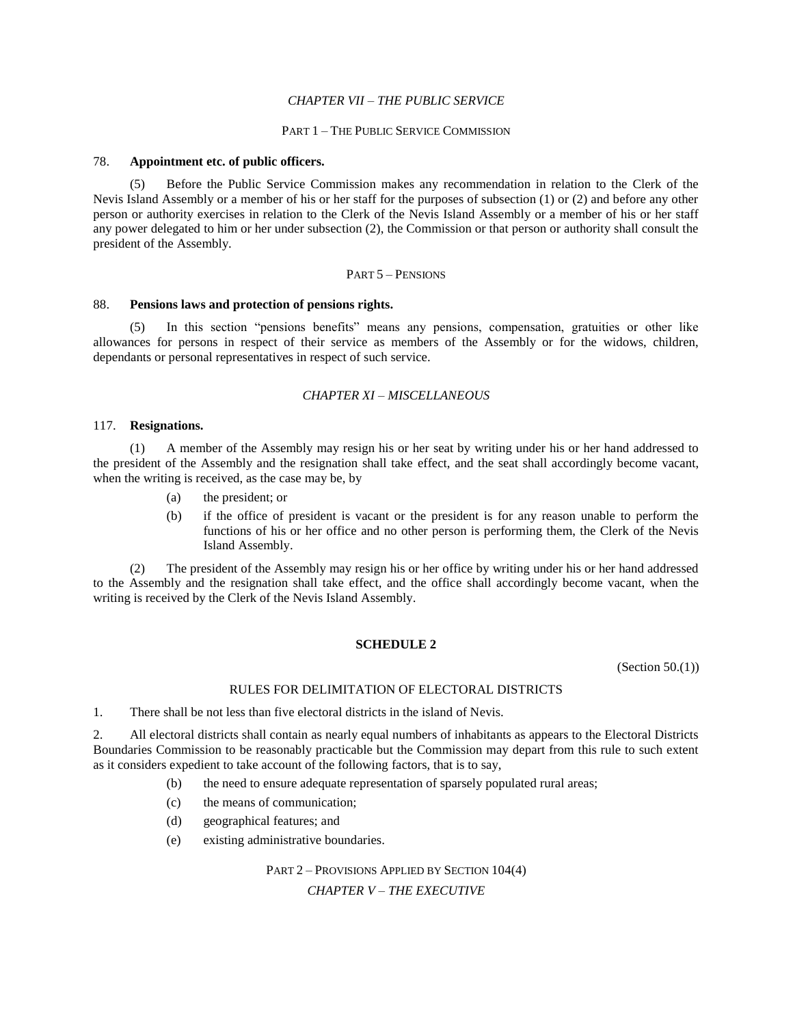## *CHAPTER VII – THE PUBLIC SERVICE*

### PART 1 – THE PUBLIC SERVICE COMMISSION

### 78. **Appointment etc. of public officers.**

(5) Before the Public Service Commission makes any recommendation in relation to the Clerk of the Nevis Island Assembly or a member of his or her staff for the purposes of subsection (1) or (2) and before any other person or authority exercises in relation to the Clerk of the Nevis Island Assembly or a member of his or her staff any power delegated to him or her under subsection (2), the Commission or that person or authority shall consult the president of the Assembly.

## PART 5 – PENSIONS

## 88. **Pensions laws and protection of pensions rights.**

(5) In this section "pensions benefits" means any pensions, compensation, gratuities or other like allowances for persons in respect of their service as members of the Assembly or for the widows, children, dependants or personal representatives in respect of such service.

## *CHAPTER XI – MISCELLANEOUS*

#### 117. **Resignations.**

(1) A member of the Assembly may resign his or her seat by writing under his or her hand addressed to the president of the Assembly and the resignation shall take effect, and the seat shall accordingly become vacant, when the writing is received, as the case may be, by

- (a) the president; or
- (b) if the office of president is vacant or the president is for any reason unable to perform the functions of his or her office and no other person is performing them, the Clerk of the Nevis Island Assembly.

(2) The president of the Assembly may resign his or her office by writing under his or her hand addressed to the Assembly and the resignation shall take effect, and the office shall accordingly become vacant, when the writing is received by the Clerk of the Nevis Island Assembly.

## **SCHEDULE 2**

(Section 50.(1))

## RULES FOR DELIMITATION OF ELECTORAL DISTRICTS

1. There shall be not less than five electoral districts in the island of Nevis.

2. All electoral districts shall contain as nearly equal numbers of inhabitants as appears to the Electoral Districts Boundaries Commission to be reasonably practicable but the Commission may depart from this rule to such extent as it considers expedient to take account of the following factors, that is to say,

- (b) the need to ensure adequate representation of sparsely populated rural areas;
- (c) the means of communication;
- (d) geographical features; and
- (e) existing administrative boundaries.

PART 2 – PROVISIONS APPLIED BY SECTION 104(4)

*CHAPTER V – THE EXECUTIVE*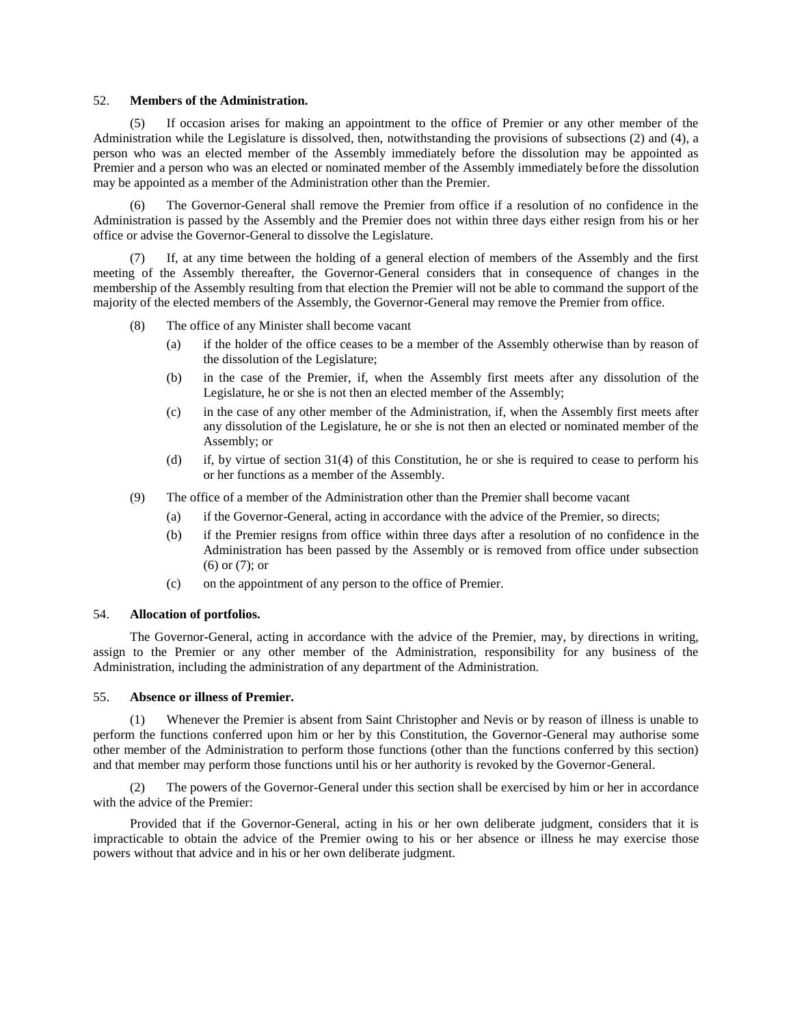## 52. **Members of the Administration.**

(5) If occasion arises for making an appointment to the office of Premier or any other member of the Administration while the Legislature is dissolved, then, notwithstanding the provisions of subsections (2) and (4), a person who was an elected member of the Assembly immediately before the dissolution may be appointed as Premier and a person who was an elected or nominated member of the Assembly immediately before the dissolution may be appointed as a member of the Administration other than the Premier.

The Governor-General shall remove the Premier from office if a resolution of no confidence in the Administration is passed by the Assembly and the Premier does not within three days either resign from his or her office or advise the Governor-General to dissolve the Legislature.

If, at any time between the holding of a general election of members of the Assembly and the first meeting of the Assembly thereafter, the Governor-General considers that in consequence of changes in the membership of the Assembly resulting from that election the Premier will not be able to command the support of the majority of the elected members of the Assembly, the Governor-General may remove the Premier from office.

- (8) The office of any Minister shall become vacant
	- (a) if the holder of the office ceases to be a member of the Assembly otherwise than by reason of the dissolution of the Legislature;
	- (b) in the case of the Premier, if, when the Assembly first meets after any dissolution of the Legislature, he or she is not then an elected member of the Assembly;
	- (c) in the case of any other member of the Administration, if, when the Assembly first meets after any dissolution of the Legislature, he or she is not then an elected or nominated member of the Assembly; or
	- (d) if, by virtue of section 31(4) of this Constitution, he or she is required to cease to perform his or her functions as a member of the Assembly.
- (9) The office of a member of the Administration other than the Premier shall become vacant
	- (a) if the Governor-General, acting in accordance with the advice of the Premier, so directs;
	- (b) if the Premier resigns from office within three days after a resolution of no confidence in the Administration has been passed by the Assembly or is removed from office under subsection (6) or (7); or
	- (c) on the appointment of any person to the office of Premier.

#### 54. **Allocation of portfolios.**

The Governor-General, acting in accordance with the advice of the Premier, may, by directions in writing, assign to the Premier or any other member of the Administration, responsibility for any business of the Administration, including the administration of any department of the Administration.

## 55. **Absence or illness of Premier.**

(1) Whenever the Premier is absent from Saint Christopher and Nevis or by reason of illness is unable to perform the functions conferred upon him or her by this Constitution, the Governor-General may authorise some other member of the Administration to perform those functions (other than the functions conferred by this section) and that member may perform those functions until his or her authority is revoked by the Governor-General.

(2) The powers of the Governor-General under this section shall be exercised by him or her in accordance with the advice of the Premier:

Provided that if the Governor-General, acting in his or her own deliberate judgment, considers that it is impracticable to obtain the advice of the Premier owing to his or her absence or illness he may exercise those powers without that advice and in his or her own deliberate judgment.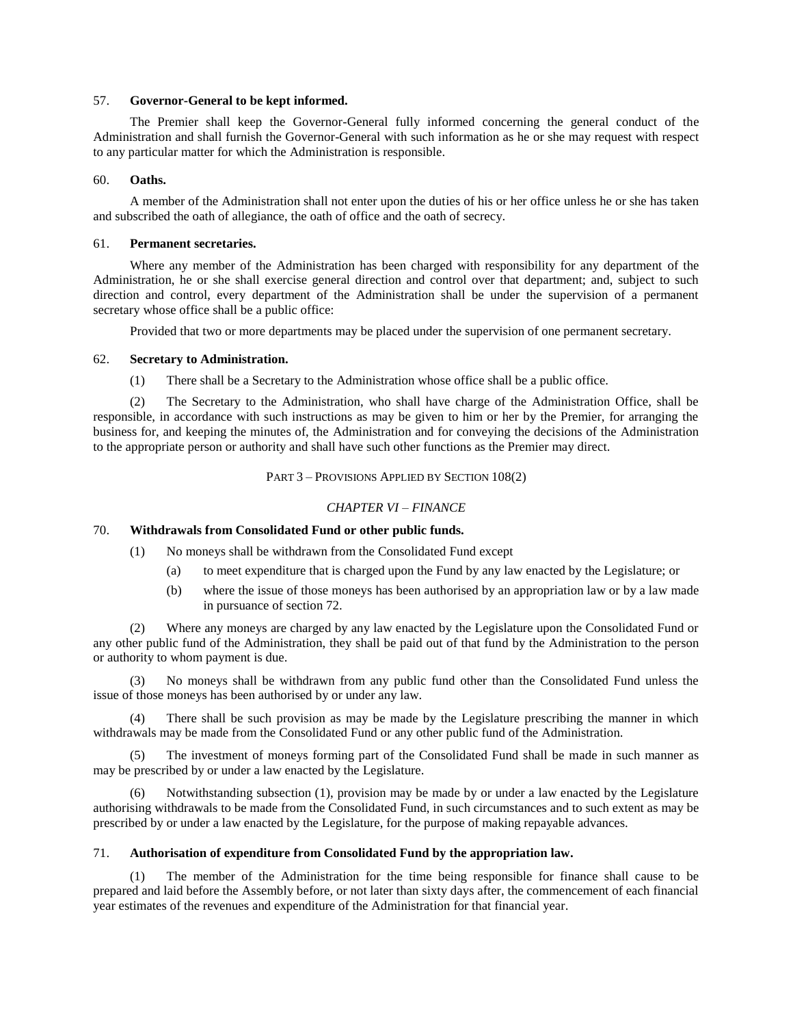## 57. **Governor-General to be kept informed.**

The Premier shall keep the Governor-General fully informed concerning the general conduct of the Administration and shall furnish the Governor-General with such information as he or she may request with respect to any particular matter for which the Administration is responsible.

## 60. **Oaths.**

A member of the Administration shall not enter upon the duties of his or her office unless he or she has taken and subscribed the oath of allegiance, the oath of office and the oath of secrecy.

### 61. **Permanent secretaries.**

Where any member of the Administration has been charged with responsibility for any department of the Administration, he or she shall exercise general direction and control over that department; and, subject to such direction and control, every department of the Administration shall be under the supervision of a permanent secretary whose office shall be a public office:

Provided that two or more departments may be placed under the supervision of one permanent secretary.

### 62. **Secretary to Administration.**

(1) There shall be a Secretary to the Administration whose office shall be a public office.

(2) The Secretary to the Administration, who shall have charge of the Administration Office, shall be responsible, in accordance with such instructions as may be given to him or her by the Premier, for arranging the business for, and keeping the minutes of, the Administration and for conveying the decisions of the Administration to the appropriate person or authority and shall have such other functions as the Premier may direct.

## PART 3 – PROVISIONS APPLIED BY SECTION 108(2)

## *CHAPTER VI – FINANCE*

## 70. **Withdrawals from Consolidated Fund or other public funds.**

- (1) No moneys shall be withdrawn from the Consolidated Fund except
	- (a) to meet expenditure that is charged upon the Fund by any law enacted by the Legislature; or
	- (b) where the issue of those moneys has been authorised by an appropriation law or by a law made in pursuance of section 72.

(2) Where any moneys are charged by any law enacted by the Legislature upon the Consolidated Fund or any other public fund of the Administration, they shall be paid out of that fund by the Administration to the person or authority to whom payment is due.

(3) No moneys shall be withdrawn from any public fund other than the Consolidated Fund unless the issue of those moneys has been authorised by or under any law.

There shall be such provision as may be made by the Legislature prescribing the manner in which withdrawals may be made from the Consolidated Fund or any other public fund of the Administration.

The investment of moneys forming part of the Consolidated Fund shall be made in such manner as may be prescribed by or under a law enacted by the Legislature.

(6) Notwithstanding subsection (1), provision may be made by or under a law enacted by the Legislature authorising withdrawals to be made from the Consolidated Fund, in such circumstances and to such extent as may be prescribed by or under a law enacted by the Legislature, for the purpose of making repayable advances.

## 71. **Authorisation of expenditure from Consolidated Fund by the appropriation law.**

(1) The member of the Administration for the time being responsible for finance shall cause to be prepared and laid before the Assembly before, or not later than sixty days after, the commencement of each financial year estimates of the revenues and expenditure of the Administration for that financial year.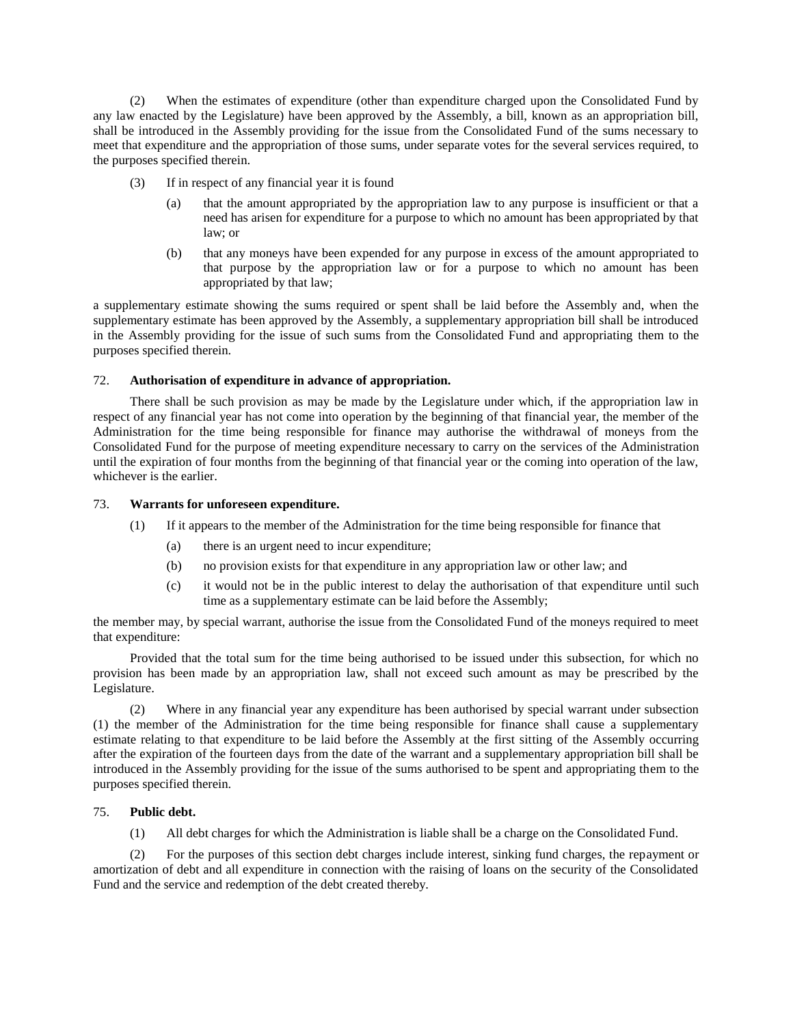(2) When the estimates of expenditure (other than expenditure charged upon the Consolidated Fund by any law enacted by the Legislature) have been approved by the Assembly, a bill, known as an appropriation bill, shall be introduced in the Assembly providing for the issue from the Consolidated Fund of the sums necessary to meet that expenditure and the appropriation of those sums, under separate votes for the several services required, to the purposes specified therein.

- (3) If in respect of any financial year it is found
	- (a) that the amount appropriated by the appropriation law to any purpose is insufficient or that a need has arisen for expenditure for a purpose to which no amount has been appropriated by that law; or
	- (b) that any moneys have been expended for any purpose in excess of the amount appropriated to that purpose by the appropriation law or for a purpose to which no amount has been appropriated by that law;

a supplementary estimate showing the sums required or spent shall be laid before the Assembly and, when the supplementary estimate has been approved by the Assembly, a supplementary appropriation bill shall be introduced in the Assembly providing for the issue of such sums from the Consolidated Fund and appropriating them to the purposes specified therein.

## 72. **Authorisation of expenditure in advance of appropriation.**

There shall be such provision as may be made by the Legislature under which, if the appropriation law in respect of any financial year has not come into operation by the beginning of that financial year, the member of the Administration for the time being responsible for finance may authorise the withdrawal of moneys from the Consolidated Fund for the purpose of meeting expenditure necessary to carry on the services of the Administration until the expiration of four months from the beginning of that financial year or the coming into operation of the law, whichever is the earlier.

## 73. **Warrants for unforeseen expenditure.**

- (1) If it appears to the member of the Administration for the time being responsible for finance that
	- (a) there is an urgent need to incur expenditure;
	- (b) no provision exists for that expenditure in any appropriation law or other law; and
	- (c) it would not be in the public interest to delay the authorisation of that expenditure until such time as a supplementary estimate can be laid before the Assembly;

the member may, by special warrant, authorise the issue from the Consolidated Fund of the moneys required to meet that expenditure:

Provided that the total sum for the time being authorised to be issued under this subsection, for which no provision has been made by an appropriation law, shall not exceed such amount as may be prescribed by the Legislature.

(2) Where in any financial year any expenditure has been authorised by special warrant under subsection (1) the member of the Administration for the time being responsible for finance shall cause a supplementary estimate relating to that expenditure to be laid before the Assembly at the first sitting of the Assembly occurring after the expiration of the fourteen days from the date of the warrant and a supplementary appropriation bill shall be introduced in the Assembly providing for the issue of the sums authorised to be spent and appropriating them to the purposes specified therein.

# 75. **Public debt.**

(1) All debt charges for which the Administration is liable shall be a charge on the Consolidated Fund.

(2) For the purposes of this section debt charges include interest, sinking fund charges, the repayment or amortization of debt and all expenditure in connection with the raising of loans on the security of the Consolidated Fund and the service and redemption of the debt created thereby.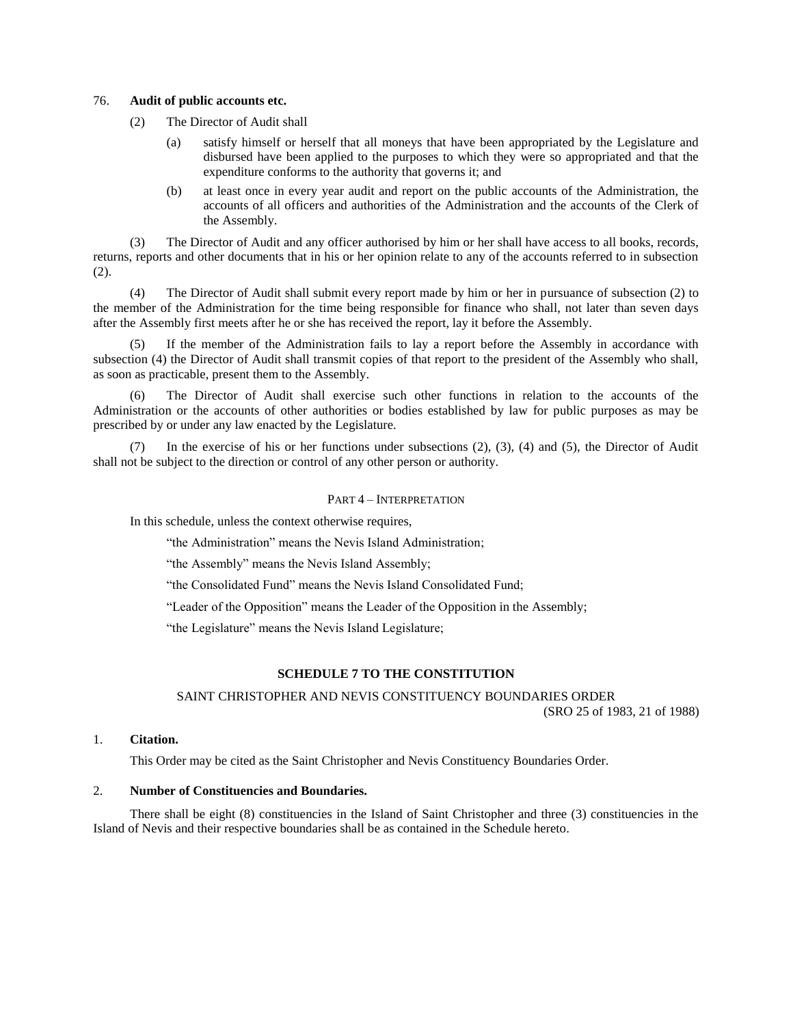## 76. **Audit of public accounts etc.**

- (2) The Director of Audit shall
	- (a) satisfy himself or herself that all moneys that have been appropriated by the Legislature and disbursed have been applied to the purposes to which they were so appropriated and that the expenditure conforms to the authority that governs it; and
	- (b) at least once in every year audit and report on the public accounts of the Administration, the accounts of all officers and authorities of the Administration and the accounts of the Clerk of the Assembly.

(3) The Director of Audit and any officer authorised by him or her shall have access to all books, records, returns, reports and other documents that in his or her opinion relate to any of the accounts referred to in subsection (2).

(4) The Director of Audit shall submit every report made by him or her in pursuance of subsection (2) to the member of the Administration for the time being responsible for finance who shall, not later than seven days after the Assembly first meets after he or she has received the report, lay it before the Assembly.

(5) If the member of the Administration fails to lay a report before the Assembly in accordance with subsection (4) the Director of Audit shall transmit copies of that report to the president of the Assembly who shall, as soon as practicable, present them to the Assembly.

(6) The Director of Audit shall exercise such other functions in relation to the accounts of the Administration or the accounts of other authorities or bodies established by law for public purposes as may be prescribed by or under any law enacted by the Legislature.

In the exercise of his or her functions under subsections  $(2)$ ,  $(3)$ ,  $(4)$  and  $(5)$ , the Director of Audit shall not be subject to the direction or control of any other person or authority.

## PART 4 – INTERPRETATION

In this schedule, unless the context otherwise requires,

"the Administration" means the Nevis Island Administration;

"the Assembly" means the Nevis Island Assembly;

"the Consolidated Fund" means the Nevis Island Consolidated Fund;

"Leader of the Opposition" means the Leader of the Opposition in the Assembly;

"the Legislature" means the Nevis Island Legislature;

## **SCHEDULE 7 TO THE CONSTITUTION**

#### SAINT CHRISTOPHER AND NEVIS CONSTITUENCY BOUNDARIES ORDER

(SRO 25 of 1983, 21 of 1988)

## 1. **Citation.**

This Order may be cited as the Saint Christopher and Nevis Constituency Boundaries Order.

## 2. **Number of Constituencies and Boundaries.**

There shall be eight (8) constituencies in the Island of Saint Christopher and three (3) constituencies in the Island of Nevis and their respective boundaries shall be as contained in the Schedule hereto.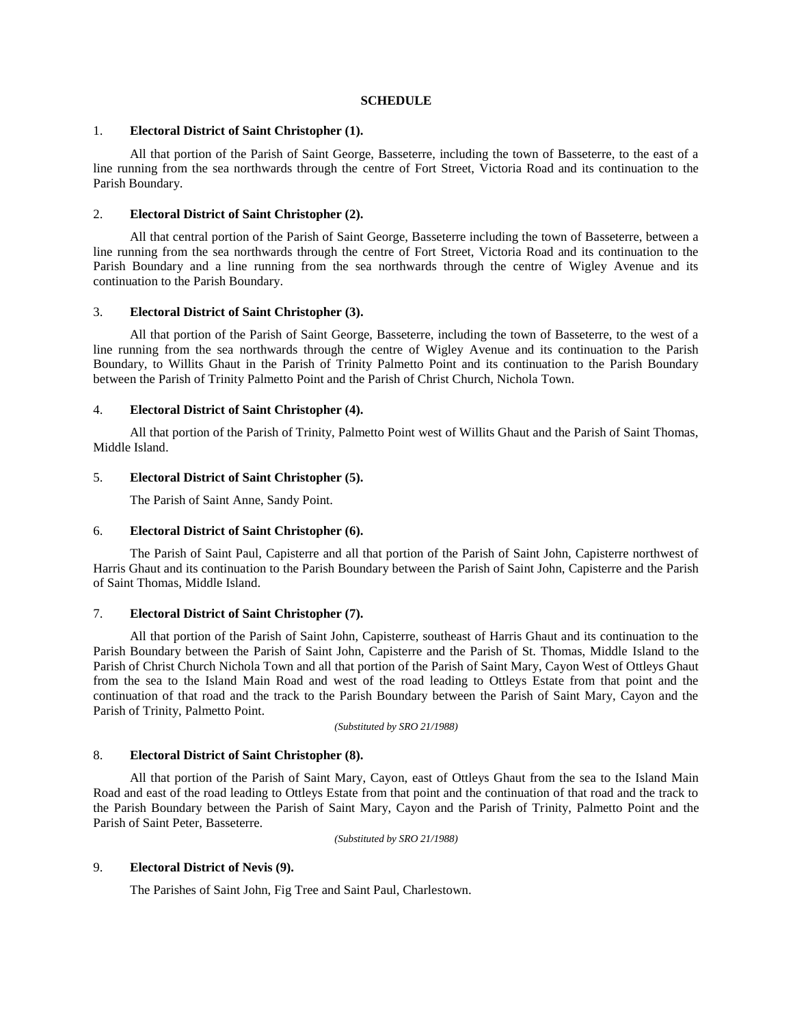### **SCHEDULE**

#### 1. **Electoral District of Saint Christopher (1).**

All that portion of the Parish of Saint George, Basseterre, including the town of Basseterre, to the east of a line running from the sea northwards through the centre of Fort Street, Victoria Road and its continuation to the Parish Boundary.

## 2. **Electoral District of Saint Christopher (2).**

All that central portion of the Parish of Saint George, Basseterre including the town of Basseterre, between a line running from the sea northwards through the centre of Fort Street, Victoria Road and its continuation to the Parish Boundary and a line running from the sea northwards through the centre of Wigley Avenue and its continuation to the Parish Boundary.

## 3. **Electoral District of Saint Christopher (3).**

All that portion of the Parish of Saint George, Basseterre, including the town of Basseterre, to the west of a line running from the sea northwards through the centre of Wigley Avenue and its continuation to the Parish Boundary, to Willits Ghaut in the Parish of Trinity Palmetto Point and its continuation to the Parish Boundary between the Parish of Trinity Palmetto Point and the Parish of Christ Church, Nichola Town.

## 4. **Electoral District of Saint Christopher (4).**

All that portion of the Parish of Trinity, Palmetto Point west of Willits Ghaut and the Parish of Saint Thomas, Middle Island.

## 5. **Electoral District of Saint Christopher (5).**

The Parish of Saint Anne, Sandy Point.

# 6. **Electoral District of Saint Christopher (6).**

The Parish of Saint Paul, Capisterre and all that portion of the Parish of Saint John, Capisterre northwest of Harris Ghaut and its continuation to the Parish Boundary between the Parish of Saint John, Capisterre and the Parish of Saint Thomas, Middle Island.

## 7. **Electoral District of Saint Christopher (7).**

All that portion of the Parish of Saint John, Capisterre, southeast of Harris Ghaut and its continuation to the Parish Boundary between the Parish of Saint John, Capisterre and the Parish of St. Thomas, Middle Island to the Parish of Christ Church Nichola Town and all that portion of the Parish of Saint Mary, Cayon West of Ottleys Ghaut from the sea to the Island Main Road and west of the road leading to Ottleys Estate from that point and the continuation of that road and the track to the Parish Boundary between the Parish of Saint Mary, Cayon and the Parish of Trinity, Palmetto Point.

*(Substituted by SRO 21/1988)*

# 8. **Electoral District of Saint Christopher (8).**

All that portion of the Parish of Saint Mary, Cayon, east of Ottleys Ghaut from the sea to the Island Main Road and east of the road leading to Ottleys Estate from that point and the continuation of that road and the track to the Parish Boundary between the Parish of Saint Mary, Cayon and the Parish of Trinity, Palmetto Point and the Parish of Saint Peter, Basseterre.

*(Substituted by SRO 21/1988)*

## 9. **Electoral District of Nevis (9).**

The Parishes of Saint John, Fig Tree and Saint Paul, Charlestown.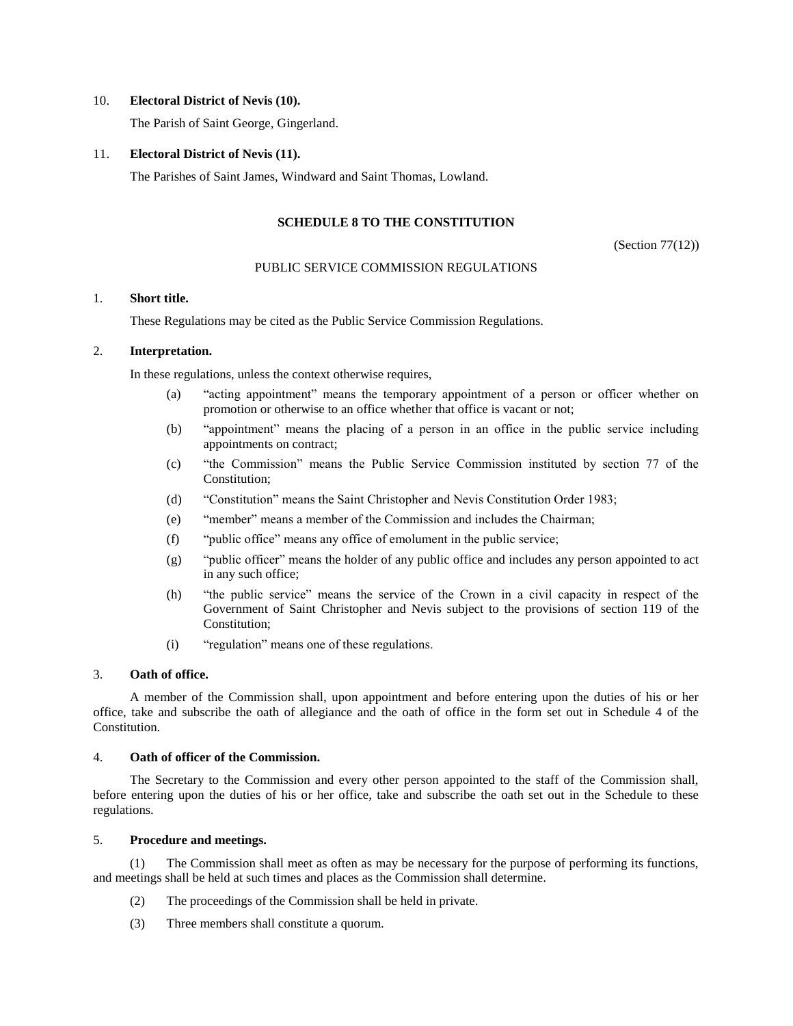## 10. **Electoral District of Nevis (10).**

The Parish of Saint George, Gingerland.

### 11. **Electoral District of Nevis (11).**

The Parishes of Saint James, Windward and Saint Thomas, Lowland.

## **SCHEDULE 8 TO THE CONSTITUTION**

(Section 77(12))

### PUBLIC SERVICE COMMISSION REGULATIONS

## 1. **Short title.**

These Regulations may be cited as the Public Service Commission Regulations.

#### 2. **Interpretation.**

In these regulations, unless the context otherwise requires,

- (a) "acting appointment" means the temporary appointment of a person or officer whether on promotion or otherwise to an office whether that office is vacant or not;
- (b) "appointment" means the placing of a person in an office in the public service including appointments on contract;
- (c) "the Commission" means the Public Service Commission instituted by section 77 of the Constitution;
- (d) "Constitution" means the Saint Christopher and Nevis Constitution Order 1983;
- (e) "member" means a member of the Commission and includes the Chairman;
- (f) "public office" means any office of emolument in the public service;
- (g) "public officer" means the holder of any public office and includes any person appointed to act in any such office;
- (h) "the public service" means the service of the Crown in a civil capacity in respect of the Government of Saint Christopher and Nevis subject to the provisions of section 119 of the Constitution;
- (i) "regulation" means one of these regulations.

#### 3. **Oath of office.**

A member of the Commission shall, upon appointment and before entering upon the duties of his or her office, take and subscribe the oath of allegiance and the oath of office in the form set out in Schedule 4 of the Constitution.

## 4. **Oath of officer of the Commission.**

The Secretary to the Commission and every other person appointed to the staff of the Commission shall, before entering upon the duties of his or her office, take and subscribe the oath set out in the Schedule to these regulations.

### 5. **Procedure and meetings.**

(1) The Commission shall meet as often as may be necessary for the purpose of performing its functions, and meetings shall be held at such times and places as the Commission shall determine.

- (2) The proceedings of the Commission shall be held in private.
- (3) Three members shall constitute a quorum.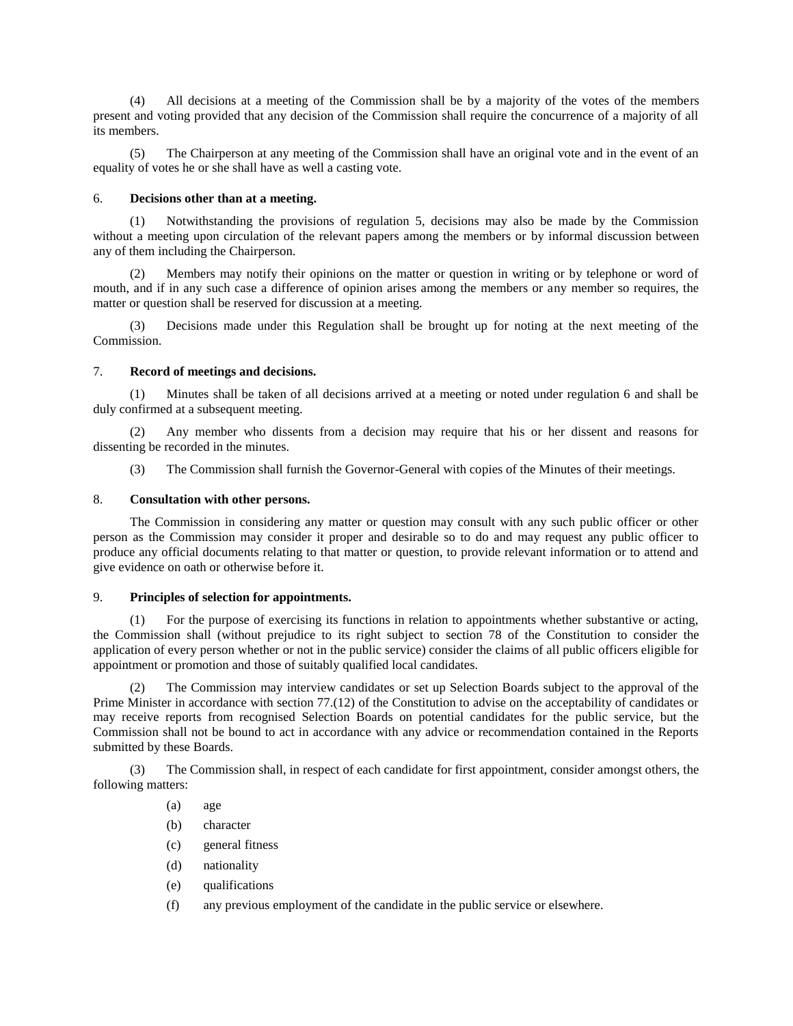(4) All decisions at a meeting of the Commission shall be by a majority of the votes of the members present and voting provided that any decision of the Commission shall require the concurrence of a majority of all its members.

(5) The Chairperson at any meeting of the Commission shall have an original vote and in the event of an equality of votes he or she shall have as well a casting vote.

## 6. **Decisions other than at a meeting.**

(1) Notwithstanding the provisions of regulation 5, decisions may also be made by the Commission without a meeting upon circulation of the relevant papers among the members or by informal discussion between any of them including the Chairperson.

Members may notify their opinions on the matter or question in writing or by telephone or word of mouth, and if in any such case a difference of opinion arises among the members or any member so requires, the matter or question shall be reserved for discussion at a meeting.

(3) Decisions made under this Regulation shall be brought up for noting at the next meeting of the Commission.

## 7. **Record of meetings and decisions.**

(1) Minutes shall be taken of all decisions arrived at a meeting or noted under regulation 6 and shall be duly confirmed at a subsequent meeting.

Any member who dissents from a decision may require that his or her dissent and reasons for dissenting be recorded in the minutes.

(3) The Commission shall furnish the Governor-General with copies of the Minutes of their meetings.

## 8. **Consultation with other persons.**

The Commission in considering any matter or question may consult with any such public officer or other person as the Commission may consider it proper and desirable so to do and may request any public officer to produce any official documents relating to that matter or question, to provide relevant information or to attend and give evidence on oath or otherwise before it.

### 9. **Principles of selection for appointments.**

(1) For the purpose of exercising its functions in relation to appointments whether substantive or acting, the Commission shall (without prejudice to its right subject to section 78 of the Constitution to consider the application of every person whether or not in the public service) consider the claims of all public officers eligible for appointment or promotion and those of suitably qualified local candidates.

(2) The Commission may interview candidates or set up Selection Boards subject to the approval of the Prime Minister in accordance with section 77.(12) of the Constitution to advise on the acceptability of candidates or may receive reports from recognised Selection Boards on potential candidates for the public service, but the Commission shall not be bound to act in accordance with any advice or recommendation contained in the Reports submitted by these Boards.

(3) The Commission shall, in respect of each candidate for first appointment, consider amongst others, the following matters:

- (a) age
- (b) character
- (c) general fitness
- (d) nationality
- (e) qualifications
- (f) any previous employment of the candidate in the public service or elsewhere.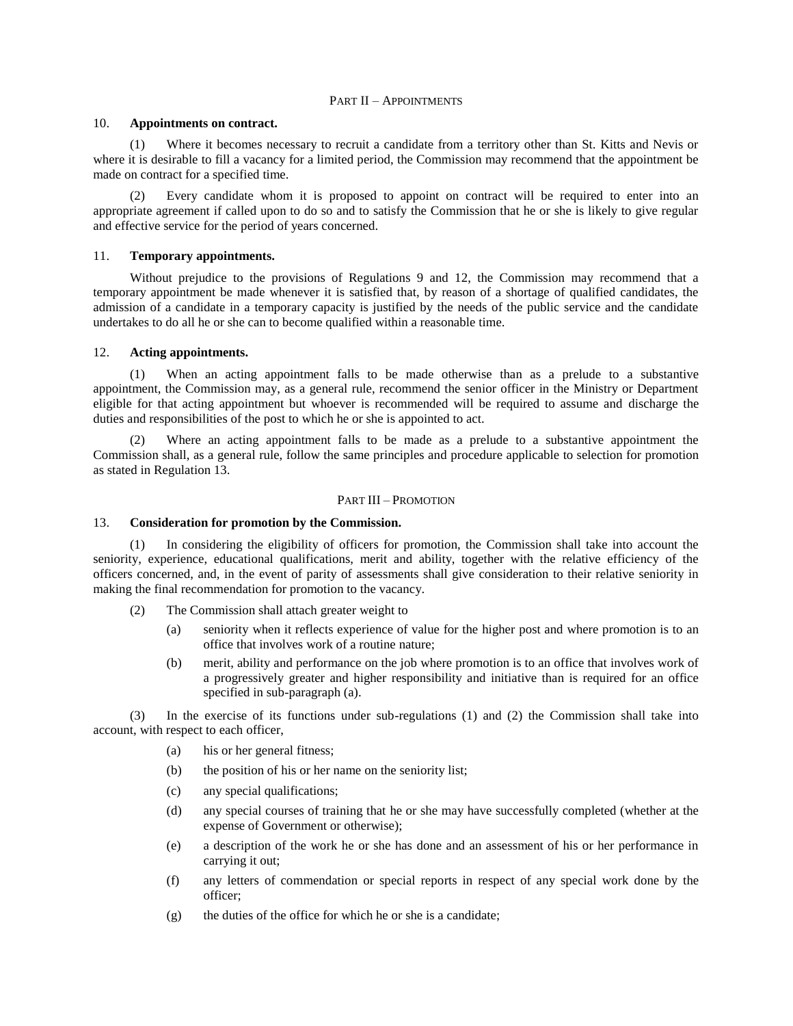## PART II – APPOINTMENTS

### 10. **Appointments on contract.**

(1) Where it becomes necessary to recruit a candidate from a territory other than St. Kitts and Nevis or where it is desirable to fill a vacancy for a limited period, the Commission may recommend that the appointment be made on contract for a specified time.

(2) Every candidate whom it is proposed to appoint on contract will be required to enter into an appropriate agreement if called upon to do so and to satisfy the Commission that he or she is likely to give regular and effective service for the period of years concerned.

### 11. **Temporary appointments.**

Without prejudice to the provisions of Regulations 9 and 12, the Commission may recommend that a temporary appointment be made whenever it is satisfied that, by reason of a shortage of qualified candidates, the admission of a candidate in a temporary capacity is justified by the needs of the public service and the candidate undertakes to do all he or she can to become qualified within a reasonable time.

### 12. **Acting appointments.**

(1) When an acting appointment falls to be made otherwise than as a prelude to a substantive appointment, the Commission may, as a general rule, recommend the senior officer in the Ministry or Department eligible for that acting appointment but whoever is recommended will be required to assume and discharge the duties and responsibilities of the post to which he or she is appointed to act.

Where an acting appointment falls to be made as a prelude to a substantive appointment the Commission shall, as a general rule, follow the same principles and procedure applicable to selection for promotion as stated in Regulation 13.

## PART III – PROMOTION

## 13. **Consideration for promotion by the Commission.**

(1) In considering the eligibility of officers for promotion, the Commission shall take into account the seniority, experience, educational qualifications, merit and ability, together with the relative efficiency of the officers concerned, and, in the event of parity of assessments shall give consideration to their relative seniority in making the final recommendation for promotion to the vacancy.

- (2) The Commission shall attach greater weight to
	- (a) seniority when it reflects experience of value for the higher post and where promotion is to an office that involves work of a routine nature;
	- (b) merit, ability and performance on the job where promotion is to an office that involves work of a progressively greater and higher responsibility and initiative than is required for an office specified in sub-paragraph (a).

(3) In the exercise of its functions under sub-regulations (1) and (2) the Commission shall take into account, with respect to each officer,

- (a) his or her general fitness;
- (b) the position of his or her name on the seniority list;
- (c) any special qualifications;
- (d) any special courses of training that he or she may have successfully completed (whether at the expense of Government or otherwise);
- (e) a description of the work he or she has done and an assessment of his or her performance in carrying it out;
- (f) any letters of commendation or special reports in respect of any special work done by the officer;
- (g) the duties of the office for which he or she is a candidate;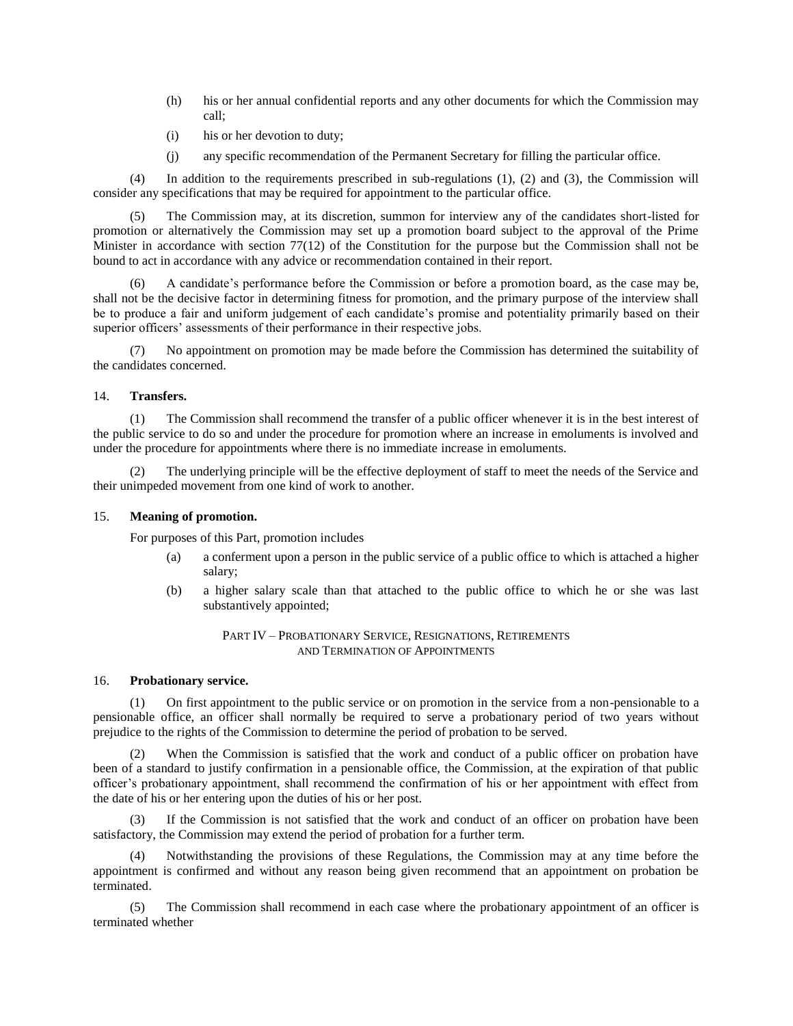- (h) his or her annual confidential reports and any other documents for which the Commission may call;
- (i) his or her devotion to duty;
- (j) any specific recommendation of the Permanent Secretary for filling the particular office.

(4) In addition to the requirements prescribed in sub-regulations (1), (2) and (3), the Commission will consider any specifications that may be required for appointment to the particular office.

The Commission may, at its discretion, summon for interview any of the candidates short-listed for promotion or alternatively the Commission may set up a promotion board subject to the approval of the Prime Minister in accordance with section 77(12) of the Constitution for the purpose but the Commission shall not be bound to act in accordance with any advice or recommendation contained in their report.

(6) A candidate's performance before the Commission or before a promotion board, as the case may be, shall not be the decisive factor in determining fitness for promotion, and the primary purpose of the interview shall be to produce a fair and uniform judgement of each candidate's promise and potentiality primarily based on their superior officers' assessments of their performance in their respective jobs.

(7) No appointment on promotion may be made before the Commission has determined the suitability of the candidates concerned.

## 14. **Transfers.**

(1) The Commission shall recommend the transfer of a public officer whenever it is in the best interest of the public service to do so and under the procedure for promotion where an increase in emoluments is involved and under the procedure for appointments where there is no immediate increase in emoluments.

(2) The underlying principle will be the effective deployment of staff to meet the needs of the Service and their unimpeded movement from one kind of work to another.

## 15. **Meaning of promotion.**

For purposes of this Part, promotion includes

- (a) a conferment upon a person in the public service of a public office to which is attached a higher salary;
- (b) a higher salary scale than that attached to the public office to which he or she was last substantively appointed;

## PART IV – PROBATIONARY SERVICE, RESIGNATIONS, RETIREMENTS AND TERMINATION OF APPOINTMENTS

## 16. **Probationary service.**

(1) On first appointment to the public service or on promotion in the service from a non-pensionable to a pensionable office, an officer shall normally be required to serve a probationary period of two years without prejudice to the rights of the Commission to determine the period of probation to be served.

(2) When the Commission is satisfied that the work and conduct of a public officer on probation have been of a standard to justify confirmation in a pensionable office, the Commission, at the expiration of that public officer's probationary appointment, shall recommend the confirmation of his or her appointment with effect from the date of his or her entering upon the duties of his or her post.

If the Commission is not satisfied that the work and conduct of an officer on probation have been satisfactory, the Commission may extend the period of probation for a further term.

(4) Notwithstanding the provisions of these Regulations, the Commission may at any time before the appointment is confirmed and without any reason being given recommend that an appointment on probation be terminated.

(5) The Commission shall recommend in each case where the probationary appointment of an officer is terminated whether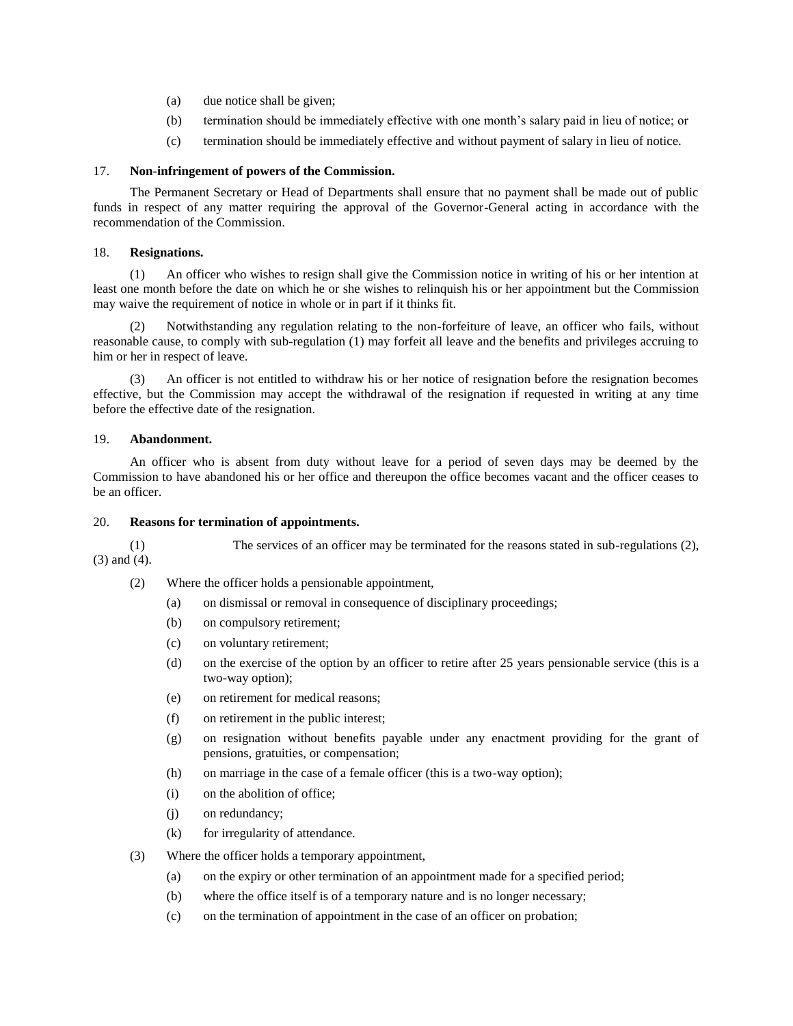- (a) due notice shall be given;
- (b) termination should be immediately effective with one month's salary paid in lieu of notice; or
- (c) termination should be immediately effective and without payment of salary in lieu of notice.

## 17. **Non-infringement of powers of the Commission.**

The Permanent Secretary or Head of Departments shall ensure that no payment shall be made out of public funds in respect of any matter requiring the approval of the Governor-General acting in accordance with the recommendation of the Commission.

### 18. **Resignations.**

(1) An officer who wishes to resign shall give the Commission notice in writing of his or her intention at least one month before the date on which he or she wishes to relinquish his or her appointment but the Commission may waive the requirement of notice in whole or in part if it thinks fit.

Notwithstanding any regulation relating to the non-forfeiture of leave, an officer who fails, without reasonable cause, to comply with sub-regulation (1) may forfeit all leave and the benefits and privileges accruing to him or her in respect of leave.

An officer is not entitled to withdraw his or her notice of resignation before the resignation becomes effective, but the Commission may accept the withdrawal of the resignation if requested in writing at any time before the effective date of the resignation.

### 19. **Abandonment.**

An officer who is absent from duty without leave for a period of seven days may be deemed by the Commission to have abandoned his or her office and thereupon the office becomes vacant and the officer ceases to be an officer.

## 20. **Reasons for termination of appointments.**

(1) The services of an officer may be terminated for the reasons stated in sub-regulations (2), (3) and (4).

- (2) Where the officer holds a pensionable appointment,
	- (a) on dismissal or removal in consequence of disciplinary proceedings;
	- (b) on compulsory retirement;
	- (c) on voluntary retirement;
	- (d) on the exercise of the option by an officer to retire after 25 years pensionable service (this is a two-way option);
	- (e) on retirement for medical reasons;
	- (f) on retirement in the public interest;
	- (g) on resignation without benefits payable under any enactment providing for the grant of pensions, gratuities, or compensation;
	- (h) on marriage in the case of a female officer (this is a two-way option);
	- (i) on the abolition of office;
	- (j) on redundancy;
	- (k) for irregularity of attendance.
- (3) Where the officer holds a temporary appointment,
	- (a) on the expiry or other termination of an appointment made for a specified period;
	- (b) where the office itself is of a temporary nature and is no longer necessary;
	- (c) on the termination of appointment in the case of an officer on probation;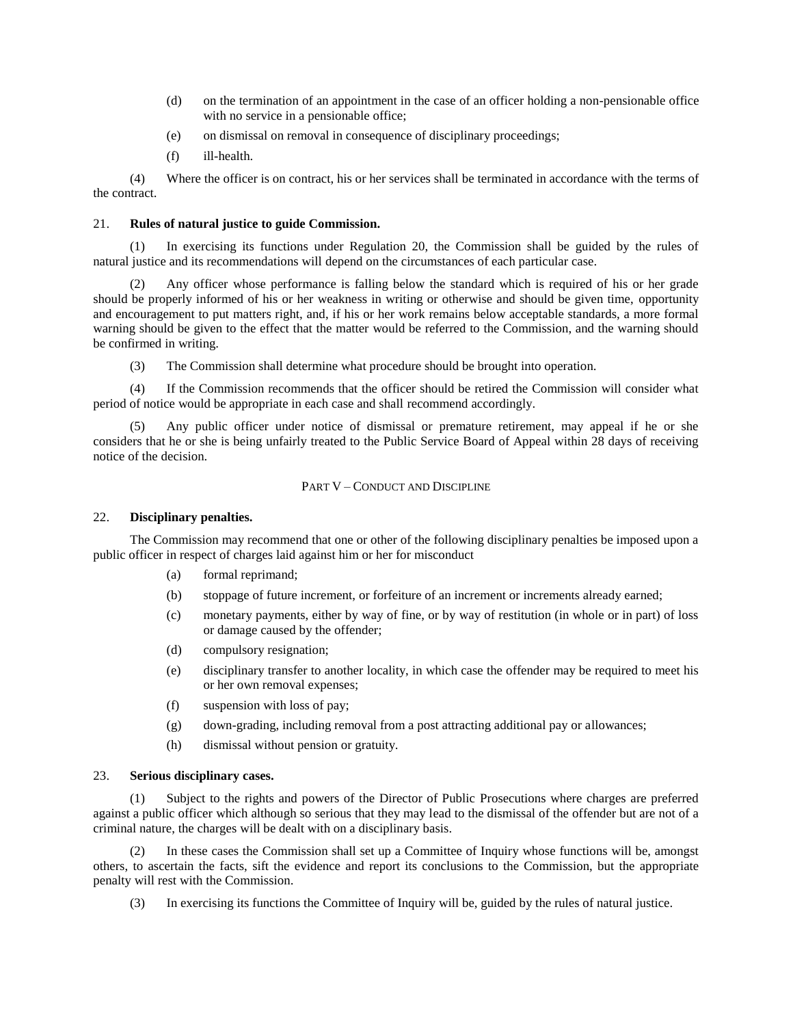- (d) on the termination of an appointment in the case of an officer holding a non-pensionable office with no service in a pensionable office;
- (e) on dismissal on removal in consequence of disciplinary proceedings;
- (f) ill-health.

(4) Where the officer is on contract, his or her services shall be terminated in accordance with the terms of the contract.

## 21. **Rules of natural justice to guide Commission.**

In exercising its functions under Regulation 20, the Commission shall be guided by the rules of natural justice and its recommendations will depend on the circumstances of each particular case.

(2) Any officer whose performance is falling below the standard which is required of his or her grade should be properly informed of his or her weakness in writing or otherwise and should be given time, opportunity and encouragement to put matters right, and, if his or her work remains below acceptable standards, a more formal warning should be given to the effect that the matter would be referred to the Commission, and the warning should be confirmed in writing.

(3) The Commission shall determine what procedure should be brought into operation.

(4) If the Commission recommends that the officer should be retired the Commission will consider what period of notice would be appropriate in each case and shall recommend accordingly.

Any public officer under notice of dismissal or premature retirement, may appeal if he or she considers that he or she is being unfairly treated to the Public Service Board of Appeal within 28 days of receiving notice of the decision.

## PART V – CONDUCT AND DISCIPLINE

### 22. **Disciplinary penalties.**

The Commission may recommend that one or other of the following disciplinary penalties be imposed upon a public officer in respect of charges laid against him or her for misconduct

- (a) formal reprimand;
- (b) stoppage of future increment, or forfeiture of an increment or increments already earned;
- (c) monetary payments, either by way of fine, or by way of restitution (in whole or in part) of loss or damage caused by the offender;
- (d) compulsory resignation;
- (e) disciplinary transfer to another locality, in which case the offender may be required to meet his or her own removal expenses;
- (f) suspension with loss of pay;
- (g) down-grading, including removal from a post attracting additional pay or allowances;
- (h) dismissal without pension or gratuity.

## 23. **Serious disciplinary cases.**

(1) Subject to the rights and powers of the Director of Public Prosecutions where charges are preferred against a public officer which although so serious that they may lead to the dismissal of the offender but are not of a criminal nature, the charges will be dealt with on a disciplinary basis.

(2) In these cases the Commission shall set up a Committee of Inquiry whose functions will be, amongst others, to ascertain the facts, sift the evidence and report its conclusions to the Commission, but the appropriate penalty will rest with the Commission.

(3) In exercising its functions the Committee of Inquiry will be, guided by the rules of natural justice.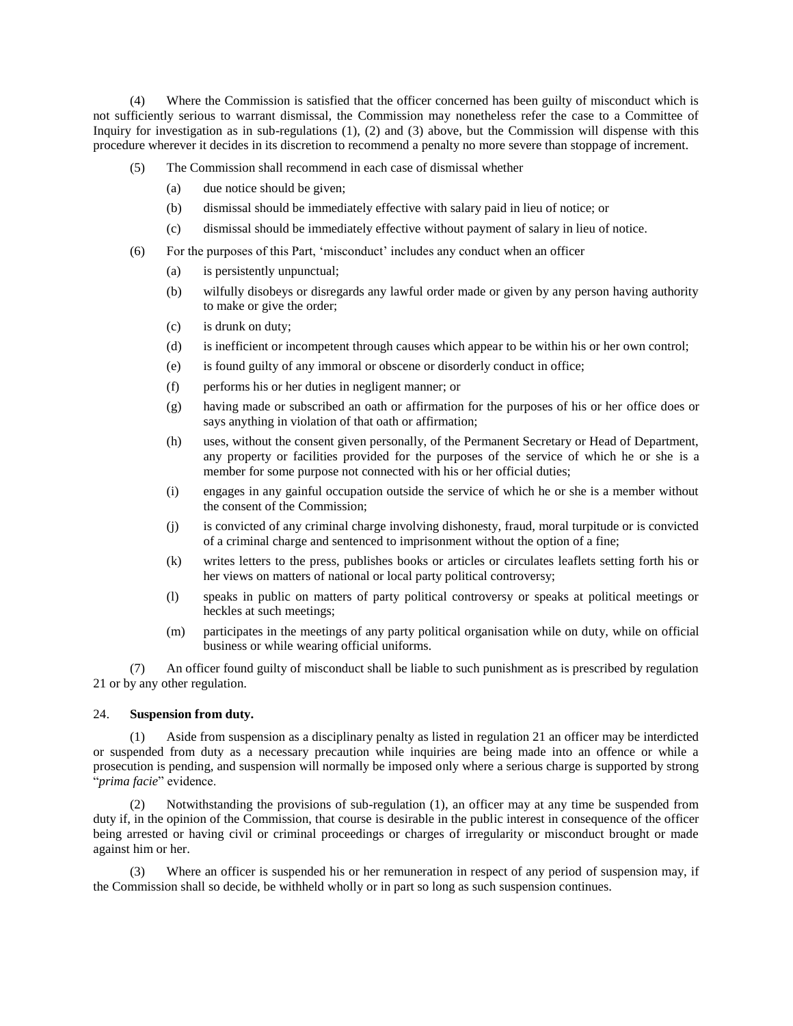(4) Where the Commission is satisfied that the officer concerned has been guilty of misconduct which is not sufficiently serious to warrant dismissal, the Commission may nonetheless refer the case to a Committee of Inquiry for investigation as in sub-regulations (1), (2) and (3) above, but the Commission will dispense with this procedure wherever it decides in its discretion to recommend a penalty no more severe than stoppage of increment.

- (5) The Commission shall recommend in each case of dismissal whether
	- (a) due notice should be given;
	- (b) dismissal should be immediately effective with salary paid in lieu of notice; or
	- (c) dismissal should be immediately effective without payment of salary in lieu of notice.
- (6) For the purposes of this Part, 'misconduct' includes any conduct when an officer
	- (a) is persistently unpunctual;
	- (b) wilfully disobeys or disregards any lawful order made or given by any person having authority to make or give the order;
	- (c) is drunk on duty;
	- (d) is inefficient or incompetent through causes which appear to be within his or her own control;
	- (e) is found guilty of any immoral or obscene or disorderly conduct in office;
	- (f) performs his or her duties in negligent manner; or
	- (g) having made or subscribed an oath or affirmation for the purposes of his or her office does or says anything in violation of that oath or affirmation;
	- (h) uses, without the consent given personally, of the Permanent Secretary or Head of Department, any property or facilities provided for the purposes of the service of which he or she is a member for some purpose not connected with his or her official duties;
	- (i) engages in any gainful occupation outside the service of which he or she is a member without the consent of the Commission;
	- (j) is convicted of any criminal charge involving dishonesty, fraud, moral turpitude or is convicted of a criminal charge and sentenced to imprisonment without the option of a fine;
	- (k) writes letters to the press, publishes books or articles or circulates leaflets setting forth his or her views on matters of national or local party political controversy;
	- (l) speaks in public on matters of party political controversy or speaks at political meetings or heckles at such meetings;
	- (m) participates in the meetings of any party political organisation while on duty, while on official business or while wearing official uniforms.

(7) An officer found guilty of misconduct shall be liable to such punishment as is prescribed by regulation 21 or by any other regulation.

### 24. **Suspension from duty.**

(1) Aside from suspension as a disciplinary penalty as listed in regulation 21 an officer may be interdicted or suspended from duty as a necessary precaution while inquiries are being made into an offence or while a prosecution is pending, and suspension will normally be imposed only where a serious charge is supported by strong "*prima facie*" evidence.

(2) Notwithstanding the provisions of sub-regulation (1), an officer may at any time be suspended from duty if, in the opinion of the Commission, that course is desirable in the public interest in consequence of the officer being arrested or having civil or criminal proceedings or charges of irregularity or misconduct brought or made against him or her.

Where an officer is suspended his or her remuneration in respect of any period of suspension may, if the Commission shall so decide, be withheld wholly or in part so long as such suspension continues.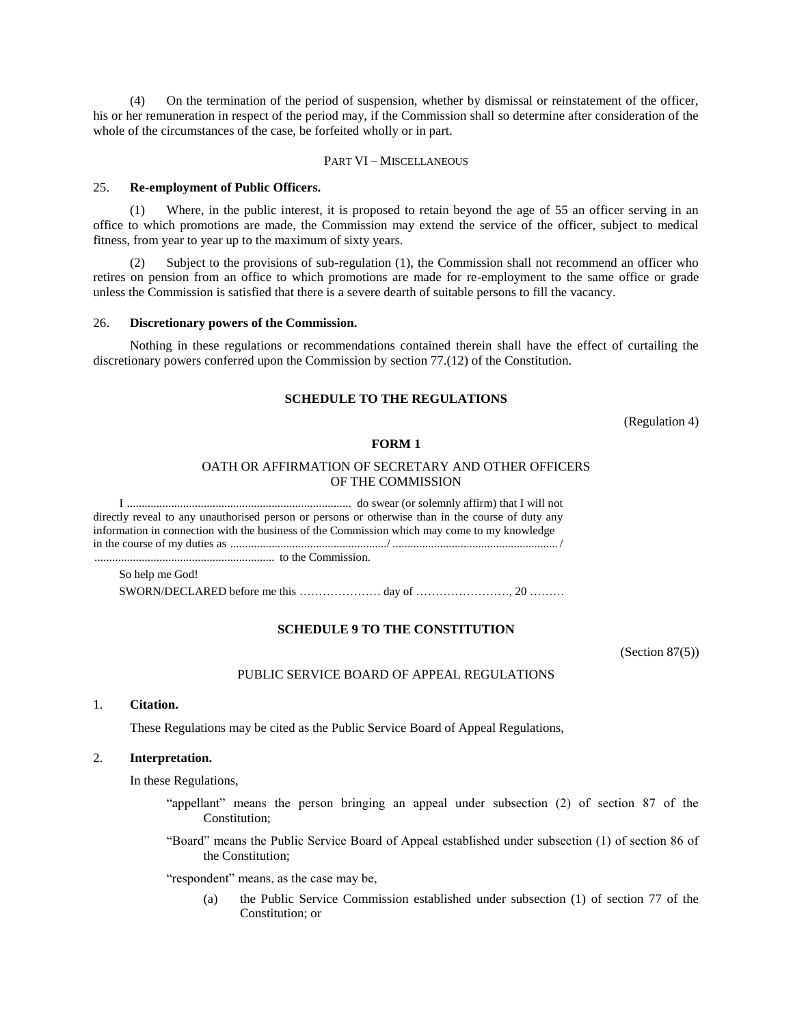(4) On the termination of the period of suspension, whether by dismissal or reinstatement of the officer, his or her remuneration in respect of the period may, if the Commission shall so determine after consideration of the whole of the circumstances of the case, be forfeited wholly or in part.

#### PART VI – MISCELLANEOUS

#### 25. **Re-employment of Public Officers.**

(1) Where, in the public interest, it is proposed to retain beyond the age of 55 an officer serving in an office to which promotions are made, the Commission may extend the service of the officer, subject to medical fitness, from year to year up to the maximum of sixty years.

Subject to the provisions of sub-regulation  $(1)$ , the Commission shall not recommend an officer who retires on pension from an office to which promotions are made for re-employment to the same office or grade unless the Commission is satisfied that there is a severe dearth of suitable persons to fill the vacancy.

#### 26. **Discretionary powers of the Commission.**

Nothing in these regulations or recommendations contained therein shall have the effect of curtailing the discretionary powers conferred upon the Commission by section 77.(12) of the Constitution.

# **SCHEDULE TO THE REGULATIONS**

(Regulation 4)

#### **FORM 1**

## OATH OR AFFIRMATION OF SECRETARY AND OTHER OFFICERS OF THE COMMISSION

I ............................................................................ do swear (or solemnly affirm) that I will not directly reveal to any unauthorised person or persons or otherwise than in the course of duty any information in connection with the business of the Commission which may come to my knowledge in the course of my duties as ...................................................../ ........................................................ / ............................................................. to the Commission.

So help me God! SWORN/DECLARED before me this ………………… day of ……………………, 20 ………

## **SCHEDULE 9 TO THE CONSTITUTION**

(Section 87(5))

#### PUBLIC SERVICE BOARD OF APPEAL REGULATIONS

## 1. **Citation.**

These Regulations may be cited as the Public Service Board of Appeal Regulations,

#### 2. **Interpretation.**

In these Regulations,

- "appellant" means the person bringing an appeal under subsection (2) of section 87 of the Constitution;
- "Board" means the Public Service Board of Appeal established under subsection (1) of section 86 of the Constitution;

"respondent" means, as the case may be,

(a) the Public Service Commission established under subsection (1) of section 77 of the Constitution; or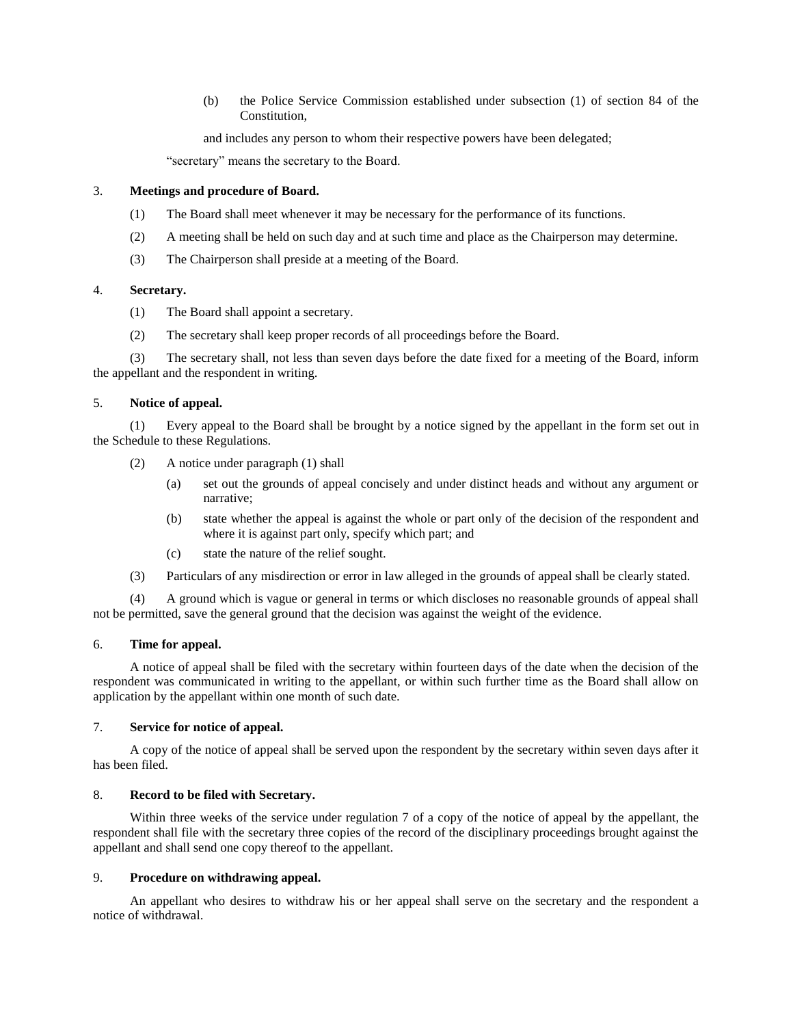(b) the Police Service Commission established under subsection (1) of section 84 of the Constitution,

and includes any person to whom their respective powers have been delegated;

"secretary" means the secretary to the Board.

## 3. **Meetings and procedure of Board.**

- (1) The Board shall meet whenever it may be necessary for the performance of its functions.
- (2) A meeting shall be held on such day and at such time and place as the Chairperson may determine.
- (3) The Chairperson shall preside at a meeting of the Board.

#### 4. **Secretary.**

- (1) The Board shall appoint a secretary.
- (2) The secretary shall keep proper records of all proceedings before the Board.

(3) The secretary shall, not less than seven days before the date fixed for a meeting of the Board, inform the appellant and the respondent in writing.

### 5. **Notice of appeal.**

(1) Every appeal to the Board shall be brought by a notice signed by the appellant in the form set out in the Schedule to these Regulations.

- (2) A notice under paragraph (1) shall
	- (a) set out the grounds of appeal concisely and under distinct heads and without any argument or narrative;
	- (b) state whether the appeal is against the whole or part only of the decision of the respondent and where it is against part only, specify which part; and
	- (c) state the nature of the relief sought.
- (3) Particulars of any misdirection or error in law alleged in the grounds of appeal shall be clearly stated.

(4) A ground which is vague or general in terms or which discloses no reasonable grounds of appeal shall not be permitted, save the general ground that the decision was against the weight of the evidence.

## 6. **Time for appeal.**

A notice of appeal shall be filed with the secretary within fourteen days of the date when the decision of the respondent was communicated in writing to the appellant, or within such further time as the Board shall allow on application by the appellant within one month of such date.

#### 7. **Service for notice of appeal.**

A copy of the notice of appeal shall be served upon the respondent by the secretary within seven days after it has been filed.

### 8. **Record to be filed with Secretary.**

Within three weeks of the service under regulation 7 of a copy of the notice of appeal by the appellant, the respondent shall file with the secretary three copies of the record of the disciplinary proceedings brought against the appellant and shall send one copy thereof to the appellant.

#### 9. **Procedure on withdrawing appeal.**

An appellant who desires to withdraw his or her appeal shall serve on the secretary and the respondent a notice of withdrawal.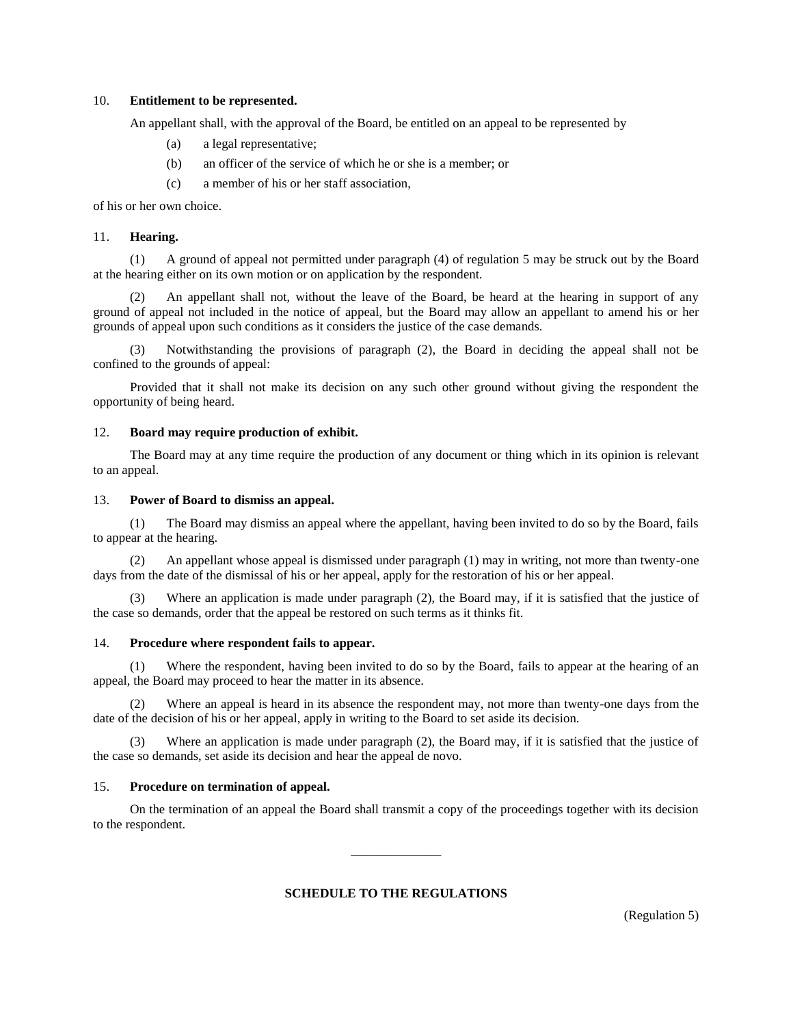## 10. **Entitlement to be represented.**

An appellant shall, with the approval of the Board, be entitled on an appeal to be represented by

- (a) a legal representative;
- (b) an officer of the service of which he or she is a member; or
- (c) a member of his or her staff association,

of his or her own choice.

#### 11. **Hearing.**

(1) A ground of appeal not permitted under paragraph (4) of regulation 5 may be struck out by the Board at the hearing either on its own motion or on application by the respondent.

An appellant shall not, without the leave of the Board, be heard at the hearing in support of any ground of appeal not included in the notice of appeal, but the Board may allow an appellant to amend his or her grounds of appeal upon such conditions as it considers the justice of the case demands.

(3) Notwithstanding the provisions of paragraph (2), the Board in deciding the appeal shall not be confined to the grounds of appeal:

Provided that it shall not make its decision on any such other ground without giving the respondent the opportunity of being heard.

#### 12. **Board may require production of exhibit.**

The Board may at any time require the production of any document or thing which in its opinion is relevant to an appeal.

## 13. **Power of Board to dismiss an appeal.**

(1) The Board may dismiss an appeal where the appellant, having been invited to do so by the Board, fails to appear at the hearing.

(2) An appellant whose appeal is dismissed under paragraph (1) may in writing, not more than twenty-one days from the date of the dismissal of his or her appeal, apply for the restoration of his or her appeal.

Where an application is made under paragraph (2), the Board may, if it is satisfied that the justice of the case so demands, order that the appeal be restored on such terms as it thinks fit.

#### 14. **Procedure where respondent fails to appear.**

(1) Where the respondent, having been invited to do so by the Board, fails to appear at the hearing of an appeal, the Board may proceed to hear the matter in its absence.

Where an appeal is heard in its absence the respondent may, not more than twenty-one days from the date of the decision of his or her appeal, apply in writing to the Board to set aside its decision.

(3) Where an application is made under paragraph (2), the Board may, if it is satisfied that the justice of the case so demands, set aside its decision and hear the appeal de novo.

#### 15. **Procedure on termination of appeal.**

On the termination of an appeal the Board shall transmit a copy of the proceedings together with its decision to the respondent.

———————

## **SCHEDULE TO THE REGULATIONS**

(Regulation 5)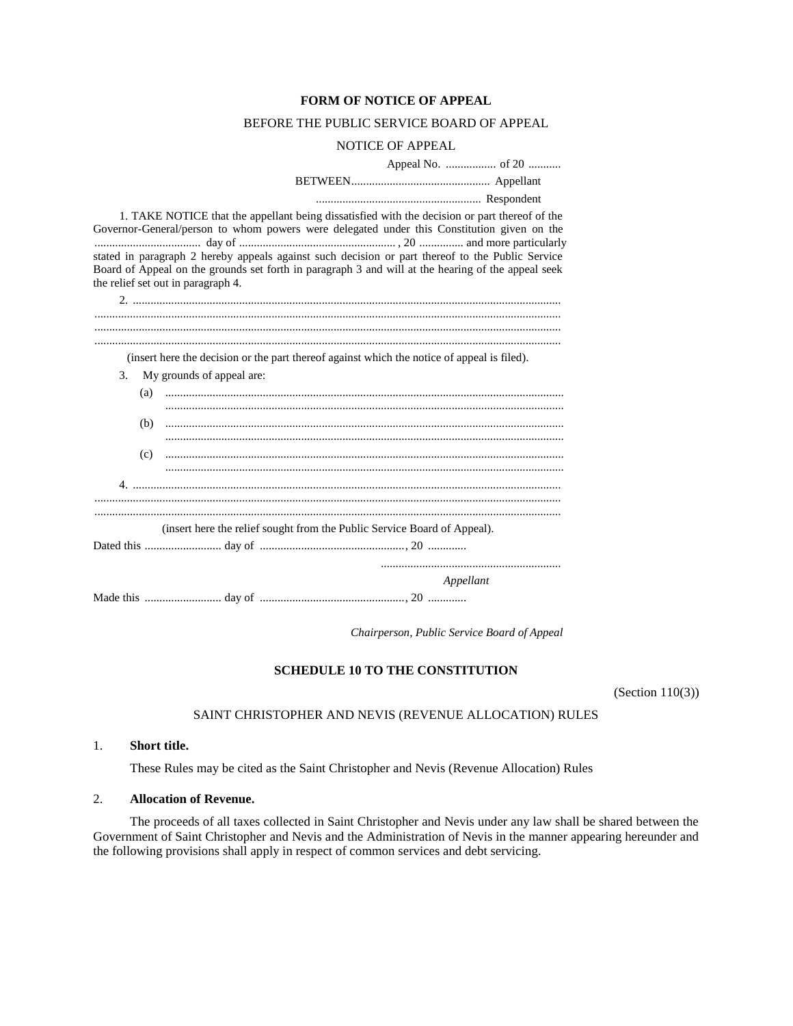# **FORM OF NOTICE OF APPEAL**

## BEFORE THE PUBLIC SERVICE BOARD OF APPEAL

|                                                                                                                                                                                                                                                                                                                                                                                                                                             | <b>NOTICE OF APPEAL</b>                                                                     |  |  |  |  |  |
|---------------------------------------------------------------------------------------------------------------------------------------------------------------------------------------------------------------------------------------------------------------------------------------------------------------------------------------------------------------------------------------------------------------------------------------------|---------------------------------------------------------------------------------------------|--|--|--|--|--|
|                                                                                                                                                                                                                                                                                                                                                                                                                                             |                                                                                             |  |  |  |  |  |
|                                                                                                                                                                                                                                                                                                                                                                                                                                             |                                                                                             |  |  |  |  |  |
|                                                                                                                                                                                                                                                                                                                                                                                                                                             |                                                                                             |  |  |  |  |  |
| 1. TAKE NOTICE that the appellant being dissatisfied with the decision or part thereof of the<br>Governor-General/person to whom powers were delegated under this Constitution given on the<br>stated in paragraph 2 hereby appeals against such decision or part thereof to the Public Service<br>Board of Appeal on the grounds set forth in paragraph 3 and will at the hearing of the appeal seek<br>the relief set out in paragraph 4. |                                                                                             |  |  |  |  |  |
|                                                                                                                                                                                                                                                                                                                                                                                                                                             |                                                                                             |  |  |  |  |  |
|                                                                                                                                                                                                                                                                                                                                                                                                                                             |                                                                                             |  |  |  |  |  |
|                                                                                                                                                                                                                                                                                                                                                                                                                                             |                                                                                             |  |  |  |  |  |
|                                                                                                                                                                                                                                                                                                                                                                                                                                             | (insert here the decision or the part thereof against which the notice of appeal is filed). |  |  |  |  |  |
| 3.                                                                                                                                                                                                                                                                                                                                                                                                                                          | My grounds of appeal are:                                                                   |  |  |  |  |  |
|                                                                                                                                                                                                                                                                                                                                                                                                                                             | (a)                                                                                         |  |  |  |  |  |
|                                                                                                                                                                                                                                                                                                                                                                                                                                             | (b)                                                                                         |  |  |  |  |  |
|                                                                                                                                                                                                                                                                                                                                                                                                                                             | (c)                                                                                         |  |  |  |  |  |
|                                                                                                                                                                                                                                                                                                                                                                                                                                             |                                                                                             |  |  |  |  |  |
|                                                                                                                                                                                                                                                                                                                                                                                                                                             |                                                                                             |  |  |  |  |  |
|                                                                                                                                                                                                                                                                                                                                                                                                                                             |                                                                                             |  |  |  |  |  |
|                                                                                                                                                                                                                                                                                                                                                                                                                                             | (insert here the relief sought from the Public Service Board of Appeal).                    |  |  |  |  |  |
|                                                                                                                                                                                                                                                                                                                                                                                                                                             |                                                                                             |  |  |  |  |  |
|                                                                                                                                                                                                                                                                                                                                                                                                                                             |                                                                                             |  |  |  |  |  |
|                                                                                                                                                                                                                                                                                                                                                                                                                                             | Appellant                                                                                   |  |  |  |  |  |
|                                                                                                                                                                                                                                                                                                                                                                                                                                             |                                                                                             |  |  |  |  |  |

*Chairperson, Public Service Board of Appeal*

# **SCHEDULE 10 TO THE CONSTITUTION**

(Section 110(3))

## SAINT CHRISTOPHER AND NEVIS (REVENUE ALLOCATION) RULES

## 1. **Short title.**

These Rules may be cited as the Saint Christopher and Nevis (Revenue Allocation) Rules

# 2. **Allocation of Revenue.**

The proceeds of all taxes collected in Saint Christopher and Nevis under any law shall be shared between the Government of Saint Christopher and Nevis and the Administration of Nevis in the manner appearing hereunder and the following provisions shall apply in respect of common services and debt servicing.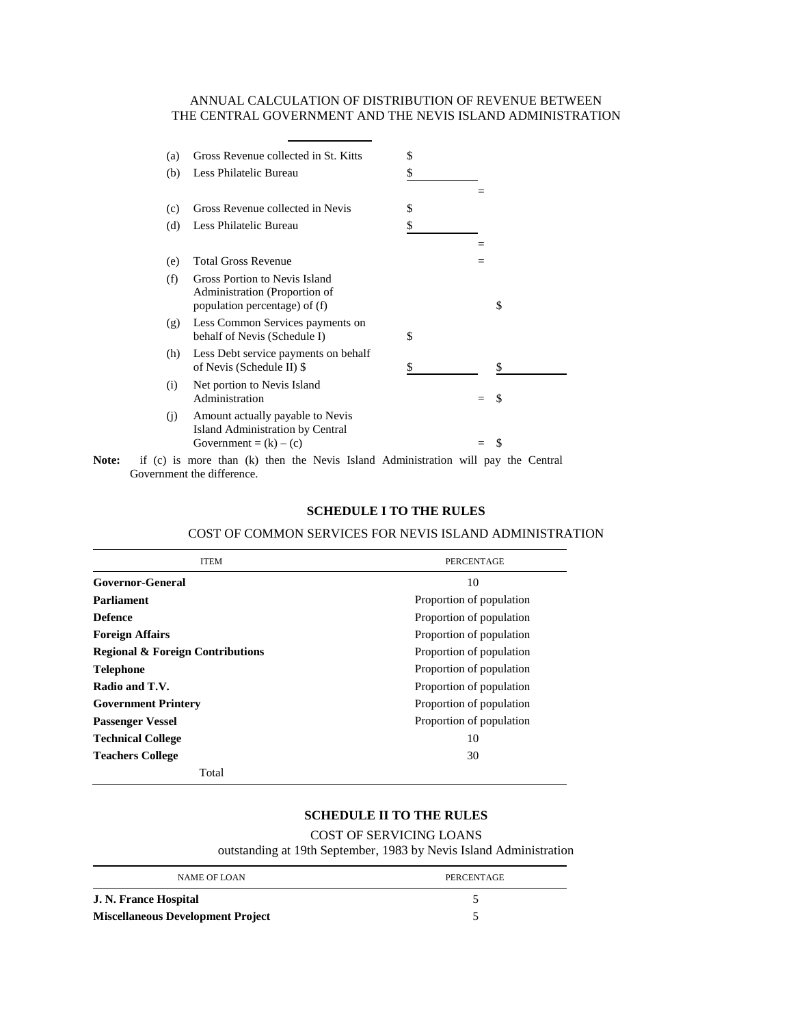## ANNUAL CALCULATION OF DISTRIBUTION OF REVENUE BETWEEN THE CENTRAL GOVERNMENT AND THE NEVIS ISLAND ADMINISTRATION

| (a) | Gross Revenue collected in St. Kitts                                                             | \$ |    |
|-----|--------------------------------------------------------------------------------------------------|----|----|
| (b) | Less Philatelic Bureau                                                                           | \$ |    |
|     |                                                                                                  |    |    |
| (c) | Gross Revenue collected in Nevis                                                                 | \$ |    |
| (d) | Less Philatelic Bureau                                                                           | \$ |    |
|     |                                                                                                  |    |    |
| (e) | <b>Total Gross Revenue</b>                                                                       |    |    |
| (f) | Gross Portion to Nevis Island<br>Administration (Proportion of<br>population percentage) of (f)  |    | \$ |
| (g) | Less Common Services payments on<br>behalf of Nevis (Schedule I)                                 | \$ |    |
| (h) | Less Debt service payments on behalf<br>of Nevis (Schedule II) \$                                | \$ |    |
| (i) | Net portion to Nevis Island<br>Administration                                                    |    | S  |
| (i) | Amount actually payable to Nevis<br>Island Administration by Central<br>Government = $(k) - (c)$ |    | \$ |

**Note:** if (c) is more than (k) then the Nevis Island Administration will pay the Central Government the difference.

# **SCHEDULE I TO THE RULES**

## COST OF COMMON SERVICES FOR NEVIS ISLAND ADMINISTRATION

| <b>ITEM</b>                                 | <b>PERCENTAGE</b>        |  |  |
|---------------------------------------------|--------------------------|--|--|
| Governor-General                            | 10                       |  |  |
| <b>Parliament</b>                           | Proportion of population |  |  |
| <b>Defence</b>                              | Proportion of population |  |  |
| <b>Foreign Affairs</b>                      | Proportion of population |  |  |
| <b>Regional &amp; Foreign Contributions</b> | Proportion of population |  |  |
| <b>Telephone</b>                            | Proportion of population |  |  |
| Radio and T.V.                              | Proportion of population |  |  |
| <b>Government Printery</b>                  | Proportion of population |  |  |
| <b>Passenger Vessel</b>                     | Proportion of population |  |  |
| <b>Technical College</b>                    | 10                       |  |  |
| <b>Teachers College</b>                     | 30                       |  |  |
| Total                                       |                          |  |  |

# **SCHEDULE II TO THE RULES**

COST OF SERVICING LOANS

outstanding at 19th September, 1983 by Nevis Island Administration

| <b>NAME OF LOAN</b>                      | PERCENTAGE |
|------------------------------------------|------------|
| <b>J. N. France Hospital</b>             |            |
| <b>Miscellaneous Development Project</b> |            |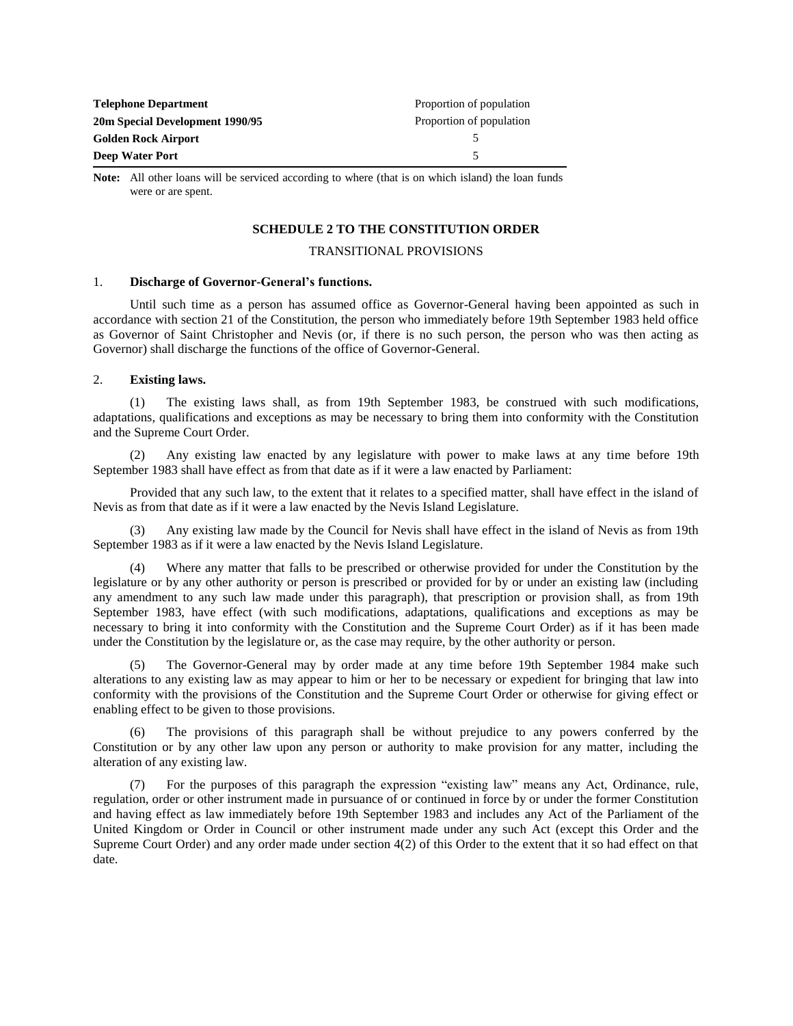| <b>Telephone Department</b>     | Proportion of population |
|---------------------------------|--------------------------|
| 20m Special Development 1990/95 | Proportion of population |
| <b>Golden Rock Airport</b>      |                          |
| <b>Deep Water Port</b>          |                          |

**Note:** All other loans will be serviced according to where (that is on which island) the loan funds were or are spent.

### **SCHEDULE 2 TO THE CONSTITUTION ORDER**

### TRANSITIONAL PROVISIONS

#### 1. **Discharge of Governor-General's functions.**

Until such time as a person has assumed office as Governor-General having been appointed as such in accordance with section 21 of the Constitution, the person who immediately before 19th September 1983 held office as Governor of Saint Christopher and Nevis (or, if there is no such person, the person who was then acting as Governor) shall discharge the functions of the office of Governor-General.

### 2. **Existing laws.**

(1) The existing laws shall, as from 19th September 1983, be construed with such modifications, adaptations, qualifications and exceptions as may be necessary to bring them into conformity with the Constitution and the Supreme Court Order.

(2) Any existing law enacted by any legislature with power to make laws at any time before 19th September 1983 shall have effect as from that date as if it were a law enacted by Parliament:

Provided that any such law, to the extent that it relates to a specified matter, shall have effect in the island of Nevis as from that date as if it were a law enacted by the Nevis Island Legislature.

Any existing law made by the Council for Nevis shall have effect in the island of Nevis as from 19th September 1983 as if it were a law enacted by the Nevis Island Legislature.

Where any matter that falls to be prescribed or otherwise provided for under the Constitution by the legislature or by any other authority or person is prescribed or provided for by or under an existing law (including any amendment to any such law made under this paragraph), that prescription or provision shall, as from 19th September 1983, have effect (with such modifications, adaptations, qualifications and exceptions as may be necessary to bring it into conformity with the Constitution and the Supreme Court Order) as if it has been made under the Constitution by the legislature or, as the case may require, by the other authority or person.

(5) The Governor-General may by order made at any time before 19th September 1984 make such alterations to any existing law as may appear to him or her to be necessary or expedient for bringing that law into conformity with the provisions of the Constitution and the Supreme Court Order or otherwise for giving effect or enabling effect to be given to those provisions.

The provisions of this paragraph shall be without prejudice to any powers conferred by the Constitution or by any other law upon any person or authority to make provision for any matter, including the alteration of any existing law.

(7) For the purposes of this paragraph the expression "existing law" means any Act, Ordinance, rule, regulation, order or other instrument made in pursuance of or continued in force by or under the former Constitution and having effect as law immediately before 19th September 1983 and includes any Act of the Parliament of the United Kingdom or Order in Council or other instrument made under any such Act (except this Order and the Supreme Court Order) and any order made under section 4(2) of this Order to the extent that it so had effect on that date.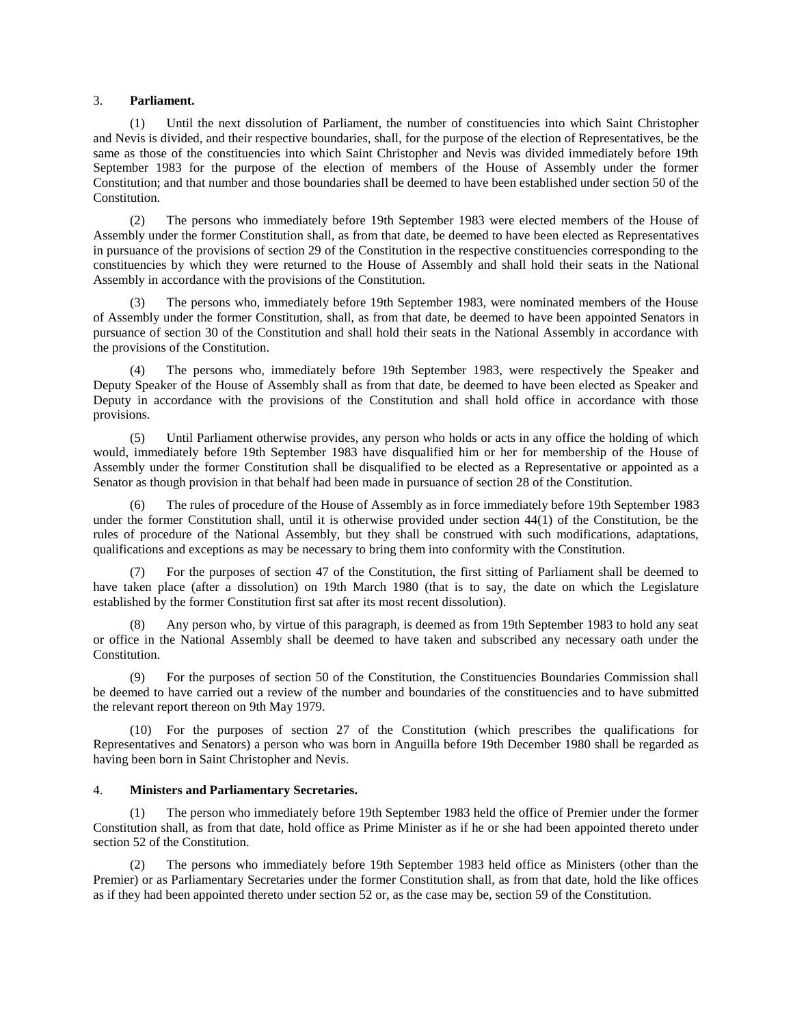## 3. **Parliament.**

(1) Until the next dissolution of Parliament, the number of constituencies into which Saint Christopher and Nevis is divided, and their respective boundaries, shall, for the purpose of the election of Representatives, be the same as those of the constituencies into which Saint Christopher and Nevis was divided immediately before 19th September 1983 for the purpose of the election of members of the House of Assembly under the former Constitution; and that number and those boundaries shall be deemed to have been established under section 50 of the Constitution.

(2) The persons who immediately before 19th September 1983 were elected members of the House of Assembly under the former Constitution shall, as from that date, be deemed to have been elected as Representatives in pursuance of the provisions of section 29 of the Constitution in the respective constituencies corresponding to the constituencies by which they were returned to the House of Assembly and shall hold their seats in the National Assembly in accordance with the provisions of the Constitution.

(3) The persons who, immediately before 19th September 1983, were nominated members of the House of Assembly under the former Constitution, shall, as from that date, be deemed to have been appointed Senators in pursuance of section 30 of the Constitution and shall hold their seats in the National Assembly in accordance with the provisions of the Constitution.

(4) The persons who, immediately before 19th September 1983, were respectively the Speaker and Deputy Speaker of the House of Assembly shall as from that date, be deemed to have been elected as Speaker and Deputy in accordance with the provisions of the Constitution and shall hold office in accordance with those provisions.

(5) Until Parliament otherwise provides, any person who holds or acts in any office the holding of which would, immediately before 19th September 1983 have disqualified him or her for membership of the House of Assembly under the former Constitution shall be disqualified to be elected as a Representative or appointed as a Senator as though provision in that behalf had been made in pursuance of section 28 of the Constitution.

The rules of procedure of the House of Assembly as in force immediately before 19th September 1983 under the former Constitution shall, until it is otherwise provided under section 44(1) of the Constitution, be the rules of procedure of the National Assembly, but they shall be construed with such modifications, adaptations, qualifications and exceptions as may be necessary to bring them into conformity with the Constitution.

(7) For the purposes of section 47 of the Constitution, the first sitting of Parliament shall be deemed to have taken place (after a dissolution) on 19th March 1980 (that is to say, the date on which the Legislature established by the former Constitution first sat after its most recent dissolution).

Any person who, by virtue of this paragraph, is deemed as from 19th September 1983 to hold any seat or office in the National Assembly shall be deemed to have taken and subscribed any necessary oath under the Constitution.

(9) For the purposes of section 50 of the Constitution, the Constituencies Boundaries Commission shall be deemed to have carried out a review of the number and boundaries of the constituencies and to have submitted the relevant report thereon on 9th May 1979.

(10) For the purposes of section 27 of the Constitution (which prescribes the qualifications for Representatives and Senators) a person who was born in Anguilla before 19th December 1980 shall be regarded as having been born in Saint Christopher and Nevis.

## 4. **Ministers and Parliamentary Secretaries.**

The person who immediately before 19th September 1983 held the office of Premier under the former Constitution shall, as from that date, hold office as Prime Minister as if he or she had been appointed thereto under section 52 of the Constitution.

(2) The persons who immediately before 19th September 1983 held office as Ministers (other than the Premier) or as Parliamentary Secretaries under the former Constitution shall, as from that date, hold the like offices as if they had been appointed thereto under section 52 or, as the case may be, section 59 of the Constitution.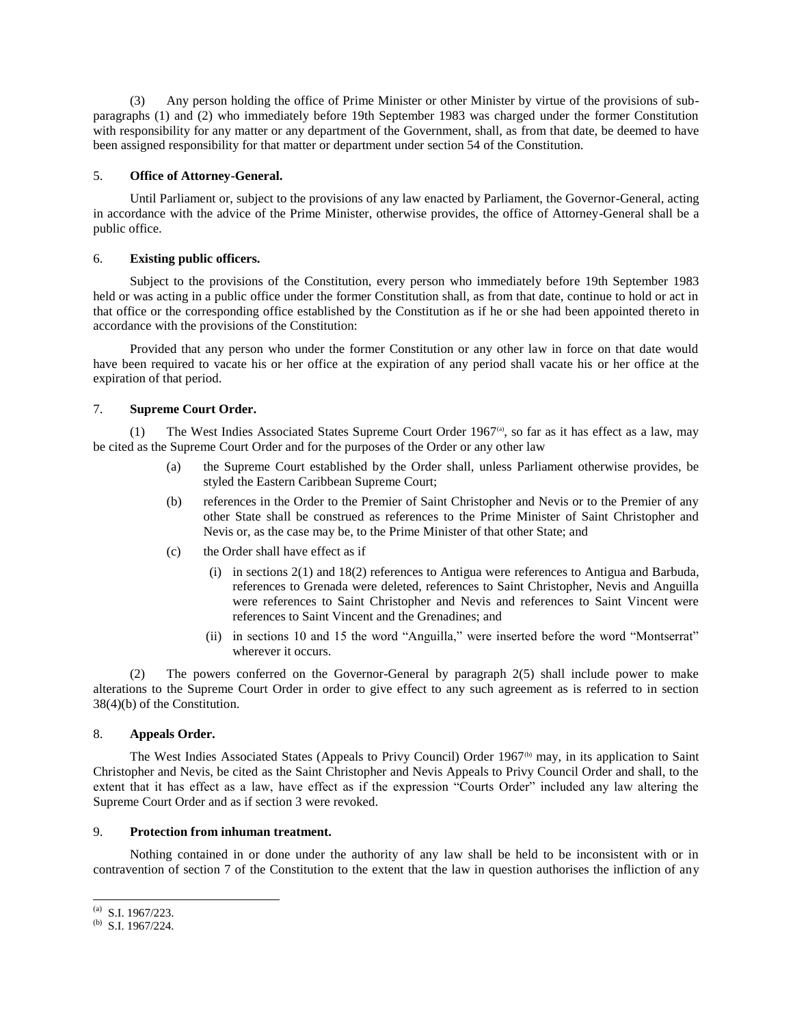(3) Any person holding the office of Prime Minister or other Minister by virtue of the provisions of subparagraphs (1) and (2) who immediately before 19th September 1983 was charged under the former Constitution with responsibility for any matter or any department of the Government, shall, as from that date, be deemed to have been assigned responsibility for that matter or department under section 54 of the Constitution.

## 5. **Office of Attorney-General.**

Until Parliament or, subject to the provisions of any law enacted by Parliament, the Governor-General, acting in accordance with the advice of the Prime Minister, otherwise provides, the office of Attorney-General shall be a public office.

## 6. **Existing public officers.**

Subject to the provisions of the Constitution, every person who immediately before 19th September 1983 held or was acting in a public office under the former Constitution shall, as from that date, continue to hold or act in that office or the corresponding office established by the Constitution as if he or she had been appointed thereto in accordance with the provisions of the Constitution:

Provided that any person who under the former Constitution or any other law in force on that date would have been required to vacate his or her office at the expiration of any period shall vacate his or her office at the expiration of that period.

## 7. **Supreme Court Order.**

(1) The West Indies Associated States Supreme Court Order  $1967^{\omega}$ , so far as it has effect as a law, may be cited as the Supreme Court Order and for the purposes of the Order or any other law

- (a) the Supreme Court established by the Order shall, unless Parliament otherwise provides, be styled the Eastern Caribbean Supreme Court;
- (b) references in the Order to the Premier of Saint Christopher and Nevis or to the Premier of any other State shall be construed as references to the Prime Minister of Saint Christopher and Nevis or, as the case may be, to the Prime Minister of that other State; and
- (c) the Order shall have effect as if
	- (i) in sections 2(1) and 18(2) references to Antigua were references to Antigua and Barbuda, references to Grenada were deleted, references to Saint Christopher, Nevis and Anguilla were references to Saint Christopher and Nevis and references to Saint Vincent were references to Saint Vincent and the Grenadines; and
	- (ii) in sections 10 and 15 the word "Anguilla," were inserted before the word "Montserrat" wherever it occurs.

(2) The powers conferred on the Governor-General by paragraph 2(5) shall include power to make alterations to the Supreme Court Order in order to give effect to any such agreement as is referred to in section 38(4)(b) of the Constitution.

# 8. **Appeals Order.**

The West Indies Associated States (Appeals to Privy Council) Order  $1967^{\circ}$  may, in its application to Saint Christopher and Nevis, be cited as the Saint Christopher and Nevis Appeals to Privy Council Order and shall, to the extent that it has effect as a law, have effect as if the expression "Courts Order" included any law altering the Supreme Court Order and as if section 3 were revoked.

## 9. **Protection from inhuman treatment.**

Nothing contained in or done under the authority of any law shall be held to be inconsistent with or in contravention of section 7 of the Constitution to the extent that the law in question authorises the infliction of any

 $\overline{a}$ 

 $^{(a)}$  S.I. 1967/223.

<sup>(</sup>b) S.I. 1967/224.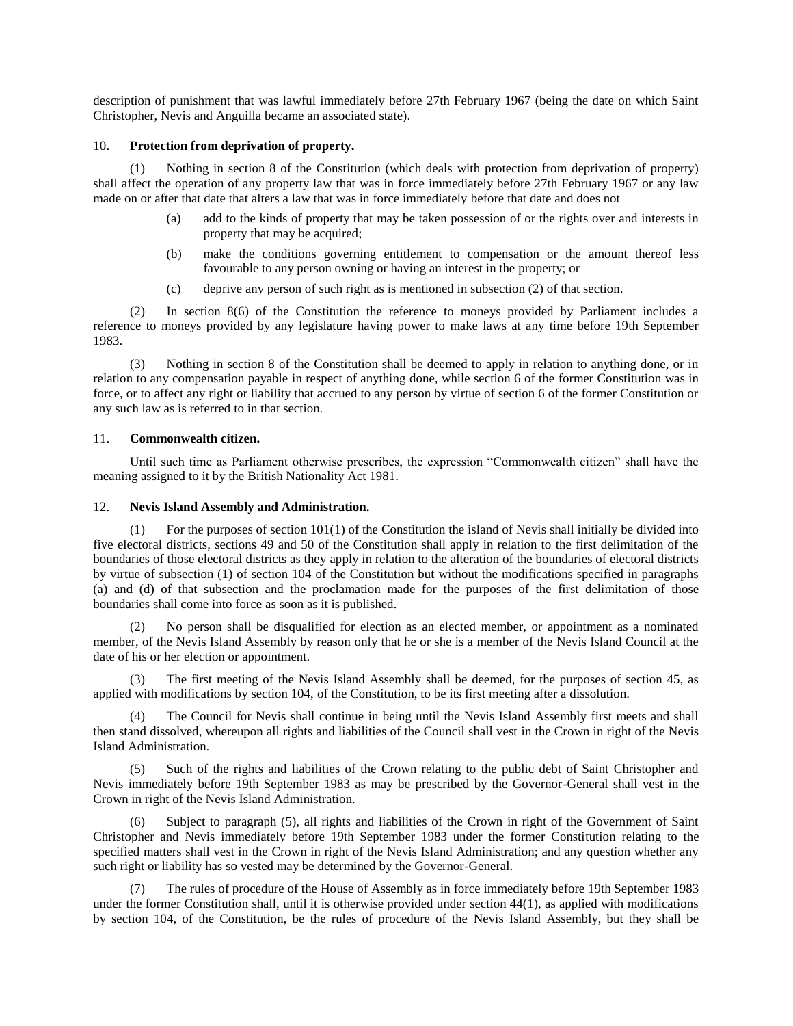description of punishment that was lawful immediately before 27th February 1967 (being the date on which Saint Christopher, Nevis and Anguilla became an associated state).

## 10. **Protection from deprivation of property.**

(1) Nothing in section 8 of the Constitution (which deals with protection from deprivation of property) shall affect the operation of any property law that was in force immediately before 27th February 1967 or any law made on or after that date that alters a law that was in force immediately before that date and does not

- (a) add to the kinds of property that may be taken possession of or the rights over and interests in property that may be acquired;
- (b) make the conditions governing entitlement to compensation or the amount thereof less favourable to any person owning or having an interest in the property; or
- (c) deprive any person of such right as is mentioned in subsection (2) of that section.

(2) In section 8(6) of the Constitution the reference to moneys provided by Parliament includes a reference to moneys provided by any legislature having power to make laws at any time before 19th September 1983.

(3) Nothing in section 8 of the Constitution shall be deemed to apply in relation to anything done, or in relation to any compensation payable in respect of anything done, while section 6 of the former Constitution was in force, or to affect any right or liability that accrued to any person by virtue of section 6 of the former Constitution or any such law as is referred to in that section.

## 11. **Commonwealth citizen.**

Until such time as Parliament otherwise prescribes, the expression "Commonwealth citizen" shall have the meaning assigned to it by the British Nationality Act 1981.

## 12. **Nevis Island Assembly and Administration.**

(1) For the purposes of section  $101(1)$  of the Constitution the island of Nevis shall initially be divided into five electoral districts, sections 49 and 50 of the Constitution shall apply in relation to the first delimitation of the boundaries of those electoral districts as they apply in relation to the alteration of the boundaries of electoral districts by virtue of subsection (1) of section 104 of the Constitution but without the modifications specified in paragraphs (a) and (d) of that subsection and the proclamation made for the purposes of the first delimitation of those boundaries shall come into force as soon as it is published.

(2) No person shall be disqualified for election as an elected member, or appointment as a nominated member, of the Nevis Island Assembly by reason only that he or she is a member of the Nevis Island Council at the date of his or her election or appointment.

(3) The first meeting of the Nevis Island Assembly shall be deemed, for the purposes of section 45, as applied with modifications by section 104, of the Constitution, to be its first meeting after a dissolution.

(4) The Council for Nevis shall continue in being until the Nevis Island Assembly first meets and shall then stand dissolved, whereupon all rights and liabilities of the Council shall vest in the Crown in right of the Nevis Island Administration.

Such of the rights and liabilities of the Crown relating to the public debt of Saint Christopher and Nevis immediately before 19th September 1983 as may be prescribed by the Governor-General shall vest in the Crown in right of the Nevis Island Administration.

(6) Subject to paragraph (5), all rights and liabilities of the Crown in right of the Government of Saint Christopher and Nevis immediately before 19th September 1983 under the former Constitution relating to the specified matters shall vest in the Crown in right of the Nevis Island Administration; and any question whether any such right or liability has so vested may be determined by the Governor-General.

The rules of procedure of the House of Assembly as in force immediately before 19th September 1983 under the former Constitution shall, until it is otherwise provided under section 44(1), as applied with modifications by section 104, of the Constitution, be the rules of procedure of the Nevis Island Assembly, but they shall be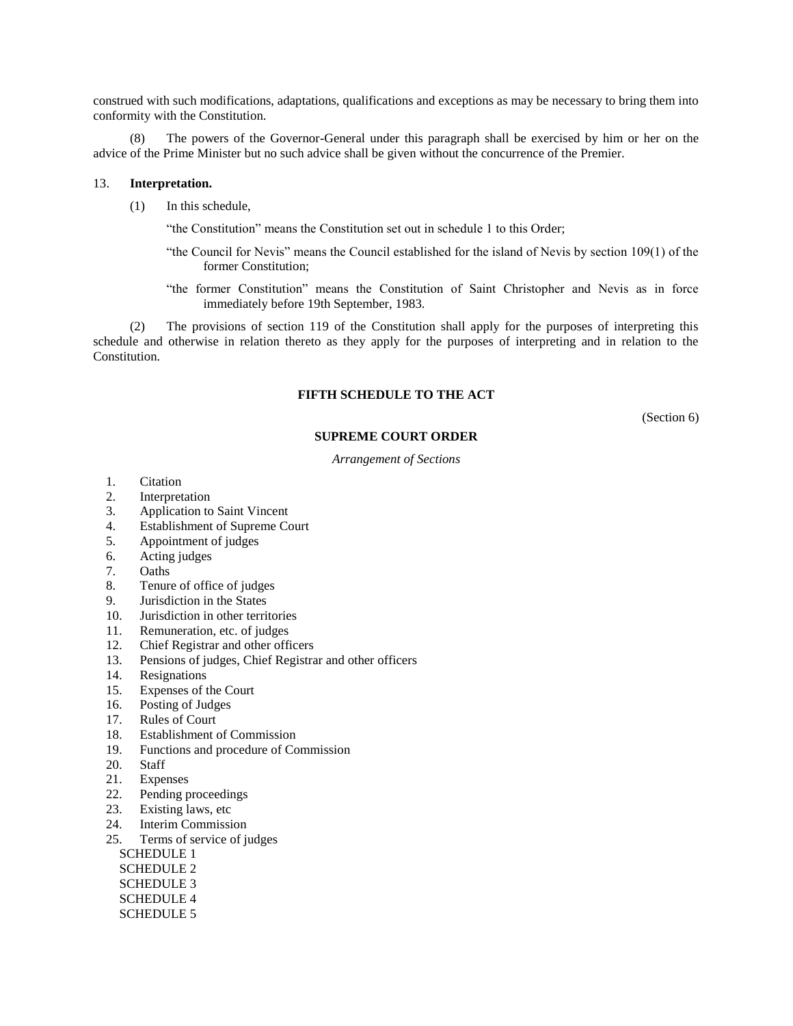construed with such modifications, adaptations, qualifications and exceptions as may be necessary to bring them into conformity with the Constitution.

(8) The powers of the Governor-General under this paragraph shall be exercised by him or her on the advice of the Prime Minister but no such advice shall be given without the concurrence of the Premier.

#### 13. **Interpretation.**

(1) In this schedule,

"the Constitution" means the Constitution set out in schedule 1 to this Order;

- "the Council for Nevis" means the Council established for the island of Nevis by section 109(1) of the former Constitution;
- "the former Constitution" means the Constitution of Saint Christopher and Nevis as in force immediately before 19th September, 1983.

(2) The provisions of section 119 of the Constitution shall apply for the purposes of interpreting this schedule and otherwise in relation thereto as they apply for the purposes of interpreting and in relation to the Constitution.

## **FIFTH SCHEDULE TO THE ACT**

(Section 6)

### **SUPREME COURT ORDER**

*Arrangement of Sections*

- 1. Citation
- 2. Interpretation
- 3. Application to Saint Vincent
- 4. Establishment of Supreme Court
- 5. Appointment of judges
- 6. Acting judges
- 7. Oaths
- 8. Tenure of office of judges
- 9. Jurisdiction in the States
- 10. Jurisdiction in other territories
- 11. Remuneration, etc. of judges
- 12. Chief Registrar and other officers
- 13. Pensions of judges, Chief Registrar and other officers
- 14. Resignations
- 15. Expenses of the Court
- 16. Posting of Judges
- 17. Rules of Court
- 18. Establishment of Commission
- 19. Functions and procedure of Commission
- 20. Staff
- 21. Expenses
- 22. Pending proceedings
- 23. Existing laws, etc
- 24. Interim Commission
- 25. Terms of service of judges
	- SCHEDULE 1
	- SCHEDULE 2
	- SCHEDULE 3
	- SCHEDULE 4
	- SCHEDULE 5